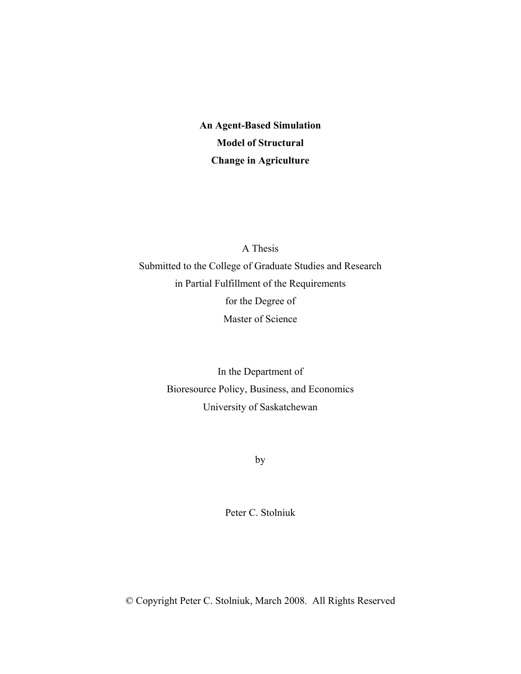# **An Agent-Based Simulation Model of Structural Change in Agriculture**

A Thesis

Submitted to the College of Graduate Studies and Research in Partial Fulfillment of the Requirements for the Degree of Master of Science

> In the Department of Bioresource Policy, Business, and Economics University of Saskatchewan

> > by

Peter C. Stolniuk

© Copyright Peter C. Stolniuk, March 2008. All Rights Reserved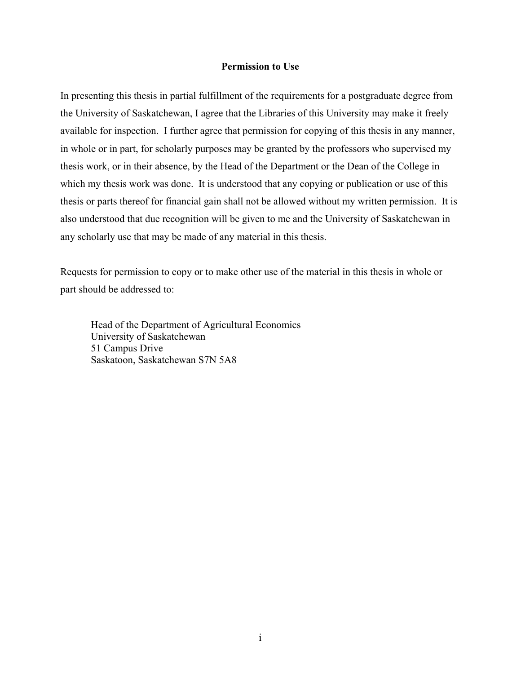#### **Permission to Use**

<span id="page-1-1"></span><span id="page-1-0"></span>In presenting this thesis in partial fulfillment of the requirements for a postgraduate degree from the University of Saskatchewan, I agree that the Libraries of this University may make it freely available for inspection. I further agree that permission for copying of this thesis in any manner, in whole or in part, for scholarly purposes may be granted by the professors who supervised my thesis work, or in their absence, by the Head of the Department or the Dean of the College in which my thesis work was done. It is understood that any copying or publication or use of this thesis or parts thereof for financial gain shall not be allowed without my written permission. It is also understood that due recognition will be given to me and the University of Saskatchewan in any scholarly use that may be made of any material in this thesis.

Requests for permission to copy or to make other use of the material in this thesis in whole or part should be addressed to:

 Head of the Department of Agricultural Economics University of Saskatchewan 51 Campus Drive Saskatoon, Saskatchewan S7N 5A8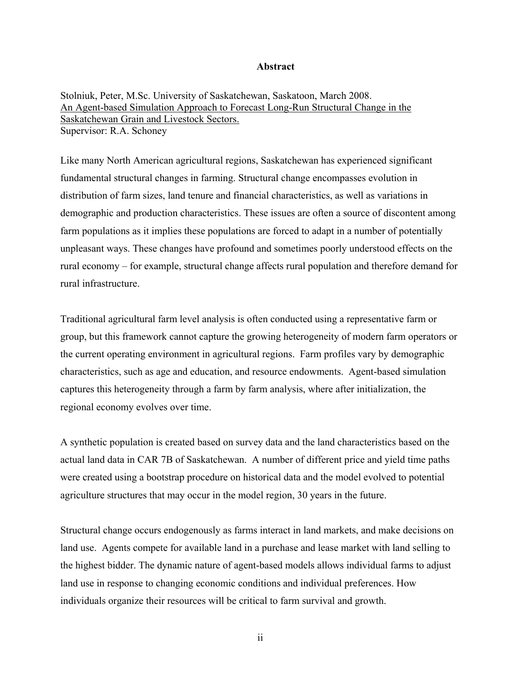#### **Abstract**

<span id="page-2-1"></span><span id="page-2-0"></span>Stolniuk, Peter, M.Sc. University of Saskatchewan, Saskatoon, March 2008. An Agent-based Simulation Approach to Forecast Long-Run Structural Change in the Saskatchewan Grain and Livestock Sectors. Supervisor: R.A. Schoney

Like many North American agricultural regions, Saskatchewan has experienced significant fundamental structural changes in farming. Structural change encompasses evolution in distribution of farm sizes, land tenure and financial characteristics, as well as variations in demographic and production characteristics. These issues are often a source of discontent among farm populations as it implies these populations are forced to adapt in a number of potentially unpleasant ways. These changes have profound and sometimes poorly understood effects on the rural economy – for example, structural change affects rural population and therefore demand for rural infrastructure.

Traditional agricultural farm level analysis is often conducted using a representative farm or group, but this framework cannot capture the growing heterogeneity of modern farm operators or the current operating environment in agricultural regions. Farm profiles vary by demographic characteristics, such as age and education, and resource endowments. Agent-based simulation captures this heterogeneity through a farm by farm analysis, where after initialization, the regional economy evolves over time.

A synthetic population is created based on survey data and the land characteristics based on the actual land data in CAR 7B of Saskatchewan. A number of different price and yield time paths were created using a bootstrap procedure on historical data and the model evolved to potential agriculture structures that may occur in the model region, 30 years in the future.

Structural change occurs endogenously as farms interact in land markets, and make decisions on land use. Agents compete for available land in a purchase and lease market with land selling to the highest bidder. The dynamic nature of agent-based models allows individual farms to adjust land use in response to changing economic conditions and individual preferences. How individuals organize their resources will be critical to farm survival and growth.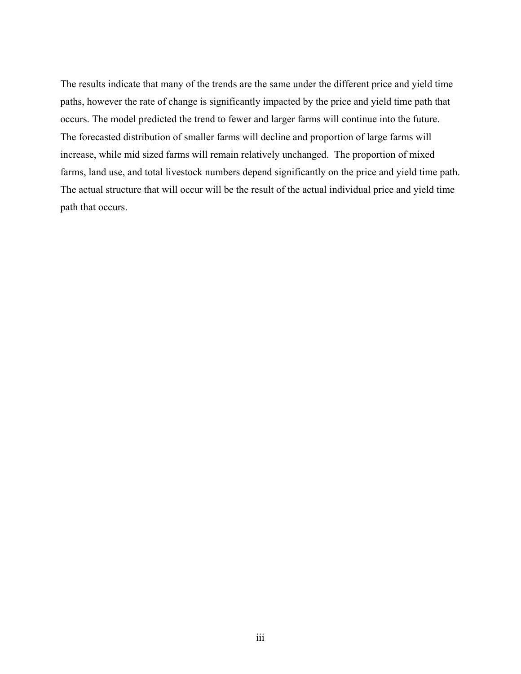The results indicate that many of the trends are the same under the different price and yield time paths, however the rate of change is significantly impacted by the price and yield time path that occurs. The model predicted the trend to fewer and larger farms will continue into the future. The forecasted distribution of smaller farms will decline and proportion of large farms will increase, while mid sized farms will remain relatively unchanged. The proportion of mixed farms, land use, and total livestock numbers depend significantly on the price and yield time path. The actual structure that will occur will be the result of the actual individual price and yield time path that occurs.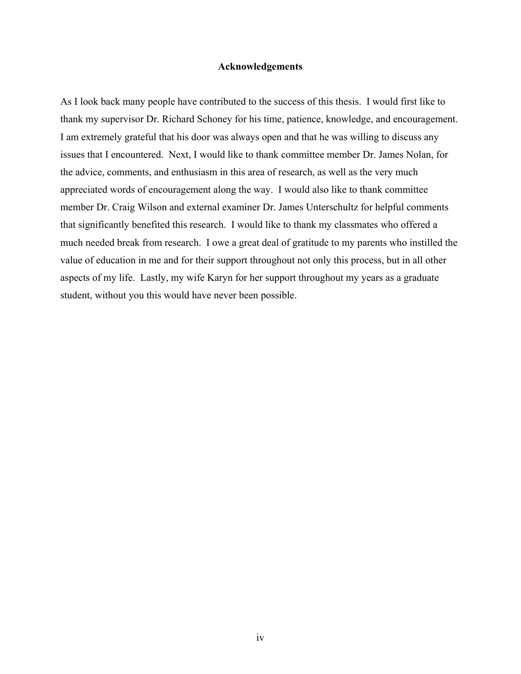#### **Acknowledgements**

<span id="page-4-1"></span><span id="page-4-0"></span>As I look back many people have contributed to the success of this thesis. I would first like to thank my supervisor Dr. Richard Schoney for his time, patience, knowledge, and encouragement. I am extremely grateful that his door was always open and that he was willing to discuss any issues that I encountered. Next, I would like to thank committee member Dr. James Nolan, for the advice, comments, and enthusiasm in this area of research, as well as the very much appreciated words of encouragement along the way. I would also like to thank committee member Dr. Craig Wilson and external examiner Dr. James Unterschultz for helpful comments that significantly benefited this research. I would like to thank my classmates who offered a much needed break from research. I owe a great deal of gratitude to my parents who instilled the value of education in me and for their support throughout not only this process, but in all other aspects of my life. Lastly, my wife Karyn for her support throughout my years as a graduate student, without you this would have never been possible.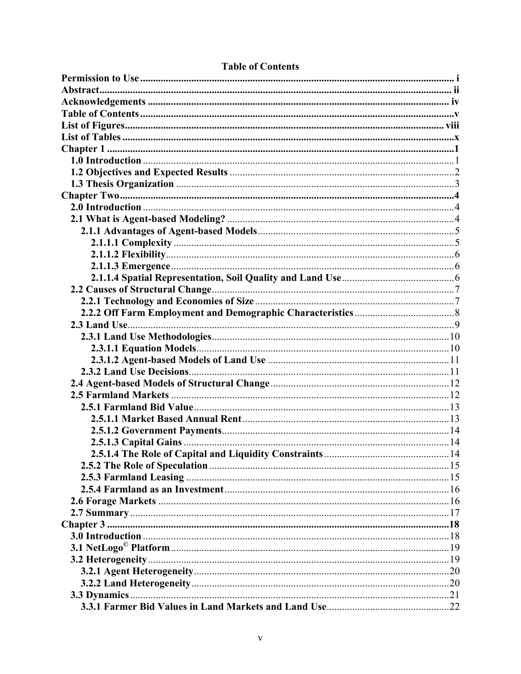<span id="page-5-1"></span><span id="page-5-0"></span>

### **Table of Contents**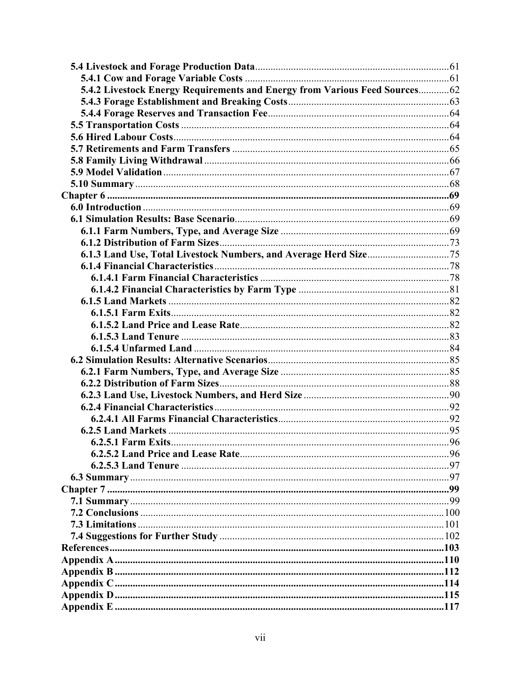| 5.4.2 Livestock Energy Requirements and Energy from Various Feed Sources62 |  |
|----------------------------------------------------------------------------|--|
|                                                                            |  |
|                                                                            |  |
|                                                                            |  |
|                                                                            |  |
|                                                                            |  |
|                                                                            |  |
|                                                                            |  |
|                                                                            |  |
|                                                                            |  |
|                                                                            |  |
|                                                                            |  |
|                                                                            |  |
|                                                                            |  |
|                                                                            |  |
|                                                                            |  |
|                                                                            |  |
|                                                                            |  |
|                                                                            |  |
|                                                                            |  |
|                                                                            |  |
|                                                                            |  |
|                                                                            |  |
|                                                                            |  |
|                                                                            |  |
|                                                                            |  |
|                                                                            |  |
|                                                                            |  |
|                                                                            |  |
|                                                                            |  |
|                                                                            |  |
|                                                                            |  |
|                                                                            |  |
|                                                                            |  |
|                                                                            |  |
|                                                                            |  |
|                                                                            |  |
|                                                                            |  |
|                                                                            |  |
|                                                                            |  |
|                                                                            |  |
|                                                                            |  |
|                                                                            |  |
|                                                                            |  |
|                                                                            |  |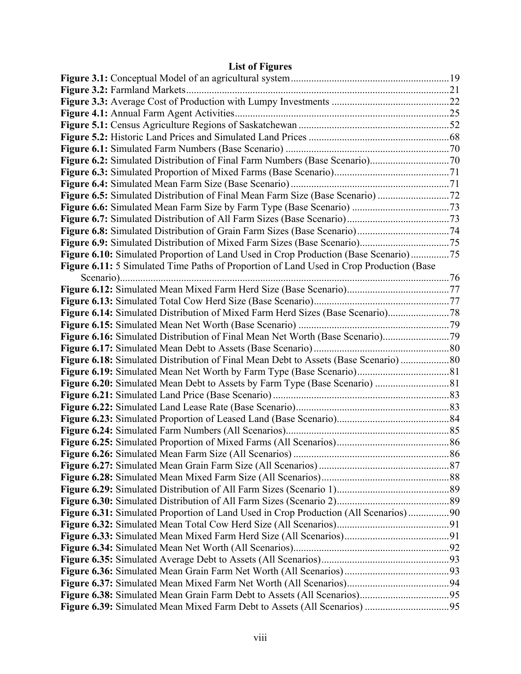## **List of Figures**

<span id="page-8-1"></span><span id="page-8-0"></span>

| <b>Figure 6.10:</b> Simulated Proportion of Land Used in Crop Production (Base Scenario)75 |  |
|--------------------------------------------------------------------------------------------|--|
| Figure 6.11: 5 Simulated Time Paths of Proportion of Land Used in Crop Production (Base    |  |
|                                                                                            |  |
|                                                                                            |  |
|                                                                                            |  |
| Figure 6.14: Simulated Distribution of Mixed Farm Herd Sizes (Base Scenario)               |  |
|                                                                                            |  |
| Figure 6.16: Simulated Distribution of Final Mean Net Worth (Base Scenario)79              |  |
|                                                                                            |  |
|                                                                                            |  |
|                                                                                            |  |
|                                                                                            |  |
|                                                                                            |  |
|                                                                                            |  |
|                                                                                            |  |
|                                                                                            |  |
|                                                                                            |  |
|                                                                                            |  |
|                                                                                            |  |
|                                                                                            |  |
|                                                                                            |  |
|                                                                                            |  |
| Figure 6.31: Simulated Proportion of Land Used in Crop Production (All Scenarios)90        |  |
|                                                                                            |  |
|                                                                                            |  |
|                                                                                            |  |
|                                                                                            |  |
|                                                                                            |  |
|                                                                                            |  |
|                                                                                            |  |
|                                                                                            |  |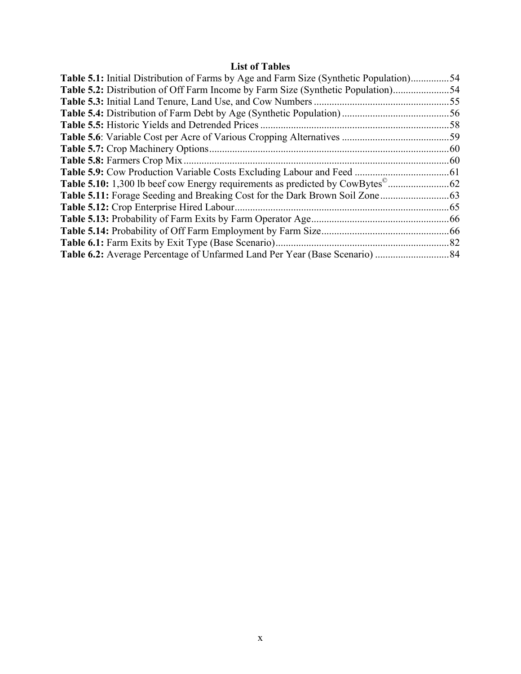### **List of Tables**

<span id="page-10-1"></span><span id="page-10-0"></span>

| <b>Table 5.1:</b> Initial Distribution of Farms by Age and Farm Size (Synthetic Population) | .54        |
|---------------------------------------------------------------------------------------------|------------|
|                                                                                             | .54        |
| Table 5.3: Initial Land Tenure, Land Use, and Cow Numbers.                                  | .55        |
|                                                                                             | .56        |
| Table 5.5: Historic Yields and Detrended Prices.                                            | .58        |
|                                                                                             | $\dots 59$ |
| <b>Table 5.7:</b> Crop Machinery Options                                                    | 60         |
| Table 5.8: Farmers Crop Mix                                                                 | 60         |
|                                                                                             |            |
|                                                                                             |            |
|                                                                                             | .63        |
| <b>Table 5.12:</b> Crop Enterprise Hired Labour.                                            | . 65       |
|                                                                                             | 66         |
|                                                                                             | $\dots 66$ |
| <b>Table 6.1:</b> Farm Exits by Exit Type (Base Scenario)                                   |            |
|                                                                                             |            |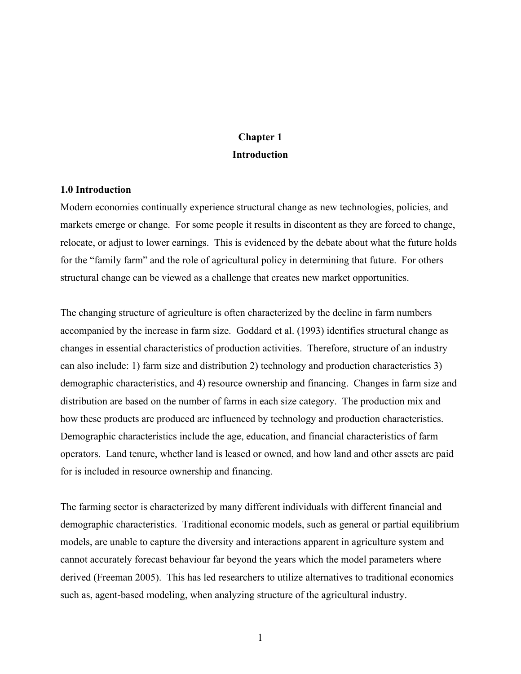### **Chapter 1 Introduction**

#### <span id="page-11-2"></span><span id="page-11-1"></span><span id="page-11-0"></span>**1.0 Introduction**

Modern economies continually experience structural change as new technologies, policies, and markets emerge or change. For some people it results in discontent as they are forced to change, relocate, or adjust to lower earnings. This is evidenced by the debate about what the future holds for the "family farm" and the role of agricultural policy in determining that future. For others structural change can be viewed as a challenge that creates new market opportunities.

The changing structure of agriculture is often characterized by the decline in farm numbers accompanied by the increase in farm size. Goddard et al. (1993) identifies structural change as changes in essential characteristics of production activities. Therefore, structure of an industry can also include: 1) farm size and distribution 2) technology and production characteristics 3) demographic characteristics, and 4) resource ownership and financing. Changes in farm size and distribution are based on the number of farms in each size category. The production mix and how these products are produced are influenced by technology and production characteristics. Demographic characteristics include the age, education, and financial characteristics of farm operators. Land tenure, whether land is leased or owned, and how land and other assets are paid for is included in resource ownership and financing.

The farming sector is characterized by many different individuals with different financial and demographic characteristics. Traditional economic models, such as general or partial equilibrium models, are unable to capture the diversity and interactions apparent in agriculture system and cannot accurately forecast behaviour far beyond the years which the model parameters where derived (Freeman 2005). This has led researchers to utilize alternatives to traditional economics such as, agent-based modeling, when analyzing structure of the agricultural industry.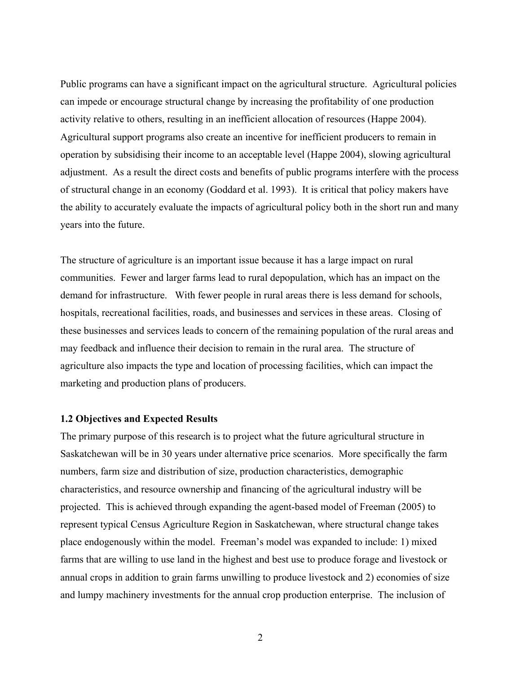<span id="page-12-0"></span>Public programs can have a significant impact on the agricultural structure. Agricultural policies can impede or encourage structural change by increasing the profitability of one production activity relative to others, resulting in an inefficient allocation of resources (Happe 2004). Agricultural support programs also create an incentive for inefficient producers to remain in operation by subsidising their income to an acceptable level (Happe 2004), slowing agricultural adjustment. As a result the direct costs and benefits of public programs interfere with the process of structural change in an economy (Goddard et al. 1993). It is critical that policy makers have the ability to accurately evaluate the impacts of agricultural policy both in the short run and many years into the future.

The structure of agriculture is an important issue because it has a large impact on rural communities. Fewer and larger farms lead to rural depopulation, which has an impact on the demand for infrastructure. With fewer people in rural areas there is less demand for schools, hospitals, recreational facilities, roads, and businesses and services in these areas. Closing of these businesses and services leads to concern of the remaining population of the rural areas and may feedback and influence their decision to remain in the rural area. The structure of agriculture also impacts the type and location of processing facilities, which can impact the marketing and production plans of producers.

#### <span id="page-12-1"></span>**1.2 Objectives and Expected Results**

The primary purpose of this research is to project what the future agricultural structure in Saskatchewan will be in 30 years under alternative price scenarios. More specifically the farm numbers, farm size and distribution of size, production characteristics, demographic characteristics, and resource ownership and financing of the agricultural industry will be projected. This is achieved through expanding the agent-based model of Freeman (2005) to represent typical Census Agriculture Region in Saskatchewan, where structural change takes place endogenously within the model. Freeman's model was expanded to include: 1) mixed farms that are willing to use land in the highest and best use to produce forage and livestock or annual crops in addition to grain farms unwilling to produce livestock and 2) economies of size and lumpy machinery investments for the annual crop production enterprise. The inclusion of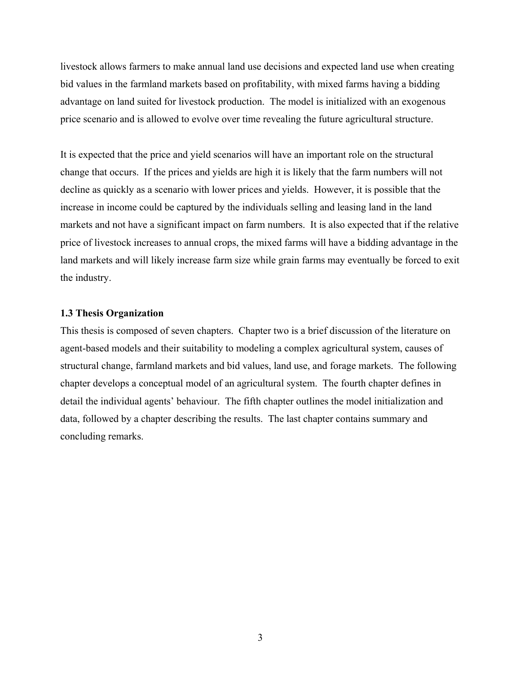<span id="page-13-0"></span>livestock allows farmers to make annual land use decisions and expected land use when creating bid values in the farmland markets based on profitability, with mixed farms having a bidding advantage on land suited for livestock production. The model is initialized with an exogenous price scenario and is allowed to evolve over time revealing the future agricultural structure.

It is expected that the price and yield scenarios will have an important role on the structural change that occurs. If the prices and yields are high it is likely that the farm numbers will not decline as quickly as a scenario with lower prices and yields. However, it is possible that the increase in income could be captured by the individuals selling and leasing land in the land markets and not have a significant impact on farm numbers. It is also expected that if the relative price of livestock increases to annual crops, the mixed farms will have a bidding advantage in the land markets and will likely increase farm size while grain farms may eventually be forced to exit the industry.

#### <span id="page-13-1"></span>**1.3 Thesis Organization**

This thesis is composed of seven chapters. Chapter two is a brief discussion of the literature on agent-based models and their suitability to modeling a complex agricultural system, causes of structural change, farmland markets and bid values, land use, and forage markets. The following chapter develops a conceptual model of an agricultural system. The fourth chapter defines in detail the individual agents' behaviour. The fifth chapter outlines the model initialization and data, followed by a chapter describing the results. The last chapter contains summary and concluding remarks.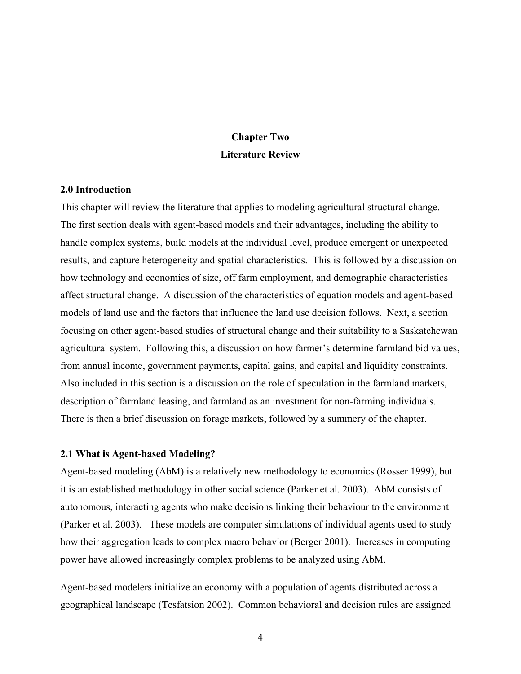## **Chapter Two Literature Review**

#### <span id="page-14-2"></span><span id="page-14-1"></span><span id="page-14-0"></span>**2.0 Introduction**

This chapter will review the literature that applies to modeling agricultural structural change. The first section deals with agent-based models and their advantages, including the ability to handle complex systems, build models at the individual level, produce emergent or unexpected results, and capture heterogeneity and spatial characteristics. This is followed by a discussion on how technology and economies of size, off farm employment, and demographic characteristics affect structural change. A discussion of the characteristics of equation models and agent-based models of land use and the factors that influence the land use decision follows. Next, a section focusing on other agent-based studies of structural change and their suitability to a Saskatchewan agricultural system. Following this, a discussion on how farmer's determine farmland bid values, from annual income, government payments, capital gains, and capital and liquidity constraints. Also included in this section is a discussion on the role of speculation in the farmland markets, description of farmland leasing, and farmland as an investment for non-farming individuals. There is then a brief discussion on forage markets, followed by a summery of the chapter.

#### <span id="page-14-3"></span>**2.1 What is Agent-based Modeling?**

Agent-based modeling (AbM) is a relatively new methodology to economics (Rosser 1999), but it is an established methodology in other social science (Parker et al. 2003). AbM consists of autonomous, interacting agents who make decisions linking their behaviour to the environment (Parker et al. 2003). These models are computer simulations of individual agents used to study how their aggregation leads to complex macro behavior (Berger 2001). Increases in computing power have allowed increasingly complex problems to be analyzed using AbM.

Agent-based modelers initialize an economy with a population of agents distributed across a geographical landscape (Tesfatsion 2002). Common behavioral and decision rules are assigned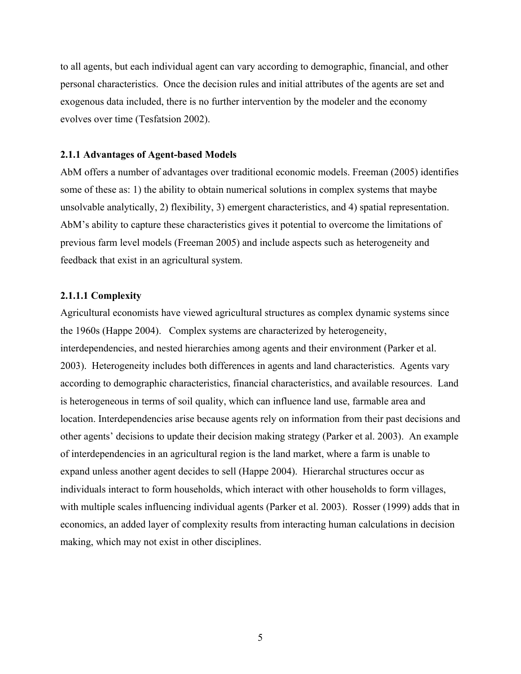<span id="page-15-0"></span>to all agents, but each individual agent can vary according to demographic, financial, and other personal characteristics. Once the decision rules and initial attributes of the agents are set and exogenous data included, there is no further intervention by the modeler and the economy evolves over time (Tesfatsion 2002).

#### <span id="page-15-1"></span>**2.1.1 Advantages of Agent-based Models**

AbM offers a number of advantages over traditional economic models. Freeman (2005) identifies some of these as: 1) the ability to obtain numerical solutions in complex systems that maybe unsolvable analytically, 2) flexibility, 3) emergent characteristics, and 4) spatial representation. AbM's ability to capture these characteristics gives it potential to overcome the limitations of previous farm level models (Freeman 2005) and include aspects such as heterogeneity and feedback that exist in an agricultural system.

#### <span id="page-15-2"></span>**2.1.1.1 Complexity**

Agricultural economists have viewed agricultural structures as complex dynamic systems since the 1960s (Happe 2004). Complex systems are characterized by heterogeneity, interdependencies, and nested hierarchies among agents and their environment (Parker et al. 2003). Heterogeneity includes both differences in agents and land characteristics. Agents vary according to demographic characteristics, financial characteristics, and available resources. Land is heterogeneous in terms of soil quality, which can influence land use, farmable area and location. Interdependencies arise because agents rely on information from their past decisions and other agents' decisions to update their decision making strategy (Parker et al. 2003). An example of interdependencies in an agricultural region is the land market, where a farm is unable to expand unless another agent decides to sell (Happe 2004). Hierarchal structures occur as individuals interact to form households, which interact with other households to form villages, with multiple scales influencing individual agents (Parker et al. 2003). Rosser (1999) adds that in economics, an added layer of complexity results from interacting human calculations in decision making, which may not exist in other disciplines.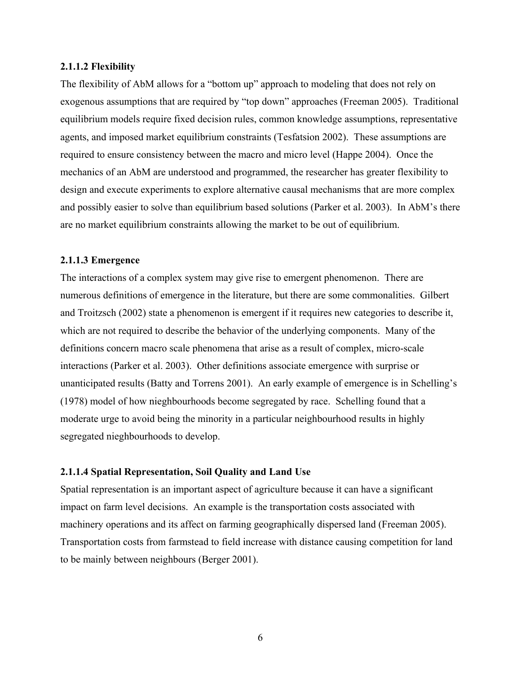#### <span id="page-16-1"></span><span id="page-16-0"></span>**2.1.1.2 Flexibility**

The flexibility of AbM allows for a "bottom up" approach to modeling that does not rely on exogenous assumptions that are required by "top down" approaches (Freeman 2005). Traditional equilibrium models require fixed decision rules, common knowledge assumptions, representative agents, and imposed market equilibrium constraints (Tesfatsion 2002). These assumptions are required to ensure consistency between the macro and micro level (Happe 2004). Once the mechanics of an AbM are understood and programmed, the researcher has greater flexibility to design and execute experiments to explore alternative causal mechanisms that are more complex and possibly easier to solve than equilibrium based solutions (Parker et al. 2003). In AbM's there are no market equilibrium constraints allowing the market to be out of equilibrium.

#### <span id="page-16-2"></span>**2.1.1.3 Emergence**

The interactions of a complex system may give rise to emergent phenomenon. There are numerous definitions of emergence in the literature, but there are some commonalities. Gilbert and Troitzsch (2002) state a phenomenon is emergent if it requires new categories to describe it, which are not required to describe the behavior of the underlying components. Many of the definitions concern macro scale phenomena that arise as a result of complex, micro-scale interactions (Parker et al. 2003). Other definitions associate emergence with surprise or unanticipated results (Batty and Torrens 2001). An early example of emergence is in Schelling's (1978) model of how nieghbourhoods become segregated by race. Schelling found that a moderate urge to avoid being the minority in a particular neighbourhood results in highly segregated nieghbourhoods to develop.

#### <span id="page-16-3"></span>**2.1.1.4 Spatial Representation, Soil Quality and Land Use**

Spatial representation is an important aspect of agriculture because it can have a significant impact on farm level decisions. An example is the transportation costs associated with machinery operations and its affect on farming geographically dispersed land (Freeman 2005). Transportation costs from farmstead to field increase with distance causing competition for land to be mainly between neighbours (Berger 2001).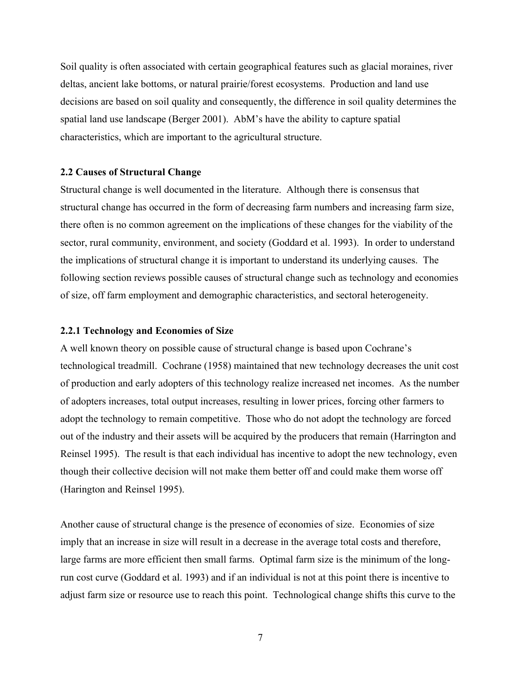<span id="page-17-0"></span>Soil quality is often associated with certain geographical features such as glacial moraines, river deltas, ancient lake bottoms, or natural prairie/forest ecosystems. Production and land use decisions are based on soil quality and consequently, the difference in soil quality determines the spatial land use landscape (Berger 2001). AbM's have the ability to capture spatial characteristics, which are important to the agricultural structure.

#### <span id="page-17-1"></span>**2.2 Causes of Structural Change**

Structural change is well documented in the literature. Although there is consensus that structural change has occurred in the form of decreasing farm numbers and increasing farm size, there often is no common agreement on the implications of these changes for the viability of the sector, rural community, environment, and society (Goddard et al. 1993). In order to understand the implications of structural change it is important to understand its underlying causes. The following section reviews possible causes of structural change such as technology and economies of size, off farm employment and demographic characteristics, and sectoral heterogeneity.

#### <span id="page-17-2"></span>**2.2.1 Technology and Economies of Size**

A well known theory on possible cause of structural change is based upon Cochrane's technological treadmill. Cochrane (1958) maintained that new technology decreases the unit cost of production and early adopters of this technology realize increased net incomes. As the number of adopters increases, total output increases, resulting in lower prices, forcing other farmers to adopt the technology to remain competitive. Those who do not adopt the technology are forced out of the industry and their assets will be acquired by the producers that remain (Harrington and Reinsel 1995). The result is that each individual has incentive to adopt the new technology, even though their collective decision will not make them better off and could make them worse off (Harington and Reinsel 1995).

Another cause of structural change is the presence of economies of size. Economies of size imply that an increase in size will result in a decrease in the average total costs and therefore, large farms are more efficient then small farms. Optimal farm size is the minimum of the longrun cost curve (Goddard et al. 1993) and if an individual is not at this point there is incentive to adjust farm size or resource use to reach this point. Technological change shifts this curve to the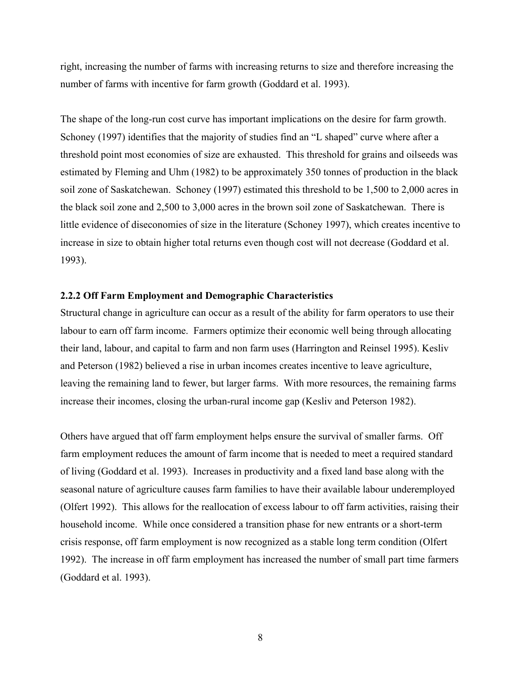<span id="page-18-0"></span>right, increasing the number of farms with increasing returns to size and therefore increasing the number of farms with incentive for farm growth (Goddard et al. 1993).

The shape of the long-run cost curve has important implications on the desire for farm growth. Schoney (1997) identifies that the majority of studies find an "L shaped" curve where after a threshold point most economies of size are exhausted. This threshold for grains and oilseeds was estimated by Fleming and Uhm (1982) to be approximately 350 tonnes of production in the black soil zone of Saskatchewan. Schoney (1997) estimated this threshold to be 1,500 to 2,000 acres in the black soil zone and 2,500 to 3,000 acres in the brown soil zone of Saskatchewan. There is little evidence of diseconomies of size in the literature (Schoney 1997), which creates incentive to increase in size to obtain higher total returns even though cost will not decrease (Goddard et al. 1993).

#### <span id="page-18-1"></span>**2.2.2 Off Farm Employment and Demographic Characteristics**

Structural change in agriculture can occur as a result of the ability for farm operators to use their labour to earn off farm income. Farmers optimize their economic well being through allocating their land, labour, and capital to farm and non farm uses (Harrington and Reinsel 1995). Kesliv and Peterson (1982) believed a rise in urban incomes creates incentive to leave agriculture, leaving the remaining land to fewer, but larger farms. With more resources, the remaining farms increase their incomes, closing the urban-rural income gap (Kesliv and Peterson 1982).

Others have argued that off farm employment helps ensure the survival of smaller farms. Off farm employment reduces the amount of farm income that is needed to meet a required standard of living (Goddard et al. 1993). Increases in productivity and a fixed land base along with the seasonal nature of agriculture causes farm families to have their available labour underemployed (Olfert 1992). This allows for the reallocation of excess labour to off farm activities, raising their household income. While once considered a transition phase for new entrants or a short-term crisis response, off farm employment is now recognized as a stable long term condition (Olfert 1992). The increase in off farm employment has increased the number of small part time farmers (Goddard et al. 1993).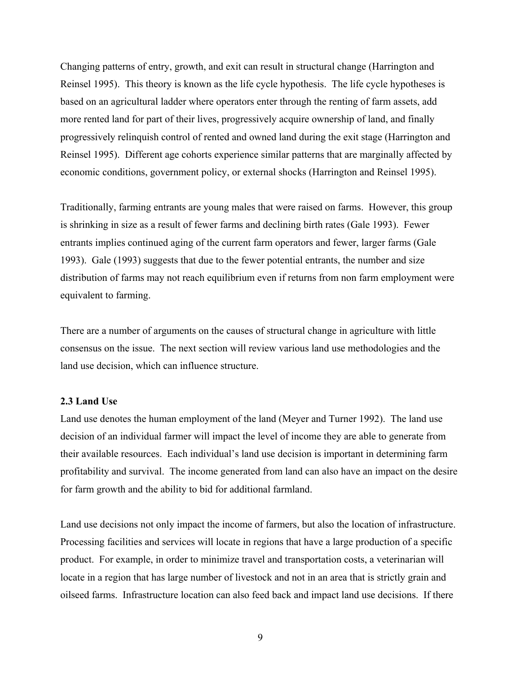<span id="page-19-0"></span>Changing patterns of entry, growth, and exit can result in structural change (Harrington and Reinsel 1995). This theory is known as the life cycle hypothesis. The life cycle hypotheses is based on an agricultural ladder where operators enter through the renting of farm assets, add more rented land for part of their lives, progressively acquire ownership of land, and finally progressively relinquish control of rented and owned land during the exit stage (Harrington and Reinsel 1995). Different age cohorts experience similar patterns that are marginally affected by economic conditions, government policy, or external shocks (Harrington and Reinsel 1995).

Traditionally, farming entrants are young males that were raised on farms. However, this group is shrinking in size as a result of fewer farms and declining birth rates (Gale 1993). Fewer entrants implies continued aging of the current farm operators and fewer, larger farms (Gale 1993). Gale (1993) suggests that due to the fewer potential entrants, the number and size distribution of farms may not reach equilibrium even if returns from non farm employment were equivalent to farming.

There are a number of arguments on the causes of structural change in agriculture with little consensus on the issue. The next section will review various land use methodologies and the land use decision, which can influence structure.

#### <span id="page-19-1"></span>**2.3 Land Use**

Land use denotes the human employment of the land (Meyer and Turner 1992). The land use decision of an individual farmer will impact the level of income they are able to generate from their available resources. Each individual's land use decision is important in determining farm profitability and survival. The income generated from land can also have an impact on the desire for farm growth and the ability to bid for additional farmland.

Land use decisions not only impact the income of farmers, but also the location of infrastructure. Processing facilities and services will locate in regions that have a large production of a specific product. For example, in order to minimize travel and transportation costs, a veterinarian will locate in a region that has large number of livestock and not in an area that is strictly grain and oilseed farms. Infrastructure location can also feed back and impact land use decisions. If there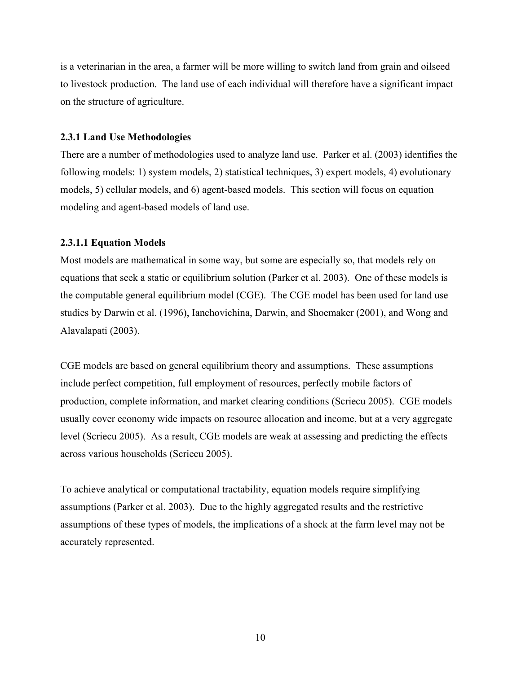<span id="page-20-0"></span>is a veterinarian in the area, a farmer will be more willing to switch land from grain and oilseed to livestock production. The land use of each individual will therefore have a significant impact on the structure of agriculture.

#### <span id="page-20-1"></span>**2.3.1 Land Use Methodologies**

There are a number of methodologies used to analyze land use. Parker et al. (2003) identifies the following models: 1) system models, 2) statistical techniques, 3) expert models, 4) evolutionary models, 5) cellular models, and 6) agent-based models. This section will focus on equation modeling and agent-based models of land use.

#### <span id="page-20-2"></span>**2.3.1.1 Equation Models**

Most models are mathematical in some way, but some are especially so, that models rely on equations that seek a static or equilibrium solution (Parker et al. 2003). One of these models is the computable general equilibrium model (CGE). The CGE model has been used for land use studies by Darwin et al. (1996), Ianchovichina, Darwin, and Shoemaker (2001), and Wong and Alavalapati (2003).

CGE models are based on general equilibrium theory and assumptions. These assumptions include perfect competition, full employment of resources, perfectly mobile factors of production, complete information, and market clearing conditions (Scriecu 2005). CGE models usually cover economy wide impacts on resource allocation and income, but at a very aggregate level (Scriecu 2005). As a result, CGE models are weak at assessing and predicting the effects across various households (Scriecu 2005).

To achieve analytical or computational tractability, equation models require simplifying assumptions (Parker et al. 2003). Due to the highly aggregated results and the restrictive assumptions of these types of models, the implications of a shock at the farm level may not be accurately represented.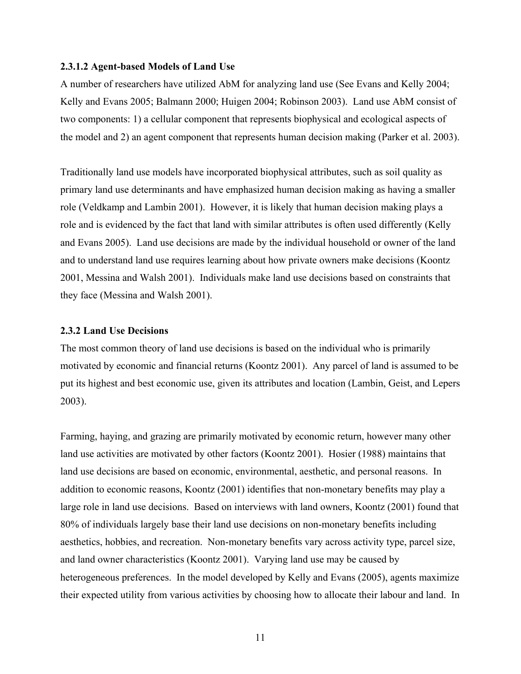#### <span id="page-21-1"></span><span id="page-21-0"></span>**2.3.1.2 Agent-based Models of Land Use**

A number of researchers have utilized AbM for analyzing land use (See Evans and Kelly 2004; Kelly and Evans 2005; Balmann 2000; Huigen 2004; Robinson 2003). Land use AbM consist of two components: 1) a cellular component that represents biophysical and ecological aspects of the model and 2) an agent component that represents human decision making (Parker et al. 2003).

Traditionally land use models have incorporated biophysical attributes, such as soil quality as primary land use determinants and have emphasized human decision making as having a smaller role (Veldkamp and Lambin 2001). However, it is likely that human decision making plays a role and is evidenced by the fact that land with similar attributes is often used differently (Kelly and Evans 2005). Land use decisions are made by the individual household or owner of the land and to understand land use requires learning about how private owners make decisions (Koontz 2001, Messina and Walsh 2001). Individuals make land use decisions based on constraints that they face (Messina and Walsh 2001).

#### <span id="page-21-2"></span>**2.3.2 Land Use Decisions**

The most common theory of land use decisions is based on the individual who is primarily motivated by economic and financial returns (Koontz 2001). Any parcel of land is assumed to be put its highest and best economic use, given its attributes and location (Lambin, Geist, and Lepers 2003).

Farming, haying, and grazing are primarily motivated by economic return, however many other land use activities are motivated by other factors (Koontz 2001). Hosier (1988) maintains that land use decisions are based on economic, environmental, aesthetic, and personal reasons. In addition to economic reasons, Koontz (2001) identifies that non-monetary benefits may play a large role in land use decisions. Based on interviews with land owners, Koontz (2001) found that 80% of individuals largely base their land use decisions on non-monetary benefits including aesthetics, hobbies, and recreation. Non-monetary benefits vary across activity type, parcel size, and land owner characteristics (Koontz 2001). Varying land use may be caused by heterogeneous preferences. In the model developed by Kelly and Evans (2005), agents maximize their expected utility from various activities by choosing how to allocate their labour and land. In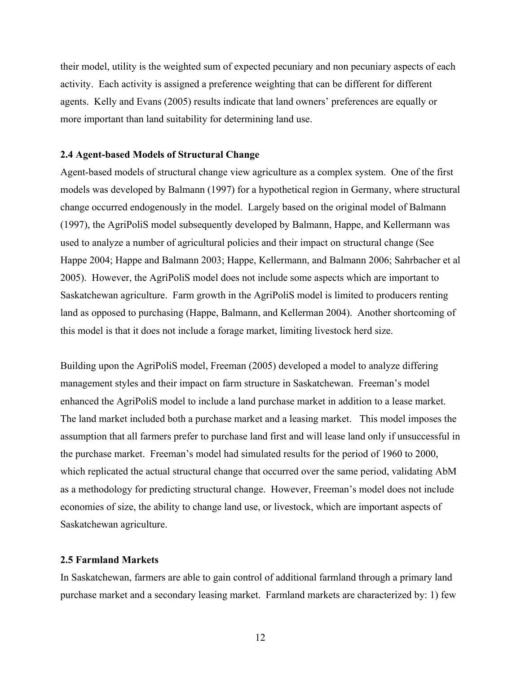<span id="page-22-0"></span>their model, utility is the weighted sum of expected pecuniary and non pecuniary aspects of each activity. Each activity is assigned a preference weighting that can be different for different agents. Kelly and Evans (2005) results indicate that land owners' preferences are equally or more important than land suitability for determining land use.

#### <span id="page-22-1"></span>**2.4 Agent-based Models of Structural Change**

Agent-based models of structural change view agriculture as a complex system. One of the first models was developed by Balmann (1997) for a hypothetical region in Germany, where structural change occurred endogenously in the model. Largely based on the original model of Balmann (1997), the AgriPoliS model subsequently developed by Balmann, Happe, and Kellermann was used to analyze a number of agricultural policies and their impact on structural change (See Happe 2004; Happe and Balmann 2003; Happe, Kellermann, and Balmann 2006; Sahrbacher et al 2005). However, the AgriPoliS model does not include some aspects which are important to Saskatchewan agriculture. Farm growth in the AgriPoliS model is limited to producers renting land as opposed to purchasing (Happe, Balmann, and Kellerman 2004). Another shortcoming of this model is that it does not include a forage market, limiting livestock herd size.

Building upon the AgriPoliS model, Freeman (2005) developed a model to analyze differing management styles and their impact on farm structure in Saskatchewan. Freeman's model enhanced the AgriPoliS model to include a land purchase market in addition to a lease market. The land market included both a purchase market and a leasing market. This model imposes the assumption that all farmers prefer to purchase land first and will lease land only if unsuccessful in the purchase market. Freeman's model had simulated results for the period of 1960 to 2000, which replicated the actual structural change that occurred over the same period, validating AbM as a methodology for predicting structural change. However, Freeman's model does not include economies of size, the ability to change land use, or livestock, which are important aspects of Saskatchewan agriculture.

#### <span id="page-22-2"></span>**2.5 Farmland Markets**

In Saskatchewan, farmers are able to gain control of additional farmland through a primary land purchase market and a secondary leasing market. Farmland markets are characterized by: 1) few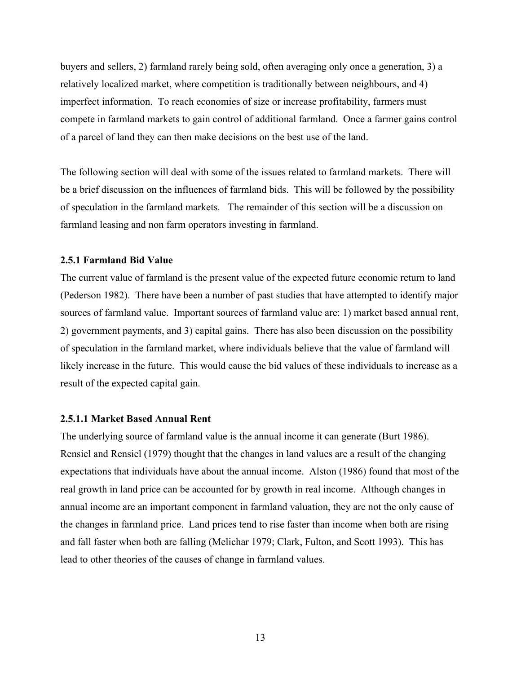<span id="page-23-0"></span>buyers and sellers, 2) farmland rarely being sold, often averaging only once a generation, 3) a relatively localized market, where competition is traditionally between neighbours, and 4) imperfect information. To reach economies of size or increase profitability, farmers must compete in farmland markets to gain control of additional farmland. Once a farmer gains control of a parcel of land they can then make decisions on the best use of the land.

The following section will deal with some of the issues related to farmland markets. There will be a brief discussion on the influences of farmland bids. This will be followed by the possibility of speculation in the farmland markets. The remainder of this section will be a discussion on farmland leasing and non farm operators investing in farmland.

#### <span id="page-23-1"></span>**2.5.1 Farmland Bid Value**

The current value of farmland is the present value of the expected future economic return to land (Pederson 1982). There have been a number of past studies that have attempted to identify major sources of farmland value. Important sources of farmland value are: 1) market based annual rent, 2) government payments, and 3) capital gains. There has also been discussion on the possibility of speculation in the farmland market, where individuals believe that the value of farmland will likely increase in the future. This would cause the bid values of these individuals to increase as a result of the expected capital gain.

#### <span id="page-23-2"></span>**2.5.1.1 Market Based Annual Rent**

The underlying source of farmland value is the annual income it can generate (Burt 1986). Rensiel and Rensiel (1979) thought that the changes in land values are a result of the changing expectations that individuals have about the annual income. Alston (1986) found that most of the real growth in land price can be accounted for by growth in real income. Although changes in annual income are an important component in farmland valuation, they are not the only cause of the changes in farmland price. Land prices tend to rise faster than income when both are rising and fall faster when both are falling (Melichar 1979; Clark, Fulton, and Scott 1993). This has lead to other theories of the causes of change in farmland values.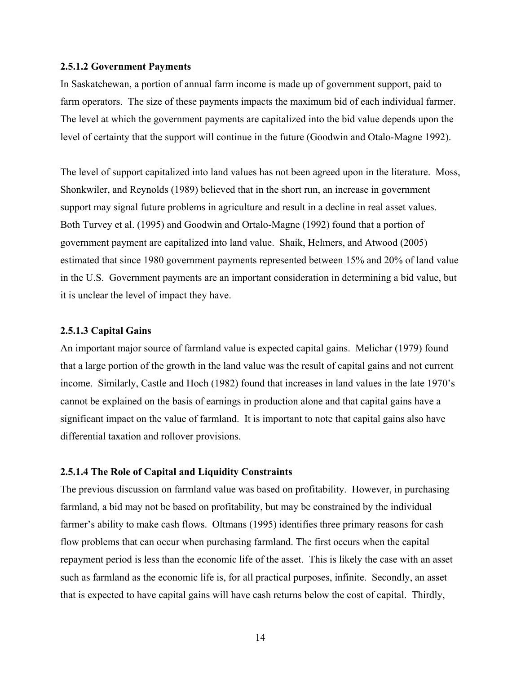#### <span id="page-24-1"></span><span id="page-24-0"></span>**2.5.1.2 Government Payments**

In Saskatchewan, a portion of annual farm income is made up of government support, paid to farm operators. The size of these payments impacts the maximum bid of each individual farmer. The level at which the government payments are capitalized into the bid value depends upon the level of certainty that the support will continue in the future (Goodwin and Otalo-Magne 1992).

The level of support capitalized into land values has not been agreed upon in the literature. Moss, Shonkwiler, and Reynolds (1989) believed that in the short run, an increase in government support may signal future problems in agriculture and result in a decline in real asset values. Both Turvey et al. (1995) and Goodwin and Ortalo-Magne (1992) found that a portion of government payment are capitalized into land value. Shaik, Helmers, and Atwood (2005) estimated that since 1980 government payments represented between 15% and 20% of land value in the U.S. Government payments are an important consideration in determining a bid value, but it is unclear the level of impact they have.

#### <span id="page-24-2"></span>**2.5.1.3 Capital Gains**

An important major source of farmland value is expected capital gains. Melichar (1979) found that a large portion of the growth in the land value was the result of capital gains and not current income. Similarly, Castle and Hoch (1982) found that increases in land values in the late 1970's cannot be explained on the basis of earnings in production alone and that capital gains have a significant impact on the value of farmland. It is important to note that capital gains also have differential taxation and rollover provisions.

#### <span id="page-24-3"></span>**2.5.1.4 The Role of Capital and Liquidity Constraints**

The previous discussion on farmland value was based on profitability. However, in purchasing farmland, a bid may not be based on profitability, but may be constrained by the individual farmer's ability to make cash flows. Oltmans (1995) identifies three primary reasons for cash flow problems that can occur when purchasing farmland. The first occurs when the capital repayment period is less than the economic life of the asset. This is likely the case with an asset such as farmland as the economic life is, for all practical purposes, infinite. Secondly, an asset that is expected to have capital gains will have cash returns below the cost of capital. Thirdly,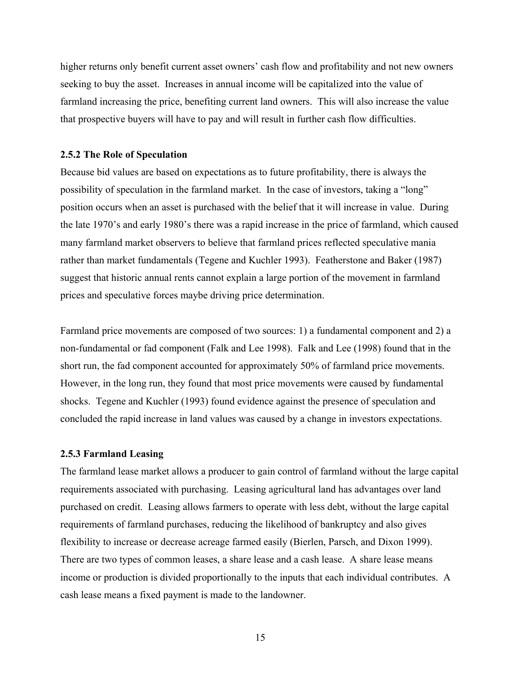<span id="page-25-0"></span>higher returns only benefit current asset owners' cash flow and profitability and not new owners seeking to buy the asset. Increases in annual income will be capitalized into the value of farmland increasing the price, benefiting current land owners. This will also increase the value that prospective buyers will have to pay and will result in further cash flow difficulties.

#### <span id="page-25-1"></span>**2.5.2 The Role of Speculation**

Because bid values are based on expectations as to future profitability, there is always the possibility of speculation in the farmland market. In the case of investors, taking a "long" position occurs when an asset is purchased with the belief that it will increase in value. During the late 1970's and early 1980's there was a rapid increase in the price of farmland, which caused many farmland market observers to believe that farmland prices reflected speculative mania rather than market fundamentals (Tegene and Kuchler 1993). Featherstone and Baker (1987) suggest that historic annual rents cannot explain a large portion of the movement in farmland prices and speculative forces maybe driving price determination.

Farmland price movements are composed of two sources: 1) a fundamental component and 2) a non-fundamental or fad component (Falk and Lee 1998). Falk and Lee (1998) found that in the short run, the fad component accounted for approximately 50% of farmland price movements. However, in the long run, they found that most price movements were caused by fundamental shocks. Tegene and Kuchler (1993) found evidence against the presence of speculation and concluded the rapid increase in land values was caused by a change in investors expectations.

#### <span id="page-25-2"></span>**2.5.3 Farmland Leasing**

The farmland lease market allows a producer to gain control of farmland without the large capital requirements associated with purchasing. Leasing agricultural land has advantages over land purchased on credit. Leasing allows farmers to operate with less debt, without the large capital requirements of farmland purchases, reducing the likelihood of bankruptcy and also gives flexibility to increase or decrease acreage farmed easily (Bierlen, Parsch, and Dixon 1999). There are two types of common leases, a share lease and a cash lease. A share lease means income or production is divided proportionally to the inputs that each individual contributes. A cash lease means a fixed payment is made to the landowner.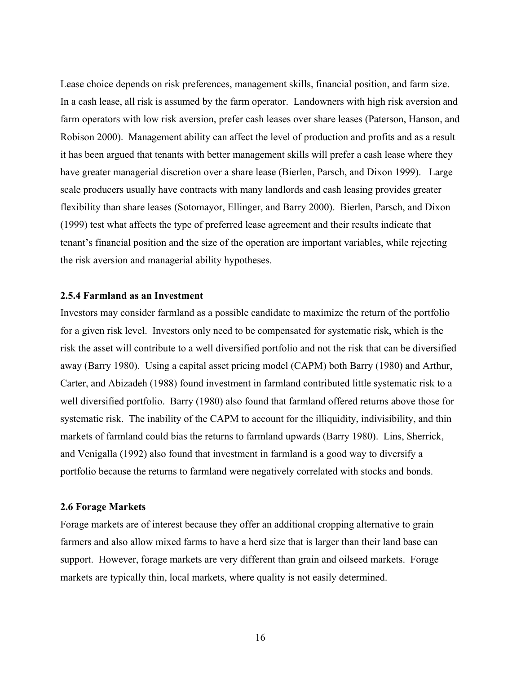<span id="page-26-0"></span>Lease choice depends on risk preferences, management skills, financial position, and farm size. In a cash lease, all risk is assumed by the farm operator. Landowners with high risk aversion and farm operators with low risk aversion, prefer cash leases over share leases (Paterson, Hanson, and Robison 2000). Management ability can affect the level of production and profits and as a result it has been argued that tenants with better management skills will prefer a cash lease where they have greater managerial discretion over a share lease (Bierlen, Parsch, and Dixon 1999). Large scale producers usually have contracts with many landlords and cash leasing provides greater flexibility than share leases (Sotomayor, Ellinger, and Barry 2000). Bierlen, Parsch, and Dixon (1999) test what affects the type of preferred lease agreement and their results indicate that tenant's financial position and the size of the operation are important variables, while rejecting the risk aversion and managerial ability hypotheses.

#### <span id="page-26-1"></span>**2.5.4 Farmland as an Investment**

Investors may consider farmland as a possible candidate to maximize the return of the portfolio for a given risk level. Investors only need to be compensated for systematic risk, which is the risk the asset will contribute to a well diversified portfolio and not the risk that can be diversified away (Barry 1980). Using a capital asset pricing model (CAPM) both Barry (1980) and Arthur, Carter, and Abizadeh (1988) found investment in farmland contributed little systematic risk to a well diversified portfolio. Barry (1980) also found that farmland offered returns above those for systematic risk. The inability of the CAPM to account for the illiquidity, indivisibility, and thin markets of farmland could bias the returns to farmland upwards (Barry 1980). Lins, Sherrick, and Venigalla (1992) also found that investment in farmland is a good way to diversify a portfolio because the returns to farmland were negatively correlated with stocks and bonds.

#### <span id="page-26-2"></span>**2.6 Forage Markets**

Forage markets are of interest because they offer an additional cropping alternative to grain farmers and also allow mixed farms to have a herd size that is larger than their land base can support. However, forage markets are very different than grain and oilseed markets. Forage markets are typically thin, local markets, where quality is not easily determined.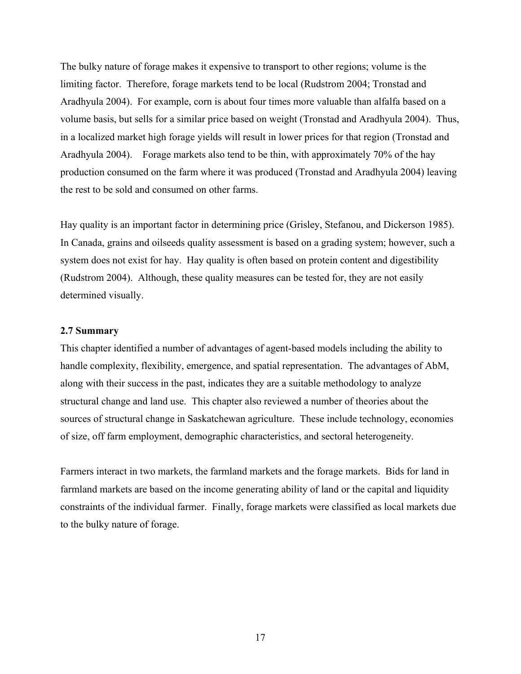<span id="page-27-0"></span>The bulky nature of forage makes it expensive to transport to other regions; volume is the limiting factor. Therefore, forage markets tend to be local (Rudstrom 2004; Tronstad and Aradhyula 2004). For example, corn is about four times more valuable than alfalfa based on a volume basis, but sells for a similar price based on weight (Tronstad and Aradhyula 2004). Thus, in a localized market high forage yields will result in lower prices for that region (Tronstad and Aradhyula 2004). Forage markets also tend to be thin, with approximately 70% of the hay production consumed on the farm where it was produced (Tronstad and Aradhyula 2004) leaving the rest to be sold and consumed on other farms.

Hay quality is an important factor in determining price (Grisley, Stefanou, and Dickerson 1985). In Canada, grains and oilseeds quality assessment is based on a grading system; however, such a system does not exist for hay. Hay quality is often based on protein content and digestibility (Rudstrom 2004). Although, these quality measures can be tested for, they are not easily determined visually.

#### <span id="page-27-1"></span>**2.7 Summary**

This chapter identified a number of advantages of agent-based models including the ability to handle complexity, flexibility, emergence, and spatial representation. The advantages of AbM, along with their success in the past, indicates they are a suitable methodology to analyze structural change and land use. This chapter also reviewed a number of theories about the sources of structural change in Saskatchewan agriculture. These include technology, economies of size, off farm employment, demographic characteristics, and sectoral heterogeneity.

Farmers interact in two markets, the farmland markets and the forage markets. Bids for land in farmland markets are based on the income generating ability of land or the capital and liquidity constraints of the individual farmer. Finally, forage markets were classified as local markets due to the bulky nature of forage.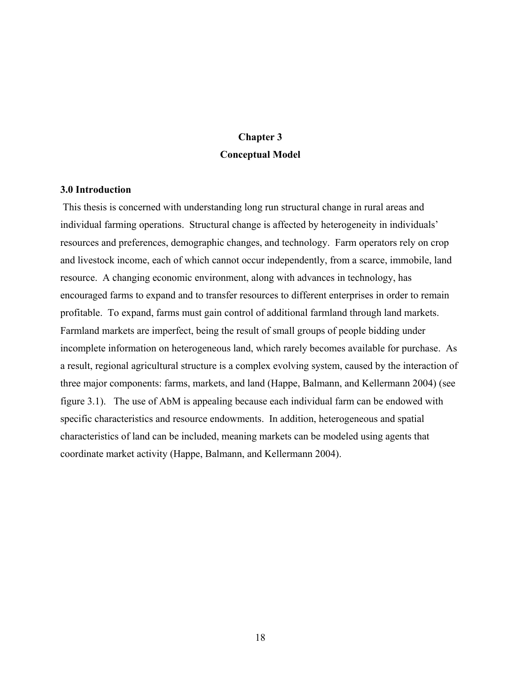## **Chapter 3 Conceptual Model**

#### <span id="page-28-2"></span><span id="page-28-1"></span><span id="page-28-0"></span>**3.0 Introduction**

 This thesis is concerned with understanding long run structural change in rural areas and individual farming operations. Structural change is affected by heterogeneity in individuals' resources and preferences, demographic changes, and technology. Farm operators rely on crop and livestock income, each of which cannot occur independently, from a scarce, immobile, land resource. A changing economic environment, along with advances in technology, has encouraged farms to expand and to transfer resources to different enterprises in order to remain profitable. To expand, farms must gain control of additional farmland through land markets. Farmland markets are imperfect, being the result of small groups of people bidding under incomplete information on heterogeneous land, which rarely becomes available for purchase. As a result, regional agricultural structure is a complex evolving system, caused by the interaction of three major components: farms, markets, and land (Happe, Balmann, and Kellermann 2004) (see figure 3.1). The use of AbM is appealing because each individual farm can be endowed with specific characteristics and resource endowments. In addition, heterogeneous and spatial characteristics of land can be included, meaning markets can be modeled using agents that coordinate market activity (Happe, Balmann, and Kellermann 2004).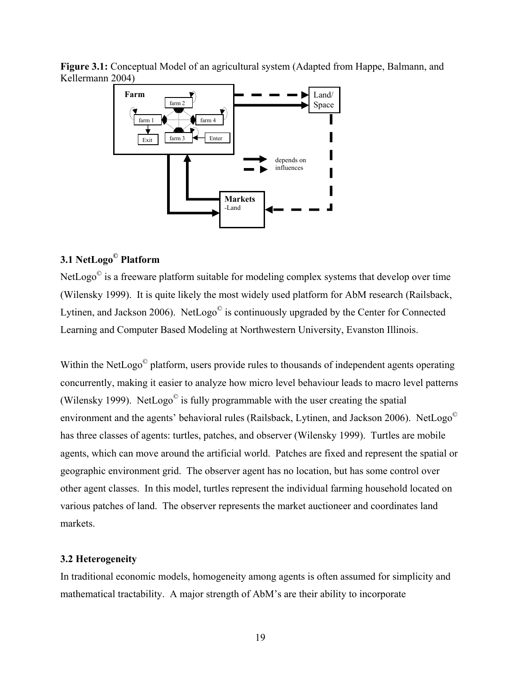<span id="page-29-3"></span><span id="page-29-0"></span>**Figure 3.1:** Conceptual Model of an agricultural system (Adapted from Happe, Balmann, and Kellermann 2004)



## <span id="page-29-1"></span>**3.1 NetLogo© Platform**

NetLogo<sup>©</sup> is a freeware platform suitable for modeling complex systems that develop over time (Wilensky 1999). It is quite likely the most widely used platform for AbM research (Railsback, Lytinen, and Jackson 2006). NetLogo<sup>©</sup> is continuously upgraded by the Center for Connected Learning and Computer Based Modeling at Northwestern University, Evanston Illinois.

Within the NetLogo<sup>©</sup> platform, users provide rules to thousands of independent agents operating concurrently, making it easier to analyze how micro level behaviour leads to macro level patterns (Wilensky 1999). NetLogo<sup> $\circ$ </sup> is fully programmable with the user creating the spatial environment and the agents' behavioral rules (Railsback, Lytinen, and Jackson 2006). NetLogo© has three classes of agents: turtles, patches, and observer (Wilensky 1999). Turtles are mobile agents, which can move around the artificial world. Patches are fixed and represent the spatial or geographic environment grid. The observer agent has no location, but has some control over other agent classes. In this model, turtles represent the individual farming household located on various patches of land. The observer represents the market auctioneer and coordinates land markets.

### <span id="page-29-2"></span>**3.2 Heterogeneity**

In traditional economic models, homogeneity among agents is often assumed for simplicity and mathematical tractability. A major strength of AbM's are their ability to incorporate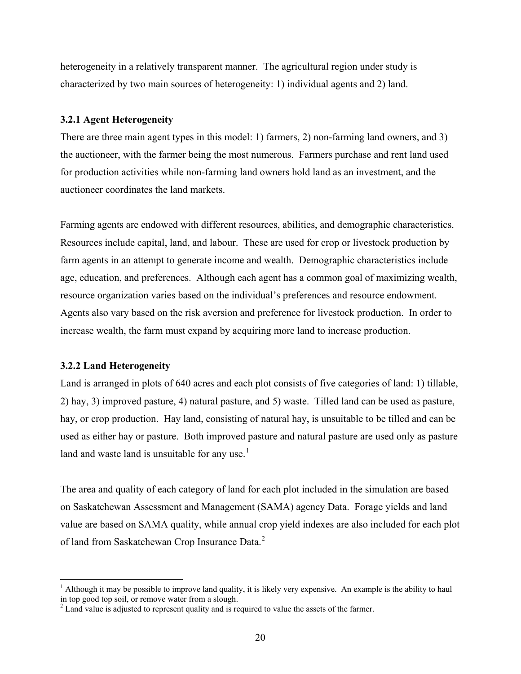<span id="page-30-0"></span>heterogeneity in a relatively transparent manner. The agricultural region under study is characterized by two main sources of heterogeneity: 1) individual agents and 2) land.

#### <span id="page-30-1"></span>**3.2.1 Agent Heterogeneity**

There are three main agent types in this model: 1) farmers, 2) non-farming land owners, and 3) the auctioneer, with the farmer being the most numerous. Farmers purchase and rent land used for production activities while non-farming land owners hold land as an investment, and the auctioneer coordinates the land markets.

Farming agents are endowed with different resources, abilities, and demographic characteristics. Resources include capital, land, and labour. These are used for crop or livestock production by farm agents in an attempt to generate income and wealth. Demographic characteristics include age, education, and preferences. Although each agent has a common goal of maximizing wealth, resource organization varies based on the individual's preferences and resource endowment. Agents also vary based on the risk aversion and preference for livestock production. In order to increase wealth, the farm must expand by acquiring more land to increase production.

#### <span id="page-30-2"></span>**3.2.2 Land Heterogeneity**

 $\overline{a}$ 

Land is arranged in plots of 640 acres and each plot consists of five categories of land: 1) tillable, 2) hay, 3) improved pasture, 4) natural pasture, and 5) waste. Tilled land can be used as pasture, hay, or crop production. Hay land, consisting of natural hay, is unsuitable to be tilled and can be used as either hay or pasture. Both improved pasture and natural pasture are used only as pasture land and waste land is unsuitable for any use.<sup>[1](#page-30-3)</sup>

The area and quality of each category of land for each plot included in the simulation are based on Saskatchewan Assessment and Management (SAMA) agency Data. Forage yields and land value are based on SAMA quality, while annual crop yield indexes are also included for each plot of land from Saskatchewan Crop Insurance Data.<sup>[2](#page-30-4)</sup>

<span id="page-30-3"></span> $<sup>1</sup>$  Although it may be possible to improve land quality, it is likely very expensive. An example is the ability to haul</sup> in top good top soil, or remove water from a slough.

<span id="page-30-4"></span> $2$  Land value is adjusted to represent quality and is required to value the assets of the farmer.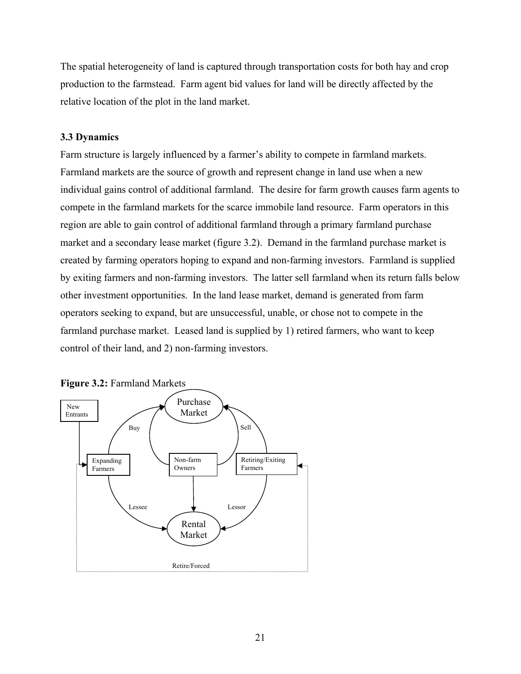<span id="page-31-0"></span>The spatial heterogeneity of land is captured through transportation costs for both hay and crop production to the farmstead. Farm agent bid values for land will be directly affected by the relative location of the plot in the land market.

#### <span id="page-31-1"></span>**3.3 Dynamics**

Farm structure is largely influenced by a farmer's ability to compete in farmland markets. Farmland markets are the source of growth and represent change in land use when a new individual gains control of additional farmland. The desire for farm growth causes farm agents to compete in the farmland markets for the scarce immobile land resource. Farm operators in this region are able to gain control of additional farmland through a primary farmland purchase market and a secondary lease market (figure 3.2). Demand in the farmland purchase market is created by farming operators hoping to expand and non-farming investors. Farmland is supplied by exiting farmers and non-farming investors. The latter sell farmland when its return falls below other investment opportunities. In the land lease market, demand is generated from farm operators seeking to expand, but are unsuccessful, unable, or chose not to compete in the farmland purchase market. Leased land is supplied by 1) retired farmers, who want to keep control of their land, and 2) non-farming investors.



<span id="page-31-2"></span>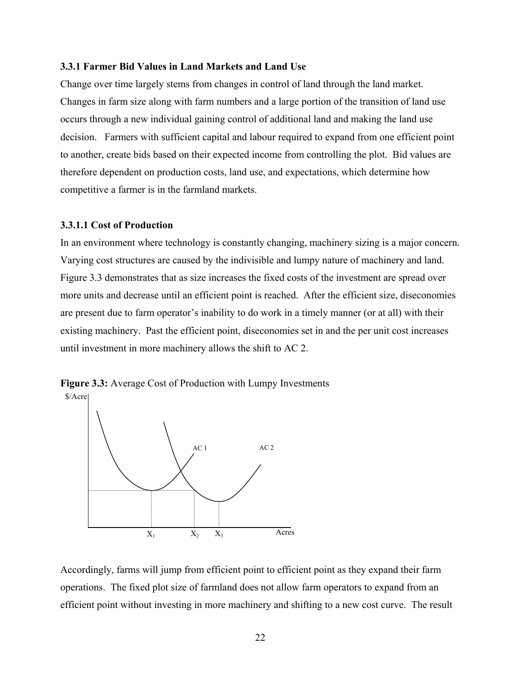#### <span id="page-32-1"></span><span id="page-32-0"></span>**3.3.1 Farmer Bid Values in Land Markets and Land Use**

Change over time largely stems from changes in control of land through the land market. Changes in farm size along with farm numbers and a large portion of the transition of land use occurs through a new individual gaining control of additional land and making the land use decision. Farmers with sufficient capital and labour required to expand from one efficient point to another, create bids based on their expected income from controlling the plot. Bid values are therefore dependent on production costs, land use, and expectations, which determine how competitive a farmer is in the farmland markets.

#### <span id="page-32-2"></span>**3.3.1.1 Cost of Production**

In an environment where technology is constantly changing, machinery sizing is a major concern. Varying cost structures are caused by the indivisible and lumpy nature of machinery and land. Figure 3.3 demonstrates that as size increases the fixed costs of the investment are spread over more units and decrease until an efficient point is reached. After the efficient size, diseconomies are present due to farm operator's inability to do work in a timely manner (or at all) with their existing machinery. Past the efficient point, diseconomies set in and the per unit cost increases until investment in more machinery allows the shift to AC 2.



<span id="page-32-3"></span>

Accordingly, farms will jump from efficient point to efficient point as they expand their farm operations. The fixed plot size of farmland does not allow farm operators to expand from an efficient point without investing in more machinery and shifting to a new cost curve. The result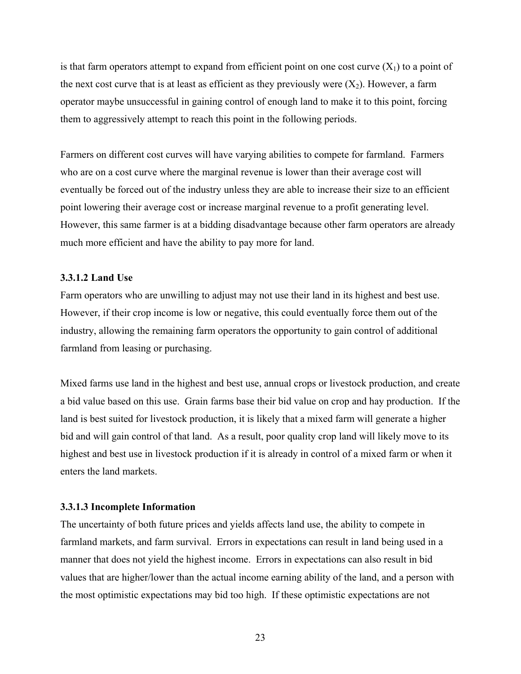<span id="page-33-0"></span>is that farm operators attempt to expand from efficient point on one cost curve  $(X_1)$  to a point of the next cost curve that is at least as efficient as they previously were  $(X_2)$ . However, a farm operator maybe unsuccessful in gaining control of enough land to make it to this point, forcing them to aggressively attempt to reach this point in the following periods.

Farmers on different cost curves will have varying abilities to compete for farmland. Farmers who are on a cost curve where the marginal revenue is lower than their average cost will eventually be forced out of the industry unless they are able to increase their size to an efficient point lowering their average cost or increase marginal revenue to a profit generating level. However, this same farmer is at a bidding disadvantage because other farm operators are already much more efficient and have the ability to pay more for land.

#### <span id="page-33-1"></span>**3.3.1.2 Land Use**

Farm operators who are unwilling to adjust may not use their land in its highest and best use. However, if their crop income is low or negative, this could eventually force them out of the industry, allowing the remaining farm operators the opportunity to gain control of additional farmland from leasing or purchasing.

Mixed farms use land in the highest and best use, annual crops or livestock production, and create a bid value based on this use. Grain farms base their bid value on crop and hay production. If the land is best suited for livestock production, it is likely that a mixed farm will generate a higher bid and will gain control of that land. As a result, poor quality crop land will likely move to its highest and best use in livestock production if it is already in control of a mixed farm or when it enters the land markets.

#### <span id="page-33-2"></span>**3.3.1.3 Incomplete Information**

The uncertainty of both future prices and yields affects land use, the ability to compete in farmland markets, and farm survival. Errors in expectations can result in land being used in a manner that does not yield the highest income. Errors in expectations can also result in bid values that are higher/lower than the actual income earning ability of the land, and a person with the most optimistic expectations may bid too high. If these optimistic expectations are not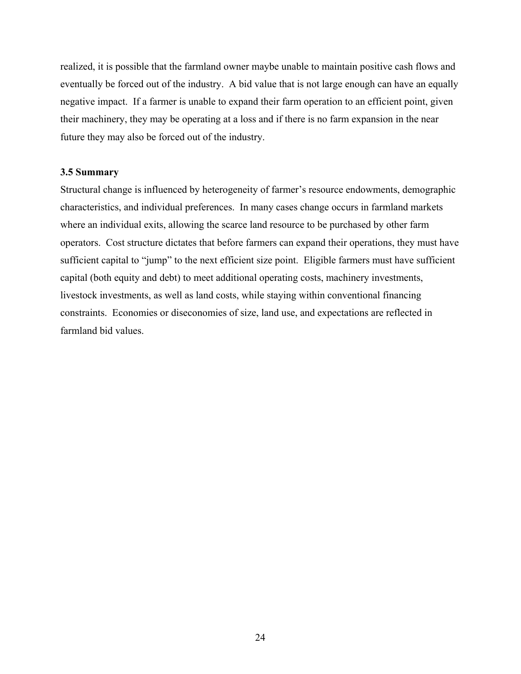<span id="page-34-0"></span>realized, it is possible that the farmland owner maybe unable to maintain positive cash flows and eventually be forced out of the industry. A bid value that is not large enough can have an equally negative impact. If a farmer is unable to expand their farm operation to an efficient point, given their machinery, they may be operating at a loss and if there is no farm expansion in the near future they may also be forced out of the industry.

#### <span id="page-34-1"></span>**3.5 Summary**

Structural change is influenced by heterogeneity of farmer's resource endowments, demographic characteristics, and individual preferences. In many cases change occurs in farmland markets where an individual exits, allowing the scarce land resource to be purchased by other farm operators. Cost structure dictates that before farmers can expand their operations, they must have sufficient capital to "jump" to the next efficient size point. Eligible farmers must have sufficient capital (both equity and debt) to meet additional operating costs, machinery investments, livestock investments, as well as land costs, while staying within conventional financing constraints. Economies or diseconomies of size, land use, and expectations are reflected in farmland bid values.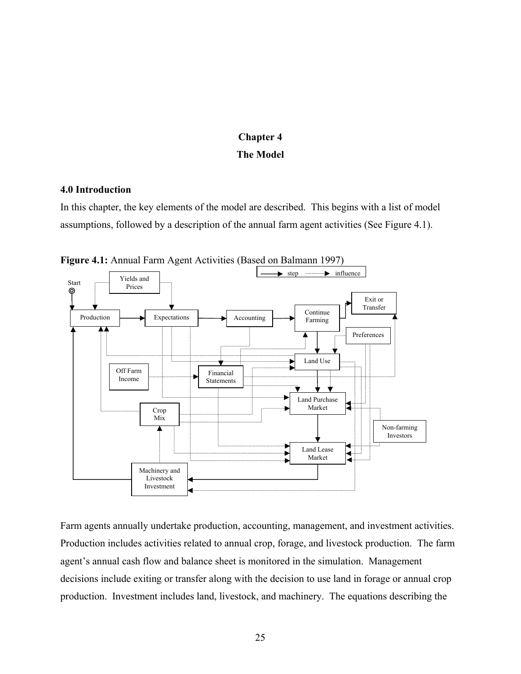## **Chapter 4 The Model**

#### <span id="page-35-2"></span><span id="page-35-1"></span><span id="page-35-0"></span>**4.0 Introduction**

In this chapter, the key elements of the model are described. This begins with a list of model assumptions, followed by a description of the annual farm agent activities (See Figure 4.1).



<span id="page-35-3"></span>**Figure 4.1:** Annual Farm Agent Activities (Based on Balmann 1997)

Farm agents annually undertake production, accounting, management, and investment activities. Production includes activities related to annual crop, forage, and livestock production. The farm agent's annual cash flow and balance sheet is monitored in the simulation. Management decisions include exiting or transfer along with the decision to use land in forage or annual crop production. Investment includes land, livestock, and machinery. The equations describing the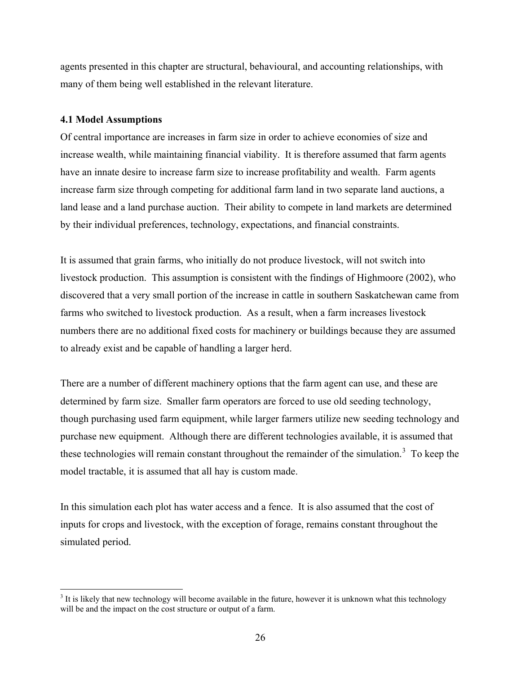agents presented in this chapter are structural, behavioural, and accounting relationships, with many of them being well established in the relevant literature.

# **4.1 Model Assumptions**

Of central importance are increases in farm size in order to achieve economies of size and increase wealth, while maintaining financial viability. It is therefore assumed that farm agents have an innate desire to increase farm size to increase profitability and wealth. Farm agents increase farm size through competing for additional farm land in two separate land auctions, a land lease and a land purchase auction. Their ability to compete in land markets are determined by their individual preferences, technology, expectations, and financial constraints.

It is assumed that grain farms, who initially do not produce livestock, will not switch into livestock production. This assumption is consistent with the findings of Highmoore (2002), who discovered that a very small portion of the increase in cattle in southern Saskatchewan came from farms who switched to livestock production. As a result, when a farm increases livestock numbers there are no additional fixed costs for machinery or buildings because they are assumed to already exist and be capable of handling a larger herd.

There are a number of different machinery options that the farm agent can use, and these are determined by farm size. Smaller farm operators are forced to use old seeding technology, though purchasing used farm equipment, while larger farmers utilize new seeding technology and purchase new equipment. Although there are different technologies available, it is assumed that these technologies will remain constant throughout the remainder of the simulation.<sup>[3](#page-36-0)</sup> To keep the model tractable, it is assumed that all hay is custom made.

In this simulation each plot has water access and a fence. It is also assumed that the cost of inputs for crops and livestock, with the exception of forage, remains constant throughout the simulated period.

<span id="page-36-0"></span> $\overline{a}$  $3$  It is likely that new technology will become available in the future, however it is unknown what this technology will be and the impact on the cost structure or output of a farm.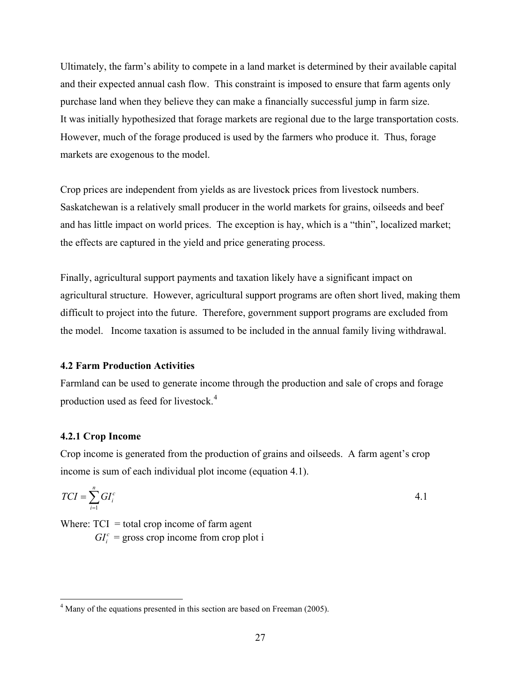Ultimately, the farm's ability to compete in a land market is determined by their available capital and their expected annual cash flow. This constraint is imposed to ensure that farm agents only purchase land when they believe they can make a financially successful jump in farm size. It was initially hypothesized that forage markets are regional due to the large transportation costs. However, much of the forage produced is used by the farmers who produce it. Thus, forage markets are exogenous to the model.

Crop prices are independent from yields as are livestock prices from livestock numbers. Saskatchewan is a relatively small producer in the world markets for grains, oilseeds and beef and has little impact on world prices. The exception is hay, which is a "thin", localized market; the effects are captured in the yield and price generating process.

Finally, agricultural support payments and taxation likely have a significant impact on agricultural structure. However, agricultural support programs are often short lived, making them difficult to project into the future. Therefore, government support programs are excluded from the model. Income taxation is assumed to be included in the annual family living withdrawal.

# **4.2 Farm Production Activities**

Farmland can be used to generate income through the production and sale of crops and forage production used as feed for livestock.[4](#page-37-0)

## **4.2.1 Crop Income**

 $\overline{a}$ 

Crop income is generated from the production of grains and oilseeds. A farm agent's crop income is sum of each individual plot income (equation [4.1](#page-37-1)).

<span id="page-37-1"></span>
$$
TCI = \sum_{i=1}^{n} GI_i^c \tag{4.1}
$$

Where:  $TCI = total crop income of farm agent$  $GI_i^c$  = gross crop income from crop plot i

<span id="page-37-0"></span><sup>&</sup>lt;sup>4</sup> Many of the equations presented in this section are based on Freeman (2005).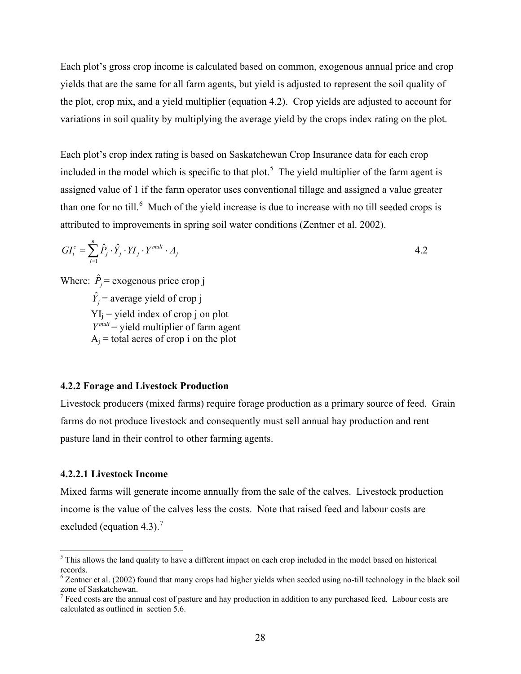Each plot's gross crop income is calculated based on common, exogenous annual price and crop yields that are the same for all farm agents, but yield is adjusted to represent the soil quality of the plot, crop mix, and a yield multiplier (equation [4.2\)](#page-38-0). Crop yields are adjusted to account for variations in soil quality by multiplying the average yield by the crops index rating on the plot.

Each plot's crop index rating is based on Saskatchewan Crop Insurance data for each crop included in the model which is specific to that plot.<sup>[5](#page-38-1)</sup> The yield multiplier of the farm agent is assigned value of 1 if the farm operator uses conventional tillage and assigned a value greater than one for no till. $<sup>6</sup>$  $<sup>6</sup>$  $<sup>6</sup>$  Much of the yield increase is due to increase with no till seeded crops is</sup> attributed to improvements in spring soil water conditions (Zentner et al. 2002).

<span id="page-38-0"></span>
$$
GI_i^c = \sum_{j=1}^n \hat{P}_j \cdot \hat{Y}_j \cdot \overline{Y}_j \cdot \overline{Y}^{mult} \cdot A_j
$$

Where:  $\hat{P}_j$  = exogenous price crop j  $\hat{Y}_i$  = average yield of crop j  $YI_i$  = yield index of crop j on plot  $Y^{mult}$  = yield multiplier of farm agent  $A_i$  = total acres of crop i on the plot

## **4.2.2 Forage and Livestock Production**

Livestock producers (mixed farms) require forage production as a primary source of feed. Grain farms do not produce livestock and consequently must sell annual hay production and rent pasture land in their control to other farming agents.

## **4.2.2.1 Livestock Income**

Mixed farms will generate income annually from the sale of the calves. Livestock production income is the value of the calves less the costs. Note that raised feed and labour costs are excluded (equation [4.3\)](#page-39-0).<sup>[7](#page-38-3)</sup>

<span id="page-38-1"></span><sup>&</sup>lt;sup>5</sup> This allows the land quality to have a different impact on each crop included in the model based on historical records.

<span id="page-38-2"></span> $6$  Zentner et al. (2002) found that many crops had higher yields when seeded using no-till technology in the black soil zone of Saskatchewan.

<span id="page-38-3"></span> $<sup>7</sup>$  Feed costs are the annual cost of pasture and hay production in addition to any purchased feed. Labour costs are</sup> calculated as outlined in section 5.6.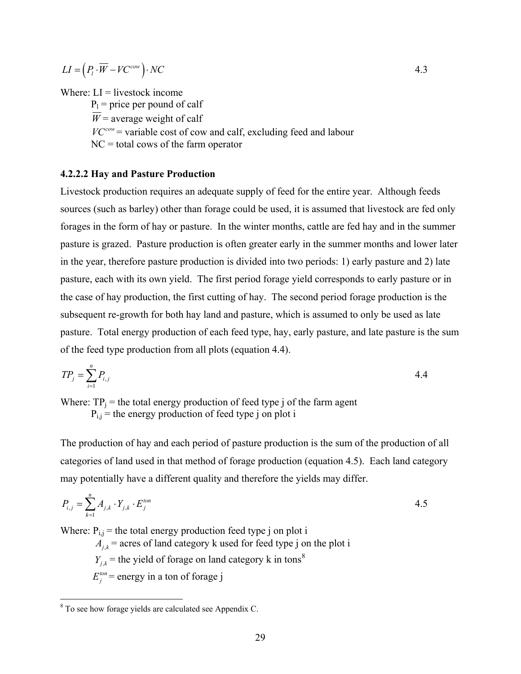<span id="page-39-0"></span>
$$
LI = \left(P_i \cdot \overline{W} - VC^{cov}\right) \cdot NC \tag{4.3}
$$

Where:  $LI =$  livestock income

 $P_1$  = price per pound of calf

 $\overline{W}$  = average weight of calf

 $VC<sup>conv</sup>$  = variable cost of cow and calf, excluding feed and labour

 $NC =$  total cows of the farm operator

#### **4.2.2.2 Hay and Pasture Production**

Livestock production requires an adequate supply of feed for the entire year. Although feeds sources (such as barley) other than forage could be used, it is assumed that livestock are fed only forages in the form of hay or pasture. In the winter months, cattle are fed hay and in the summer pasture is grazed. Pasture production is often greater early in the summer months and lower later in the year, therefore pasture production is divided into two periods: 1) early pasture and 2) late pasture, each with its own yield. The first period forage yield corresponds to early pasture or in the case of hay production, the first cutting of hay. The second period forage production is the subsequent re-growth for both hay land and pasture, which is assumed to only be used as late pasture. Total energy production of each feed type, hay, early pasture, and late pasture is the sum of the feed type production from all plots (equation [4.4\)](#page-39-1).

<span id="page-39-1"></span>
$$
TP_j = \sum_{i=1}^n P_{i,j} \tag{4.4}
$$

Where:  $TP_i$  = the total energy production of feed type j of the farm agent

 $P_{i,j}$  = the energy production of feed type j on plot i

The production of hay and each period of pasture production is the sum of the production of all categories of land used in that method of forage production (equation [4.5\)](#page-39-2). Each land category may potentially have a different quality and therefore the yields may differ.

<span id="page-39-2"></span>
$$
P_{i,j} = \sum_{k=1}^{n} A_{j,k} \cdot Y_{j,k} \cdot E_j^{ton}
$$

Where:  $P_{i,j}$  = the total energy production feed type j on plot i

 $A_{ijk}$  = acres of land category k used for feed type j on the plot i

 $Y_{i,k}$  = the yield of forage on land category k in tons<sup>[8](#page-39-3)</sup>

 $E_i^{ton}$  = energy in a ton of forage j

<span id="page-39-3"></span><sup>&</sup>lt;sup>8</sup> To see how forage yields are calculated see Appendix C.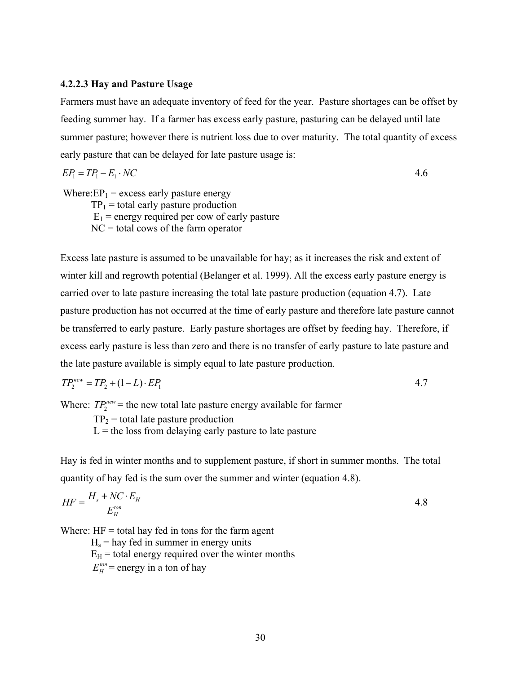#### **4.2.2.3 Hay and Pasture Usage**

Farmers must have an adequate inventory of feed for the year. Pasture shortages can be offset by feeding summer hay. If a farmer has excess early pasture, pasturing can be delayed until late summer pasture; however there is nutrient loss due to over maturity. The total quantity of excess early pasture that can be delayed for late pasture usage is:

$$
EP_1 = TP_1 - E_1 \cdot NC \tag{4.6}
$$

Where: $EP_1$  = excess early pasture energy

 $TP_1$  = total early pasture production  $E_1$  = energy required per cow of early pasture  $NC =$  total cows of the farm operator

Excess late pasture is assumed to be unavailable for hay; as it increases the risk and extent of winter kill and regrowth potential (Belanger et al. 1999). All the excess early pasture energy is carried over to late pasture increasing the total late pasture production (equation [4.7](#page-40-0)). Late pasture production has not occurred at the time of early pasture and therefore late pasture cannot be transferred to early pasture. Early pasture shortages are offset by feeding hay. Therefore, if excess early pasture is less than zero and there is no transfer of early pasture to late pasture and the late pasture available is simply equal to late pasture production.

<span id="page-40-0"></span>
$$
TP_2^{new} = TP_2 + (1 - L) \cdot EP_1 \tag{4.7}
$$

Where:  $TP_2^{new}$  = the new total late pasture energy available for farmer  $TP<sub>2</sub>$  = total late pasture production  $L =$  the loss from delaying early pasture to late pasture

Hay is fed in winter months and to supplement pasture, if short in summer months. The total quantity of hay fed is the sum over the summer and winter (equation [4.8](#page-40-1)).

<span id="page-40-1"></span>
$$
HF = \frac{H_s + NC \cdot E_H}{E_H^{ton}}
$$

Where:  $HF = total$  hay fed in tons for the farm agent

 $H_s$  = hay fed in summer in energy units  $E_H$  = total energy required over the winter months  $E_{\mu}^{ton}$  = energy in a ton of hay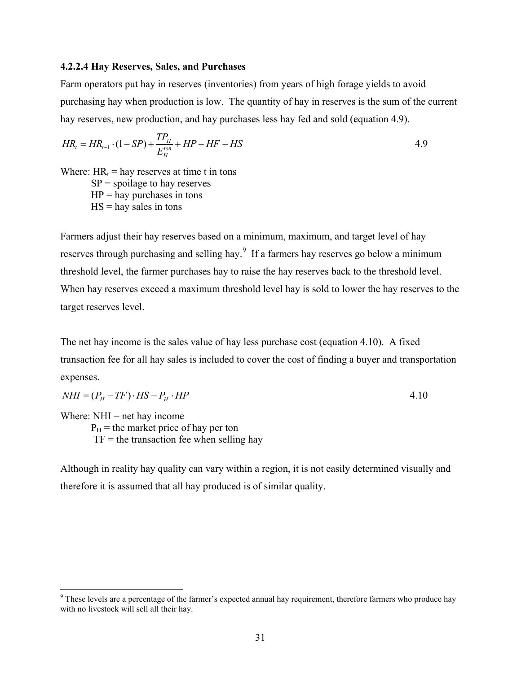#### **4.2.2.4 Hay Reserves, Sales, and Purchases**

Farm operators put hay in reserves (inventories) from years of high forage yields to avoid purchasing hay when production is low. The quantity of hay in reserves is the sum of the current hay reserves, new production, and hay purchases less hay fed and sold (equation [4.9\)](#page-41-0).

<span id="page-41-0"></span>
$$
HR_t = HR_{t-1} \cdot (1 - SP) + \frac{TP_H}{E_H^{ton}} + HP - HF - HS
$$

Where:  $HR_t = hay$  reserves at time t in tons  $SP =$ spoilage to hay reserves  $HP =$  hay purchases in tons  $HS =$  hay sales in tons

Farmers adjust their hay reserves based on a minimum, maximum, and target level of hay reserves through purchasing and selling hay.<sup>[9](#page-41-1)</sup> If a farmers hay reserves go below a minimum threshold level, the farmer purchases hay to raise the hay reserves back to the threshold level. When hay reserves exceed a maximum threshold level hay is sold to lower the hay reserves to the target reserves level.

The net hay income is the sales value of hay less purchase cost (equation [4.10](#page-41-2)). A fixed transaction fee for all hay sales is included to cover the cost of finding a buyer and transportation expenses.

<span id="page-41-2"></span>
$$
NHI = (P_H - TF) \cdot HS - P_H \cdot HP
$$
\n
$$
4.10
$$

Where:  $NHI = net$  hay income  $P_H$  = the market price of hay per ton  $TF =$  the transaction fee when selling hay

 $\overline{a}$ 

Although in reality hay quality can vary within a region, it is not easily determined visually and therefore it is assumed that all hay produced is of similar quality.

<span id="page-41-1"></span><sup>&</sup>lt;sup>9</sup> These levels are a percentage of the farmer's expected annual hay requirement, therefore farmers who produce hay with no livestock will sell all their hay.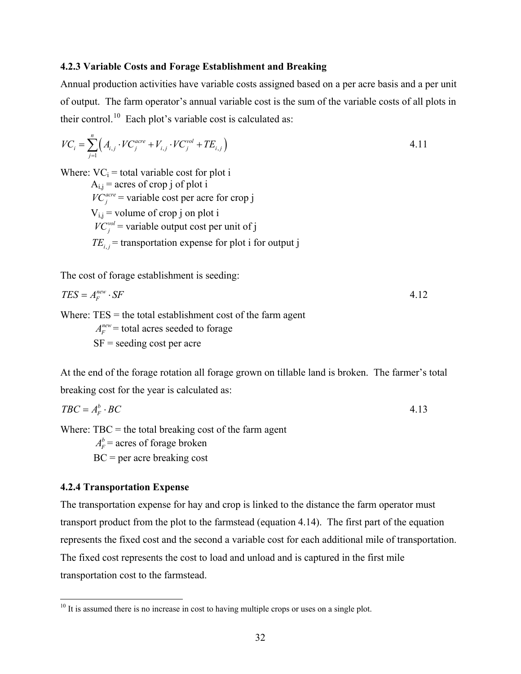#### **4.2.3 Variable Costs and Forage Establishment and Breaking**

Annual production activities have variable costs assigned based on a per acre basis and a per unit of output. The farm operator's annual variable cost is the sum of the variable costs of all plots in their control.<sup>[10](#page-42-0)</sup> Each plot's variable cost is calculated as:

$$
VC_i = \sum_{j=1}^{n} \left( A_{i,j} \cdot VC_j^{acre} + V_{i,j} \cdot VC_j^{vol} + TE_{i,j} \right)
$$
 4.11

Where:  $VC_i$  = total variable cost for plot i

 $A_{i,j}$  = acres of crop j of plot i  $VC_i^{acre}$  = variable cost per acre for crop j  $V_{i,j}$  = volume of crop j on plot i  $VC_i^{vol}$  = variable output cost per unit of j  $TE_{ij}$  = transportation expense for plot i for output j

The cost of forage establishment is seeding:

$$
TES = A_F^{new} \cdot SF \tag{4.12}
$$

Where:  $TES =$  the total establishment cost of the farm agent  $A<sub>F</sub><sup>new</sup> =$  total acres seeded to forage  $SF =$  seeding cost per acre

At the end of the forage rotation all forage grown on tillable land is broken. The farmer's total breaking cost for the year is calculated as:

$$
TBC = A_F^b \cdot BC \tag{4.13}
$$

Where:  $TBC =$  the total breaking cost of the farm agent  $A_F^b$  = acres of forage broken  $BC = per$  acre breaking cost

## **4.2.4 Transportation Expense**

 $\overline{a}$ 

The transportation expense for hay and crop is linked to the distance the farm operator must transport product from the plot to the farmstead (equation [4.14\)](#page-43-0). The first part of the equation represents the fixed cost and the second a variable cost for each additional mile of transportation. The fixed cost represents the cost to load and unload and is captured in the first mile transportation cost to the farmstead.

<span id="page-42-0"></span> $10$  It is assumed there is no increase in cost to having multiple crops or uses on a single plot.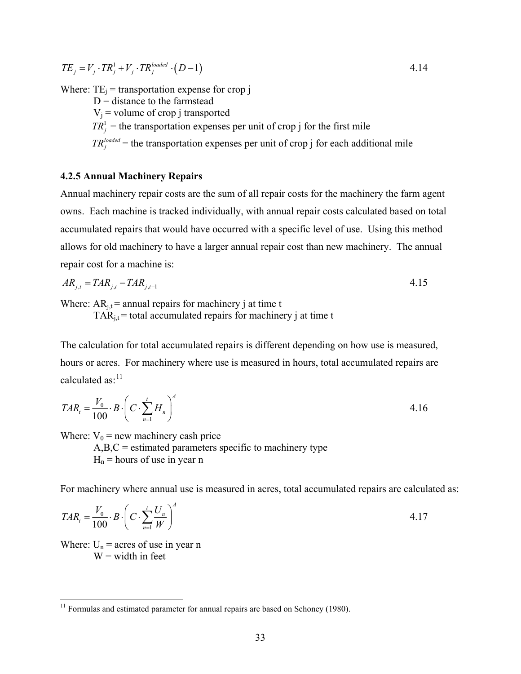<span id="page-43-0"></span>
$$
TE_j = V_j \cdot TR_j^1 + V_j \cdot TR_j^{loaded} \cdot (D-1)
$$
  
Where: TE<sub>j</sub> = transportation expense for crop j

 $D =$  distance to the farmstead  $V_i$  = volume of crop j transported  $TR_i^1$  = the transportation expenses per unit of crop j for the first mile  $TR_i^{loaded}$  = the transportation expenses per unit of crop j for each additional mile

## **4.2.5 Annual Machinery Repairs**

Annual machinery repair costs are the sum of all repair costs for the machinery the farm agent owns. Each machine is tracked individually, with annual repair costs calculated based on total accumulated repairs that would have occurred with a specific level of use. Using this method allows for old machinery to have a larger annual repair cost than new machinery. The annual repair cost for a machine is:

$$
AR_{j,t} = TAR_{j,t} - TAR_{j,t-1} \tag{4.15}
$$

Where:  $AR_{i,t}$  = annual repairs for machinery j at time t

 $TAR<sub>i,t</sub>$  = total accumulated repairs for machinery j at time t

The calculation for total accumulated repairs is different depending on how use is measured, hours or acres. For machinery where use is measured in hours, total accumulated repairs are calculated as: $11$ 

$$
TAR_t = \frac{V_0}{100} \cdot B \cdot \left( C \cdot \sum_{n=1}^t H_n \right)^4
$$

Where:  $V_0$  = new machinery cash price

 $A, B, C$  = estimated parameters specific to machinery type  $H_n$  = hours of use in year n

For machinery where annual use is measured in acres, total accumulated repairs are calculated as:

$$
TAR_t = \frac{V_0}{100} \cdot B \cdot \left( C \cdot \sum_{n=1}^t \frac{U_n}{W} \right)^A
$$

Where:  $U_n$  = acres of use in year n  $W =$  width in feet

 $\overline{a}$ 

<span id="page-43-1"></span> $11$  Formulas and estimated parameter for annual repairs are based on Schoney (1980).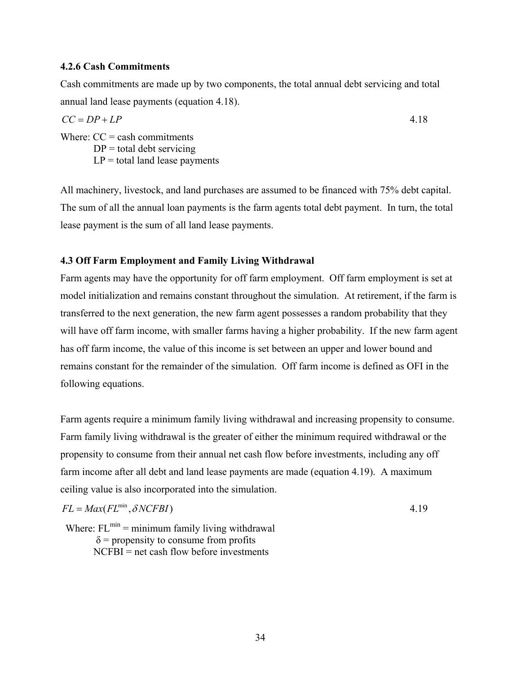## **4.2.6 Cash Commitments**

Cash commitments are made up by two components, the total annual debt servicing and total annual land lease payments (equation [4.18\)](#page-44-0).

<span id="page-44-0"></span>
$$
CC = DP + LP
$$
 4.18

Where:  $CC =$  cash commitments  $DP = total$  debt servicing  $LP =$  total land lease payments

All machinery, livestock, and land purchases are assumed to be financed with 75% debt capital. The sum of all the annual loan payments is the farm agents total debt payment. In turn, the total lease payment is the sum of all land lease payments.

# **4.3 Off Farm Employment and Family Living Withdrawal**

Farm agents may have the opportunity for off farm employment. Off farm employment is set at model initialization and remains constant throughout the simulation. At retirement, if the farm is transferred to the next generation, the new farm agent possesses a random probability that they will have off farm income, with smaller farms having a higher probability. If the new farm agent has off farm income, the value of this income is set between an upper and lower bound and remains constant for the remainder of the simulation. Off farm income is defined as OFI in the following equations.

Farm agents require a minimum family living withdrawal and increasing propensity to consume. Farm family living withdrawal is the greater of either the minimum required withdrawal or the propensity to consume from their annual net cash flow before investments, including any off farm income after all debt and land lease payments are made (equation [4.19](#page-44-1)). A maximum ceiling value is also incorporated into the simulation.

<span id="page-44-1"></span>
$$
FL = Max(FLmin, \delta NCFBI)
$$
 4.19

Where:  $FL^{min} = minimum$  family living withdrawal  $\delta$  = propensity to consume from profits NCFBI = net cash flow before investments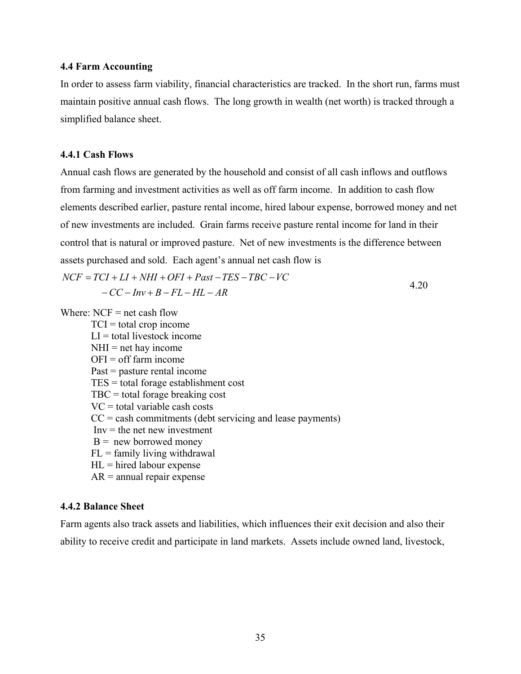#### **4.4 Farm Accounting**

In order to assess farm viability, financial characteristics are tracked. In the short run, farms must maintain positive annual cash flows. The long growth in wealth (net worth) is tracked through a simplified balance sheet.

## **4.4.1 Cash Flows**

Annual cash flows are generated by the household and consist of all cash inflows and outflows from farming and investment activities as well as off farm income. In addition to cash flow elements described earlier, pasture rental income, hired labour expense, borrowed money and net of new investments are included. Grain farms receive pasture rental income for land in their control that is natural or improved pasture. Net of new investments is the difference between assets purchased and sold. Each agent's annual net cash flow is

 $NCF = TCI + LI + NHI + OFI + Past - TES - TBC - VC$  $-CC - Inv + B - FL - HL - AR$ 4.20

Where:  $NCF$  = net cash flow

 $TCI = total crop income$  $LI = total$  livestock income  $NHI = net$  hay income  $OFI = off farm income$  Past = pasture rental income TES = total forage establishment cost TBC = total forage breaking cost  $VC = total variable cash costs$  $CC =$  cash commitments (debt servicing and lease payments)  $Inv =$  the net new investment  $B = new borrowed money$  $FL = family living with drawnal$  $HL$  = hired labour expense  $AR =$  annual repair expense

## **4.4.2 Balance Sheet**

Farm agents also track assets and liabilities, which influences their exit decision and also their ability to receive credit and participate in land markets. Assets include owned land, livestock,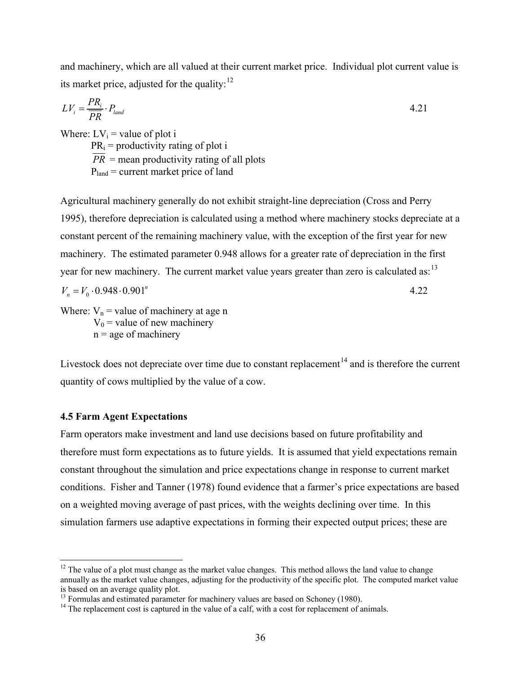and machinery, which are all valued at their current market price. Individual plot current value is its market price, adjusted for the quality: $^{12}$  $^{12}$  $^{12}$ 

$$
LV_i = \frac{PR_i}{PR} \cdot P_{land} \tag{4.21}
$$

Where:  $LV_i$  = value of plot i  $PR_i$  = productivity rating of plot i  $\overline{PR}$  = mean productivity rating of all plots  $P<sub>land</sub> = current market price of land$ 

Agricultural machinery generally do not exhibit straight-line depreciation (Cross and Perry 1995), therefore depreciation is calculated using a method where machinery stocks depreciate at a constant percent of the remaining machinery value, with the exception of the first year for new machinery. The estimated parameter 0.948 allows for a greater rate of depreciation in the first year for new machinery. The current market value years greater than zero is calculated as:<sup>[13](#page-46-1)</sup>  $V_n = V_0 \cdot 0.948 \cdot 0.901^n$  4.22

<span id="page-46-3"></span>Where:  $V_n$  = value of machinery at age n  $V_0$  = value of new machinery  $n = age of machinery$ 

Livestock does not depreciate over time due to constant replacement<sup>[14](#page-46-2)</sup> and is therefore the current quantity of cows multiplied by the value of a cow.

#### **4.5 Farm Agent Expectations**

 $\overline{a}$ 

Farm operators make investment and land use decisions based on future profitability and therefore must form expectations as to future yields. It is assumed that yield expectations remain constant throughout the simulation and price expectations change in response to current market conditions. Fisher and Tanner (1978) found evidence that a farmer's price expectations are based on a weighted moving average of past prices, with the weights declining over time. In this simulation farmers use adaptive expectations in forming their expected output prices; these are

<span id="page-46-0"></span> $12$  The value of a plot must change as the market value changes. This method allows the land value to change annually as the market value changes, adjusting for the productivity of the specific plot. The computed market value is based on an average quality plot.<br><sup>13</sup> Formulas and estimated parameter for machinery values are based on Schoney (1980).

<span id="page-46-1"></span>

<span id="page-46-2"></span> $14$  The replacement cost is captured in the value of a calf, with a cost for replacement of animals.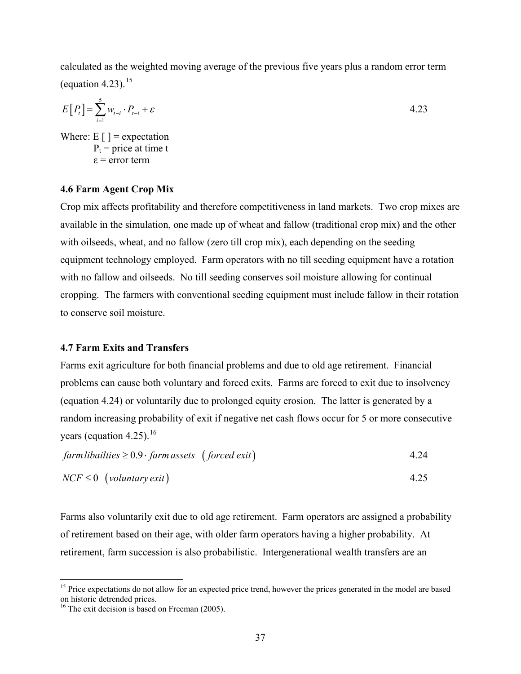calculated as the weighted moving average of the previous five years plus a random error term (equation [4.23](#page-47-0)).<sup>[15](#page-47-1)</sup>

<span id="page-47-0"></span>
$$
E[P_t] = \sum_{i=1}^{5} w_{t-i} \cdot P_{t-i} + \varepsilon
$$

Where:  $E[\ ]$  = expectation  $P_t$  = price at time t  $\varepsilon$  = error term

## **4.6 Farm Agent Crop Mix**

Crop mix affects profitability and therefore competitiveness in land markets. Two crop mixes are available in the simulation, one made up of wheat and fallow (traditional crop mix) and the other with oilseeds, wheat, and no fallow (zero till crop mix), each depending on the seeding equipment technology employed. Farm operators with no till seeding equipment have a rotation with no fallow and oilseeds. No till seeding conserves soil moisture allowing for continual cropping. The farmers with conventional seeding equipment must include fallow in their rotation to conserve soil moisture.

## **4.7 Farm Exits and Transfers**

Farms exit agriculture for both financial problems and due to old age retirement. Financial problems can cause both voluntary and forced exits. Farms are forced to exit due to insolvency (equation [4.24](#page-47-2)) or voluntarily due to prolonged equity erosion. The latter is generated by a random increasing probability of exit if negative net cash flows occur for 5 or more consecutive years (equation [4.25\)](#page-47-3).<sup>[16](#page-47-4)</sup>

<span id="page-47-2"></span>

| $\int$ farm libailties $\geq$ 0.9 $\cdot$ farm assets $\int$ forced exit) | 4.24 |  |
|---------------------------------------------------------------------------|------|--|
|                                                                           |      |  |

<span id="page-47-3"></span>
$$
NCF \le 0 \quad (voluntary exit) \tag{4.25}
$$

Farms also voluntarily exit due to old age retirement. Farm operators are assigned a probability of retirement based on their age, with older farm operators having a higher probability. At retirement, farm succession is also probabilistic. Intergenerational wealth transfers are an

 $\overline{a}$ 

<span id="page-47-1"></span><sup>&</sup>lt;sup>15</sup> Price expectations do not allow for an expected price trend, however the prices generated in the model are based on historic detrended prices.

<span id="page-47-4"></span> $16$  The exit decision is based on Freeman (2005).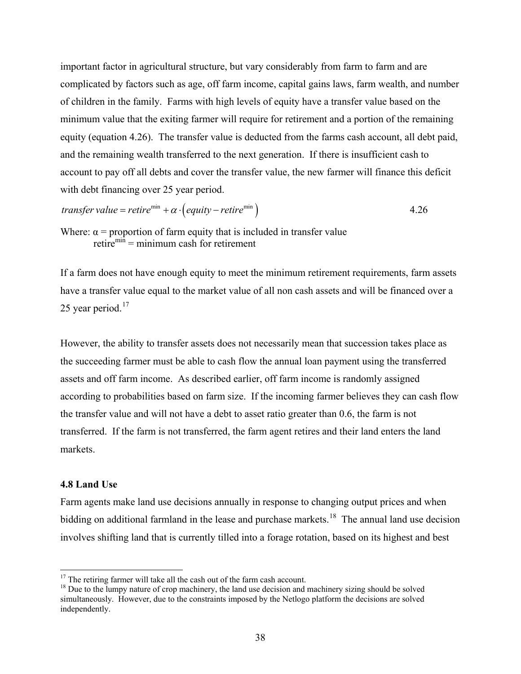important factor in agricultural structure, but vary considerably from farm to farm and are complicated by factors such as age, off farm income, capital gains laws, farm wealth, and number of children in the family. Farms with high levels of equity have a transfer value based on the minimum value that the exiting farmer will require for retirement and a portion of the remaining equity (equation [4.26](#page-48-0)). The transfer value is deducted from the farms cash account, all debt paid, and the remaining wealth transferred to the next generation. If there is insufficient cash to account to pay off all debts and cover the transfer value, the new farmer will finance this deficit with debt financing over 25 year period.

<span id="page-48-0"></span>
$$
transfer value = retiremin + \alpha \cdot (equity - retiremin)
$$
 4.26

Where:  $\alpha$  = proportion of farm equity that is included in transfer value retire<sup>min</sup> = minimum cash for retirement

If a farm does not have enough equity to meet the minimum retirement requirements, farm assets have a transfer value equal to the market value of all non cash assets and will be financed over a 25 year period. $17$ 

However, the ability to transfer assets does not necessarily mean that succession takes place as the succeeding farmer must be able to cash flow the annual loan payment using the transferred assets and off farm income. As described earlier, off farm income is randomly assigned according to probabilities based on farm size. If the incoming farmer believes they can cash flow the transfer value and will not have a debt to asset ratio greater than 0.6, the farm is not transferred. If the farm is not transferred, the farm agent retires and their land enters the land markets.

### **4.8 Land Use**

 $\overline{a}$ 

Farm agents make land use decisions annually in response to changing output prices and when bidding on additional farmland in the lease and purchase markets.<sup>[18](#page-48-2)</sup> The annual land use decision involves shifting land that is currently tilled into a forage rotation, based on its highest and best

<span id="page-48-1"></span> $17$  The retiring farmer will take all the cash out of the farm cash account.

<span id="page-48-2"></span><sup>&</sup>lt;sup>18</sup> Due to the lumpy nature of crop machinery, the land use decision and machinery sizing should be solved simultaneously. However, due to the constraints imposed by the Netlogo platform the decisions are solved independently.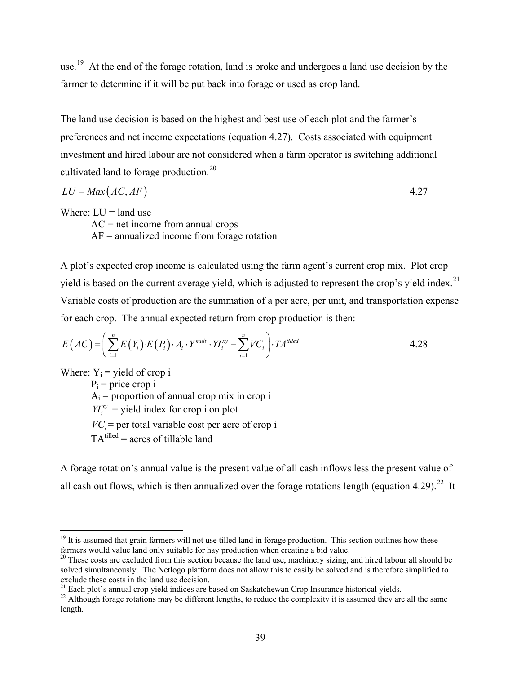use.<sup>[19](#page-49-0)</sup> At the end of the forage rotation, land is broke and undergoes a land use decision by the farmer to determine if it will be put back into forage or used as crop land.

The land use decision is based on the highest and best use of each plot and the farmer's preferences and net income expectations (equation [4.27\)](#page-49-1). Costs associated with equipment investment and hired labour are not considered when a farm operator is switching additional cultivated land to forage production.[20](#page-49-2)

<span id="page-49-1"></span>
$$
LU = Max\big(AC, AF\big) \tag{4.27}
$$

Where:  $LI =$  land use

 $\overline{a}$ 

 $AC = net$  income from annual crops  $AF =$  annualized income from forage rotation

A plot's expected crop income is calculated using the farm agent's current crop mix. Plot crop yield is based on the current average yield, which is adjusted to represent the crop's yield index.<sup>21</sup> Variable costs of production are the summation of a per acre, per unit, and transportation expense for each crop. The annual expected return from crop production is then:

$$
E\left(AC\right) = \left(\sum_{i=1}^{n} E\left(Y_i\right) \cdot E\left(P_i\right) \cdot A_i \cdot Y^{mult} \cdot Y I_i^{xy} - \sum_{i=1}^{n} V C_i\right) \cdot T A^{tilled}
$$

Where:  $Y_i$  = yield of crop i  $P_i$  = price crop i  $A_i$  = proportion of annual crop mix in crop i  $YI_i^{xy}$  = yield index for crop i on plot  $VC<sub>i</sub>$  = per total variable cost per acre of crop i  $TA<sup>tilled</sup> = acres of tillable land$ 

A forage rotation's annual value is the present value of all cash inflows less the present value of all cash out flows, which is then annualized over the forage rotations length (equation [4.29](#page-50-0)).<sup>22</sup> It

<span id="page-49-0"></span><sup>&</sup>lt;sup>19</sup> It is assumed that grain farmers will not use tilled land in forage production. This section outlines how these farmers would value land only suitable for hay production when creating a bid value.

<span id="page-49-2"></span><sup>&</sup>lt;sup>20</sup> These costs are excluded from this section because the land use, machinery sizing, and hired labour all should be solved simultaneously. The Netlogo platform does not allow this to easily be solved and is therefore simplified to exclude these costs in the land use decision.<br><sup>21</sup> Each plot's annual crop yield indices are based on Saskatchewan Crop Insurance historical yields.

<span id="page-49-4"></span><span id="page-49-3"></span> $^{22}$  Although forage rotations may be different lengths, to reduce the complexity it is assumed they are all the same length.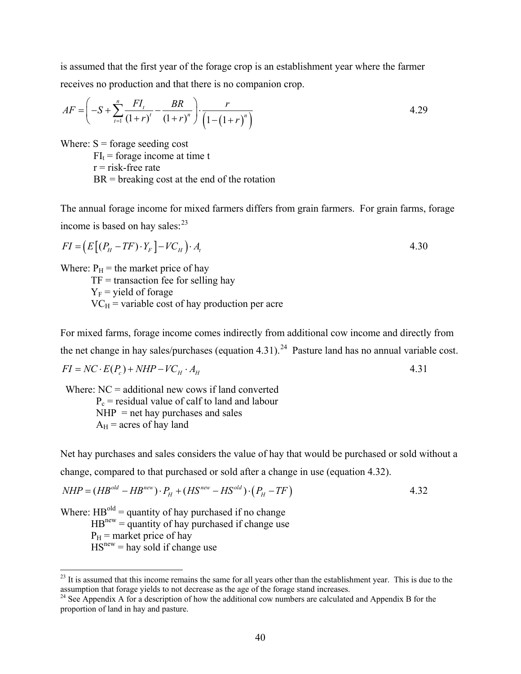is assumed that the first year of the forage crop is an establishment year where the farmer receives no production and that there is no companion crop.

<span id="page-50-0"></span>
$$
AF = \left(-S + \sum_{t=1}^{n} \frac{FI_t}{(1+r)^t} - \frac{BR}{(1+r)^n}\right) \cdot \frac{r}{\left(1 - (1+r)^n\right)}
$$
\n4.29

Where:  $S =$  forage seeding cost  $FI_t$  = forage income at time t  $r =$  risk-free rate  $BR = breaking cost$  at the end of the rotation

The annual forage income for mixed farmers differs from grain farmers. For grain farms, forage income is based on hay sales: $^{23}$  $^{23}$  $^{23}$ 

$$
FI = \left(E\left[\left(P_H - TF\right)\cdot Y_F\right] - VC_H\right)\cdot A_t\tag{4.30}
$$

Where:  $P_H$  = the market price of hay  $TF =$  transaction fee for selling hay  $Y_F$  = yield of forage

 $VC<sub>H</sub>$  = variable cost of hay production per acre

For mixed farms, forage income comes indirectly from additional cow income and directly from the net change in hay sales/purchases (equation [4.31](#page-50-2)).<sup>24</sup> Pasture land has no annual variable cost.  $FI = NC \cdot E(P_c) + NHP - VC_H \cdot A_H$  4.31

<span id="page-50-2"></span>Where:  $NC =$  additional new cows if land converted  $P_c$  = residual value of calf to land and labour  $NHP$  = net hay purchases and sales  $A_H$  = acres of hay land

Net hay purchases and sales considers the value of hay that would be purchased or sold without a change, compared to that purchased or sold after a change in use (equation [4.32](#page-50-4)).

<span id="page-50-4"></span>
$$
NHP = (HB^{\text{old}} - HB^{\text{new}}) \cdot P_H + (HS^{\text{new}} - HS^{\text{old}}) \cdot (P_H - TF) \tag{4.32}
$$

Where:  $HB<sup>old</sup> = quantity of hay purchased if no change$  $HB<sup>new</sup> =$  quantity of hay purchased if change use  $P_H$  = market price of hay  $HS<sup>new</sup> = hay sold if change use$ 

 $\overline{a}$ 

<span id="page-50-1"></span> $2<sup>23</sup>$  It is assumed that this income remains the same for all years other than the establishment year. This is due to the assumption that forage yields to not decrease as the age of the forage stand increases.<br><sup>24</sup> See Appendix A for a description of how the additional cow numbers are calculated and Appendix B for the

<span id="page-50-3"></span>proportion of land in hay and pasture.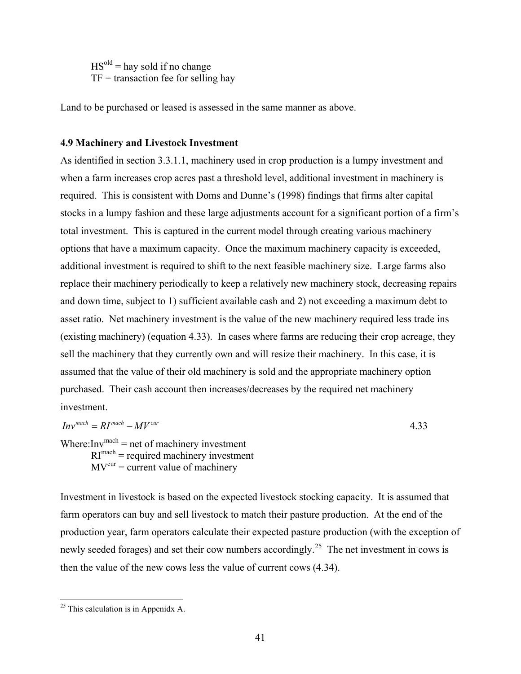$HS<sup>old</sup>$  = hay sold if no change  $TF =$  transaction fee for selling hay

Land to be purchased or leased is assessed in the same manner as above.

## **4.9 Machinery and Livestock Investment**

As identified in section 3.3.1.1, machinery used in crop production is a lumpy investment and when a farm increases crop acres past a threshold level, additional investment in machinery is required. This is consistent with Doms and Dunne's (1998) findings that firms alter capital stocks in a lumpy fashion and these large adjustments account for a significant portion of a firm's total investment. This is captured in the current model through creating various machinery options that have a maximum capacity. Once the maximum machinery capacity is exceeded, additional investment is required to shift to the next feasible machinery size. Large farms also replace their machinery periodically to keep a relatively new machinery stock, decreasing repairs and down time, subject to 1) sufficient available cash and 2) not exceeding a maximum debt to asset ratio. Net machinery investment is the value of the new machinery required less trade ins (existing machinery) (equation [4.33\)](#page-51-0). In cases where farms are reducing their crop acreage, they sell the machinery that they currently own and will resize their machinery. In this case, it is assumed that the value of their old machinery is sold and the appropriate machinery option purchased. Their cash account then increases/decreases by the required net machinery investment.

<span id="page-51-0"></span>
$$
Inv^{mach} = RI^{mach} - MV^{cur} \tag{4.33}
$$

Where: $Inv<sup>mach</sup> = net of machinery investment$  $RI<sup>mach</sup> = required machinery investment$  $MV<sup>cur</sup> = current value of machinery$ 

Investment in livestock is based on the expected livestock stocking capacity. It is assumed that farm operators can buy and sell livestock to match their pasture production. At the end of the production year, farm operators calculate their expected pasture production (with the exception of newly seeded forages) and set their cow numbers accordingly.<sup>[25](#page-51-1)</sup> The net investment in cows is then the value of the new cows less the value of current cows ([4.34\)](#page-52-0).

<span id="page-51-1"></span> $25$  This calculation is in Appenidx A.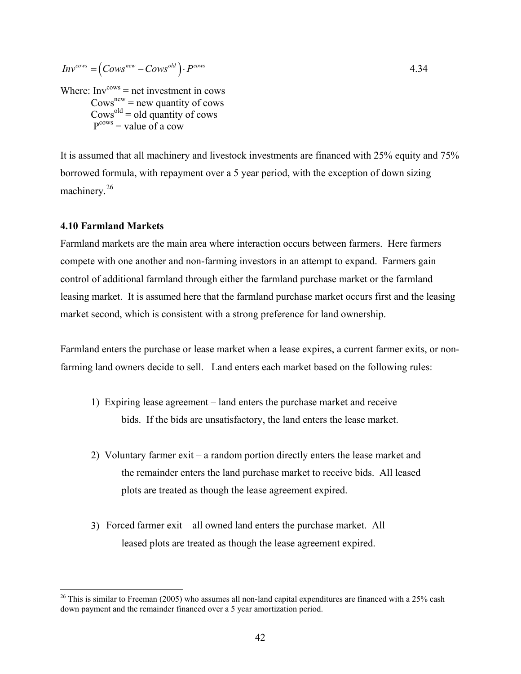<span id="page-52-0"></span>
$$
Inv^{rows} = (Cows^{new} - Cows^{old}) \cdot P^{rows}
$$
 4.34

Where:  $Inv<sup>rows</sup> = net investment in cows$  $Cows<sup>new</sup> = new quantity of cows$  $Cows<sup>old</sup> = old quantity of cows$  $P<sup>cows</sup> = value of a cow$ 

It is assumed that all machinery and livestock investments are financed with 25% equity and 75% borrowed formula, with repayment over a 5 year period, with the exception of down sizing machinery.<sup>[26](#page-52-1)</sup>

# **4.10 Farmland Markets**

 $\overline{a}$ 

Farmland markets are the main area where interaction occurs between farmers. Here farmers compete with one another and non-farming investors in an attempt to expand. Farmers gain control of additional farmland through either the farmland purchase market or the farmland leasing market. It is assumed here that the farmland purchase market occurs first and the leasing market second, which is consistent with a strong preference for land ownership.

Farmland enters the purchase or lease market when a lease expires, a current farmer exits, or nonfarming land owners decide to sell. Land enters each market based on the following rules:

- 1) Expiring lease agreement land enters the purchase market and receive bids. If the bids are unsatisfactory, the land enters the lease market.
- 2) Voluntary farmer exit a random portion directly enters the lease market and the remainder enters the land purchase market to receive bids. All leased plots are treated as though the lease agreement expired.
- 3) Forced farmer exit all owned land enters the purchase market. All leased plots are treated as though the lease agreement expired.

<span id="page-52-1"></span> $26$  This is similar to Freeman (2005) who assumes all non-land capital expenditures are financed with a 25% cash down payment and the remainder financed over a 5 year amortization period.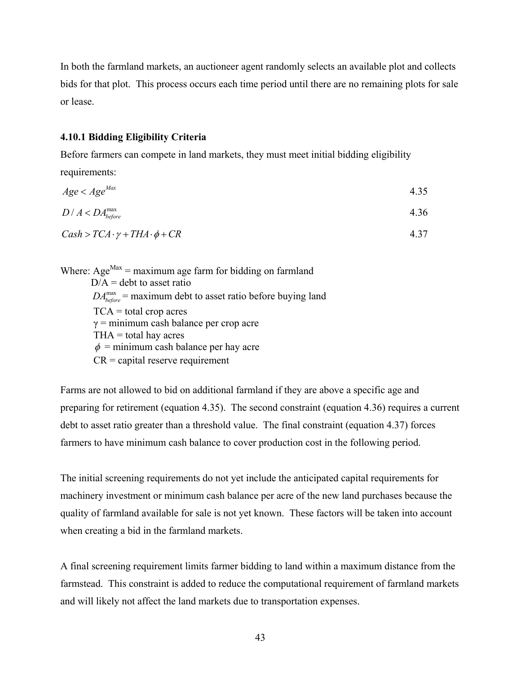In both the farmland markets, an auctioneer agent randomly selects an available plot and collects bids for that plot. This process occurs each time period until there are no remaining plots for sale or lease.

# **4.10.1 Bidding Eligibility Criteria**

requirements:

Before farmers can compete in land markets, they must meet initial bidding eligibility

<span id="page-53-1"></span><span id="page-53-0"></span>

| requirements.                                   |      |
|-------------------------------------------------|------|
| $Age < Age^{Max}$                               | 4.35 |
| $D/A < DA_{before}^{max}$                       | 4.36 |
| $Cash > TCA \cdot \gamma + THA \cdot \phi + CR$ | 4.37 |

<span id="page-53-2"></span>Where:  $Age^{Max} =$  maximum age farm for bidding on farmland  $D/A =$  debt to asset ratio<br> $DA_{before}^{max} =$  maximum debt to asset ratio before buying land  $TCA = total crop acres$  $\gamma$  = minimum cash balance per crop acre  $THA = total$  hay acres  $\phi$  = minimum cash balance per hay acre  $CR =$  capital reserve requirement

Farms are not allowed to bid on additional farmland if they are above a specific age and preparing for retirement (equation [4.35](#page-53-0)). The second constraint (equation [4.36](#page-53-1)) requires a current debt to asset ratio greater than a threshold value. The final constraint (equation [4.37\)](#page-53-2) forces farmers to have minimum cash balance to cover production cost in the following period.

The initial screening requirements do not yet include the anticipated capital requirements for machinery investment or minimum cash balance per acre of the new land purchases because the quality of farmland available for sale is not yet known. These factors will be taken into account when creating a bid in the farmland markets.

A final screening requirement limits farmer bidding to land within a maximum distance from the farmstead. This constraint is added to reduce the computational requirement of farmland markets and will likely not affect the land markets due to transportation expenses.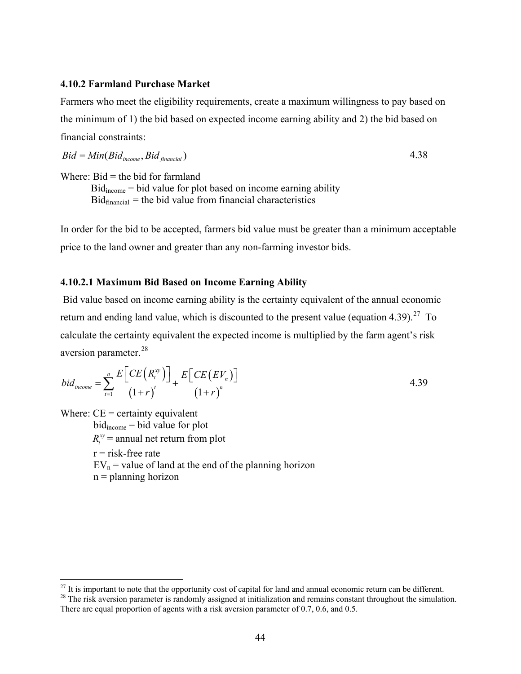## **4.10.2 Farmland Purchase Market**

Farmers who meet the eligibility requirements, create a maximum willingness to pay based on the minimum of 1) the bid based on expected income earning ability and 2) the bid based on financial constraints:

$$
Bid = Min(Bid_{\text{income}}, Bid_{\text{financial}}) \tag{4.38}
$$

Where:  $Bid =$  the bid for farmland

 $\overline{a}$ 

 $Bid_{\text{income}} = \text{bid value for plot based on income earning ability}$  $Bid$ <sub>financial</sub> = the bid value from financial characteristics</sub>

In order for the bid to be accepted, farmers bid value must be greater than a minimum acceptable price to the land owner and greater than any non-farming investor bids.

## **4.10.2.1 Maximum Bid Based on Income Earning Ability**

 Bid value based on income earning ability is the certainty equivalent of the annual economic return and ending land value, which is discounted to the present value (equation [4.39\)](#page-54-0).<sup>[27](#page-54-1)</sup> To calculate the certainty equivalent the expected income is multiplied by the farm agent's risk aversion parameter.<sup>[28](#page-54-2)</sup>

<span id="page-54-0"></span>
$$
bid_{\text{income}} = \sum_{t=1}^{n} \frac{E\left[CE\left(R_{t}^{xy}\right)\right]}{\left(1+r\right)^{t}} + \frac{E\left[CE\left(EV_{n}\right)\right]}{\left(1+r\right)^{n}}
$$

Where:  $CE =$  certainty equivalent  $bid<sub>income</sub> = bid value for plot$  $R_t^{xy}$  = annual net return from plot  $r =$  risk-free rate  $EV_n$  = value of land at the end of the planning horizon n = planning horizon

<span id="page-54-1"></span> $^{27}$  It is important to note that the opportunity cost of capital for land and annual economic return can be different.<br><sup>28</sup> The risk aversion parameter is randomly assigned at initialization and remains constant throug

<span id="page-54-2"></span>There are equal proportion of agents with a risk aversion parameter of 0.7, 0.6, and 0.5.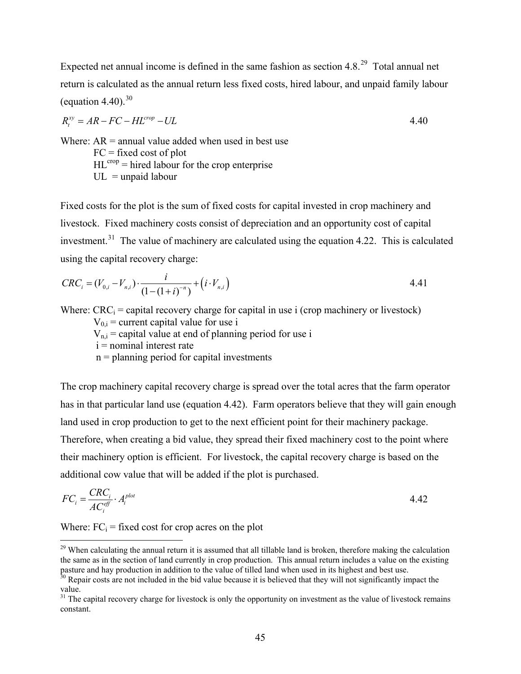Expected net annual income is defined in the same fashion as section 4.8.[29](#page-55-0) Total annual net return is calculated as the annual return less fixed costs, hired labour, and unpaid family labour (equation  $4.40$ ).<sup>30</sup>

<span id="page-55-1"></span>
$$
R_t^{xy} = AR - FC - HL^{crop} - UL \tag{4.40}
$$

Where:  $AR =$  annual value added when used in best use  $FC = fixed cost of plot$  $HL^{crop}$  = hired labour for the crop enterprise  $UL =$ unpaid labour

Fixed costs for the plot is the sum of fixed costs for capital invested in crop machinery and livestock. Fixed machinery costs consist of depreciation and an opportunity cost of capital investment.<sup>[31](#page-55-3)</sup> The value of machinery are calculated using the equation [4.22.](#page-46-3) This is calculated using the capital recovery charge:

$$
CRC_i = (V_{0,i} - V_{n,i}) \cdot \frac{i}{(1 - (1 + i)^{-n})} + (i \cdot V_{n,i})
$$
\n4.41

Where:  $CRC_i =$  capital recovery charge for capital in use i (crop machinery or livestock)

 $V_{0,i}$  = current capital value for use i

 $V_{n,i}$  = capital value at end of planning period for use i

 $i$  = nominal interest rate

 $n =$  planning period for capital investments

The crop machinery capital recovery charge is spread over the total acres that the farm operator has in that particular land use (equation [4.42](#page-55-4)). Farm operators believe that they will gain enough land used in crop production to get to the next efficient point for their machinery package. Therefore, when creating a bid value, they spread their fixed machinery cost to the point where their machinery option is efficient. For livestock, the capital recovery charge is based on the additional cow value that will be added if the plot is purchased.

<span id="page-55-4"></span>
$$
FC_i = \frac{CRC_i}{AC_i^{eff}} \cdot A_i^{plot}
$$

Where:  $FC_i$  = fixed cost for crop acres on the plot

 $\overline{a}$ 

<span id="page-55-0"></span> $29$  When calculating the annual return it is assumed that all tillable land is broken, therefore making the calculation the same as in the section of land currently in crop production. This annual return includes a value on the existing pasture and hay production in addition to the value of tilled land when used in its highest and best use.

<span id="page-55-2"></span> $30$  Repair costs are not included in the bid value because it is believed that they will not significantly impact the value.

<span id="page-55-3"></span> $31$  The capital recovery charge for livestock is only the opportunity on investment as the value of livestock remains constant.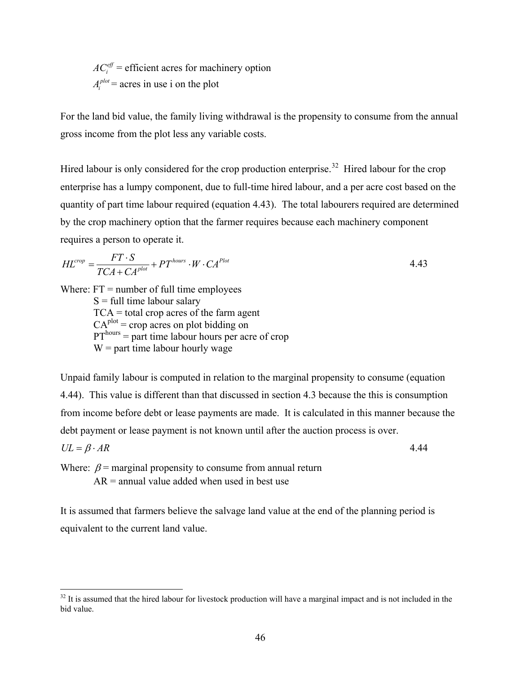$AC_i^{eff}$  = efficient acres for machinery option  $A_i^{plot}$  = acres in use i on the plot

For the land bid value, the family living withdrawal is the propensity to consume from the annual gross income from the plot less any variable costs.

Hired labour is only considered for the crop production enterprise.<sup>[32](#page-56-0)</sup> Hired labour for the crop enterprise has a lumpy component, due to full-time hired labour, and a per acre cost based on the quantity of part time labour required (equation [4.43](#page-56-1)). The total labourers required are determined by the crop machinery option that the farmer requires because each machinery component requires a person to operate it.

<span id="page-56-1"></span>
$$
H L^{crop} = \frac{FT \cdot S}{TCA + CA^{plot}} + PT^{hours} \cdot W \cdot CA^{Plot}
$$

Where:  $FT =$  number of full time employees  $S =$  full time labour salary TCA = total crop acres of the farm agent  $CA<sup>plot</sup> = crop acres on plot bidding on$  $PT<sup>hours</sup> = part time labour hours per acre of crop$  $W =$  part time labour hourly wage

Unpaid family labour is computed in relation to the marginal propensity to consume (equation [4.44\)](#page-56-2). This value is different than that discussed in section 4.3 because the this is consumption from income before debt or lease payments are made. It is calculated in this manner because the debt payment or lease payment is not known until after the auction process is over.

<span id="page-56-2"></span> $UL = \beta \cdot AR$  and  $4.44$ 

 $\overline{a}$ 

Where:  $\beta$  = marginal propensity to consume from annual return AR = annual value added when used in best use

It is assumed that farmers believe the salvage land value at the end of the planning period is equivalent to the current land value.

<span id="page-56-0"></span> $32$  It is assumed that the hired labour for livestock production will have a marginal impact and is not included in the bid value.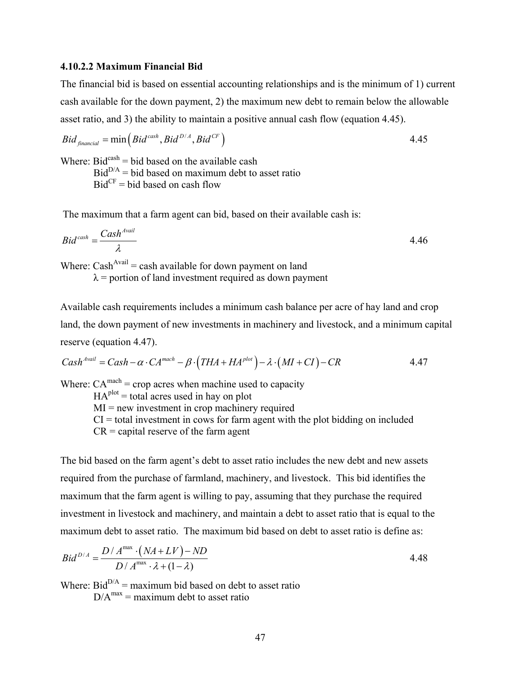## **4.10.2.2 Maximum Financial Bid**

The financial bid is based on essential accounting relationships and is the minimum of 1) current cash available for the down payment, 2) the maximum new debt to remain below the allowable asset ratio, and 3) the ability to maintain a positive annual cash flow (equation [4.45](#page-57-0)).

<span id="page-57-0"></span>
$$
Bid_{\text{financial}} = \min\left(Bid^{\text{cash}}, Bid^{\text{D/A}}, Bid^{\text{CF}}\right) \tag{4.45}
$$

Where: Bid<sup>cash</sup> = bid based on the available cash  $Bid<sup>D/A</sup> = bid based on maximum debt to asset ratio$  $Bid^{CF} = bid$  based on cash flow

The maximum that a farm agent can bid, based on their available cash is:

$$
Bid^{cash} = \frac{Cash^{Avail}}{\lambda} \tag{4.46}
$$

Where:  $Cash<sup>Avail</sup> = cash available for down payment on land$  $\lambda$  = portion of land investment required as down payment

Available cash requirements includes a minimum cash balance per acre of hay land and crop land, the down payment of new investments in machinery and livestock, and a minimum capital reserve (equation [4.47\)](#page-57-1).

<span id="page-57-1"></span>
$$
Cash^{Avail} = Cash - \alpha \cdot CA^{mach} - \beta \cdot (THA + HA^{plot}) - \lambda \cdot (MI + CI) - CR
$$
 4.47

Where:  $CA^{mach} = crop$  acres when machine used to capacity  $HA<sup>plot</sup> = total acres used in hay on plot$  $MI = new investment in crop machinery required$  $CI = total$  investment in cows for farm agent with the plot bidding on included  $CR =$  capital reserve of the farm agent

The bid based on the farm agent's debt to asset ratio includes the new debt and new assets required from the purchase of farmland, machinery, and livestock. This bid identifies the maximum that the farm agent is willing to pay, assuming that they purchase the required investment in livestock and machinery, and maintain a debt to asset ratio that is equal to the maximum debt to asset ratio. The maximum bid based on debt to asset ratio is define as:

$$
Bid^{D/A} = \frac{D/A^{\max} \cdot (NA + LV) - ND}{D/A^{\max} \cdot \lambda + (1 - \lambda)}
$$
 4.48

Where:  $Bid<sup>D/A</sup>$  = maximum bid based on debt to asset ratio  $D/A<sup>max</sup>$  = maximum debt to asset ratio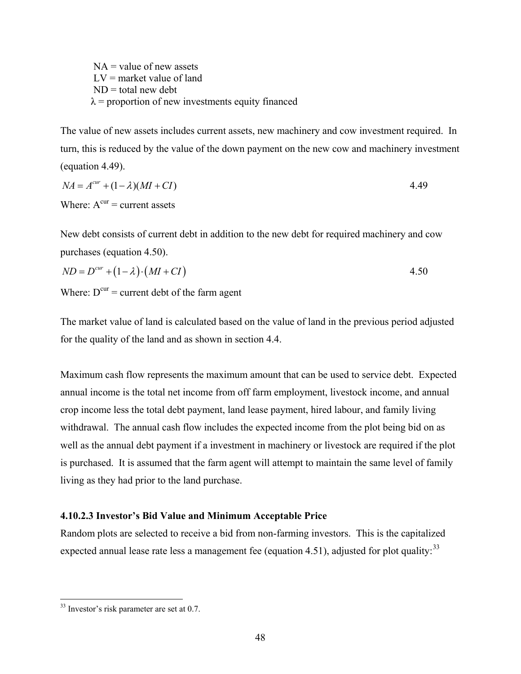$NA = value of new assets$  $LV =$  market value of land  $ND =$  total new debt  $\lambda$  = proportion of new investments equity financed

The value of new assets includes current assets, new machinery and cow investment required. In turn, this is reduced by the value of the down payment on the new cow and machinery investment (equation [4.49](#page-58-0)).

<span id="page-58-0"></span>
$$
NA = Acur + (1 - \lambda)(MI + CI)
$$
  
Where: A<sup>cur</sup> = current assets

New debt consists of current debt in addition to the new debt for required machinery and cow purchases (equation [4.50\)](#page-58-1).

<span id="page-58-1"></span>
$$
ND = D^{cur} + (1 - \lambda) \cdot (MI + CI) \tag{4.50}
$$

Where:  $D^{cur}$  = current debt of the farm agent

The market value of land is calculated based on the value of land in the previous period adjusted for the quality of the land and as shown in section 4.4.

Maximum cash flow represents the maximum amount that can be used to service debt. Expected annual income is the total net income from off farm employment, livestock income, and annual crop income less the total debt payment, land lease payment, hired labour, and family living withdrawal. The annual cash flow includes the expected income from the plot being bid on as well as the annual debt payment if a investment in machinery or livestock are required if the plot is purchased. It is assumed that the farm agent will attempt to maintain the same level of family living as they had prior to the land purchase.

## **4.10.2.3 Investor's Bid Value and Minimum Acceptable Price**

Random plots are selected to receive a bid from non-farming investors. This is the capitalized expected annual lease rate less a management fee (equation [4.51](#page-59-0)), adjusted for plot quality:<sup>33</sup>

 $\overline{a}$ 

<span id="page-58-2"></span> $33$  Investor's risk parameter are set at 0.7.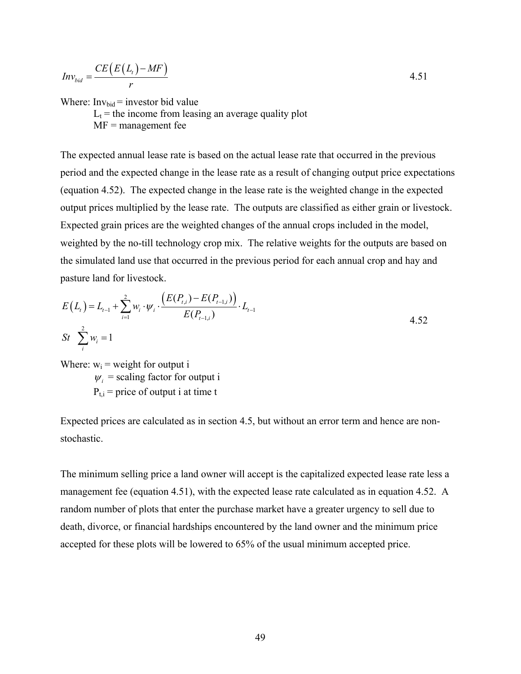<span id="page-59-0"></span>
$$
Inv_{bid} = \frac{CE(E(L_t) - MF)}{r}
$$
 4.51

Where:  $Inv<sub>bid</sub> = investor bid value$ 

 $L_t$  = the income from leasing an average quality plot

 $MF =$  management fee

The expected annual lease rate is based on the actual lease rate that occurred in the previous period and the expected change in the lease rate as a result of changing output price expectations (equation [4.52](#page-59-1)). The expected change in the lease rate is the weighted change in the expected output prices multiplied by the lease rate. The outputs are classified as either grain or livestock. Expected grain prices are the weighted changes of the annual crops included in the model, weighted by the no-till technology crop mix. The relative weights for the outputs are based on the simulated land use that occurred in the previous period for each annual crop and hay and pasture land for livestock.

<span id="page-59-1"></span>
$$
E(L_{t}) = L_{t-1} + \sum_{i=1}^{2} w_{i} \cdot \psi_{i} \cdot \frac{(E(P_{t,i}) - E(P_{t-1,i}))}{E(P_{t-1,i})} \cdot L_{t-1}
$$
  
3*t*  $\sum_{i}^{2} w_{i} = 1$  4.52

Where:  $w_i$  = weight for output i  $\psi_i$  = scaling factor for output i

 $P_{\text{t}}$  = price of output i at time t

Expected prices are calculated as in section 4.5, but without an error term and hence are nonstochastic.

The minimum selling price a land owner will accept is the capitalized expected lease rate less a management fee (equation [4.51](#page-59-0)), with the expected lease rate calculated as in equation [4.52.](#page-59-1) A random number of plots that enter the purchase market have a greater urgency to sell due to death, divorce, or financial hardships encountered by the land owner and the minimum price accepted for these plots will be lowered to 65% of the usual minimum accepted price.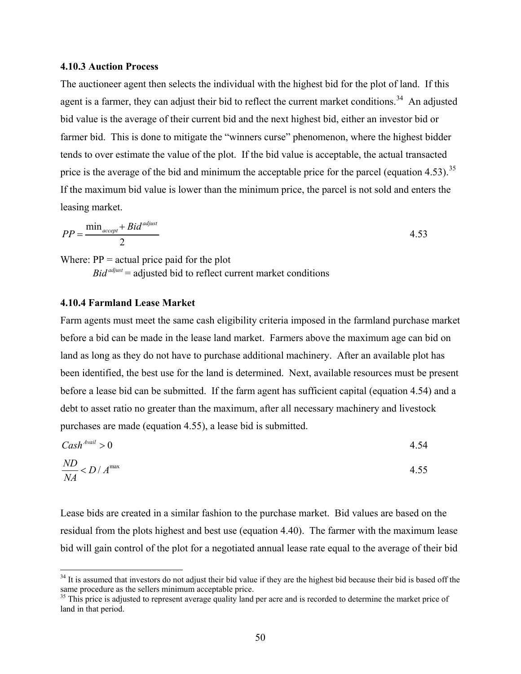#### **4.10.3 Auction Process**

The auctioneer agent then selects the individual with the highest bid for the plot of land. If this agent is a farmer, they can adjust their bid to reflect the current market conditions.<sup>[34](#page-60-0)</sup> An adjusted bid value is the average of their current bid and the next highest bid, either an investor bid or farmer bid. This is done to mitigate the "winners curse" phenomenon, where the highest bidder tends to over estimate the value of the plot. If the bid value is acceptable, the actual transacted price is the average of the bid and minimum the acceptable price for the parcel (equation [4.53](#page-60-1)).<sup>35</sup> If the maximum bid value is lower than the minimum price, the parcel is not sold and enters the leasing market.

<span id="page-60-1"></span>
$$
PP = \frac{\min_{accept} + Bid^{adjust}}{2}
$$
 4.53

Where:  $PP = actual price paid for the plot$  $Bid^{adjust}$  = adjusted bid to reflect current market conditions

#### **4.10.4 Farmland Lease Market**

 $\overline{a}$ 

Farm agents must meet the same cash eligibility criteria imposed in the farmland purchase market before a bid can be made in the lease land market. Farmers above the maximum age can bid on land as long as they do not have to purchase additional machinery. After an available plot has been identified, the best use for the land is determined. Next, available resources must be present before a lease bid can be submitted. If the farm agent has sufficient capital (equation [4.54](#page-60-3)) and a debt to asset ratio no greater than the maximum, after all necessary machinery and livestock purchases are made (equation [4.55](#page-60-4)), a lease bid is submitted.

<span id="page-60-3"></span>
$$
Cash^{\text{Avail}} > 0 \tag{4.54}
$$

<span id="page-60-4"></span>
$$
\frac{ND}{NA} < D / A^{\text{max}} \tag{4.55}
$$

Lease bids are created in a similar fashion to the purchase market. Bid values are based on the residual from the plots highest and best use (equation [4.40\)](#page-55-1). The farmer with the maximum lease bid will gain control of the plot for a negotiated annual lease rate equal to the average of their bid

<span id="page-60-0"></span> $34$  It is assumed that investors do not adjust their bid value if they are the highest bid because their bid is based off the same procedure as the sellers minimum acceptable price.<br><sup>35</sup> This price is adjusted to represent average quality land per acre and is recorded to determine the market price of

<span id="page-60-2"></span>land in that period.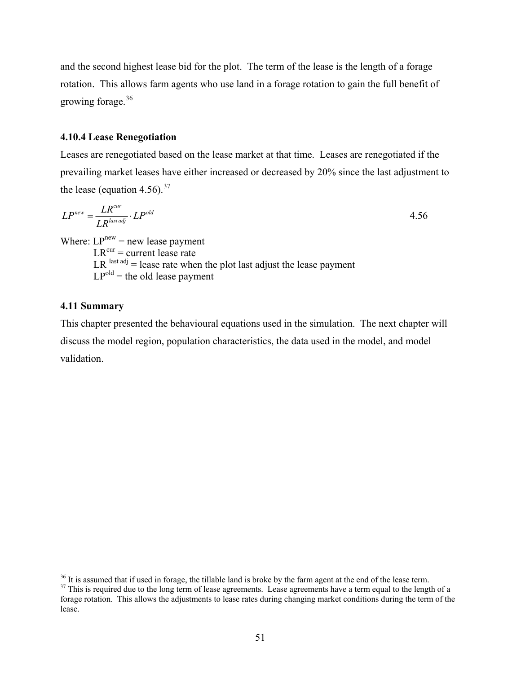and the second highest lease bid for the plot. The term of the lease is the length of a forage rotation. This allows farm agents who use land in a forage rotation to gain the full benefit of growing forage.<sup>[36](#page-61-0)</sup>

# **4.10.4 Lease Renegotiation**

Leases are renegotiated based on the lease market at that time. Leases are renegotiated if the prevailing market leases have either increased or decreased by 20% since the last adjustment to the lease (equation [4.56\)](#page-61-1).<sup>[37](#page-61-2)</sup>

<span id="page-61-1"></span>
$$
LP^{new} = \frac{LR^{cur}}{LR^{last\,adj}} \cdot LP^{old} \tag{4.56}
$$

Where:  $LP^{new}$  = new lease payment  $LR<sup>cur</sup> = current lease rate$ LR  $\text{last}$  adj = lease rate when the plot last adjust the lease payment  $LP<sup>old</sup>$  = the old lease payment

#### **4.11 Summary**

 $\overline{a}$ 

This chapter presented the behavioural equations used in the simulation. The next chapter will discuss the model region, population characteristics, the data used in the model, and model validation.

 $36$  It is assumed that if used in forage, the tillable land is broke by the farm agent at the end of the lease term.

<span id="page-61-2"></span><span id="page-61-0"></span><sup>&</sup>lt;sup>37</sup> This is required due to the long term of lease agreements. Lease agreements have a term equal to the length of a forage rotation. This allows the adjustments to lease rates during changing market conditions during the term of the lease.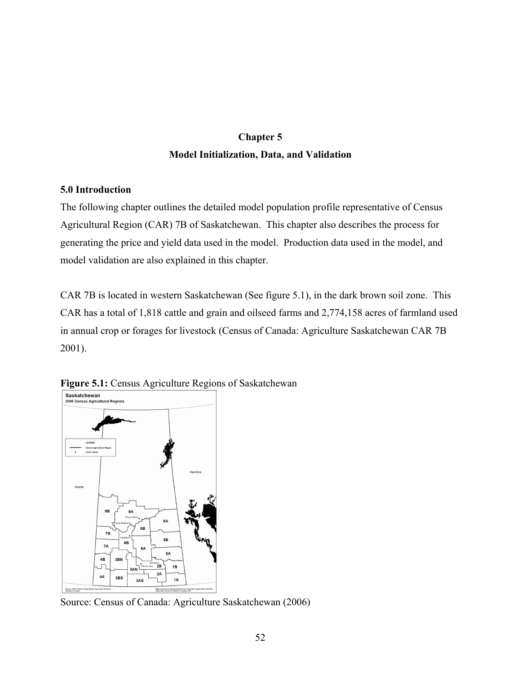# **Chapter 5 Model Initialization, Data, and Validation**

# **5.0 Introduction**

The following chapter outlines the detailed model population profile representative of Census Agricultural Region (CAR) 7B of Saskatchewan. This chapter also describes the process for generating the price and yield data used in the model. Production data used in the model, and model validation are also explained in this chapter.

CAR 7B is located in western Saskatchewan (See figure 5.1), in the dark brown soil zone. This CAR has a total of 1,818 cattle and grain and oilseed farms and 2,774,158 acres of farmland used in annual crop or forages for livestock (Census of Canada: Agriculture Saskatchewan CAR 7B 2001).



**Figure 5.1:** Census Agriculture Regions of Saskatchewan

Source: Census of Canada: Agriculture Saskatchewan (2006)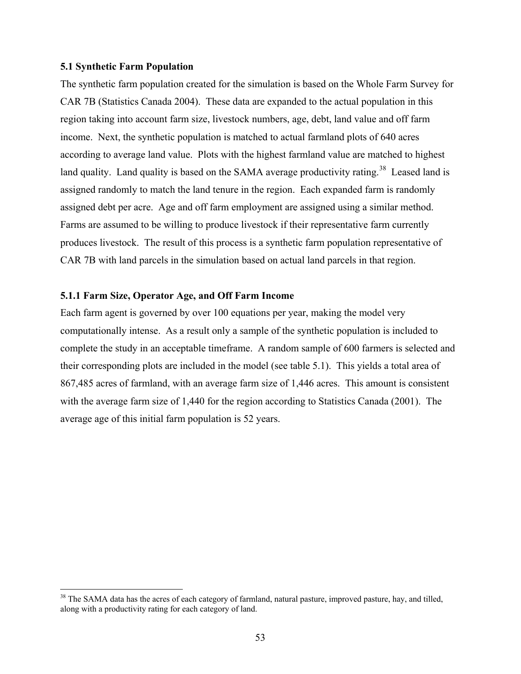## **5.1 Synthetic Farm Population**

 $\overline{a}$ 

The synthetic farm population created for the simulation is based on the Whole Farm Survey for CAR 7B (Statistics Canada 2004). These data are expanded to the actual population in this region taking into account farm size, livestock numbers, age, debt, land value and off farm income. Next, the synthetic population is matched to actual farmland plots of 640 acres according to average land value. Plots with the highest farmland value are matched to highest land quality. Land quality is based on the SAMA average productivity rating.<sup>[38](#page-63-0)</sup> Leased land is assigned randomly to match the land tenure in the region. Each expanded farm is randomly assigned debt per acre. Age and off farm employment are assigned using a similar method. Farms are assumed to be willing to produce livestock if their representative farm currently produces livestock. The result of this process is a synthetic farm population representative of CAR 7B with land parcels in the simulation based on actual land parcels in that region.

## **5.1.1 Farm Size, Operator Age, and Off Farm Income**

Each farm agent is governed by over 100 equations per year, making the model very computationally intense. As a result only a sample of the synthetic population is included to complete the study in an acceptable timeframe. A random sample of 600 farmers is selected and their corresponding plots are included in the model (see table 5.1). This yields a total area of 867,485 acres of farmland, with an average farm size of 1,446 acres. This amount is consistent with the average farm size of 1,440 for the region according to Statistics Canada (2001). The average age of this initial farm population is 52 years.

<span id="page-63-0"></span><sup>&</sup>lt;sup>38</sup> The SAMA data has the acres of each category of farmland, natural pasture, improved pasture, hay, and tilled, along with a productivity rating for each category of land.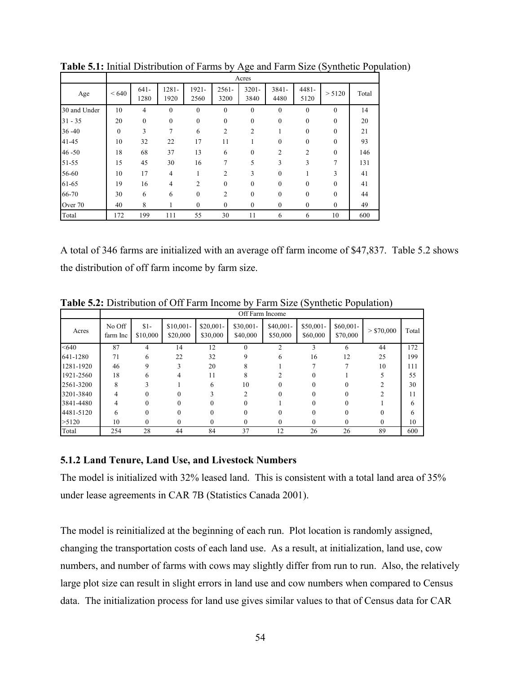|              |              |                  |                  |                  |                  | Acres            |                  |                  |              |       |
|--------------|--------------|------------------|------------------|------------------|------------------|------------------|------------------|------------------|--------------|-------|
| Age          | <640         | $641 -$<br>1280  | $1281 -$<br>1920 | $1921 -$<br>2560 | $2561 -$<br>3200 | $3201 -$<br>3840 | 3841-<br>4480    | $4481 -$<br>5120 | > 5120       | Total |
| 30 and Under | 10           | $\overline{4}$   | $\mathbf{0}$     | $\mathbf{0}$     | $\mathbf{0}$     | $\mathbf{0}$     | $\mathbf{0}$     | $\mathbf{0}$     | $\theta$     | 14    |
| $31 - 35$    | 20           | $\boldsymbol{0}$ | $\boldsymbol{0}$ | $\mathbf{0}$     | $\mathbf{0}$     | $\mathbf{0}$     | $\boldsymbol{0}$ | $\mathbf{0}$     | $\Omega$     | 20    |
| $36 - 40$    | $\mathbf{0}$ | 3                | $\overline{7}$   | 6                | $\overline{c}$   | $\overline{2}$   | 1                | $\mathbf{0}$     | $\Omega$     | 21    |
| $41 - 45$    | 10           | 32               | 22               | 17               | 11               | 1                | $\mathbf{0}$     | $\mathbf{0}$     | $\Omega$     | 93    |
| $46 - 50$    | 18           | 68               | 37               | 13               | 6                | $\theta$         | $\overline{2}$   | $\overline{2}$   | $\theta$     | 146   |
| 51-55        | 15           | 45               | 30               | 16               | 7                | 5                | 3                | 3                | 7            | 131   |
| 56-60        | 10           | 17               | 4                |                  | $\overline{c}$   | 3                | $\theta$         |                  | 3            | 41    |
| 61-65        | 19           | 16               | $\overline{4}$   | 2                | $\theta$         | $\theta$         | $\theta$         | $\theta$         | $\Omega$     | 41    |
| 66-70        | 30           | 6                | 6                | $\mathbf{0}$     | 2                | $\mathbf{0}$     | $\mathbf{0}$     | $\mathbf{0}$     | $\theta$     | 44    |
| Over 70      | 40           | 8                | 1                | $\mathbf{0}$     | $\mathbf{0}$     | $\mathbf{0}$     | $\boldsymbol{0}$ | $\boldsymbol{0}$ | $\mathbf{0}$ | 49    |
| Total        | 172          | 199              | 111              | 55               | 30               | 11               | 6                | 6                | 10           | 600   |

**Table 5.1:** Initial Distribution of Farms by Age and Farm Size (Synthetic Population)

A total of 346 farms are initialized with an average off farm income of \$47,837. Table 5.2 shows the distribution of off farm income by farm size.

|           |                    | Off Farm Income   |                        |                        |                        |                        |                        |                        |            |       |
|-----------|--------------------|-------------------|------------------------|------------------------|------------------------|------------------------|------------------------|------------------------|------------|-------|
| Acres     | No Off<br>farm Inc | $$1-$<br>\$10,000 | $$10,001-$<br>\$20,000 | $$20,001-$<br>\$30,000 | $$30,001-$<br>\$40,000 | $$40,001-$<br>\$50,000 | $$50,001-$<br>\$60,000 | $$60,001-$<br>\$70,000 | > \$70,000 | Total |
| < 640     | 87                 | 4                 | 14                     | 12                     | $\theta$               | C                      | 3                      | 6                      | 44         | 172   |
| 641-1280  | 71                 | 6                 | 22                     | 32                     | 9                      | 6                      | 16                     | 12                     | 25         | 199   |
| 1281-1920 | 46                 | 9                 |                        | 20                     | 8                      |                        |                        |                        | 10         | 111   |
| 1921-2560 | 18                 | 6                 |                        | 11                     | 8                      |                        |                        |                        |            | 55    |
| 2561-3200 | 8                  |                   |                        | 6                      | 10                     |                        |                        |                        |            | 30    |
| 3201-3840 | 4                  | 0                 | 0                      |                        |                        | 0                      |                        | $\Omega$               |            | 11    |
| 3841-4480 | 4                  | 0                 | 0                      | $\Omega$               | $^{(1)}$               |                        | 0                      | $\Omega$               |            | 6     |
| 4481-5120 | 6                  | 0                 |                        |                        |                        |                        |                        | 0                      |            |       |
| >5120     | 10                 | $\mathbf{0}$      | $\theta$               | 0                      | 0                      | $\theta$               | $\theta$               | $\theta$               | $\theta$   | 10    |
| Total     | 254                | 28                | 44                     | 84                     | 37                     | 12                     | 26                     | 26                     | 89         | 600   |

**Table 5.2:** Distribution of Off Farm Income by Farm Size (Synthetic Population)

#### **5.1.2 Land Tenure, Land Use, and Livestock Numbers**

The model is initialized with 32% leased land. This is consistent with a total land area of 35% under lease agreements in CAR 7B (Statistics Canada 2001).

The model is reinitialized at the beginning of each run. Plot location is randomly assigned, changing the transportation costs of each land use. As a result, at initialization, land use, cow numbers, and number of farms with cows may slightly differ from run to run. Also, the relatively large plot size can result in slight errors in land use and cow numbers when compared to Census data. The initialization process for land use gives similar values to that of Census data for CAR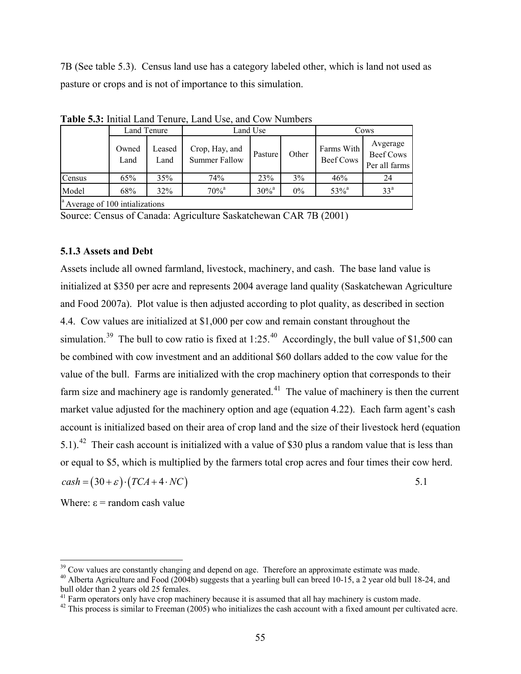7B (See table 5.3). Census land use has a category labeled other, which is land not used as pasture or crops and is not of importance to this simulation.

|        |               | Land Tenure    |                                        | Land Use            | Cows  |                         |                                        |
|--------|---------------|----------------|----------------------------------------|---------------------|-------|-------------------------|----------------------------------------|
|        | Owned<br>Land | Leased<br>Land | Crop, Hay, and<br><b>Summer Fallow</b> | Pasture             | Other | Farms With<br>Beef Cows | Avgerage<br>Beef Cows<br>Per all farms |
| Census | 65%           | 35%            | 74%                                    | 23%                 | 3%    | 46%                     | 24                                     |
| Model  | 68%           | 32%            | $70%$ <sup>a</sup>                     | $30\%$ <sup>a</sup> | $0\%$ | $53\%$ <sup>a</sup>     | 33 <sup>a</sup>                        |

**Table 5.3:** Initial Land Tenure, Land Use, and Cow Numbers

Source: Census of Canada: Agriculture Saskatchewan CAR 7B (2001)

## **5.1.3 Assets and Debt**

Assets include all owned farmland, livestock, machinery, and cash. The base land value is initialized at \$350 per acre and represents 2004 average land quality (Saskatchewan Agriculture and Food 2007a). Plot value is then adjusted according to plot quality, as described in section 4.4. Cow values are initialized at \$1,000 per cow and remain constant throughout the simulation.<sup>[39](#page-65-0)</sup> The bull to cow ratio is fixed at 1:25.<sup>40</sup> Accordingly, the bull value of \$1,500 can be combined with cow investment and an additional \$60 dollars added to the cow value for the value of the bull. Farms are initialized with the crop machinery option that corresponds to their farm size and machinery age is randomly generated.<sup>[41](#page-65-2)</sup> The value of machinery is then the current market value adjusted for the machinery option and age (equation [4.22\)](#page-46-3). Each farm agent's cash account is initialized based on their area of crop land and the size of their livestock herd (equation [5.1\)](#page-65-3).<sup>[42](#page-65-4)</sup> Their cash account is initialized with a value of \$30 plus a random value that is less than or equal to \$5, which is multiplied by the farmers total crop acres and four times their cow herd.  $\cosh = (30 + \varepsilon) \cdot (TCA + 4 \cdot NC)$  5.1

<span id="page-65-3"></span>Where:  $\epsilon$  = random cash value

<span id="page-65-0"></span><sup>&</sup>lt;sup>39</sup> Cow values are constantly changing and depend on age. Therefore an approximate estimate was made.

<span id="page-65-1"></span><sup>&</sup>lt;sup>40</sup> Alberta Agriculture and Food (2004b) suggests that a yearling bull can breed 10-15, a 2 year old bull 18-24, and bull older than 2 years old 25 females.<br><sup>41</sup> Farm operators only have crop machinery because it is assumed that all hay machinery is custom made.

<span id="page-65-4"></span><span id="page-65-2"></span> $42$  This process is similar to Freeman (2005) who initializes the cash account with a fixed amount per cultivated acre.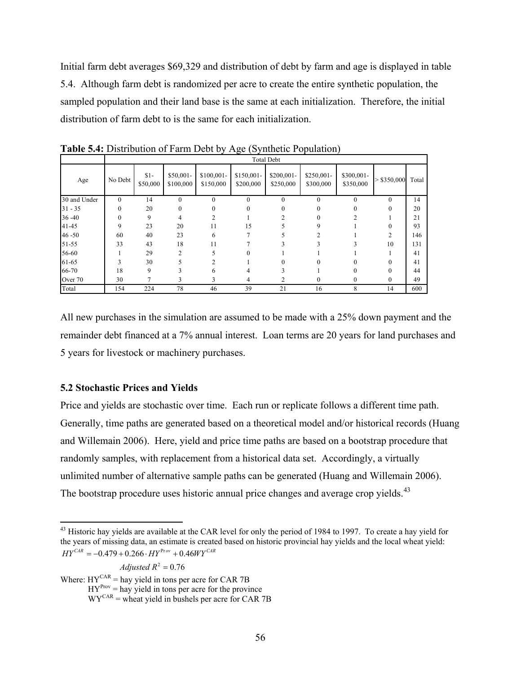Initial farm debt averages \$69,329 and distribution of debt by farm and age is displayed in table 5.4. Although farm debt is randomized per acre to create the entire synthetic population, the sampled population and their land base is the same at each initialization. Therefore, the initial distribution of farm debt to is the same for each initialization.

|              |              | <b>Total Debt</b> |                         |                          |                         |                         |                         |                         |                |       |
|--------------|--------------|-------------------|-------------------------|--------------------------|-------------------------|-------------------------|-------------------------|-------------------------|----------------|-------|
| Age          | No Debt      | $$1-$<br>\$50,000 | $$50,001-$<br>\$100,000 | $$100,001-$<br>\$150,000 | \$150,001-<br>\$200,000 | \$200,001-<br>\$250,000 | \$250,001-<br>\$300,000 | \$300,001-<br>\$350,000 | $>$ \$350,000  | Total |
| 30 and Under | $\mathbf{0}$ | 14                | $\theta$                | $\Omega$                 | $\theta$                | $\theta$                | $\Omega$                | $\theta$                | $\theta$       | 14    |
| $31 - 35$    | $\mathbf{0}$ | 20                | $\theta$                | 0                        | 0                       | $\Omega$                |                         |                         | $\Omega$       | 20    |
| $36 - 40$    | $\mathbf{0}$ | 9                 | 4                       |                          |                         | 2                       | $\Omega$                |                         |                | 21    |
| 41-45        | 9            | 23                | 20                      | 11                       | 15                      |                         | 9                       |                         | $\Omega$       | 93    |
| $46 - 50$    | 60           | 40                | 23                      | 6                        |                         |                         |                         |                         | $\overline{c}$ | 146   |
| 51-55        | 33           | 43                | 18                      | 11                       |                         | 3                       |                         |                         | 10             | 131   |
| 56-60        |              | 29                | $\mathfrak{D}$          |                          | 0                       |                         |                         |                         |                | 41    |
| 61-65        | 3            | 30                |                         |                          |                         | $\Omega$                | $\Omega$                | 0                       | $\Omega$       | 41    |
| 66-70        | 18           | 9                 |                         | 6                        | 4                       |                         |                         |                         | $\Omega$       | 44    |
| Over 70      | 30           |                   | 3                       | 3                        | 4                       |                         | $\Omega$                | 0                       | $\mathbf{0}$   | 49    |
| Total        | 154          | 224               | 78                      | 46                       | 39                      | 21                      | 16                      | 8                       | 14             | 600   |

**Table 5.4:** Distribution of Farm Debt by Age (Synthetic Population)

All new purchases in the simulation are assumed to be made with a 25% down payment and the remainder debt financed at a 7% annual interest. Loan terms are 20 years for land purchases and 5 years for livestock or machinery purchases.

#### **5.2 Stochastic Prices and Yields**

 $\overline{a}$ 

Price and yields are stochastic over time. Each run or replicate follows a different time path. Generally, time paths are generated based on a theoretical model and/or historical records (Huang and Willemain 2006). Here, yield and price time paths are based on a bootstrap procedure that randomly samples, with replacement from a historical data set. Accordingly, a virtually unlimited number of alternative sample paths can be generated (Huang and Willemain 2006). The bootstrap procedure uses historic annual price changes and average crop yields.<sup>43</sup>

*Adjusted*  $R^2 = 0.76$ 

Where:  $HY^{CAR}$  = hav yield in tons per acre for CAR 7B

 $HY<sup>Prov</sup> = hay yield in tons per acre for the province$ 

 $WY^{CAR}$  = wheat yield in bushels per acre for CAR 7B

<span id="page-66-0"></span> $43$  Historic hay yields are available at the CAR level for only the period of 1984 to 1997. To create a hay yield for the years of missing data, an estimate is created based on historic provincial hay yields and the local wheat yield:  $H Y^{CAR} = -0.479 + 0.266 \cdot H Y^{Prov} + 0.46 W Y^{CAR}$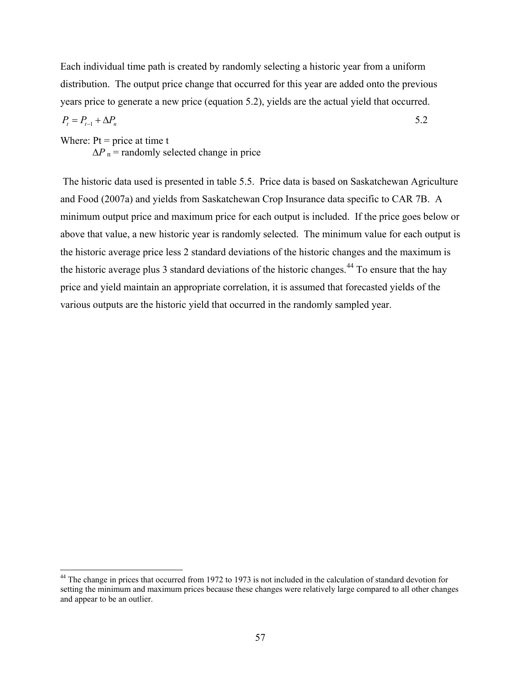Each individual time path is created by randomly selecting a historic year from a uniform distribution. The output price change that occurred for this year are added onto the previous years price to generate a new price (equation [5.2\)](#page-67-0), yields are the actual yield that occurred.

<span id="page-67-0"></span>
$$
P_t = P_{t-1} + \Delta P_n \tag{5.2}
$$

Where:  $Pt = price$  at time t  $\Delta P$ <sub>n</sub> = randomly selected change in price

 $\overline{a}$ 

 The historic data used is presented in table 5.5. Price data is based on Saskatchewan Agriculture and Food (2007a) and yields from Saskatchewan Crop Insurance data specific to CAR 7B. A minimum output price and maximum price for each output is included. If the price goes below or above that value, a new historic year is randomly selected. The minimum value for each output is the historic average price less 2 standard deviations of the historic changes and the maximum is the historic average plus 3 standard deviations of the historic changes.<sup>44</sup> To ensure that the hay price and yield maintain an appropriate correlation, it is assumed that forecasted yields of the various outputs are the historic yield that occurred in the randomly sampled year.

<span id="page-67-1"></span><sup>&</sup>lt;sup>44</sup> The change in prices that occurred from 1972 to 1973 is not included in the calculation of standard devotion for setting the minimum and maximum prices because these changes were relatively large compared to all other changes and appear to be an outlier.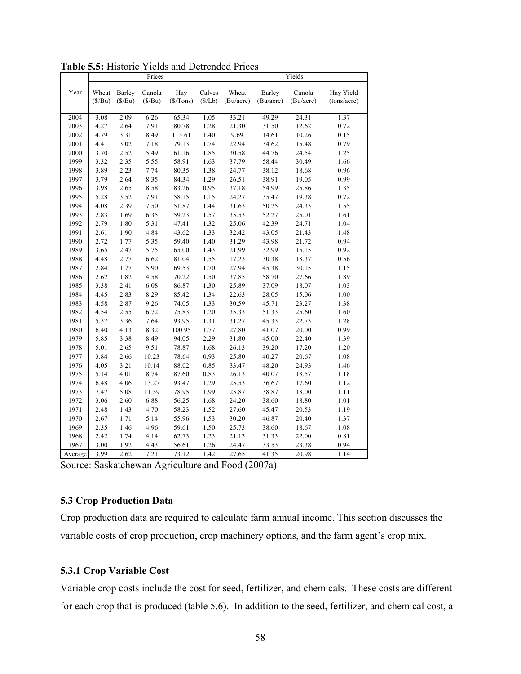|         |                 |                  | Prices           |                    |                  | Yields             |                     |                     |                          |
|---------|-----------------|------------------|------------------|--------------------|------------------|--------------------|---------------------|---------------------|--------------------------|
| Year    | Wheat<br>(S/Bu) | Barley<br>(S/Bu) | Canola<br>(S/Bu) | Hay<br>$(\$/Tons)$ | Calves<br>(S/Lb) | Wheat<br>(Bu/acre) | Barley<br>(Bu/acre) | Canola<br>(Bu/acre) | Hay Yield<br>(tons/acre) |
|         |                 |                  |                  |                    |                  |                    |                     |                     |                          |
| 2004    | 3.08            | 2.09             | 6.26             | 65.34              | 1.05             | 33.21              | 49.29               | 24.31               | 1.37                     |
| 2003    | 4.27            | 2.64             | 7.91             | 80.78              | 1.28             | 21.30              | 31.50               | 12.62               | 0.72                     |
| 2002    | 4.79            | 3.31             | 8.49             | 113.61             | 1.40             | 9.69               | 14.61               | 10.26               | 0.15                     |
| 2001    | 4.41            | 3.02             | 7.18             | 79.13              | 1.74             | 22.94              | 34.62               | 15.48               | 0.79                     |
| 2000    | 3.70            | 2.52             | 5.49             | 61.16              | 1.85             | 30.58              | 44.76               | 24.54               | 1.25                     |
| 1999    | 3.32            | 2.35             | 5.55             | 58.91              | 1.63             | 37.79              | 58.44               | 30.49               | 1.66                     |
| 1998    | 3.89            | 2.23             | 7.74             | 80.35              | 1.38             | 24.77              | 38.12               | 18.68               | 0.96                     |
| 1997    | 3.79            | 2.64             | 8.35             | 84.34              | 1.29             | 26.51              | 38.91               | 19.05               | 0.99                     |
| 1996    | 3.98            | 2.65             | 8.58             | 83.26              | 0.95             | 37.18              | 54.99               | 25.86               | 1.35                     |
| 1995    | 5.28            | 3.52             | 7.91             | 58.15              | 1.15             | 24.27              | 35.47               | 19.38               | 0.72                     |
| 1994    | 4.08            | 2.39             | 7.50             | 51.87              | 1.44             | 31.63              | 50.25               | 24.33               | 1.55                     |
| 1993    | 2.83            | 1.69             | 6.35             | 59.23              | 1.57             | 35.53              | 52.27               | 25.01               | 1.61                     |
| 1992    | 2.79            | 1.80             | 5.31             | 47.41              | 1.32             | 25.06              | 42.39               | 24.71               | 1.04                     |
| 1991    | 2.61            | 1.90             | 4.84             | 43.62              | 1.33             | 32.42              | 43.05               | 21.43               | 1.48                     |
| 1990    | 2.72            | 1.77             | 5.35             | 59.40              | 1.40             | 31.29              | 43.98               | 21.72               | 0.94                     |
| 1989    | 3.65            | 2.47             | 5.75             | 65.00              | 1.43             | 21.99              | 32.99               | 15.15               | 0.92                     |
| 1988    | 4.48            | 2.77             | 6.62             | 81.04              | 1.55             | 17.23              | 30.38               | 18.37               | 0.56                     |
| 1987    | 2.84            | 1.77             | 5.90             | 69.53              | 1.70             | 27.94              | 45.38               | 30.15               | 1.15                     |
| 1986    | 2.62            | 1.82             | 4.58             | 70.22              | 1.50             | 37.85              | 58.70               | 27.66               | 1.89                     |
| 1985    | 3.38            | 2.41             | 6.08             | 86.87              | 1.30             | 25.89              | 37.09               | 18.07               | 1.03                     |
| 1984    | 4.45            | 2.83             | 8.29             | 85.42              | 1.34             | 22.63              | 28.05               | 15.06               | 1.00                     |
| 1983    | 4.58            | 2.87             | 9.26             | 74.05              | 1.33             | 30.59              | 45.71               | 23.27               | 1.38                     |
| 1982    | 4.54            | 2.55             | 6.72             | 75.83              | 1.20             | 35.33              | 51.33               | 25.60               | 1.60                     |
| 1981    | 5.37            | 3.36             | 7.64             | 93.95              | 1.31             | 31.27              | 45.33               | 22.73               | 1.28                     |
| 1980    | 6.40            | 4.13             | 8.32             | 100.95             | 1.77             | 27.80              | 41.07               | 20.00               | 0.99                     |
| 1979    | 5.85            | 3.38             | 8.49             | 94.05              | 2.29             | 31.80              | 45.00               | 22.40               | 1.39                     |
| 1978    | 5.01            | 2.65             | 9.51             | 78.87              | 1.68             | 26.13              | 39.20               | 17.20               | 1.20                     |
| 1977    | 3.84            | 2.66             | 10.23            | 78.64              | 0.93             | 25.80              | 40.27               | 20.67               | 1.08                     |
| 1976    | 4.05            | 3.21             | 10.14            | 88.02              | 0.85             | 33.47              | 48.20               | 24.93               | 1.46                     |
| 1975    | 5.14            | 4.01             | 8.74             | 87.60              | 0.83             | 26.13              | 40.07               | 18.57               | 1.18                     |
| 1974    | 6.48            | 4.06             | 13.27            | 93.47              | 1.29             | 25.53              | 36.67               | 17.60               | 1.12                     |
| 1973    | 7.47            | 5.08             | 11.59            | 78.95              | 1.99             | 25.87              | 38.87               | 18.00               | 1.11                     |
| 1972    | 3.06            | 2.60             | 6.88             | 56.25              | 1.68             | 24.20              | 38.60               | 18.80               | 1.01                     |
| 1971    | 2.48            | 1.43             | 4.70             | 58.23              | 1.52             | 27.60              | 45.47               | 20.53               | 1.19                     |
| 1970    | 2.67            | 1.71             | 5.14             | 55.96              | 1.53             | 30.20              | 46.87               | 20.40               | 1.37                     |
| 1969    | 2.35            | 1.46             | 4.96             | 59.61              | 1.50             | 25.73              | 38.60               | 18.67               | 1.08                     |
| 1968    | 2.42            | 1.74             | 4.14             | 62.73              | 1.23             | 21.13              | 31.33               | 22.00               | 0.81                     |
| 1967    | 3.00            | 1.92             | 4.43             | 56.61              | 1.26             | 24.47              | 33.53               | 23.38               | 0.94                     |
| Average | 3.99            | 2.62             | 7.21             | 73.12              | 1.42             | 27.65              | 41.35               | 20.98               | 1.14                     |

**Table 5.5:** Historic Yields and Detrended Prices

Source: Saskatchewan Agriculture and Food (2007a)

# **5.3 Crop Production Data**

Crop production data are required to calculate farm annual income. This section discusses the variable costs of crop production, crop machinery options, and the farm agent's crop mix.

# **5.3.1 Crop Variable Cost**

Variable crop costs include the cost for seed, fertilizer, and chemicals. These costs are different for each crop that is produced (table 5.6). In addition to the seed, fertilizer, and chemical cost, a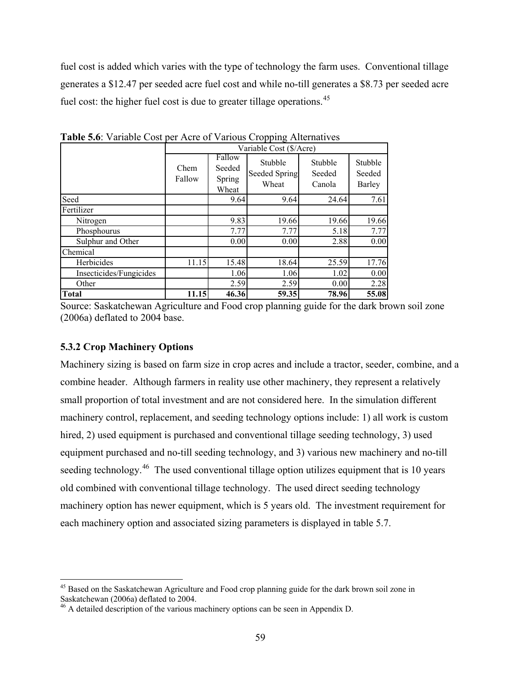fuel cost is added which varies with the type of technology the farm uses. Conventional tillage generates a \$12.47 per seeded acre fuel cost and while no-till generates a \$8.73 per seeded acre fuel cost: the higher fuel cost is due to greater tillage operations.<sup>[45](#page-69-0)</sup>

|                         |                | Variable Cost (\$/Acre)             |                                          |                             |                             |  |  |  |  |
|-------------------------|----------------|-------------------------------------|------------------------------------------|-----------------------------|-----------------------------|--|--|--|--|
|                         | Chem<br>Fallow | Fallow<br>Seeded<br>Spring<br>Wheat | Stubble<br><b>Seeded Spring</b><br>Wheat | Stubble<br>Seeded<br>Canola | Stubble<br>Seeded<br>Barley |  |  |  |  |
| Seed                    |                | 9.64                                | 9.64                                     | 24.64                       | 7.61                        |  |  |  |  |
| Fertilizer              |                |                                     |                                          |                             |                             |  |  |  |  |
| Nitrogen                |                | 9.83                                | 19.66                                    | 19.66                       | 19.66                       |  |  |  |  |
| Phosphourus             |                | 7.77                                | 7.77                                     | 5.18                        | 7.77                        |  |  |  |  |
| Sulphur and Other       |                | 0.00                                | 0.00                                     | 2.88                        | 0.00                        |  |  |  |  |
| Chemical                |                |                                     |                                          |                             |                             |  |  |  |  |
| Herbicides              | 11.15          | 15.48                               | 18.64                                    | 25.59                       | 17.76                       |  |  |  |  |
| Insecticides/Fungicides |                | 1.06                                | 1.06                                     | 1.02                        | 0.00                        |  |  |  |  |
| Other                   |                | 2.59                                | 2.59                                     | 0.00                        | 2.28                        |  |  |  |  |
| Total                   | 11.15          | 46.36                               | 59.35                                    | 78.96                       | 55.08                       |  |  |  |  |

**Table 5.6**: Variable Cost per Acre of Various Cropping Alternatives

Source: Saskatchewan Agriculture and Food crop planning guide for the dark brown soil zone (2006a) deflated to 2004 base.

#### **5.3.2 Crop Machinery Options**

 $\overline{a}$ 

Machinery sizing is based on farm size in crop acres and include a tractor, seeder, combine, and a combine header. Although farmers in reality use other machinery, they represent a relatively small proportion of total investment and are not considered here. In the simulation different machinery control, replacement, and seeding technology options include: 1) all work is custom hired, 2) used equipment is purchased and conventional tillage seeding technology, 3) used equipment purchased and no-till seeding technology, and 3) various new machinery and no-till seeding technology.<sup>[46](#page-69-1)</sup> The used conventional tillage option utilizes equipment that is 10 years old combined with conventional tillage technology. The used direct seeding technology machinery option has newer equipment, which is 5 years old. The investment requirement for each machinery option and associated sizing parameters is displayed in table 5.7.

<span id="page-69-0"></span><sup>&</sup>lt;sup>45</sup> Based on the Saskatchewan Agriculture and Food crop planning guide for the dark brown soil zone in Saskatchewan (2006a) deflated to 2004.

<span id="page-69-1"></span><sup>&</sup>lt;sup>46</sup> A detailed description of the various machinery options can be seen in Appendix D.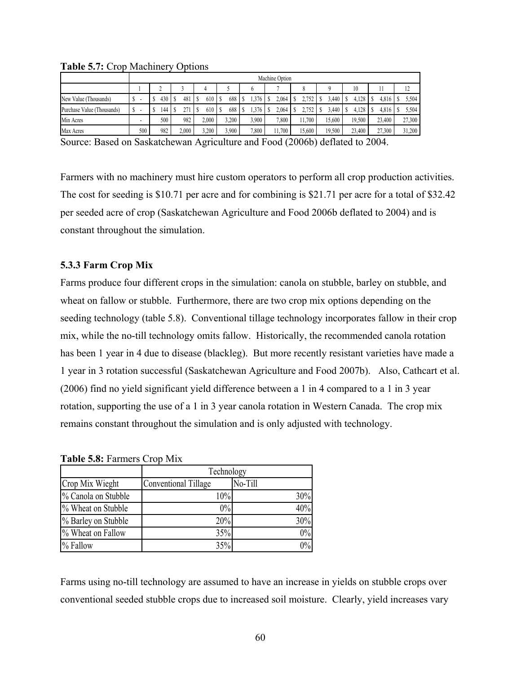|                            |     |                  |       |       |                     |       | Machine Option |        |        |            |        |        |
|----------------------------|-----|------------------|-------|-------|---------------------|-------|----------------|--------|--------|------------|--------|--------|
|                            |     |                  |       |       |                     | b.    |                |        |        | 10         |        | 12     |
| New Value (Thousands)      | Ъ   | 430 <sup>1</sup> | 481   | 610   | 688<br>S            | .376  | 2,064          | .752   | 3.440  | 4.128<br>S | 4,816  | 5,504  |
| Purchase Value (Thousands) |     | 144              | 271   | 610   | 688<br><sup>S</sup> | .376  | 2.064<br>S     | .752   | 3.440  | 4.128      | 4.816  | 5,504  |
| Min Acres                  |     | 500              | 982   | 2,000 | 3,200               | 3,900 | 7,800          | 11,700 | 15.600 | 19.500     | 23,400 | 27,300 |
| Max Acres                  | 500 | 982              | 2,000 | 3,200 | 3,900               | 7,800 | 1,700          | 15.600 | 19.500 | 23.400     | 27,300 | 31,200 |

**Table 5.7:** Crop Machinery Options

Source: Based on Saskatchewan Agriculture and Food (2006b) deflated to 2004.

Farmers with no machinery must hire custom operators to perform all crop production activities. The cost for seeding is \$10.71 per acre and for combining is \$21.71 per acre for a total of \$32.42 per seeded acre of crop (Saskatchewan Agriculture and Food 2006b deflated to 2004) and is constant throughout the simulation.

## **5.3.3 Farm Crop Mix**

Farms produce four different crops in the simulation: canola on stubble, barley on stubble, and wheat on fallow or stubble. Furthermore, there are two crop mix options depending on the seeding technology (table 5.8). Conventional tillage technology incorporates fallow in their crop mix, while the no-till technology omits fallow. Historically, the recommended canola rotation has been 1 year in 4 due to disease (blackleg). But more recently resistant varieties have made a 1 year in 3 rotation successful (Saskatchewan Agriculture and Food 2007b). Also, Cathcart et al. (2006) find no yield significant yield difference between a 1 in 4 compared to a 1 in 3 year rotation, supporting the use of a 1 in 3 year canola rotation in Western Canada. The crop mix remains constant throughout the simulation and is only adjusted with technology.

|                     | Technology           |         |  |  |  |  |
|---------------------|----------------------|---------|--|--|--|--|
| Crop Mix Wieght     | Conventional Tillage | No-Till |  |  |  |  |
| % Canola on Stubble | 10%                  | 30%     |  |  |  |  |
| % Wheat on Stubble  | $0\%$                | 40%     |  |  |  |  |
| % Barley on Stubble | 20%                  | 30%     |  |  |  |  |
| % Wheat on Fallow   | 35%                  | 0%      |  |  |  |  |
| % Fallow            | 35%                  | $0\%$   |  |  |  |  |

**Table 5.8:** Farmers Crop Mix

Farms using no-till technology are assumed to have an increase in yields on stubble crops over conventional seeded stubble crops due to increased soil moisture. Clearly, yield increases vary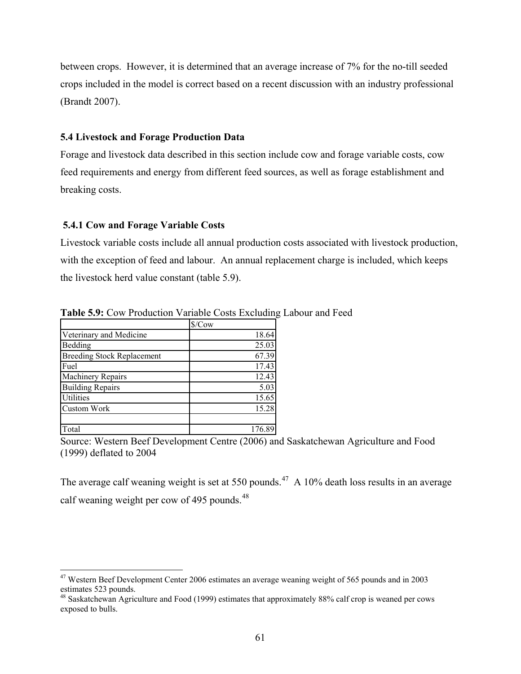between crops. However, it is determined that an average increase of 7% for the no-till seeded crops included in the model is correct based on a recent discussion with an industry professional (Brandt 2007).

# **5.4 Livestock and Forage Production Data**

Forage and livestock data described in this section include cow and forage variable costs, cow feed requirements and energy from different feed sources, as well as forage establishment and breaking costs.

# **5.4.1 Cow and Forage Variable Costs**

Livestock variable costs include all annual production costs associated with livestock production, with the exception of feed and labour. An annual replacement charge is included, which keeps the livestock herd value constant (table 5.9).

|                                   | \$/Cow |
|-----------------------------------|--------|
| Veterinary and Medicine           | 18.64  |
| Bedding                           | 25.03  |
| <b>Breeding Stock Replacement</b> | 67.39  |
| Fuel                              | 17.43  |
| <b>Machinery Repairs</b>          | 12.43  |
| <b>Building Repairs</b>           | 5.03   |
| <b>Utilities</b>                  | 15.65  |
| Custom Work                       | 15.28  |
|                                   |        |
| Total                             | 176.8  |

 $\overline{a}$ 

**Table 5.9:** Cow Production Variable Costs Excluding Labour and Feed

Source: Western Beef Development Centre (2006) and Saskatchewan Agriculture and Food (1999) deflated to 2004

The average calf weaning weight is set at 550 pounds.<sup>[47](#page-71-0)</sup> A 10% death loss results in an average calf weaning weight per cow of 495 pounds.<sup>48</sup>

<span id="page-71-0"></span><sup>&</sup>lt;sup>47</sup> Western Beef Development Center 2006 estimates an average weaning weight of 565 pounds and in 2003 estimates 523 pounds.

<span id="page-71-1"></span><sup>&</sup>lt;sup>48</sup> Saskatchewan Agriculture and Food (1999) estimates that approximately 88% calf crop is weaned per cows exposed to bulls.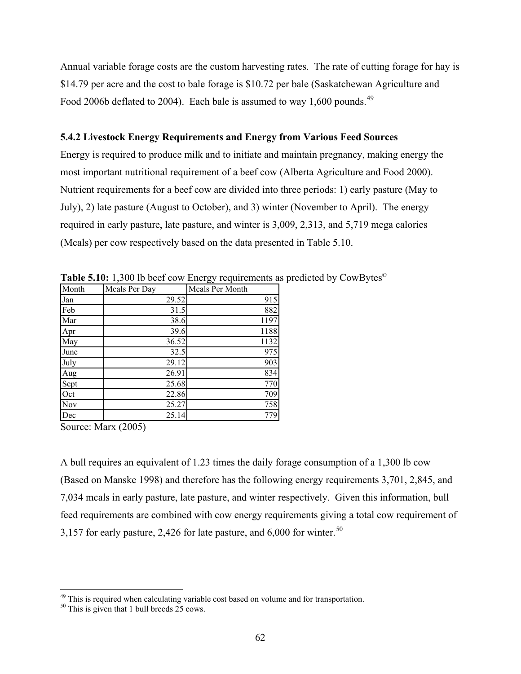Annual variable forage costs are the custom harvesting rates. The rate of cutting forage for hay is \$14.79 per acre and the cost to bale forage is \$10.72 per bale (Saskatchewan Agriculture and Food 2006b deflated to 2004). Each bale is assumed to way  $1,600$  pounds.<sup>[49](#page-72-0)</sup>

### **5.4.2 Livestock Energy Requirements and Energy from Various Feed Sources**

Energy is required to produce milk and to initiate and maintain pregnancy, making energy the most important nutritional requirement of a beef cow (Alberta Agriculture and Food 2000). Nutrient requirements for a beef cow are divided into three periods: 1) early pasture (May to July), 2) late pasture (August to October), and 3) winter (November to April). The energy required in early pasture, late pasture, and winter is 3,009, 2,313, and 5,719 mega calories (Mcals) per cow respectively based on the data presented in Table 5.10.

| Month | Mcals Per Day | Mcals Per Month |
|-------|---------------|-----------------|
| Jan   | 29.52         | 915             |
| Feb   | 31.5          | 882             |
| Mar   | 38.6          | 1197            |
| Apr   | 39.6          | 1188            |
| May   | 36.52         | 1132            |
| June  | 32.5          | 975             |
| July  | 29.12         | 903             |
| Aug   | 26.91         | 834             |
| Sept  | 25.68         | 770             |
| Oct   | 22.86         | 709             |
| Nov   | 25.27         | 758             |
| Dec   | 25.14         | 779             |

Table 5.10: 1,300 lb beef cow Energy requirements as predicted by CowBytes<sup>©</sup>

Source: Marx (2005)

A bull requires an equivalent of 1.23 times the daily forage consumption of a 1,300 lb cow (Based on Manske 1998) and therefore has the following energy requirements 3,701, 2,845, and 7,034 mcals in early pasture, late pasture, and winter respectively. Given this information, bull feed requirements are combined with cow energy requirements giving a total cow requirement of 3,157 for early pasture, 2,426 for late pasture, and 6,000 for winter.<sup>[50](#page-72-1)</sup>

 $\overline{a}$ 

<sup>&</sup>lt;sup>49</sup> This is required when calculating variable cost based on volume and for transportation.

<span id="page-72-1"></span><span id="page-72-0"></span> $50$  This is given that 1 bull breeds 25 cows.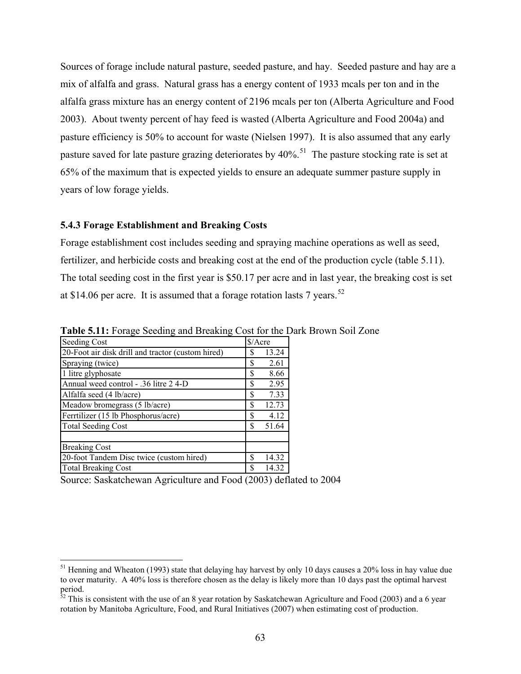Sources of forage include natural pasture, seeded pasture, and hay. Seeded pasture and hay are a mix of alfalfa and grass. Natural grass has a energy content of 1933 mcals per ton and in the alfalfa grass mixture has an energy content of 2196 mcals per ton (Alberta Agriculture and Food 2003). About twenty percent of hay feed is wasted (Alberta Agriculture and Food 2004a) and pasture efficiency is 50% to account for waste (Nielsen 1997). It is also assumed that any early pasture saved for late pasture grazing deteriorates by  $40\%$ <sup>[51](#page-73-0)</sup>. The pasture stocking rate is set at 65% of the maximum that is expected yields to ensure an adequate summer pasture supply in years of low forage yields.

#### **5.4.3 Forage Establishment and Breaking Costs**

Forage establishment cost includes seeding and spraying machine operations as well as seed, fertilizer, and herbicide costs and breaking cost at the end of the production cycle (table 5.11). The total seeding cost in the first year is \$50.17 per acre and in last year, the breaking cost is set at \$14.06 per acre. It is assumed that a forage rotation lasts 7 years.<sup>[52](#page-73-1)</sup>

| Seeding Cost                                      | \$/Acre |       |  |  |
|---------------------------------------------------|---------|-------|--|--|
| 20-Foot air disk drill and tractor (custom hired) |         | 13.24 |  |  |
| Spraying (twice)                                  |         | 2.61  |  |  |
| 1 litre glyphosate                                | S       | 8.66  |  |  |
| Annual weed control - .36 litre 2 4-D             | S       | 2.95  |  |  |
| Alfalfa seed (4 lb/acre)                          | S       | 7.33  |  |  |
| Meadow bromegrass (5 lb/acre)                     | \$      | 12.73 |  |  |
| Ferrtilizer (15 lb Phosphorus/acre)               | S       | 4.12  |  |  |
| <b>Total Seeding Cost</b>                         | S       | 51.64 |  |  |
| <b>Breaking Cost</b>                              |         |       |  |  |
| 20-foot Tandem Disc twice (custom hired)          | S       | 14.32 |  |  |
| <b>Total Breaking Cost</b>                        | S       | 14.32 |  |  |

 $\overline{a}$ 

**Table 5.11:** Forage Seeding and Breaking Cost for the Dark Brown Soil Zone

Source: Saskatchewan Agriculture and Food (2003) deflated to 2004

<span id="page-73-0"></span> $51$  Henning and Wheaton (1993) state that delaying hay harvest by only 10 days causes a 20% loss in hay value due to over maturity. A 40% loss is therefore chosen as the delay is likely more than 10 days past the optimal harvest period.

<span id="page-73-1"></span> $52$  This is consistent with the use of an 8 year rotation by Saskatchewan Agriculture and Food (2003) and a 6 year rotation by Manitoba Agriculture, Food, and Rural Initiatives (2007) when estimating cost of production.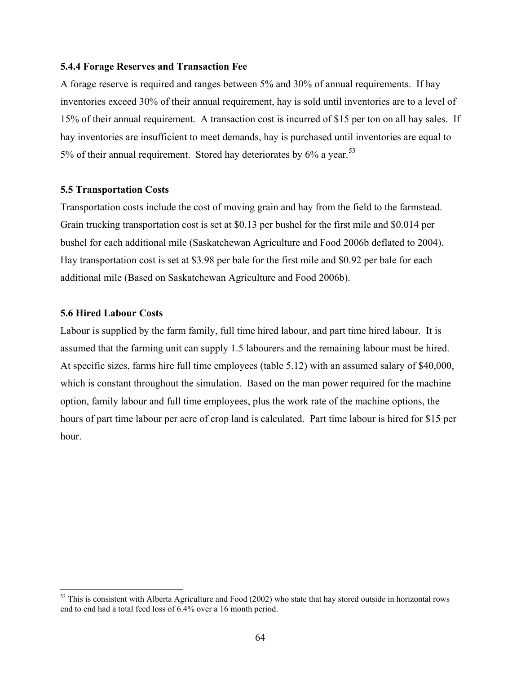#### **5.4.4 Forage Reserves and Transaction Fee**

A forage reserve is required and ranges between 5% and 30% of annual requirements. If hay inventories exceed 30% of their annual requirement, hay is sold until inventories are to a level of 15% of their annual requirement. A transaction cost is incurred of \$15 per ton on all hay sales. If hay inventories are insufficient to meet demands, hay is purchased until inventories are equal to 5% of their annual requirement. Stored hay deteriorates by  $6\%$  a year.<sup>[53](#page-74-0)</sup>

### **5.5 Transportation Costs**

Transportation costs include the cost of moving grain and hay from the field to the farmstead. Grain trucking transportation cost is set at \$0.13 per bushel for the first mile and \$0.014 per bushel for each additional mile (Saskatchewan Agriculture and Food 2006b deflated to 2004). Hay transportation cost is set at \$3.98 per bale for the first mile and \$0.92 per bale for each additional mile (Based on Saskatchewan Agriculture and Food 2006b).

### **5.6 Hired Labour Costs**

 $\overline{a}$ 

Labour is supplied by the farm family, full time hired labour, and part time hired labour. It is assumed that the farming unit can supply 1.5 labourers and the remaining labour must be hired. At specific sizes, farms hire full time employees (table 5.12) with an assumed salary of \$40,000, which is constant throughout the simulation. Based on the man power required for the machine option, family labour and full time employees, plus the work rate of the machine options, the hours of part time labour per acre of crop land is calculated. Part time labour is hired for \$15 per hour.

<span id="page-74-0"></span> $53$  This is consistent with Alberta Agriculture and Food (2002) who state that hay stored outside in horizontal rows end to end had a total feed loss of 6.4% over a 16 month period.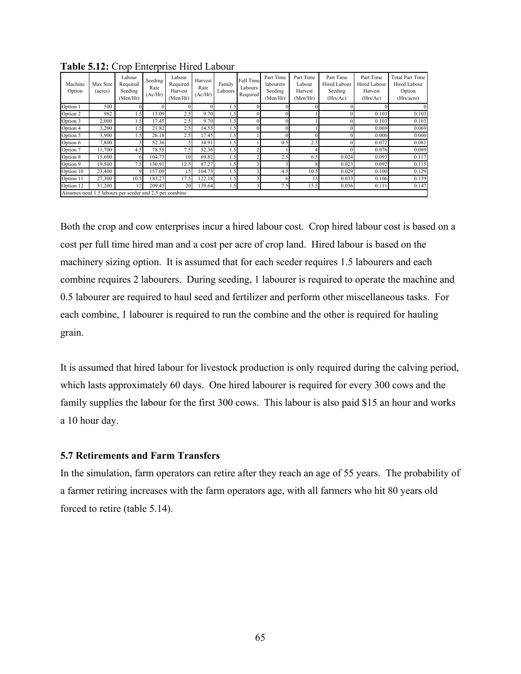| Machine<br>Option     | Max Size<br>(acres)                                     | Labour<br>Required<br>Seeding<br>(Men/Hr) | Seeding<br>Rate<br>(Ac/Hr) | Labour<br>Required<br>Harvest<br>(Men/Hr) | Harvest<br>Rate<br>(Ac/Hr) | Family<br>Labours  | Full Time<br>Labours<br>Required | Part Time<br>labourers<br>Seeding<br>(Men/Hr) | Part Time<br>Labour<br>Harvest<br>(Men/Hr) | Part Time<br><b>Hired Labour</b><br>Seeding<br>(Hrs/Ac) | Part Time<br>Hired Labour<br>Harvest<br>(Hrs/Ac) | Total Part Time<br>Hired Labour<br>Option<br>(Hrs/acre) |
|-----------------------|---------------------------------------------------------|-------------------------------------------|----------------------------|-------------------------------------------|----------------------------|--------------------|----------------------------------|-----------------------------------------------|--------------------------------------------|---------------------------------------------------------|--------------------------------------------------|---------------------------------------------------------|
| Option 1              | 500                                                     |                                           |                            | $\Omega$                                  |                            | 1.5                | $^{\circ}$                       |                                               |                                            |                                                         |                                                  |                                                         |
| Option 2              | 982                                                     | .51                                       | 13.09                      | 2.5                                       | 9.70                       | 1.5                | $\Omega$                         |                                               |                                            |                                                         | 0.103                                            | 0.103                                                   |
| Option 3              | 2,000                                                   | .5 <sup>1</sup>                           | 17.45                      | 2.5                                       | 9.70                       | 1.5                | $\Omega$                         |                                               |                                            |                                                         | 0.103                                            | 0.103                                                   |
| Option $\overline{4}$ | 3,200                                                   | .5 <sub>1</sub>                           | 21.82                      | 2.5                                       | 14.55                      | $1.5^{\circ}$      | $\Omega$                         |                                               |                                            |                                                         | 0.069                                            | 0.069                                                   |
| Option 5              | 3,900                                                   | .51                                       | 26.18                      | 2.5                                       | 17.45                      | 1.5                |                                  |                                               |                                            |                                                         | 0.000                                            | 0.000                                                   |
| Option 6              | 7,800                                                   |                                           | 52.36                      |                                           | 34.91                      | 1.5                |                                  | 0.5                                           | 2.5                                        |                                                         | 0.072                                            | 0.081                                                   |
| Option 7              | 11,700                                                  | 4.5                                       | 78.55                      | 7.5                                       | 52.36                      | 1.5                | C                                |                                               |                                            |                                                         | 0.076                                            | 0.089                                                   |
| Option 8              | 15,600                                                  |                                           | 104.73                     | 10                                        | 69.82                      | $1.5$ <sup>1</sup> | n                                | 2.5                                           | 6.5                                        | 0.024                                                   | 0.093                                            | 0.117                                                   |
| Option 9              | 19,500                                                  | 7.5                                       | 130.91                     | 12.5                                      | 87.27                      | 1.5                | $\overline{\mathbf{3}}$          |                                               |                                            | 0.023                                                   | 0.092                                            | 0.115                                                   |
| Option 10             | 23,400                                                  | $\overline{Q}$                            | 157.09                     | 15                                        | 104.73                     | 1.5                | $\mathbf{3}$                     | 4.5                                           | 10.5                                       | 0.029                                                   | 0.100                                            | 0.129                                                   |
| Option 11             | 27,300                                                  | 10.5                                      | 183.27                     | 17.5                                      | 122.18                     | 1.5                | 3                                |                                               | 13                                         | 0.033                                                   | 0.106                                            | 0.139                                                   |
| Option 12             | 31,200                                                  | 12 <sub>1</sub>                           | 209.45                     | 20                                        | 139.64                     | $1.5^{\circ}$      |                                  | 7.5                                           | 15.5                                       | 0.036                                                   | 0.111                                            | 0.147                                                   |
|                       | Assumes need 1.5 labours per seeder and 2.5 per combine |                                           |                            |                                           |                            |                    |                                  |                                               |                                            |                                                         |                                                  |                                                         |

**Table 5.12:** Crop Enterprise Hired Labour

Both the crop and cow enterprises incur a hired labour cost. Crop hired labour cost is based on a cost per full time hired man and a cost per acre of crop land. Hired labour is based on the machinery sizing option. It is assumed that for each seeder requires 1.5 labourers and each combine requires 2 labourers. During seeding, 1 labourer is required to operate the machine and 0.5 labourer are required to haul seed and fertilizer and perform other miscellaneous tasks. For each combine, 1 labourer is required to run the combine and the other is required for hauling grain.

It is assumed that hired labour for livestock production is only required during the calving period, which lasts approximately 60 days. One hired labourer is required for every 300 cows and the family supplies the labour for the first 300 cows. This labour is also paid \$15 an hour and works a 10 hour day.

### **5.7 Retirements and Farm Transfers**

In the simulation, farm operators can retire after they reach an age of 55 years. The probability of a farmer retiring increases with the farm operators age, with all farmers who hit 80 years old forced to retire (table 5.14).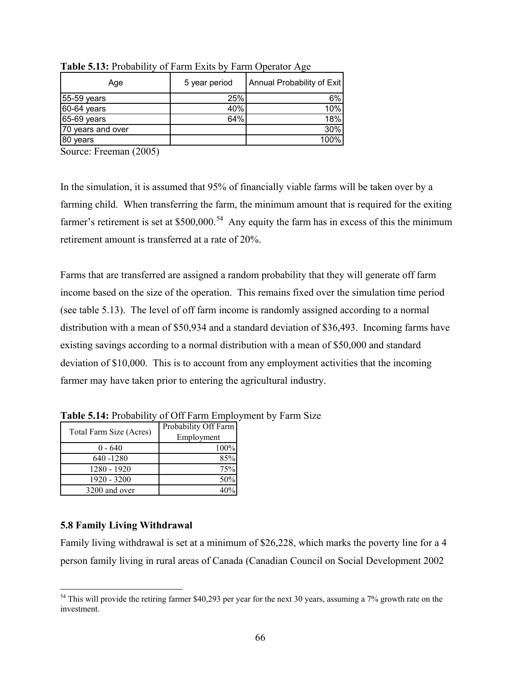| Age               | 5 year period | Annual Probability of Exit |
|-------------------|---------------|----------------------------|
| 55-59 years       | 25%           | 6%                         |
| 60-64 years       | 40%           | 10%                        |
| 65-69 years       | 64%           | 18%                        |
| 70 years and over |               | 30%                        |
| 80 years          |               | 100%                       |

**Table 5.13:** Probability of Farm Exits by Farm Operator Age

Source: Freeman (2005)

In the simulation, it is assumed that 95% of financially viable farms will be taken over by a farming child. When transferring the farm, the minimum amount that is required for the exiting farmer's retirement is set at  $$500,000$ .<sup>[54](#page-76-0)</sup> Any equity the farm has in excess of this the minimum retirement amount is transferred at a rate of 20%.

Farms that are transferred are assigned a random probability that they will generate off farm income based on the size of the operation. This remains fixed over the simulation time period (see table 5.13). The level of off farm income is randomly assigned according to a normal distribution with a mean of \$50,934 and a standard deviation of \$36,493. Incoming farms have existing savings according to a normal distribution with a mean of \$50,000 and standard deviation of \$10,000. This is to account from any employment activities that the incoming farmer may have taken prior to entering the agricultural industry.

| Total Farm Size (Acres) | Probability Off Farm<br>Employment |
|-------------------------|------------------------------------|
| $0 - 640$               | 100%                               |
| 640 - 1280              | 85%                                |
| 1280 - 1920             | 75%                                |
| 1920 - 3200             | 50%                                |
| 3200 and over           |                                    |

**Table 5.14:** Probability of Off Farm Employment by Farm Size

## **5.8 Family Living Withdrawal**

Family living withdrawal is set at a minimum of \$26,228, which marks the poverty line for a 4 person family living in rural areas of Canada (Canadian Council on Social Development 2002

<span id="page-76-0"></span> $\overline{a}$  $54$  This will provide the retiring farmer \$40,293 per year for the next 30 years, assuming a 7% growth rate on the investment.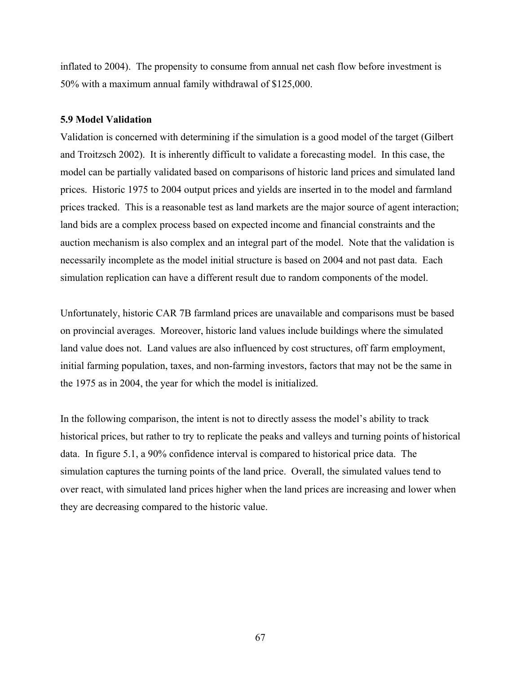inflated to 2004). The propensity to consume from annual net cash flow before investment is 50% with a maximum annual family withdrawal of \$125,000.

### **5.9 Model Validation**

Validation is concerned with determining if the simulation is a good model of the target (Gilbert and Troitzsch 2002). It is inherently difficult to validate a forecasting model. In this case, the model can be partially validated based on comparisons of historic land prices and simulated land prices. Historic 1975 to 2004 output prices and yields are inserted in to the model and farmland prices tracked. This is a reasonable test as land markets are the major source of agent interaction; land bids are a complex process based on expected income and financial constraints and the auction mechanism is also complex and an integral part of the model. Note that the validation is necessarily incomplete as the model initial structure is based on 2004 and not past data. Each simulation replication can have a different result due to random components of the model.

Unfortunately, historic CAR 7B farmland prices are unavailable and comparisons must be based on provincial averages. Moreover, historic land values include buildings where the simulated land value does not. Land values are also influenced by cost structures, off farm employment, initial farming population, taxes, and non-farming investors, factors that may not be the same in the 1975 as in 2004, the year for which the model is initialized.

In the following comparison, the intent is not to directly assess the model's ability to track historical prices, but rather to try to replicate the peaks and valleys and turning points of historical data. In figure 5.1, a 90% confidence interval is compared to historical price data. The simulation captures the turning points of the land price. Overall, the simulated values tend to over react, with simulated land prices higher when the land prices are increasing and lower when they are decreasing compared to the historic value.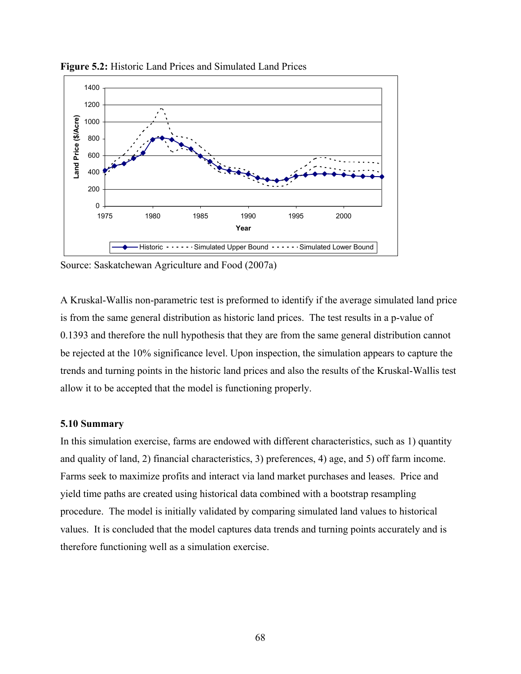

**Figure 5.2:** Historic Land Prices and Simulated Land Prices

Source: Saskatchewan Agriculture and Food (2007a)

A Kruskal-Wallis non-parametric test is preformed to identify if the average simulated land price is from the same general distribution as historic land prices. The test results in a p-value of 0.1393 and therefore the null hypothesis that they are from the same general distribution cannot be rejected at the 10% significance level. Upon inspection, the simulation appears to capture the trends and turning points in the historic land prices and also the results of the Kruskal-Wallis test allow it to be accepted that the model is functioning properly.

## **5.10 Summary**

In this simulation exercise, farms are endowed with different characteristics, such as 1) quantity and quality of land, 2) financial characteristics, 3) preferences, 4) age, and 5) off farm income. Farms seek to maximize profits and interact via land market purchases and leases. Price and yield time paths are created using historical data combined with a bootstrap resampling procedure. The model is initially validated by comparing simulated land values to historical values. It is concluded that the model captures data trends and turning points accurately and is therefore functioning well as a simulation exercise.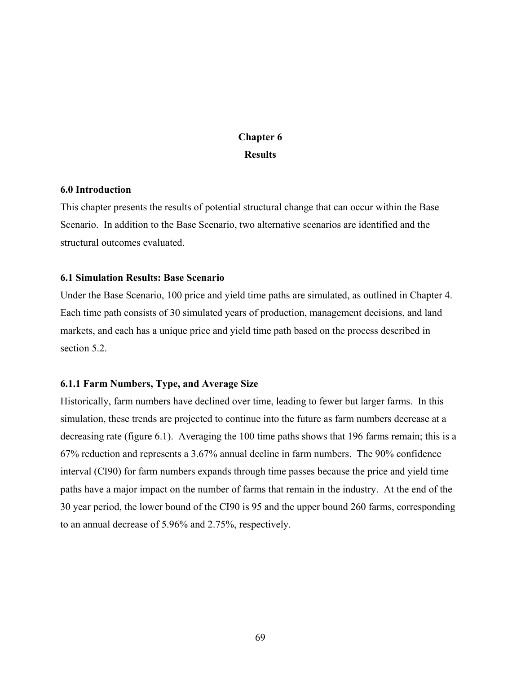# **Chapter 6 Results**

#### **6.0 Introduction**

This chapter presents the results of potential structural change that can occur within the Base Scenario. In addition to the Base Scenario, two alternative scenarios are identified and the structural outcomes evaluated.

### **6.1 Simulation Results: Base Scenario**

Under the Base Scenario, 100 price and yield time paths are simulated, as outlined in Chapter 4. Each time path consists of 30 simulated years of production, management decisions, and land markets, and each has a unique price and yield time path based on the process described in section 5.2.

### **6.1.1 Farm Numbers, Type, and Average Size**

Historically, farm numbers have declined over time, leading to fewer but larger farms. In this simulation, these trends are projected to continue into the future as farm numbers decrease at a decreasing rate (figure 6.1). Averaging the 100 time paths shows that 196 farms remain; this is a 67% reduction and represents a 3.67% annual decline in farm numbers. The 90% confidence interval (CI90) for farm numbers expands through time passes because the price and yield time paths have a major impact on the number of farms that remain in the industry. At the end of the 30 year period, the lower bound of the CI90 is 95 and the upper bound 260 farms, corresponding to an annual decrease of 5.96% and 2.75%, respectively.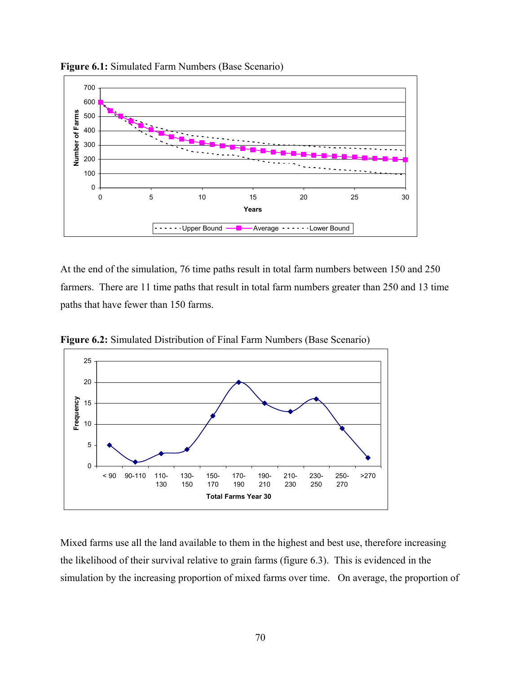

**Figure 6.1:** Simulated Farm Numbers (Base Scenario)

At the end of the simulation, 76 time paths result in total farm numbers between 150 and 250 farmers. There are 11 time paths that result in total farm numbers greater than 250 and 13 time paths that have fewer than 150 farms.



**Figure 6.2:** Simulated Distribution of Final Farm Numbers (Base Scenario)

Mixed farms use all the land available to them in the highest and best use, therefore increasing the likelihood of their survival relative to grain farms (figure 6.3). This is evidenced in the simulation by the increasing proportion of mixed farms over time. On average, the proportion of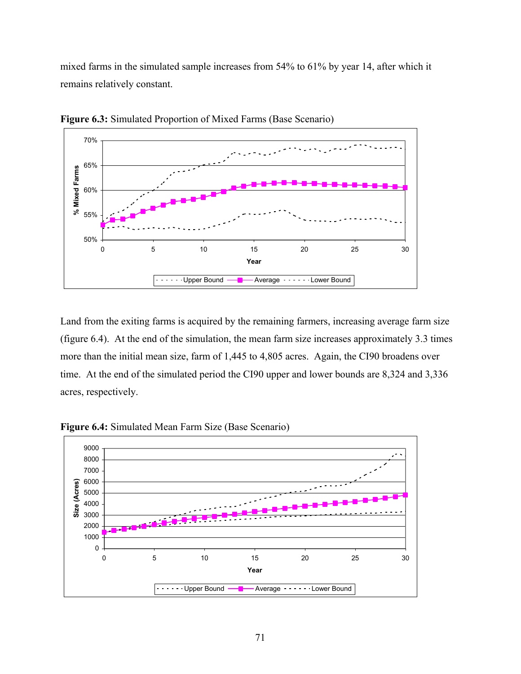mixed farms in the simulated sample increases from 54% to 61% by year 14, after which it remains relatively constant.



**Figure 6.3:** Simulated Proportion of Mixed Farms (Base Scenario)

Land from the exiting farms is acquired by the remaining farmers, increasing average farm size (figure 6.4). At the end of the simulation, the mean farm size increases approximately 3.3 times more than the initial mean size, farm of 1,445 to 4,805 acres. Again, the CI90 broadens over time. At the end of the simulated period the CI90 upper and lower bounds are 8,324 and 3,336 acres, respectively.



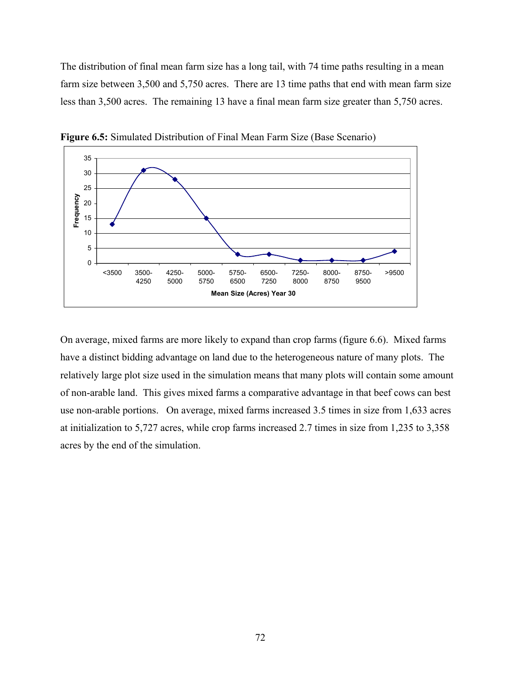The distribution of final mean farm size has a long tail, with 74 time paths resulting in a mean farm size between 3,500 and 5,750 acres. There are 13 time paths that end with mean farm size less than 3,500 acres. The remaining 13 have a final mean farm size greater than 5,750 acres.



**Figure 6.5:** Simulated Distribution of Final Mean Farm Size (Base Scenario)

On average, mixed farms are more likely to expand than crop farms (figure 6.6). Mixed farms have a distinct bidding advantage on land due to the heterogeneous nature of many plots. The relatively large plot size used in the simulation means that many plots will contain some amount of non-arable land. This gives mixed farms a comparative advantage in that beef cows can best use non-arable portions. On average, mixed farms increased 3.5 times in size from 1,633 acres at initialization to 5,727 acres, while crop farms increased 2.7 times in size from 1,235 to 3,358 acres by the end of the simulation.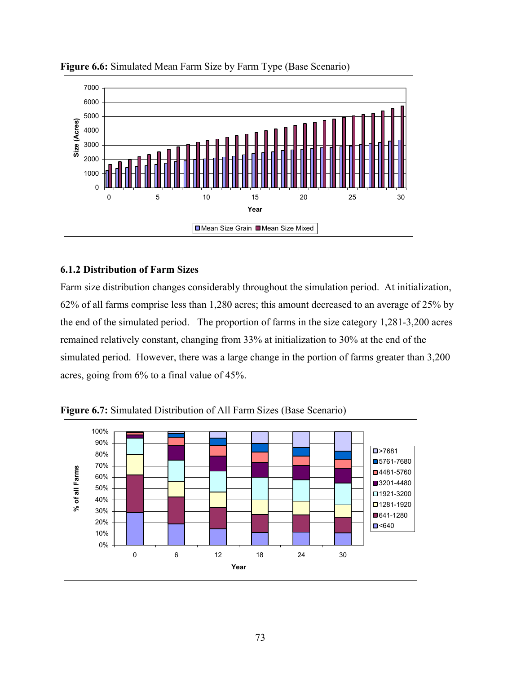

**Figure 6.6:** Simulated Mean Farm Size by Farm Type (Base Scenario)

# **6.1.2 Distribution of Farm Sizes**

Farm size distribution changes considerably throughout the simulation period. At initialization, 62% of all farms comprise less than 1,280 acres; this amount decreased to an average of 25% by the end of the simulated period. The proportion of farms in the size category 1,281-3,200 acres remained relatively constant, changing from 33% at initialization to 30% at the end of the simulated period. However, there was a large change in the portion of farms greater than 3,200 acres, going from 6% to a final value of 45%.



**Figure 6.7:** Simulated Distribution of All Farm Sizes (Base Scenario)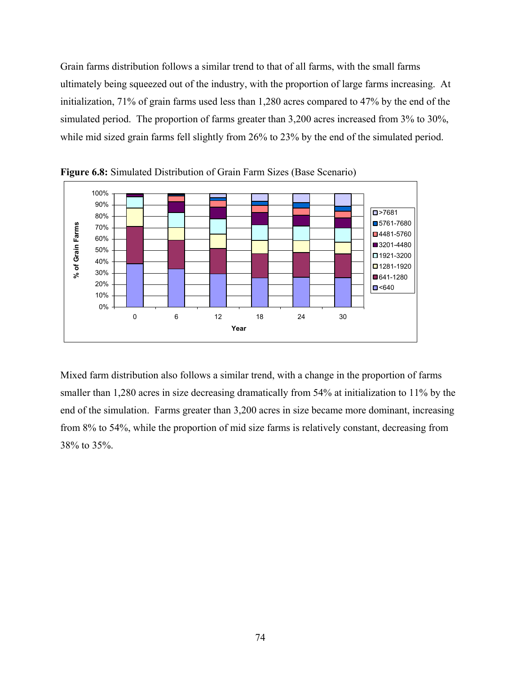Grain farms distribution follows a similar trend to that of all farms, with the small farms ultimately being squeezed out of the industry, with the proportion of large farms increasing. At initialization, 71% of grain farms used less than 1,280 acres compared to 47% by the end of the simulated period. The proportion of farms greater than 3,200 acres increased from 3% to 30%, while mid sized grain farms fell slightly from 26% to 23% by the end of the simulated period.



**Figure 6.8:** Simulated Distribution of Grain Farm Sizes (Base Scenario)

Mixed farm distribution also follows a similar trend, with a change in the proportion of farms smaller than 1,280 acres in size decreasing dramatically from 54% at initialization to 11% by the end of the simulation. Farms greater than 3,200 acres in size became more dominant, increasing from 8% to 54%, while the proportion of mid size farms is relatively constant, decreasing from 38% to 35%.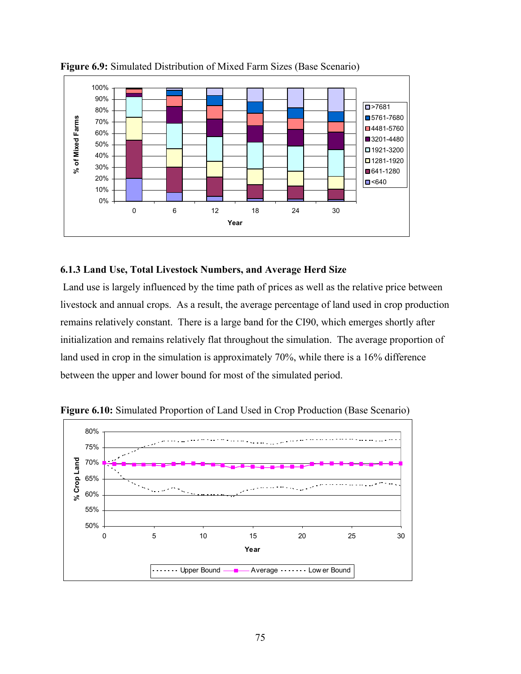

**Figure 6.9:** Simulated Distribution of Mixed Farm Sizes (Base Scenario)

# **6.1.3 Land Use, Total Livestock Numbers, and Average Herd Size**

Land use is largely influenced by the time path of prices as well as the relative price between livestock and annual crops. As a result, the average percentage of land used in crop production remains relatively constant. There is a large band for the CI90, which emerges shortly after initialization and remains relatively flat throughout the simulation. The average proportion of land used in crop in the simulation is approximately 70%, while there is a 16% difference between the upper and lower bound for most of the simulated period.



**Figure 6.10:** Simulated Proportion of Land Used in Crop Production (Base Scenario)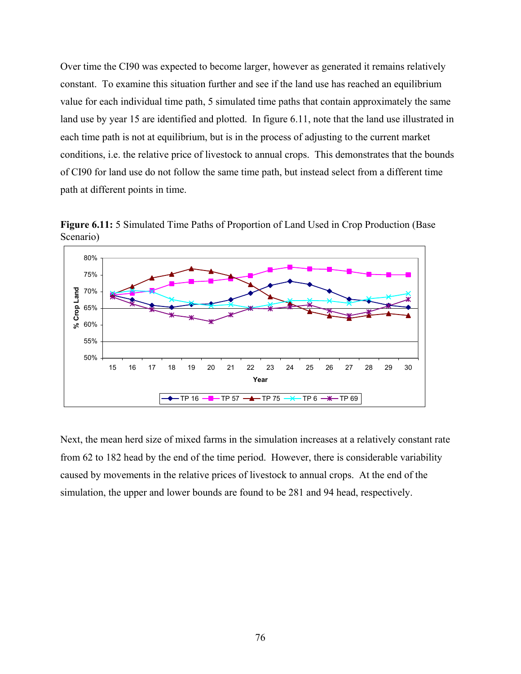Over time the CI90 was expected to become larger, however as generated it remains relatively constant. To examine this situation further and see if the land use has reached an equilibrium value for each individual time path, 5 simulated time paths that contain approximately the same land use by year 15 are identified and plotted. In figure 6.11, note that the land use illustrated in each time path is not at equilibrium, but is in the process of adjusting to the current market conditions, i.e. the relative price of livestock to annual crops. This demonstrates that the bounds of CI90 for land use do not follow the same time path, but instead select from a different time path at different points in time.



**Figure 6.11:** 5 Simulated Time Paths of Proportion of Land Used in Crop Production (Base Scenario)

Next, the mean herd size of mixed farms in the simulation increases at a relatively constant rate from 62 to 182 head by the end of the time period. However, there is considerable variability caused by movements in the relative prices of livestock to annual crops. At the end of the simulation, the upper and lower bounds are found to be 281 and 94 head, respectively.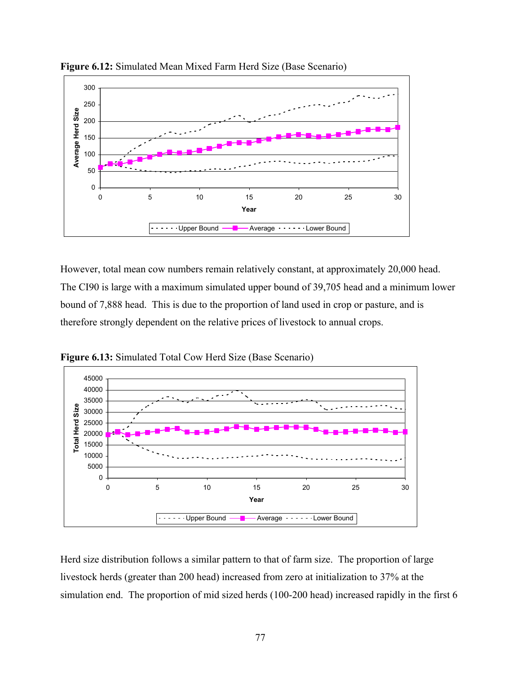

**Figure 6.12:** Simulated Mean Mixed Farm Herd Size (Base Scenario)

However, total mean cow numbers remain relatively constant, at approximately 20,000 head. The CI90 is large with a maximum simulated upper bound of 39,705 head and a minimum lower bound of 7,888 head. This is due to the proportion of land used in crop or pasture, and is therefore strongly dependent on the relative prices of livestock to annual crops.





Herd size distribution follows a similar pattern to that of farm size. The proportion of large livestock herds (greater than 200 head) increased from zero at initialization to 37% at the simulation end. The proportion of mid sized herds (100-200 head) increased rapidly in the first 6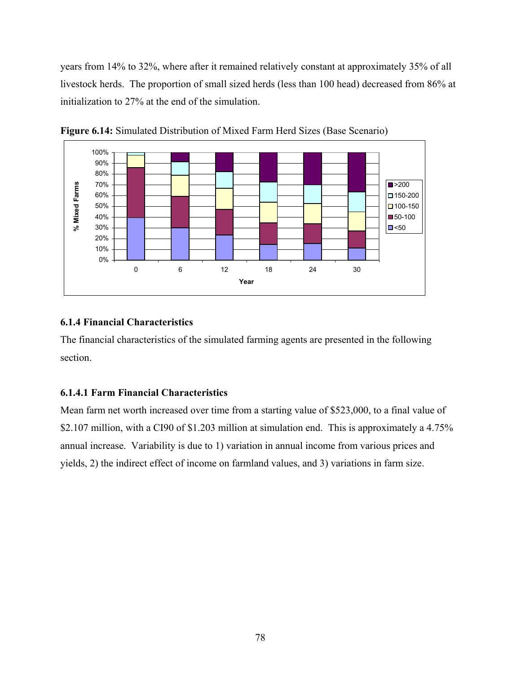years from 14% to 32%, where after it remained relatively constant at approximately 35% of all livestock herds. The proportion of small sized herds (less than 100 head) decreased from 86% at initialization to 27% at the end of the simulation.



**Figure 6.14:** Simulated Distribution of Mixed Farm Herd Sizes (Base Scenario)

# **6.1.4 Financial Characteristics**

The financial characteristics of the simulated farming agents are presented in the following section.

# **6.1.4.1 Farm Financial Characteristics**

Mean farm net worth increased over time from a starting value of \$523,000, to a final value of \$2.107 million, with a CI90 of \$1.203 million at simulation end. This is approximately a 4.75% annual increase. Variability is due to 1) variation in annual income from various prices and yields, 2) the indirect effect of income on farmland values, and 3) variations in farm size.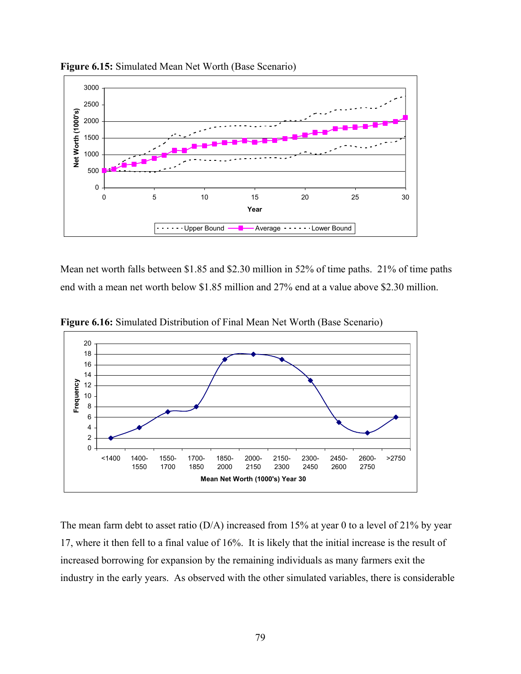

**Figure 6.15:** Simulated Mean Net Worth (Base Scenario)

Mean net worth falls between \$1.85 and \$2.30 million in 52% of time paths. 21% of time paths end with a mean net worth below \$1.85 million and 27% end at a value above \$2.30 million.



**Figure 6.16:** Simulated Distribution of Final Mean Net Worth (Base Scenario)

The mean farm debt to asset ratio (D/A) increased from 15% at year 0 to a level of 21% by year 17, where it then fell to a final value of 16%. It is likely that the initial increase is the result of increased borrowing for expansion by the remaining individuals as many farmers exit the industry in the early years. As observed with the other simulated variables, there is considerable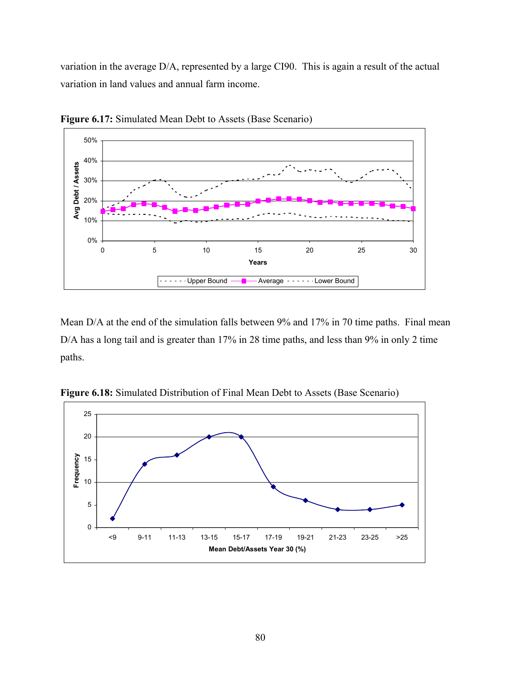variation in the average D/A, represented by a large CI90. This is again a result of the actual variation in land values and annual farm income.



**Figure 6.17:** Simulated Mean Debt to Assets (Base Scenario)

Mean D/A at the end of the simulation falls between 9% and 17% in 70 time paths. Final mean D/A has a long tail and is greater than 17% in 28 time paths, and less than 9% in only 2 time paths.



**Figure 6.18:** Simulated Distribution of Final Mean Debt to Assets (Base Scenario)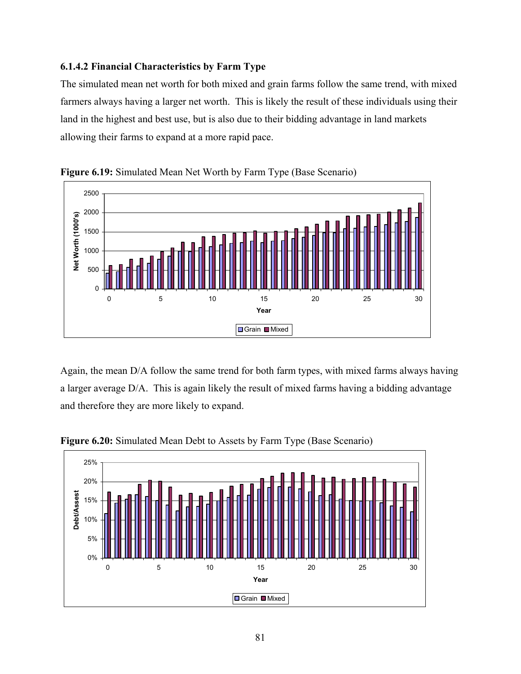## **6.1.4.2 Financial Characteristics by Farm Type**

The simulated mean net worth for both mixed and grain farms follow the same trend, with mixed farmers always having a larger net worth. This is likely the result of these individuals using their land in the highest and best use, but is also due to their bidding advantage in land markets allowing their farms to expand at a more rapid pace.



**Figure 6.19:** Simulated Mean Net Worth by Farm Type (Base Scenario)

Again, the mean D/A follow the same trend for both farm types, with mixed farms always having a larger average D/A. This is again likely the result of mixed farms having a bidding advantage and therefore they are more likely to expand.



**Figure 6.20:** Simulated Mean Debt to Assets by Farm Type (Base Scenario)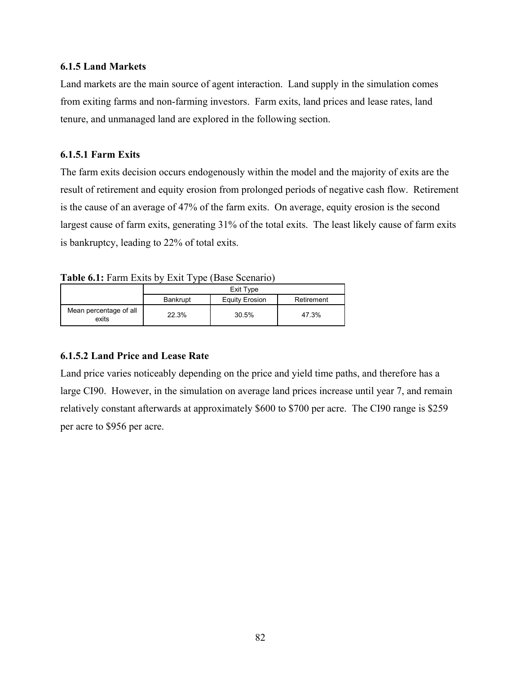### **6.1.5 Land Markets**

Land markets are the main source of agent interaction. Land supply in the simulation comes from exiting farms and non-farming investors. Farm exits, land prices and lease rates, land tenure, and unmanaged land are explored in the following section.

## **6.1.5.1 Farm Exits**

The farm exits decision occurs endogenously within the model and the majority of exits are the result of retirement and equity erosion from prolonged periods of negative cash flow. Retirement is the cause of an average of 47% of the farm exits. On average, equity erosion is the second largest cause of farm exits, generating 31% of the total exits. The least likely cause of farm exits is bankruptcy, leading to 22% of total exits.

| Table 6.1: Farm Exits by Exit Type (Base Scenario) |  |  |  |  |
|----------------------------------------------------|--|--|--|--|
|                                                    |  |  |  |  |

|                                 | Exit Type |                       |            |  |  |  |
|---------------------------------|-----------|-----------------------|------------|--|--|--|
|                                 | Bankrupt  | <b>Equity Erosion</b> | Retirement |  |  |  |
| Mean percentage of all<br>exits | 22.3%     | 30.5%                 | 47.3%      |  |  |  |

## **6.1.5.2 Land Price and Lease Rate**

Land price varies noticeably depending on the price and yield time paths, and therefore has a large CI90. However, in the simulation on average land prices increase until year 7, and remain relatively constant afterwards at approximately \$600 to \$700 per acre. The CI90 range is \$259 per acre to \$956 per acre.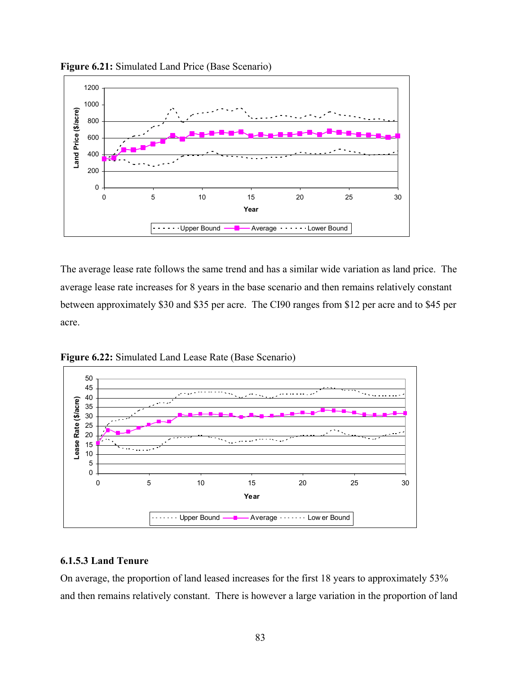

**Figure 6.21:** Simulated Land Price (Base Scenario)

The average lease rate follows the same trend and has a similar wide variation as land price. The average lease rate increases for 8 years in the base scenario and then remains relatively constant between approximately \$30 and \$35 per acre. The CI90 ranges from \$12 per acre and to \$45 per acre.



**Figure 6.22:** Simulated Land Lease Rate (Base Scenario)

### **6.1.5.3 Land Tenure**

On average, the proportion of land leased increases for the first 18 years to approximately 53% and then remains relatively constant. There is however a large variation in the proportion of land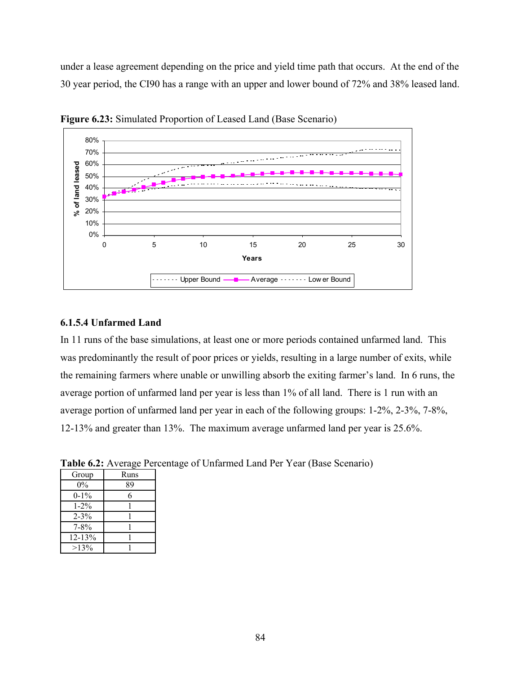under a lease agreement depending on the price and yield time path that occurs. At the end of the 30 year period, the CI90 has a range with an upper and lower bound of 72% and 38% leased land.



**Figure 6.23:** Simulated Proportion of Leased Land (Base Scenario)

### **6.1.5.4 Unfarmed Land**

In 11 runs of the base simulations, at least one or more periods contained unfarmed land. This was predominantly the result of poor prices or yields, resulting in a large number of exits, while the remaining farmers where unable or unwilling absorb the exiting farmer's land. In 6 runs, the average portion of unfarmed land per year is less than 1% of all land. There is 1 run with an average portion of unfarmed land per year in each of the following groups: 1-2%, 2-3%, 7-8%, 12-13% and greater than 13%. The maximum average unfarmed land per year is 25.6%.

| Group      | Runs |
|------------|------|
| $0\%$      | 89   |
| $0-1%$     | 6    |
| $1 - 2\%$  |      |
| $2 - 3\%$  |      |
| $7 - 8\%$  |      |
| $12 - 13%$ |      |
| $>13\%$    |      |

**Table 6.2:** Average Percentage of Unfarmed Land Per Year (Base Scenario)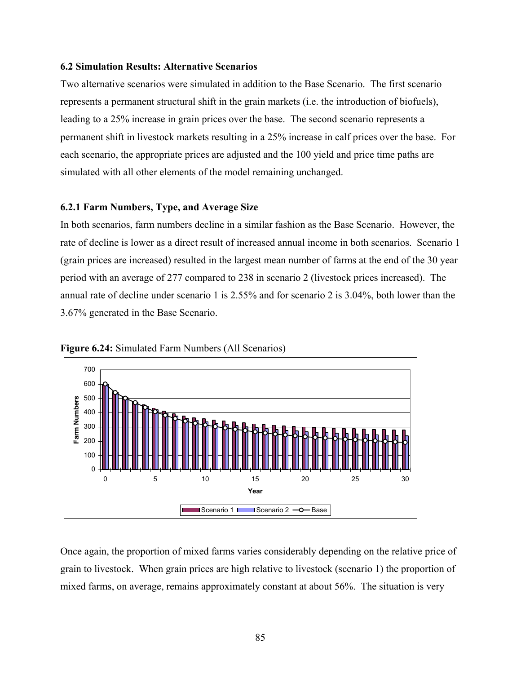#### **6.2 Simulation Results: Alternative Scenarios**

Two alternative scenarios were simulated in addition to the Base Scenario. The first scenario represents a permanent structural shift in the grain markets (i.e. the introduction of biofuels), leading to a 25% increase in grain prices over the base. The second scenario represents a permanent shift in livestock markets resulting in a 25% increase in calf prices over the base. For each scenario, the appropriate prices are adjusted and the 100 yield and price time paths are simulated with all other elements of the model remaining unchanged.

### **6.2.1 Farm Numbers, Type, and Average Size**

In both scenarios, farm numbers decline in a similar fashion as the Base Scenario. However, the rate of decline is lower as a direct result of increased annual income in both scenarios. Scenario 1 (grain prices are increased) resulted in the largest mean number of farms at the end of the 30 year period with an average of 277 compared to 238 in scenario 2 (livestock prices increased). The annual rate of decline under scenario 1 is 2.55% and for scenario 2 is 3.04%, both lower than the 3.67% generated in the Base Scenario.



**Figure 6.24:** Simulated Farm Numbers (All Scenarios)

Once again, the proportion of mixed farms varies considerably depending on the relative price of grain to livestock. When grain prices are high relative to livestock (scenario 1) the proportion of mixed farms, on average, remains approximately constant at about 56%. The situation is very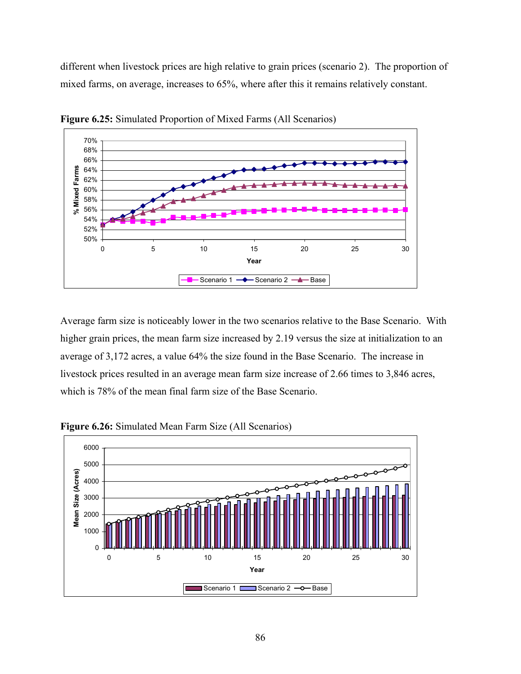different when livestock prices are high relative to grain prices (scenario 2). The proportion of mixed farms, on average, increases to 65%, where after this it remains relatively constant.



**Figure 6.25:** Simulated Proportion of Mixed Farms (All Scenarios)

Average farm size is noticeably lower in the two scenarios relative to the Base Scenario. With higher grain prices, the mean farm size increased by 2.19 versus the size at initialization to an average of 3,172 acres, a value 64% the size found in the Base Scenario. The increase in livestock prices resulted in an average mean farm size increase of 2.66 times to 3,846 acres, which is 78% of the mean final farm size of the Base Scenario.



Figure 6.26: Simulated Mean Farm Size (All Scenarios)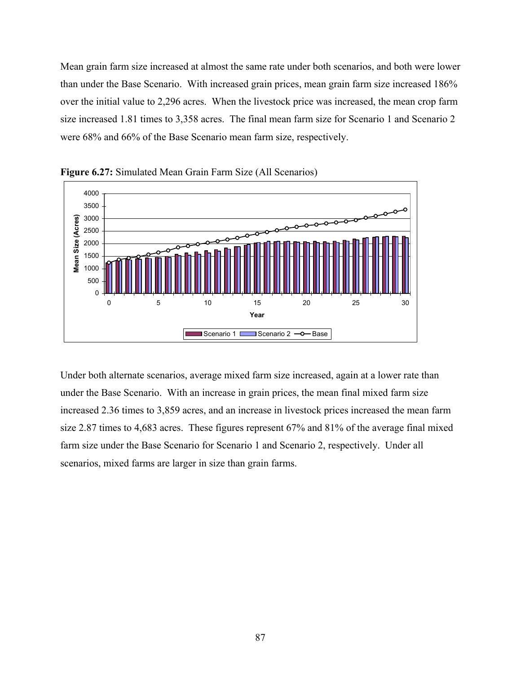Mean grain farm size increased at almost the same rate under both scenarios, and both were lower than under the Base Scenario. With increased grain prices, mean grain farm size increased 186% over the initial value to 2,296 acres. When the livestock price was increased, the mean crop farm size increased 1.81 times to 3,358 acres. The final mean farm size for Scenario 1 and Scenario 2 were 68% and 66% of the Base Scenario mean farm size, respectively.



**Figure 6.27:** Simulated Mean Grain Farm Size (All Scenarios)

Under both alternate scenarios, average mixed farm size increased, again at a lower rate than under the Base Scenario. With an increase in grain prices, the mean final mixed farm size increased 2.36 times to 3,859 acres, and an increase in livestock prices increased the mean farm size 2.87 times to 4,683 acres. These figures represent 67% and 81% of the average final mixed farm size under the Base Scenario for Scenario 1 and Scenario 2, respectively. Under all scenarios, mixed farms are larger in size than grain farms.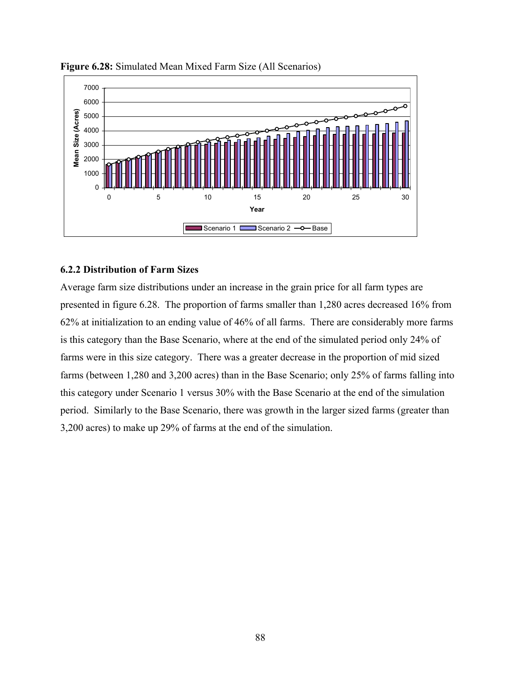

**Figure 6.28:** Simulated Mean Mixed Farm Size (All Scenarios)

# **6.2.2 Distribution of Farm Sizes**

Average farm size distributions under an increase in the grain price for all farm types are presented in figure 6.28. The proportion of farms smaller than 1,280 acres decreased 16% from 62% at initialization to an ending value of 46% of all farms. There are considerably more farms is this category than the Base Scenario, where at the end of the simulated period only 24% of farms were in this size category. There was a greater decrease in the proportion of mid sized farms (between 1,280 and 3,200 acres) than in the Base Scenario; only 25% of farms falling into this category under Scenario 1 versus 30% with the Base Scenario at the end of the simulation period. Similarly to the Base Scenario, there was growth in the larger sized farms (greater than 3,200 acres) to make up 29% of farms at the end of the simulation.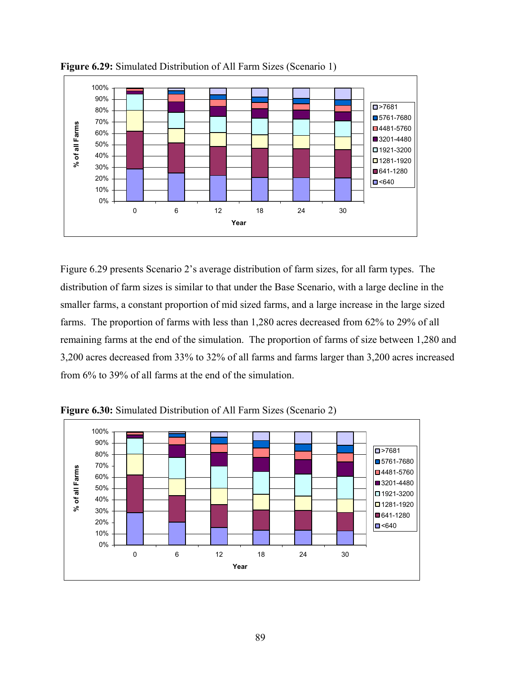

**Figure 6.29:** Simulated Distribution of All Farm Sizes (Scenario 1)

Figure 6.29 presents Scenario 2's average distribution of farm sizes, for all farm types. The distribution of farm sizes is similar to that under the Base Scenario, with a large decline in the smaller farms, a constant proportion of mid sized farms, and a large increase in the large sized farms. The proportion of farms with less than 1,280 acres decreased from 62% to 29% of all remaining farms at the end of the simulation. The proportion of farms of size between 1,280 and 3,200 acres decreased from 33% to 32% of all farms and farms larger than 3,200 acres increased from 6% to 39% of all farms at the end of the simulation.



**Figure 6.30:** Simulated Distribution of All Farm Sizes (Scenario 2)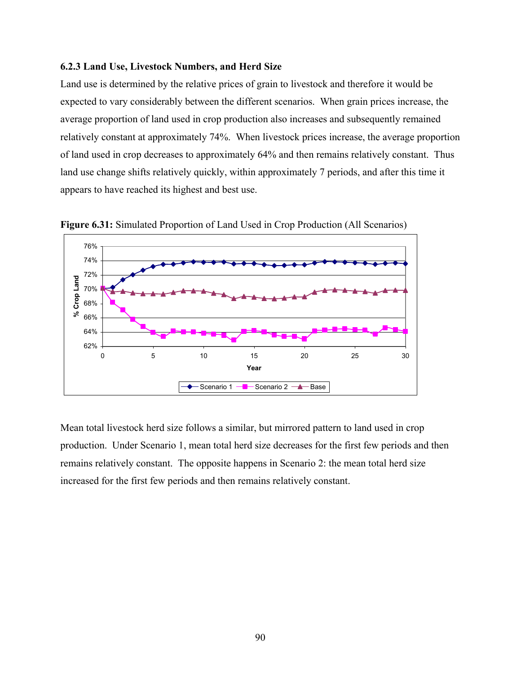#### **6.2.3 Land Use, Livestock Numbers, and Herd Size**

Land use is determined by the relative prices of grain to livestock and therefore it would be expected to vary considerably between the different scenarios. When grain prices increase, the average proportion of land used in crop production also increases and subsequently remained relatively constant at approximately 74%. When livestock prices increase, the average proportion of land used in crop decreases to approximately 64% and then remains relatively constant. Thus land use change shifts relatively quickly, within approximately 7 periods, and after this time it appears to have reached its highest and best use.



**Figure 6.31:** Simulated Proportion of Land Used in Crop Production (All Scenarios)

Mean total livestock herd size follows a similar, but mirrored pattern to land used in crop production. Under Scenario 1, mean total herd size decreases for the first few periods and then remains relatively constant. The opposite happens in Scenario 2: the mean total herd size increased for the first few periods and then remains relatively constant.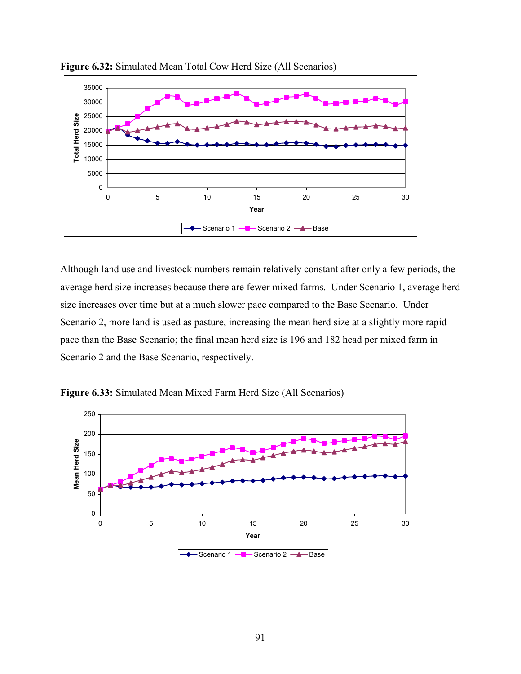

**Figure 6.32:** Simulated Mean Total Cow Herd Size (All Scenarios)

Although land use and livestock numbers remain relatively constant after only a few periods, the average herd size increases because there are fewer mixed farms. Under Scenario 1, average herd size increases over time but at a much slower pace compared to the Base Scenario. Under Scenario 2, more land is used as pasture, increasing the mean herd size at a slightly more rapid pace than the Base Scenario; the final mean herd size is 196 and 182 head per mixed farm in Scenario 2 and the Base Scenario, respectively.



**Figure 6.33:** Simulated Mean Mixed Farm Herd Size (All Scenarios)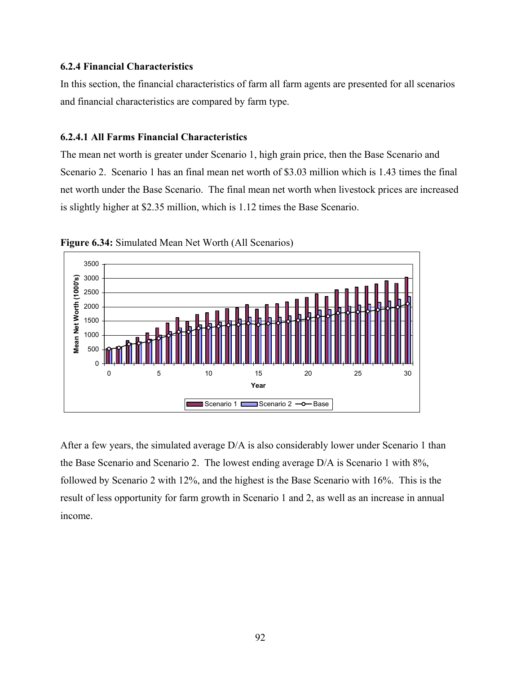### **6.2.4 Financial Characteristics**

In this section, the financial characteristics of farm all farm agents are presented for all scenarios and financial characteristics are compared by farm type.

## **6.2.4.1 All Farms Financial Characteristics**

The mean net worth is greater under Scenario 1, high grain price, then the Base Scenario and Scenario 2. Scenario 1 has an final mean net worth of \$3.03 million which is 1.43 times the final net worth under the Base Scenario. The final mean net worth when livestock prices are increased is slightly higher at \$2.35 million, which is 1.12 times the Base Scenario.



Figure 6.34: Simulated Mean Net Worth (All Scenarios)

After a few years, the simulated average D/A is also considerably lower under Scenario 1 than the Base Scenario and Scenario 2. The lowest ending average D/A is Scenario 1 with 8%, followed by Scenario 2 with 12%, and the highest is the Base Scenario with 16%. This is the result of less opportunity for farm growth in Scenario 1 and 2, as well as an increase in annual income.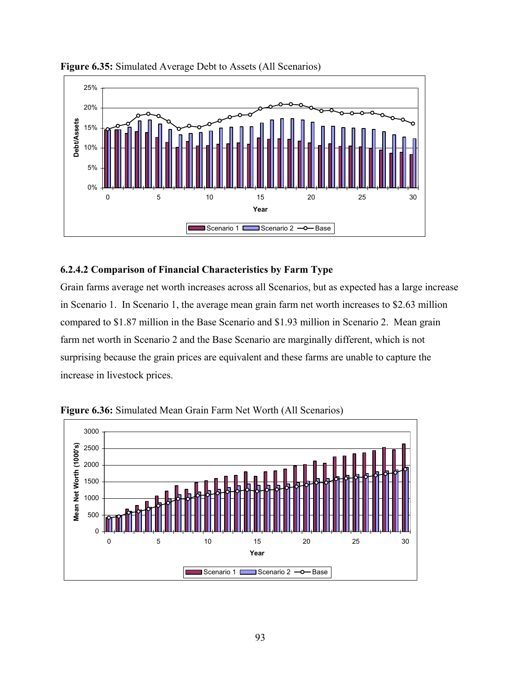

**Figure 6.35:** Simulated Average Debt to Assets (All Scenarios)

# **6.2.4.2 Comparison of Financial Characteristics by Farm Type**

Grain farms average net worth increases across all Scenarios, but as expected has a large increase in Scenario 1. In Scenario 1, the average mean grain farm net worth increases to \$2.63 million compared to \$1.87 million in the Base Scenario and \$1.93 million in Scenario 2. Mean grain farm net worth in Scenario 2 and the Base Scenario are marginally different, which is not surprising because the grain prices are equivalent and these farms are unable to capture the increase in livestock prices.



**Figure 6.36:** Simulated Mean Grain Farm Net Worth (All Scenarios)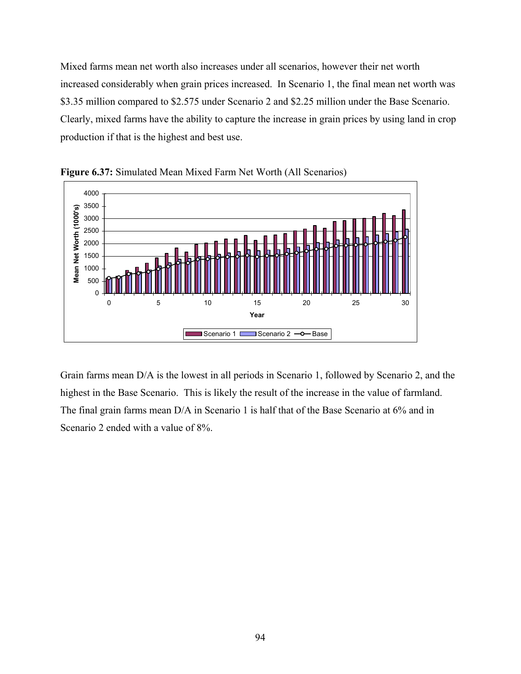Mixed farms mean net worth also increases under all scenarios, however their net worth increased considerably when grain prices increased. In Scenario 1, the final mean net worth was \$3.35 million compared to \$2.575 under Scenario 2 and \$2.25 million under the Base Scenario. Clearly, mixed farms have the ability to capture the increase in grain prices by using land in crop production if that is the highest and best use.



**Figure 6.37:** Simulated Mean Mixed Farm Net Worth (All Scenarios)

Grain farms mean D/A is the lowest in all periods in Scenario 1, followed by Scenario 2, and the highest in the Base Scenario. This is likely the result of the increase in the value of farmland. The final grain farms mean D/A in Scenario 1 is half that of the Base Scenario at 6% and in Scenario 2 ended with a value of  $8\%$ .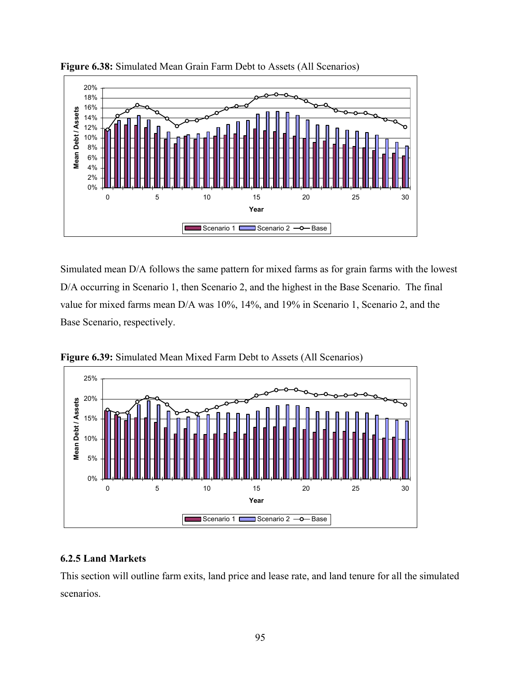

**Figure 6.38:** Simulated Mean Grain Farm Debt to Assets (All Scenarios)

Simulated mean D/A follows the same pattern for mixed farms as for grain farms with the lowest D/A occurring in Scenario 1, then Scenario 2, and the highest in the Base Scenario. The final value for mixed farms mean D/A was 10%, 14%, and 19% in Scenario 1, Scenario 2, and the Base Scenario, respectively.



**Figure 6.39:** Simulated Mean Mixed Farm Debt to Assets (All Scenarios)

# **6.2.5 Land Markets**

This section will outline farm exits, land price and lease rate, and land tenure for all the simulated scenarios.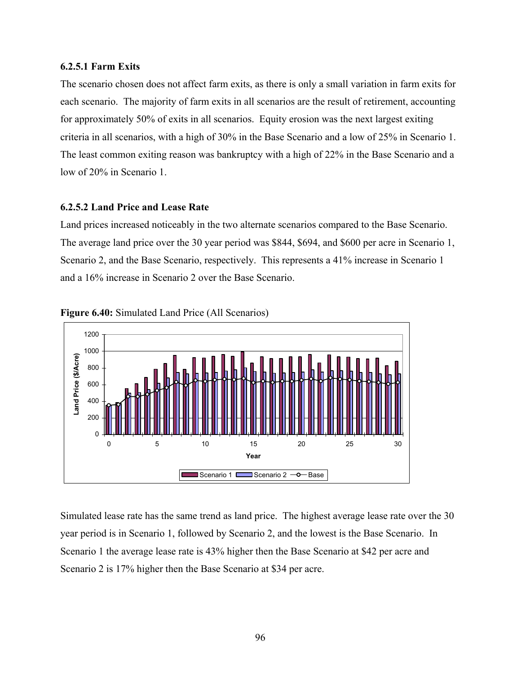#### **6.2.5.1 Farm Exits**

The scenario chosen does not affect farm exits, as there is only a small variation in farm exits for each scenario. The majority of farm exits in all scenarios are the result of retirement, accounting for approximately 50% of exits in all scenarios. Equity erosion was the next largest exiting criteria in all scenarios, with a high of 30% in the Base Scenario and a low of 25% in Scenario 1. The least common exiting reason was bankruptcy with a high of 22% in the Base Scenario and a low of 20% in Scenario 1.

### **6.2.5.2 Land Price and Lease Rate**

Land prices increased noticeably in the two alternate scenarios compared to the Base Scenario. The average land price over the 30 year period was \$844, \$694, and \$600 per acre in Scenario 1, Scenario 2, and the Base Scenario, respectively. This represents a 41% increase in Scenario 1 and a 16% increase in Scenario 2 over the Base Scenario.





Simulated lease rate has the same trend as land price. The highest average lease rate over the 30 year period is in Scenario 1, followed by Scenario 2, and the lowest is the Base Scenario. In Scenario 1 the average lease rate is 43% higher then the Base Scenario at \$42 per acre and Scenario 2 is 17% higher then the Base Scenario at \$34 per acre.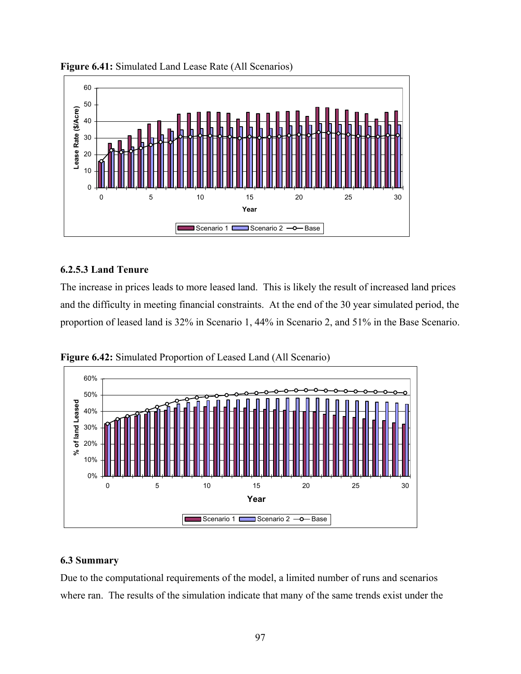

**Figure 6.41:** Simulated Land Lease Rate (All Scenarios)

# **6.2.5.3 Land Tenure**

The increase in prices leads to more leased land. This is likely the result of increased land prices and the difficulty in meeting financial constraints. At the end of the 30 year simulated period, the proportion of leased land is 32% in Scenario 1, 44% in Scenario 2, and 51% in the Base Scenario.



**Figure 6.42:** Simulated Proportion of Leased Land (All Scenario)

## **6.3 Summary**

Due to the computational requirements of the model, a limited number of runs and scenarios where ran. The results of the simulation indicate that many of the same trends exist under the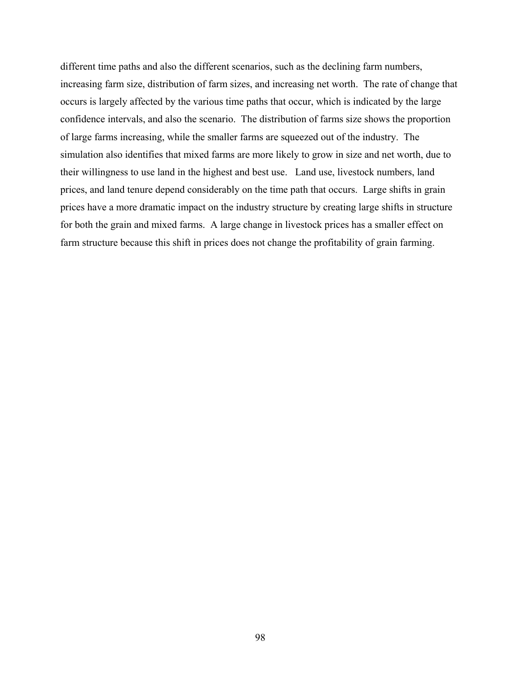different time paths and also the different scenarios, such as the declining farm numbers, increasing farm size, distribution of farm sizes, and increasing net worth. The rate of change that occurs is largely affected by the various time paths that occur, which is indicated by the large confidence intervals, and also the scenario. The distribution of farms size shows the proportion of large farms increasing, while the smaller farms are squeezed out of the industry. The simulation also identifies that mixed farms are more likely to grow in size and net worth, due to their willingness to use land in the highest and best use. Land use, livestock numbers, land prices, and land tenure depend considerably on the time path that occurs. Large shifts in grain prices have a more dramatic impact on the industry structure by creating large shifts in structure for both the grain and mixed farms. A large change in livestock prices has a smaller effect on farm structure because this shift in prices does not change the profitability of grain farming.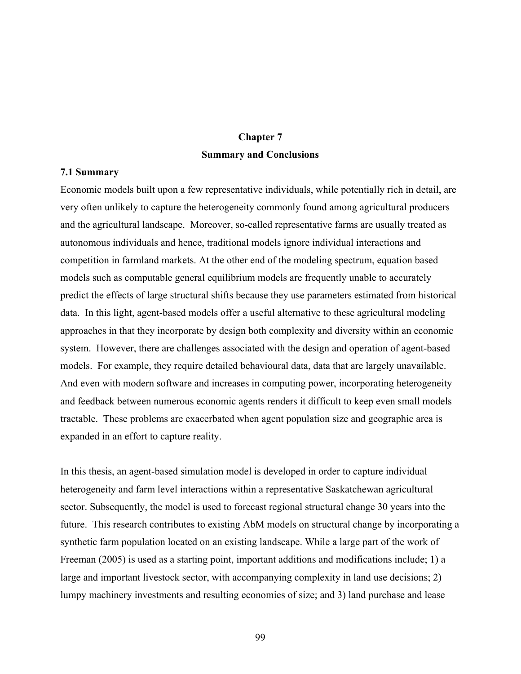# **Chapter 7 Summary and Conclusions**

# **7.1 Summary**

Economic models built upon a few representative individuals, while potentially rich in detail, are very often unlikely to capture the heterogeneity commonly found among agricultural producers and the agricultural landscape. Moreover, so-called representative farms are usually treated as autonomous individuals and hence, traditional models ignore individual interactions and competition in farmland markets. At the other end of the modeling spectrum, equation based models such as computable general equilibrium models are frequently unable to accurately predict the effects of large structural shifts because they use parameters estimated from historical data. In this light, agent-based models offer a useful alternative to these agricultural modeling approaches in that they incorporate by design both complexity and diversity within an economic system. However, there are challenges associated with the design and operation of agent-based models. For example, they require detailed behavioural data, data that are largely unavailable. And even with modern software and increases in computing power, incorporating heterogeneity and feedback between numerous economic agents renders it difficult to keep even small models tractable. These problems are exacerbated when agent population size and geographic area is expanded in an effort to capture reality.

In this thesis, an agent-based simulation model is developed in order to capture individual heterogeneity and farm level interactions within a representative Saskatchewan agricultural sector. Subsequently, the model is used to forecast regional structural change 30 years into the future. This research contributes to existing AbM models on structural change by incorporating a synthetic farm population located on an existing landscape. While a large part of the work of Freeman (2005) is used as a starting point, important additions and modifications include; 1) a large and important livestock sector, with accompanying complexity in land use decisions; 2) lumpy machinery investments and resulting economies of size; and 3) land purchase and lease

99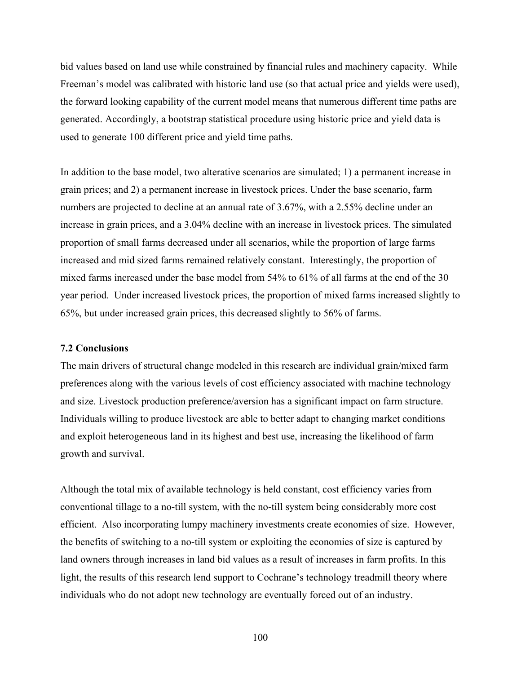bid values based on land use while constrained by financial rules and machinery capacity. While Freeman's model was calibrated with historic land use (so that actual price and yields were used), the forward looking capability of the current model means that numerous different time paths are generated. Accordingly, a bootstrap statistical procedure using historic price and yield data is used to generate 100 different price and yield time paths.

In addition to the base model, two alterative scenarios are simulated; 1) a permanent increase in grain prices; and 2) a permanent increase in livestock prices. Under the base scenario, farm numbers are projected to decline at an annual rate of 3.67%, with a 2.55% decline under an increase in grain prices, and a 3.04% decline with an increase in livestock prices. The simulated proportion of small farms decreased under all scenarios, while the proportion of large farms increased and mid sized farms remained relatively constant. Interestingly, the proportion of mixed farms increased under the base model from 54% to 61% of all farms at the end of the 30 year period. Under increased livestock prices, the proportion of mixed farms increased slightly to 65%, but under increased grain prices, this decreased slightly to 56% of farms.

# **7.2 Conclusions**

The main drivers of structural change modeled in this research are individual grain/mixed farm preferences along with the various levels of cost efficiency associated with machine technology and size. Livestock production preference/aversion has a significant impact on farm structure. Individuals willing to produce livestock are able to better adapt to changing market conditions and exploit heterogeneous land in its highest and best use, increasing the likelihood of farm growth and survival.

Although the total mix of available technology is held constant, cost efficiency varies from conventional tillage to a no-till system, with the no-till system being considerably more cost efficient. Also incorporating lumpy machinery investments create economies of size. However, the benefits of switching to a no-till system or exploiting the economies of size is captured by land owners through increases in land bid values as a result of increases in farm profits. In this light, the results of this research lend support to Cochrane's technology treadmill theory where individuals who do not adopt new technology are eventually forced out of an industry.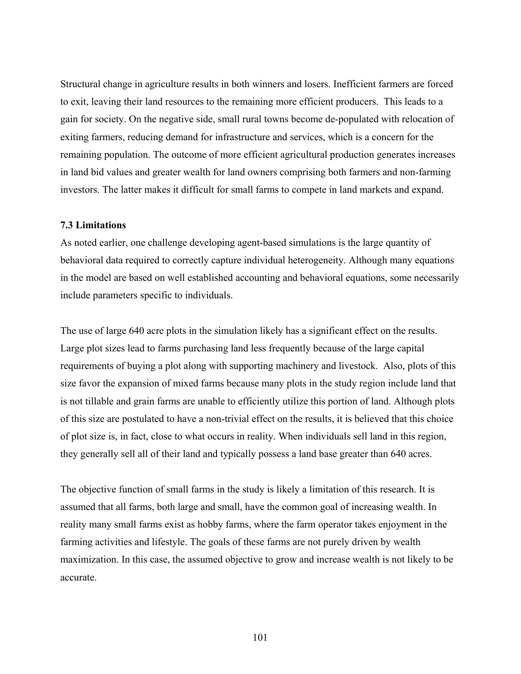Structural change in agriculture results in both winners and losers. Inefficient farmers are forced to exit, leaving their land resources to the remaining more efficient producers. This leads to a gain for society. On the negative side, small rural towns become de-populated with relocation of exiting farmers, reducing demand for infrastructure and services, which is a concern for the remaining population. The outcome of more efficient agricultural production generates increases in land bid values and greater wealth for land owners comprising both farmers and non-farming investors. The latter makes it difficult for small farms to compete in land markets and expand.

# **7.3 Limitations**

As noted earlier, one challenge developing agent-based simulations is the large quantity of behavioral data required to correctly capture individual heterogeneity. Although many equations in the model are based on well established accounting and behavioral equations, some necessarily include parameters specific to individuals.

The use of large 640 acre plots in the simulation likely has a significant effect on the results. Large plot sizes lead to farms purchasing land less frequently because of the large capital requirements of buying a plot along with supporting machinery and livestock. Also, plots of this size favor the expansion of mixed farms because many plots in the study region include land that is not tillable and grain farms are unable to efficiently utilize this portion of land. Although plots of this size are postulated to have a non-trivial effect on the results, it is believed that this choice of plot size is, in fact, close to what occurs in reality. When individuals sell land in this region, they generally sell all of their land and typically possess a land base greater than 640 acres.

The objective function of small farms in the study is likely a limitation of this research. It is assumed that all farms, both large and small, have the common goal of increasing wealth. In reality many small farms exist as hobby farms, where the farm operator takes enjoyment in the farming activities and lifestyle. The goals of these farms are not purely driven by wealth maximization. In this case, the assumed objective to grow and increase wealth is not likely to be accurate.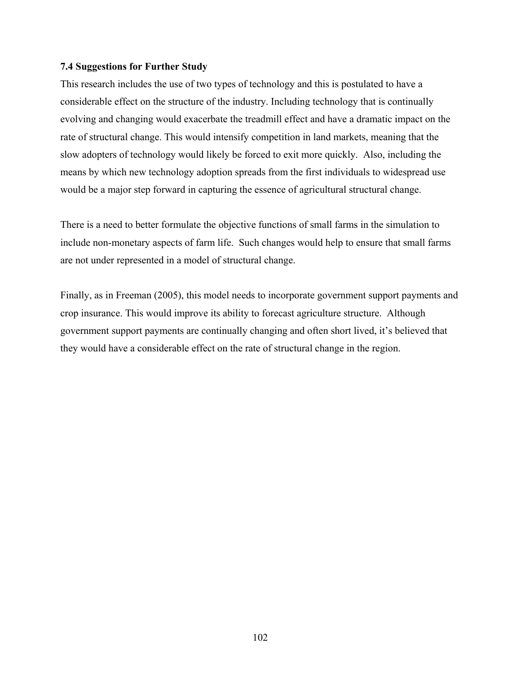# **7.4 Suggestions for Further Study**

This research includes the use of two types of technology and this is postulated to have a considerable effect on the structure of the industry. Including technology that is continually evolving and changing would exacerbate the treadmill effect and have a dramatic impact on the rate of structural change. This would intensify competition in land markets, meaning that the slow adopters of technology would likely be forced to exit more quickly. Also, including the means by which new technology adoption spreads from the first individuals to widespread use would be a major step forward in capturing the essence of agricultural structural change.

There is a need to better formulate the objective functions of small farms in the simulation to include non-monetary aspects of farm life. Such changes would help to ensure that small farms are not under represented in a model of structural change.

Finally, as in Freeman (2005), this model needs to incorporate government support payments and crop insurance. This would improve its ability to forecast agriculture structure. Although government support payments are continually changing and often short lived, it's believed that they would have a considerable effect on the rate of structural change in the region.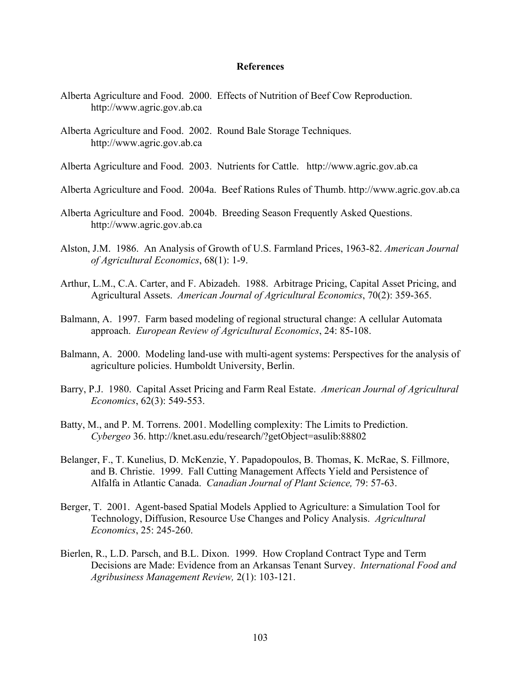### **References**

- Alberta Agriculture and Food. 2000. Effects of Nutrition of Beef Cow Reproduction. http://www.agric.gov.ab.ca
- Alberta Agriculture and Food. 2002. Round Bale Storage Techniques. http://www.agric.gov.ab.ca
- Alberta Agriculture and Food. 2003. Nutrients for Cattle. [http://www.agric.gov.ab.ca](http://www1.agric.gov.ab.ca/$department/deptdocs.nsf/all/agdex647)
- Alberta Agriculture and Food. 2004a. Beef Rations Rules of Thumb. [http://www.agric.gov.ab.ca](http://www1.agric.gov.ab.ca/$department/deptdocs.nsf/all/agdex9146)
- Alberta Agriculture and Food. 2004b. Breeding Season Frequently Asked Questions. http://www.agric.gov.ab.ca
- Alston, J.M. 1986. An Analysis of Growth of U.S. Farmland Prices, 1963-82. *American Journal of Agricultural Economics*, 68(1): 1-9.
- Arthur, L.M., C.A. Carter, and F. Abizadeh. 1988. Arbitrage Pricing, Capital Asset Pricing, and Agricultural Assets. *American Journal of Agricultural Economics*, 70(2): 359-365.
- Balmann, A. 1997. Farm based modeling of regional structural change: A cellular Automata approach. *European Review of Agricultural Economics*, 24: 85-108.
- Balmann, A. 2000. Modeling land-use with multi-agent systems: Perspectives for the analysis of agriculture policies. Humboldt University, Berlin.
- Barry, P.J. 1980. Capital Asset Pricing and Farm Real Estate. *American Journal of Agricultural Economics*, 62(3): 549-553.
- Batty, M., and P. M. Torrens. 2001. Modelling complexity: The Limits to Prediction. *Cybergeo* 36. <http://knet.asu.edu/research/?getObject=asulib:88802>
- Belanger, F., T. Kunelius, D. McKenzie, Y. Papadopoulos, B. Thomas, K. McRae, S. Fillmore, and B. Christie. 1999. Fall Cutting Management Affects Yield and Persistence of Alfalfa in Atlantic Canada. *Canadian Journal of Plant Science,* 79: 57-63.
- Berger, T. 2001. Agent-based Spatial Models Applied to Agriculture: a Simulation Tool for Technology, Diffusion, Resource Use Changes and Policy Analysis. *Agricultural Economics*, 25: 245-260.
- Bierlen, R., L.D. Parsch, and B.L. Dixon. 1999. How Cropland Contract Type and Term Decisions are Made: Evidence from an Arkansas Tenant Survey. *International Food and Agribusiness Management Review,* 2(1): 103-121.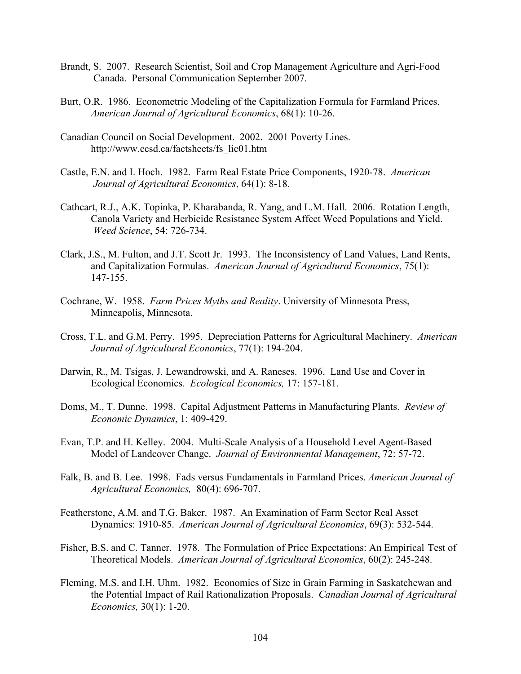- Brandt, S. 2007. Research Scientist, Soil and Crop Management Agriculture and Agri-Food Canada. Personal Communication September 2007.
- Burt, O.R. 1986. Econometric Modeling of the Capitalization Formula for Farmland Prices. *American Journal of Agricultural Economics*, 68(1): 10-26.
- Canadian Council on Social Development. 2002. 2001 Poverty Lines. http://www.ccsd.ca/factsheets/fs\_lic01.htm
- Castle, E.N. and I. Hoch. 1982. Farm Real Estate Price Components, 1920-78. *American Journal of Agricultural Economics*, 64(1): 8-18.
- Cathcart, R.J., A.K. Topinka, P. Kharabanda, R. Yang, and L.M. Hall. 2006. Rotation Length, Canola Variety and Herbicide Resistance System Affect Weed Populations and Yield. *Weed Science*, 54: 726-734.
- Clark, J.S., M. Fulton, and J.T. Scott Jr. 1993. The Inconsistency of Land Values, Land Rents, and Capitalization Formulas. *American Journal of Agricultural Economics*, 75(1): 147-155.
- Cochrane, W. 1958. *Farm Prices Myths and Reality*. University of Minnesota Press, Minneapolis, Minnesota.
- Cross, T.L. and G.M. Perry. 1995. Depreciation Patterns for Agricultural Machinery. *American Journal of Agricultural Economics*, 77(1): 194-204.
- Darwin, R., M. Tsigas, J. Lewandrowski, and A. Raneses. 1996. Land Use and Cover in Ecological Economics. *Ecological Economics,* 17: 157-181.
- Doms, M., T. Dunne. 1998. Capital Adjustment Patterns in Manufacturing Plants. *Review of Economic Dynamics*, 1: 409-429.
- Evan, T.P. and H. Kelley. 2004. Multi-Scale Analysis of a Household Level Agent-Based Model of Landcover Change. *Journal of Environmental Management*, 72: 57-72.
- Falk, B. and B. Lee. 1998. Fads versus Fundamentals in Farmland Prices. *American Journal of Agricultural Economics,* 80(4): 696-707.
- Featherstone, A.M. and T.G. Baker. 1987. An Examination of Farm Sector Real Asset Dynamics: 1910-85. *American Journal of Agricultural Economics*, 69(3): 532-544.
- Fisher, B.S. and C. Tanner. 1978. The Formulation of Price Expectations: An Empirical Test of Theoretical Models. *American Journal of Agricultural Economics*, 60(2): 245-248.
- Fleming, M.S. and I.H. Uhm. 1982. Economies of Size in Grain Farming in Saskatchewan and the Potential Impact of Rail Rationalization Proposals. *Canadian Journal of Agricultural Economics,* 30(1): 1-20.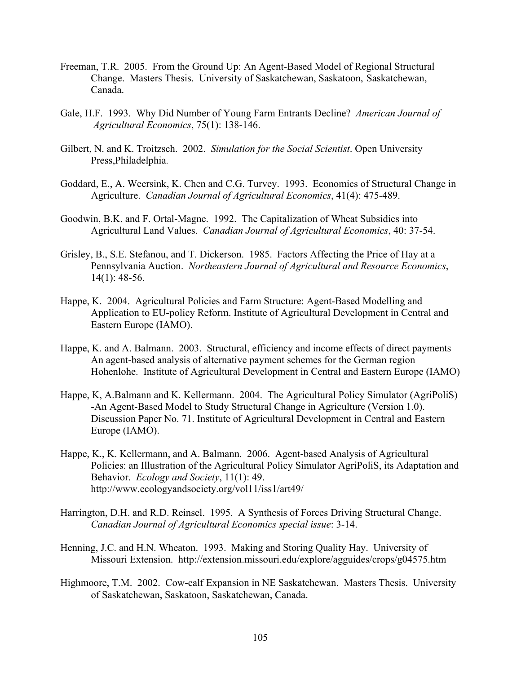- Freeman, T.R. 2005. From the Ground Up: An Agent-Based Model of Regional Structural Change. Masters Thesis. University of Saskatchewan, Saskatoon, Saskatchewan, Canada.
- Gale, H.F. 1993. Why Did Number of Young Farm Entrants Decline? *American Journal of Agricultural Economics*, 75(1): 138-146.
- Gilbert, N. and K. Troitzsch. 2002. *Simulation for the Social Scientist*. Open University Press,Philadelphia.
- Goddard, E., A. Weersink, K. Chen and C.G. Turvey. 1993. Economics of Structural Change in Agriculture. *Canadian Journal of Agricultural Economics*, 41(4): 475-489.
- Goodwin, B.K. and F. Ortal-Magne. 1992. The Capitalization of Wheat Subsidies into Agricultural Land Values. *Canadian Journal of Agricultural Economics*, 40: 37-54.
- Grisley, B., S.E. Stefanou, and T. Dickerson. 1985. Factors Affecting the Price of Hay at a Pennsylvania Auction. *Northeastern Journal of Agricultural and Resource Economics*, 14(1): 48-56.
- Happe, K. 2004. Agricultural Policies and Farm Structure: Agent-Based Modelling and Application to EU-policy Reform. Institute of Agricultural Development in Central and Eastern Europe (IAMO).
- Happe, K. and A. Balmann. 2003. Structural, efficiency and income effects of direct payments An agent-based analysis of alternative payment schemes for the German region Hohenlohe. Institute of Agricultural Development in Central and Eastern Europe (IAMO)
- Happe, K, A.Balmann and K. Kellermann. 2004. The Agricultural Policy Simulator (AgriPoliS) -An Agent-Based Model to Study Structural Change in Agriculture (Version 1.0). Discussion Paper No. 71. Institute of Agricultural Development in Central and Eastern Europe (IAMO).
- Happe, K., K. Kellermann, and A. Balmann. 2006. Agent-based Analysis of Agricultural Policies: an Illustration of the Agricultural Policy Simulator AgriPoliS, its Adaptation and Behavior. *Ecology and Society*, 11(1): 49. http://www.ecologyandsociety.org/vol11/iss1/art49/
- Harrington, D.H. and R.D. Reinsel. 1995. A Synthesis of Forces Driving Structural Change. *Canadian Journal of Agricultural Economics special issue*: 3-14.
- Henning, J.C. and H.N. Wheaton. 1993. Making and Storing Quality Hay. University of Missouri Extension. http://extension.missouri.edu/explore/agguides/crops/g04575.htm
- Highmoore, T.M. 2002. Cow-calf Expansion in NE Saskatchewan. Masters Thesis. University of Saskatchewan, Saskatoon, Saskatchewan, Canada.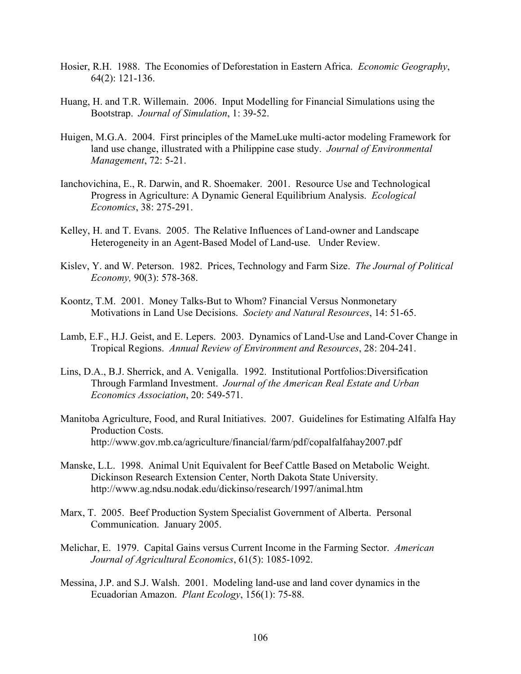- Hosier, R.H. 1988. The Economies of Deforestation in Eastern Africa. *Economic Geography*, 64(2): 121-136.
- Huang, H. and T.R. Willemain. 2006. Input Modelling for Financial Simulations using the Bootstrap. *Journal of Simulation*, 1: 39-52.
- Huigen, M.G.A. 2004. First principles of the MameLuke multi-actor modeling Framework for land use change, illustrated with a Philippine case study. *Journal of Environmental Management*, 72: 5-21.
- Ianchovichina, E., R. Darwin, and R. Shoemaker. 2001. Resource Use and Technological Progress in Agriculture: A Dynamic General Equilibrium Analysis. *Ecological Economics*, 38: 275-291.
- Kelley, H. and T. Evans. 2005. The Relative Influences of Land-owner and Landscape Heterogeneity in an Agent-Based Model of Land-use. Under Review.
- Kislev, Y. and W. Peterson. 1982. Prices, Technology and Farm Size. *The Journal of Political Economy,* 90(3): 578-368.
- Koontz, T.M. 2001. Money Talks-But to Whom? Financial Versus Nonmonetary Motivations in Land Use Decisions. *Society and Natural Resources*, 14: 51-65.
- Lamb, E.F., H.J. Geist, and E. Lepers. 2003. Dynamics of Land-Use and Land-Cover Change in Tropical Regions. *Annual Review of Environment and Resources*, 28: 204-241.
- Lins, D.A., B.J. Sherrick, and A. Venigalla. 1992. Institutional Portfolios:Diversification Through Farmland Investment. *Journal of the American Real Estate and Urban Economics Association*, 20: 549-571.
- Manitoba Agriculture, Food, and Rural Initiatives. 2007. Guidelines for Estimating Alfalfa Hay Production Costs. http://www.gov.mb.ca/agriculture/financial/farm/pdf/copalfalfahay2007.pdf
- Manske, L.L. 1998. Animal Unit Equivalent for Beef Cattle Based on Metabolic Weight. Dickinson Research Extension Center, North Dakota State University. http://www.ag.ndsu.nodak.edu/dickinso/research/1997/animal.htm
- Marx, T. 2005. Beef Production System Specialist Government of Alberta. Personal Communication. January 2005.
- Melichar, E. 1979. Capital Gains versus Current Income in the Farming Sector. *American Journal of Agricultural Economics*, 61(5): 1085-1092.
- Messina, J.P. and S.J. Walsh. 2001. Modeling land-use and land cover dynamics in the Ecuadorian Amazon. *Plant Ecology*, 156(1): 75-88.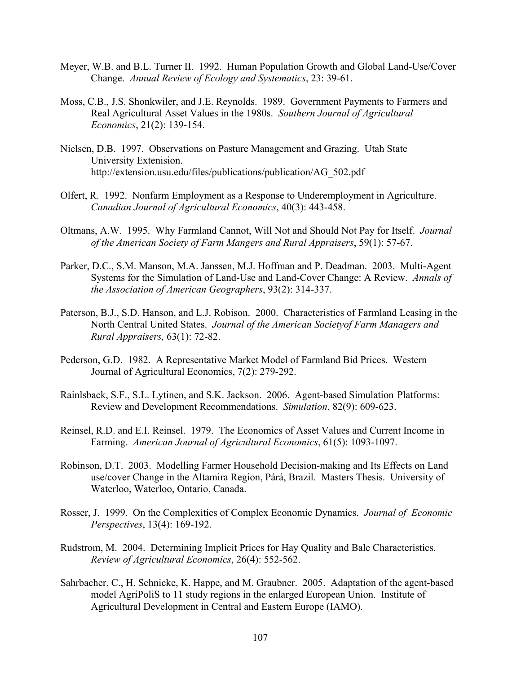- Meyer, W.B. and B.L. Turner II. 1992. Human Population Growth and Global Land-Use/Cover Change. *Annual Review of Ecology and Systematics*, 23: 39-61.
- Moss, C.B., J.S. Shonkwiler, and J.E. Reynolds. 1989. Government Payments to Farmers and Real Agricultural Asset Values in the 1980s. *Southern Journal of Agricultural Economics*, 21(2): 139-154.
- Nielsen, D.B. 1997. Observations on Pasture Management and Grazing. Utah State University Extenision. http://extension.usu.edu/files/publications/publication/AG\_502.pdf
- Olfert, R. 1992. Nonfarm Employment as a Response to Underemployment in Agriculture. *Canadian Journal of Agricultural Economics*, 40(3): 443-458.
- Oltmans, A.W. 1995. Why Farmland Cannot, Will Not and Should Not Pay for Itself. *Journal of the American Society of Farm Mangers and Rural Appraisers*, 59(1): 57-67.
- Parker, D.C., S.M. Manson, M.A. Janssen, M.J. Hoffman and P. Deadman. 2003. Multi-Agent Systems for the Simulation of Land-Use and Land-Cover Change: A Review. *Annals of the Association of American Geographers*, 93(2): 314-337.
- Paterson, B.J., S.D. Hanson, and L.J. Robison. 2000. Characteristics of Farmland Leasing in the North Central United States. *Journal of the American Societyof Farm Managers and Rural Appraisers,* 63(1): 72-82.
- Pederson, G.D. 1982. A Representative Market Model of Farmland Bid Prices. Western Journal of Agricultural Economics, 7(2): 279-292.
- Rainlsback, S.F., S.L. Lytinen, and S.K. Jackson. 2006. Agent-based Simulation Platforms: Review and Development Recommendations. *Simulation*, 82(9): 609-623.
- Reinsel, R.D. and E.I. Reinsel. 1979. The Economics of Asset Values and Current Income in Farming. *American Journal of Agricultural Economics*, 61(5): 1093-1097.
- Robinson, D.T. 2003. Modelling Farmer Household Decision-making and Its Effects on Land use/cover Change in the Altamira Region, Párá, Brazil. Masters Thesis. University of Waterloo, Waterloo, Ontario, Canada.
- Rosser, J. 1999. On the Complexities of Complex Economic Dynamics. *Journal of Economic Perspectives*, 13(4): 169-192.
- Rudstrom, M. 2004. Determining Implicit Prices for Hay Quality and Bale Characteristics. *Review of Agricultural Economics*, 26(4): 552-562.
- Sahrbacher, C., H. Schnicke, K. Happe, and M. Graubner. 2005. Adaptation of the agent-based model AgriPoliS to 11 study regions in the enlarged European Union. Institute of Agricultural Development in Central and Eastern Europe (IAMO).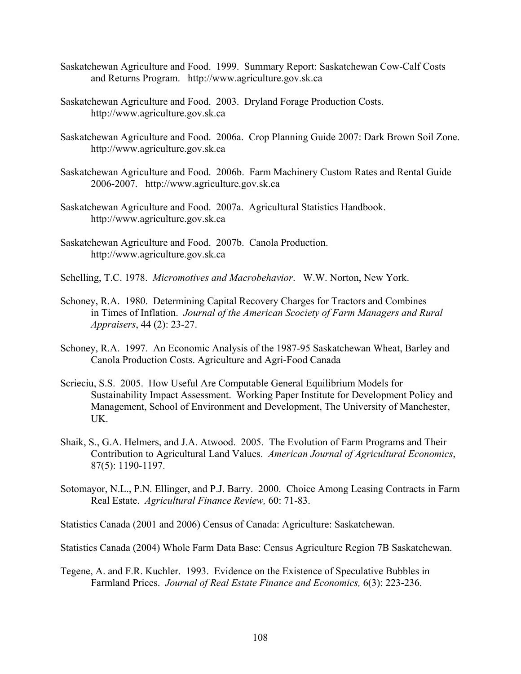- Saskatchewan Agriculture and Food. 1999. Summary Report: Saskatchewan Cow-Calf Costs and Returns Program. http://www.agriculture.gov.sk.ca
- Saskatchewan Agriculture and Food. 2003. Dryland Forage Production Costs. http://www.agriculture.gov.sk.ca
- Saskatchewan Agriculture and Food. 2006a. Crop Planning Guide 2007: Dark Brown Soil Zone. http://www.agriculture.gov.sk.ca
- Saskatchewan Agriculture and Food. 2006b. Farm Machinery Custom Rates and Rental Guide 2006-2007. http://www.agriculture.gov.sk.ca
- Saskatchewan Agriculture and Food. 2007a. Agricultural Statistics Handbook. http://www.agriculture.gov.sk.ca
- Saskatchewan Agriculture and Food. 2007b. Canola Production. http://www.agriculture.gov.sk.ca
- Schelling, T.C. 1978. *Micromotives and Macrobehavior*. W.W. Norton, New York.
- Schoney, R.A. 1980. Determining Capital Recovery Charges for Tractors and Combines in Times of Inflation. *Journal of the American Scociety of Farm Managers and Rural Appraisers*, 44 (2): 23-27.
- Schoney, R.A. 1997. An Economic Analysis of the 1987-95 Saskatchewan Wheat, Barley and Canola Production Costs. Agriculture and Agri-Food Canada
- Scrieciu, S.S. 2005. How Useful Are Computable General Equilibrium Models for Sustainability Impact Assessment. Working Paper Institute for Development Policy and Management, School of Environment and Development, The University of Manchester, UK.
- Shaik, S., G.A. Helmers, and J.A. Atwood. 2005. The Evolution of Farm Programs and Their Contribution to Agricultural Land Values. *American Journal of Agricultural Economics*, 87(5): 1190-1197.
- Sotomayor, N.L., P.N. Ellinger, and P.J. Barry. 2000. Choice Among Leasing Contracts in Farm Real Estate. *Agricultural Finance Review,* 60: 71-83.

Statistics Canada (2001 and 2006) Census of Canada: Agriculture: Saskatchewan.

Statistics Canada (2004) Whole Farm Data Base: Census Agriculture Region 7B Saskatchewan.

Tegene, A. and F.R. Kuchler. 1993. Evidence on the Existence of Speculative Bubbles in Farmland Prices. *Journal of Real Estate Finance and Economics,* 6(3): 223-236.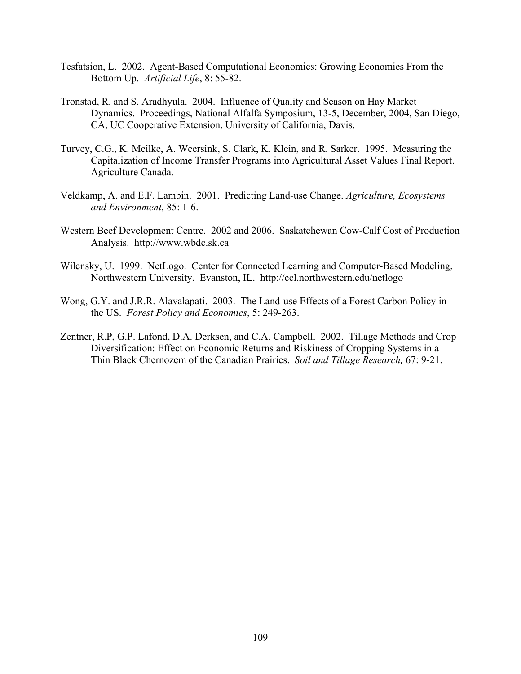- Tesfatsion, L. 2002. Agent-Based Computational Economics: Growing Economies From the Bottom Up. *Artificial Life*, 8: 55-82.
- Tronstad, R. and S. Aradhyula. 2004. Influence of Quality and Season on Hay Market Dynamics. Proceedings, National Alfalfa Symposium, 13-5, December, 2004, San Diego, CA, UC Cooperative Extension, University of California, Davis.
- Turvey, C.G., K. Meilke, A. Weersink, S. Clark, K. Klein, and R. Sarker. 1995. Measuring the Capitalization of Income Transfer Programs into Agricultural Asset Values Final Report. Agriculture Canada.
- Veldkamp, A. and E.F. Lambin. 2001. Predicting Land-use Change. *Agriculture, Ecosystems and Environment*, 85: 1-6.
- Western Beef Development Centre. 2002 and 2006. Saskatchewan Cow-Calf Cost of Production Analysis. http://www.wbdc.sk.ca
- Wilensky, U. 1999. NetLogo. Center for Connected Learning and Computer-Based Modeling, Northwestern University. Evanston, IL. http://ccl.northwestern.edu/netlogo
- Wong, G.Y. and J.R.R. Alavalapati. 2003. The Land-use Effects of a Forest Carbon Policy in the US. *Forest Policy and Economics*, 5: 249-263.
- Zentner, R.P, G.P. Lafond, D.A. Derksen, and C.A. Campbell. 2002. Tillage Methods and Crop Diversification: Effect on Economic Returns and Riskiness of Cropping Systems in a Thin Black Chernozem of the Canadian Prairies. *Soil and Tillage Research,* 67: 9-21.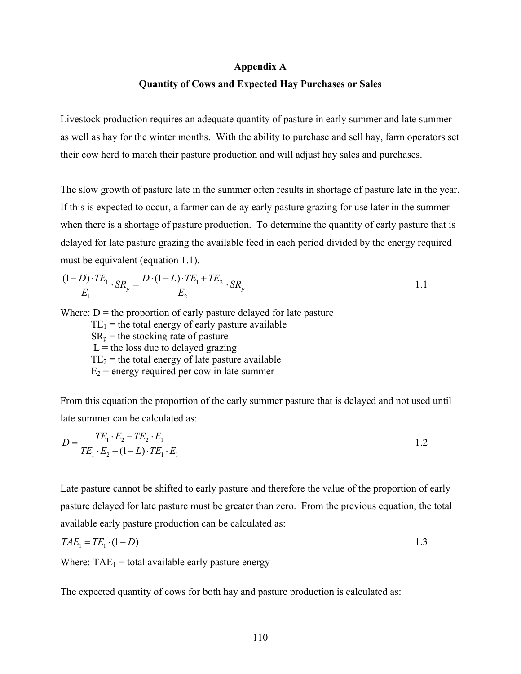### **Appendix A**

# **Quantity of Cows and Expected Hay Purchases or Sales**

Livestock production requires an adequate quantity of pasture in early summer and late summer as well as hay for the winter months. With the ability to purchase and sell hay, farm operators set their cow herd to match their pasture production and will adjust hay sales and purchases.

The slow growth of pasture late in the summer often results in shortage of pasture late in the year. If this is expected to occur, a farmer can delay early pasture grazing for use later in the summer when there is a shortage of pasture production. To determine the quantity of early pasture that is delayed for late pasture grazing the available feed in each period divided by the energy required must be equivalent (equation [1.1\)](#page-120-0).

<span id="page-120-0"></span>
$$
\frac{(1-D)\cdot TE_1}{E_1} \cdot SR_p = \frac{D\cdot (1-L)\cdot TE_1 + TE_2}{E_2} \cdot SR_p \tag{1.1}
$$

Where:  $D =$  the proportion of early pasture delayed for late pasture  $TE_1$  = the total energy of early pasture available  $SR_p$  = the stocking rate of pasture  $L =$  the loss due to delayed grazing  $TE_2$  = the total energy of late pasture available  $E_2$  = energy required per cow in late summer

From this equation the proportion of the early summer pasture that is delayed and not used until late summer can be calculated as:

$$
D = \frac{TE_1 \cdot E_2 - TE_2 \cdot E_1}{TE_1 \cdot E_2 + (1 - L) \cdot TE_1 \cdot E_1} \tag{1.2}
$$

Late pasture cannot be shifted to early pasture and therefore the value of the proportion of early pasture delayed for late pasture must be greater than zero. From the previous equation, the total available early pasture production can be calculated as:

$$
TAE_1 = TE_1 \cdot (1 - D) \tag{1.3}
$$

Where:  $TAE_1$  = total available early pasture energy

The expected quantity of cows for both hay and pasture production is calculated as: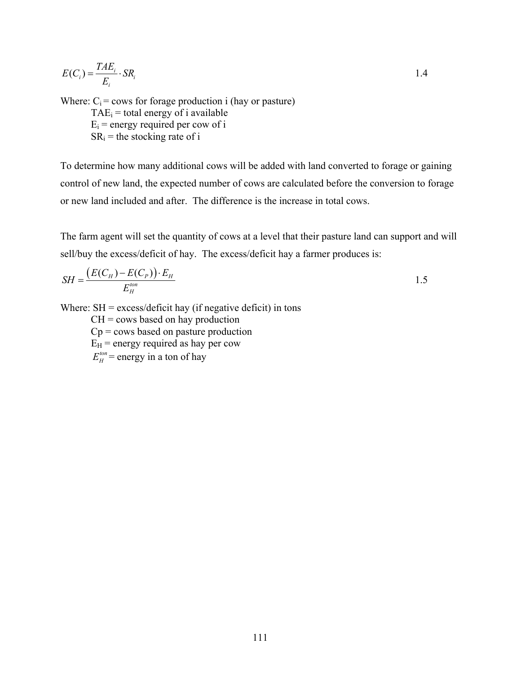$$
E(C_i) = \frac{TAE_i}{E_i} \cdot SR_i
$$

Where:  $C_i$  = cows for forage production i (hay or pasture)  $TAE_i$  = total energy of i available  $E_i$  = energy required per cow of i  $SR_i$  = the stocking rate of i

To determine how many additional cows will be added with land converted to forage or gaining control of new land, the expected number of cows are calculated before the conversion to forage or new land included and after. The difference is the increase in total cows.

The farm agent will set the quantity of cows at a level that their pasture land can support and will sell/buy the excess/deficit of hay. The excess/deficit hay a farmer produces is:

$$
SH = \frac{\left(E(C_H) - E(C_P)\right) \cdot E_H}{E_H^{ton}}
$$

Where:  $SH =$  excess/deficit hay (if negative deficit) in tons  $CH = \text{cows based on hay production}$  $Cp$  = cows based on pasture production  $E_H$  = energy required as hay per cow  $E_{H}^{ton}$  = energy in a ton of hay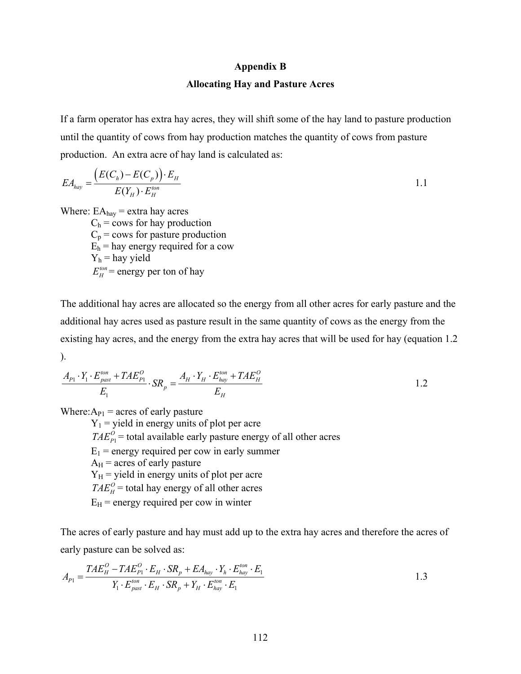## **Appendix B**

# **Allocating Hay and Pasture Acres**

If a farm operator has extra hay acres, they will shift some of the hay land to pasture production until the quantity of cows from hay production matches the quantity of cows from pasture production. An extra acre of hay land is calculated as:

$$
EA_{\text{hay}} = \frac{\left(E(C_h) - E(C_p)\right) \cdot E_H}{E(Y_H) \cdot E_H^{\text{ton}}}
$$

Where:  $EA<sub>hav</sub> = extra hay acres$ 

 $C_h$  = cows for hay production  $C_p$  = cows for pasture production  $E_h$  = hay energy required for a cow  $Y_h$  = hay yield  $E_{H}^{ton}$  = energy per ton of hay

The additional hay acres are allocated so the energy from all other acres for early pasture and the additional hay acres used as pasture result in the same quantity of cows as the energy from the existing hay acres, and the energy from the extra hay acres that will be used for hay (equation [1.2](#page-122-0) ).

<span id="page-122-0"></span>
$$
\frac{A_{P1} \cdot Y_1 \cdot E_{past}^{ton} + TAE_{P1}^O}{E_1} \cdot SR_p = \frac{A_H \cdot Y_H \cdot E_{hay}^{ton} + TAE_H^O}{E_H}
$$

Where: $A_{P1}$  = acres of early pasture

 $Y_1$  = yield in energy units of plot per acre  $TAE_{P1}^O$  = total available early pasture energy of all other acres  $E_1$  = energy required per cow in early summer  $A_H$  = acres of early pasture  $Y_H$  = yield in energy units of plot per acre  $TAE_{H}^{O}$  = total hay energy of all other acres  $E_H$  = energy required per cow in winter

The acres of early pasture and hay must add up to the extra hay acres and therefore the acres of early pasture can be solved as:

$$
A_{p_1} = \frac{TAE_H^O - TAE_{p_1}^O \cdot E_H \cdot SR_p + EA_{hay} \cdot Y_h \cdot E_{hay}^{ton} \cdot E_1}{Y_1 \cdot E_{past}^{ton} \cdot E_H \cdot SR_p + Y_H \cdot E_{hay}^{ton} \cdot E_1}
$$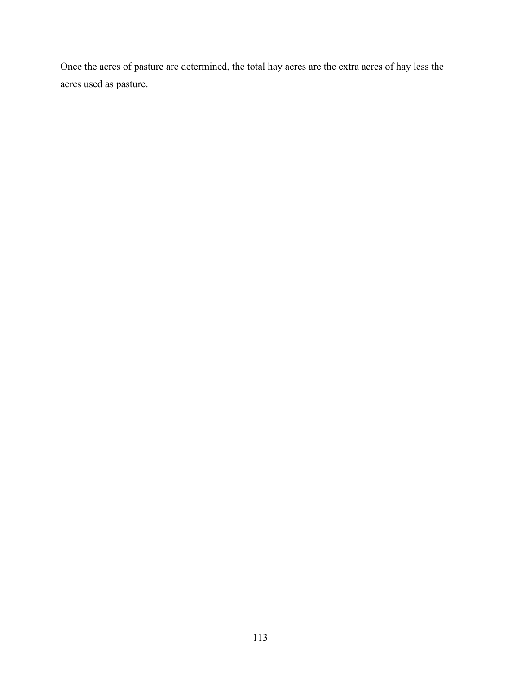Once the acres of pasture are determined, the total hay acres are the extra acres of hay less the acres used as pasture.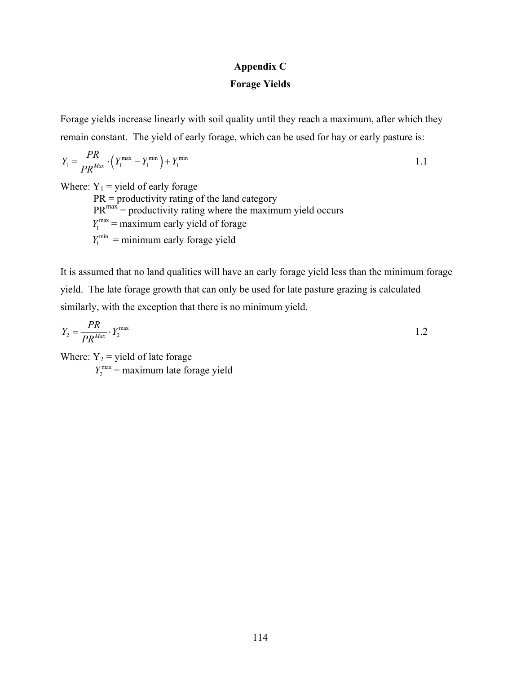# **Appendix C**

# **Forage Yields**

Forage yields increase linearly with soil quality until they reach a maximum, after which they remain constant. The yield of early forage, which can be used for hay or early pasture is:

$$
Y_1 = \frac{PR}{PR^{Max}} \cdot \left(Y_1^{\max} - Y_1^{\min}\right) + Y_1^{\min}
$$

Where:  $Y_1$  = yield of early forage  $PR = \text{productivity rating of the land category}$  $PR^{max}$  = productivity rating where the maximum yield occurs  $Y_1^{max}$  = maximum early yield of forage  $Y_1^{\text{min}}$  = minimum early forage yield

It is assumed that no land qualities will have an early forage yield less than the minimum forage yield. The late forage growth that can only be used for late pasture grazing is calculated similarly, with the exception that there is no minimum yield.

$$
Y_2 = \frac{PR}{PR^{Max}} \cdot Y_2^{\max} \tag{1.2}
$$

Where:  $Y_2$  = yield of late forage  $Y_2^{\text{max}}$  = maximum late forage yield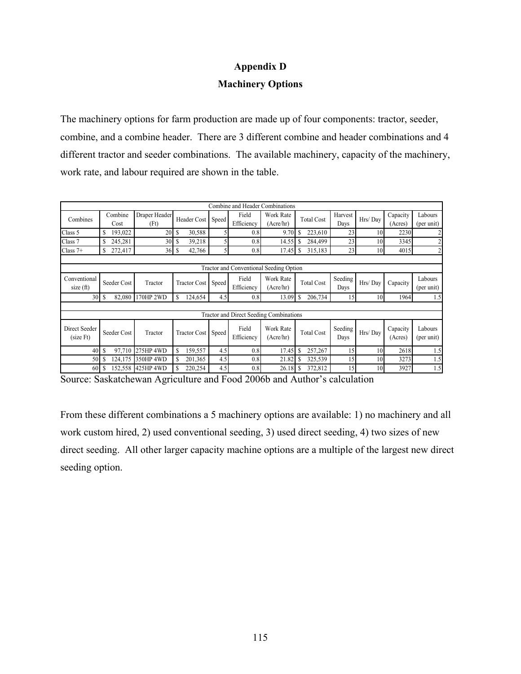# **Appendix D**

# **Machinery Options**

The machinery options for farm production are made up of four components: tractor, seeder, combine, and a combine header. There are 3 different combine and header combinations and 4 different tractor and seeder combinations. The available machinery, capacity of the machinery, work rate, and labour required are shown in the table.

| Combine and Header Combinations         |                         |                       |                     |       |                     |                                                |   |                   |                 |                 |                     |                       |
|-----------------------------------------|-------------------------|-----------------------|---------------------|-------|---------------------|------------------------------------------------|---|-------------------|-----------------|-----------------|---------------------|-----------------------|
| Combines                                | Combine<br>Cost         | Draper Header<br>(Ft) | Header Cost         | Speed | Field<br>Efficiency | Work Rate<br>(Acre/hr)                         |   | <b>Total Cost</b> | Harvest<br>Days | Hrs/Day         | Capacity<br>(Acres) | Labours<br>(per unit) |
| Class 5                                 | 193,022<br>S            | 20                    | S<br>30,588         |       | 0.8                 | 9.70                                           |   | 223,610           | 23              | 10 <sup>1</sup> | 2230                |                       |
| Class 7                                 | 245,281                 | 30                    | \$<br>39,218        | 5     | 0.8                 | 14.55                                          | S | 284,499           | 23              | 10              | 3345                |                       |
| Class $7+$                              | \$<br>272,417           | 36                    | \$<br>42,766        | 51    | 0.8                 | 17.45                                          | S | 315,183           | 23              | 10              | 4015                | $\overline{2}$        |
|                                         |                         |                       |                     |       |                     |                                                |   |                   |                 |                 |                     |                       |
| Tractor and Conventional Seeding Option |                         |                       |                     |       |                     |                                                |   |                   |                 |                 |                     |                       |
| Conventional<br>$size$ $(ft)$           | Seeder Cost             | Tractor               | <b>Tractor Cost</b> | Speed | Field<br>Efficiency | Work Rate<br>(Acre/hr)                         |   | <b>Total Cost</b> | Seeding<br>Days | Hrs/Day         | Capacity            | Labours<br>(per unit) |
| 30                                      | <sup>\$</sup><br>82,080 | 170HP 2WD             | 124,654<br>S        | 4.5   | 0.8                 | 13.09                                          | S | 206,734           | 15              | 10              | 1964                | 1.5                   |
|                                         |                         |                       |                     |       |                     |                                                |   |                   |                 |                 |                     |                       |
|                                         |                         |                       |                     |       |                     | <b>Tractor and Direct Seeding Combinations</b> |   |                   |                 |                 |                     |                       |
| Direct Seeder<br>(size Ft)              | Seeder Cost             | Tractor               | <b>Tractor Cost</b> | Speed | Field<br>Efficiency | Work Rate<br>(Acre/hr)                         |   | <b>Total Cost</b> | Seeding<br>Days | Hrs/Day         | Capacity<br>(Acres) | Labours<br>(per unit) |
| 40                                      | S<br>97,710             | 275HP 4WD             | S<br>159,557        | 4.5   | 0.8                 | 17.45                                          | S | 257,267           | 15              | 10              | 2618                | 1.5                   |
| 50                                      | 124,175<br>S            | 350HP 4WD             | 201,365             | 4.5   | 0.8                 | 21.82                                          | S | 325,539           | 15              | 10              | 3273                | 1.5                   |
| 60                                      | 152,558                 | 425HP 4WD             | 220,254             | 4.5   | 0.8                 | 26.18                                          |   | 372,812           | 15              | 10              | 3927                | 1.5                   |

Source: Saskatchewan Agriculture and Food 2006b and Author's calculation

From these different combinations a 5 machinery options are available: 1) no machinery and all work custom hired, 2) used conventional seeding, 3) used direct seeding, 4) two sizes of new direct seeding. All other larger capacity machine options are a multiple of the largest new direct seeding option.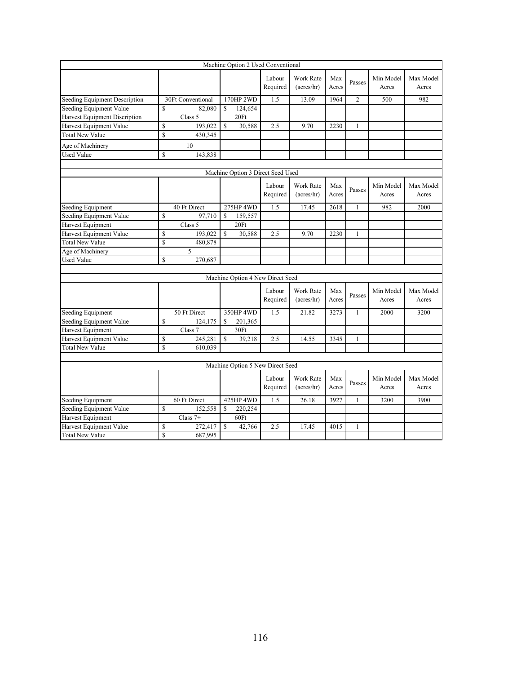|                               |               |                   |             | Machine Option 2 Used Conventional |                    |                                         |              |                |                    |                    |
|-------------------------------|---------------|-------------------|-------------|------------------------------------|--------------------|-----------------------------------------|--------------|----------------|--------------------|--------------------|
|                               |               |                   |             |                                    | Labour<br>Required | <b>Work Rate</b><br>$(\text{acres/hr})$ | Max<br>Acres | Passes         | Min Model<br>Acres | Max Model<br>Acres |
| Seeding Equipment Description |               | 30Ft Conventional |             | 170HP 2WD                          | 1.5                | 13.09                                   | 1964         | $\overline{2}$ | 500                | 982                |
| Seeding Equipment Value       | S             | 82.080            | S           | 124,654                            |                    |                                         |              |                |                    |                    |
| Harvest Equipment Discription |               | Class 5           |             | 20Ft                               |                    |                                         |              |                |                    |                    |
| Harvest Equipment Value       | \$            | 193,022           | $\mathbf S$ | 30,588                             | 2.5                | 9.70                                    | 2230         | $\mathbf{1}$   |                    |                    |
| <b>Total New Value</b>        | S             | 430,345           |             |                                    |                    |                                         |              |                |                    |                    |
| Age of Machinery              |               | 10                |             |                                    |                    |                                         |              |                |                    |                    |
| <b>Used Value</b>             | $\mathsf{\$}$ | 143,838           |             |                                    |                    |                                         |              |                |                    |                    |
|                               |               |                   |             |                                    |                    |                                         |              |                |                    |                    |
|                               |               |                   |             | Machine Option 3 Direct Seed Used  |                    |                                         |              |                |                    |                    |
|                               |               |                   |             |                                    | Labour<br>Required | <b>Work Rate</b><br>(acres/hr)          | Max<br>Acres | Passes         | Min Model<br>Acres | Max Model<br>Acres |
| Seeding Equipment             |               | 40 Ft Direct      |             | 275HP 4WD                          | 1.5                | 17.45                                   | 2618         | $\mathbf{1}$   | 982                | 2000               |
| Seeding Equipment Value       | $\mathsf{\$}$ | 97,710            | S           | 159,557                            |                    |                                         |              |                |                    |                    |
| Harvest Equipment             |               | Class 5           |             | 20Ft                               |                    |                                         |              |                |                    |                    |
| Harvest Equipment Value       | \$            | 193,022           | S           | 30,588                             | 2.5                | 9.70                                    | 2230         | $\mathbf{1}$   |                    |                    |
| <b>Total New Value</b>        | $\mathsf{\$}$ | 480,878           |             |                                    |                    |                                         |              |                |                    |                    |
| Age of Machinery              |               | 5                 |             |                                    |                    |                                         |              |                |                    |                    |
| <b>Used Value</b>             | $\mathbf S$   | 270,687           |             |                                    |                    |                                         |              |                |                    |                    |
|                               |               |                   |             | Machine Option 4 New Direct Seed   |                    |                                         |              |                |                    |                    |
|                               |               |                   |             |                                    |                    |                                         |              |                |                    |                    |
|                               |               |                   |             |                                    | Labour<br>Required | <b>Work Rate</b><br>(acres/hr)          | Max<br>Acres | Passes         | Min Model<br>Acres | Max Model<br>Acres |
| Seeding Equipment             |               | 50 Ft Direct      |             | 350HP 4WD                          | 1.5                | 21.82                                   | 3273         | $\mathbf{1}$   | 2000               | 3200               |
| Seeding Equipment Value       | $\mathbf S$   | 124,175           | S           | 201,365                            |                    |                                         |              |                |                    |                    |
| Harvest Equipment             |               | Class 7           |             | 30Ft                               |                    |                                         |              |                |                    |                    |
| Harvest Equipment Value       | $\mathsf{\$}$ | 245,281           | $\mathbf S$ | 39,218                             | 2.5                | 14.55                                   | 3345         | $\mathbf{1}$   |                    |                    |
| <b>Total New Value</b>        | $\mathbf S$   | 610.039           |             |                                    |                    |                                         |              |                |                    |                    |
|                               |               |                   |             |                                    |                    |                                         |              |                |                    |                    |
|                               |               |                   |             | Machine Option 5 New Direct Seed   |                    |                                         |              |                |                    |                    |
|                               |               |                   |             |                                    | Labour<br>Required | <b>Work Rate</b><br>(acres/hr)          | Max<br>Acres | Passes         | Min Model<br>Acres | Max Model<br>Acres |
| Seeding Equipment             |               | 60 Ft Direct      |             | 425HP 4WD                          | 1.5                | 26.18                                   | 3927         | 1              | 3200               | 3900               |
| Seeding Equipment Value       | S             | 152,558           | S           | 220,254                            |                    |                                         |              |                |                    |                    |
| Harvest Equipment             |               | Class $7+$        |             | 60Ft                               |                    |                                         |              |                |                    |                    |
| Harvest Equipment Value       | \$            | 272,417           | \$          | 42,766                             | 2.5                | 17.45                                   | 4015         | $\mathbf{1}$   |                    |                    |
| <b>Total New Value</b>        | $\mathsf{\$}$ | 687,995           |             |                                    |                    |                                         |              |                |                    |                    |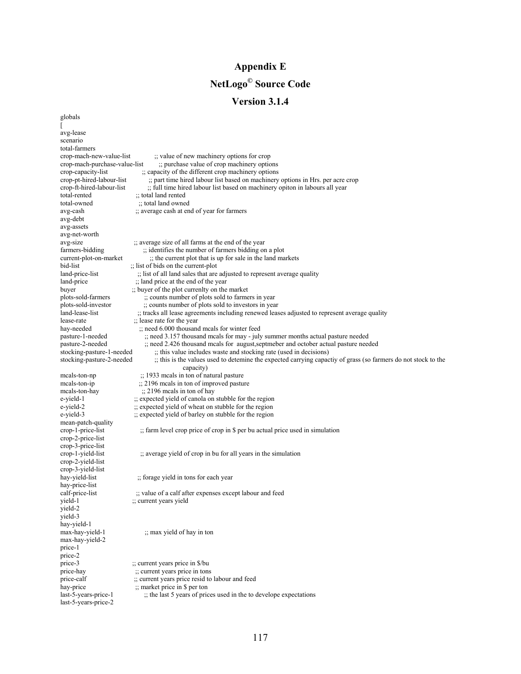### **Appendix E**

# **NetLogo© Source Code**

### **Version 3.1.4**

globals

 $\overline{[}$ avg-lease scenario total-farmers ;; value of new machinery options for crop crop-mach-purchase-value-list ;; purchase value of crop machinery options crop-capacity-list ;; capacity of the different crop machinery options crop-pt-hired-labour-list ;; part time hired labour list based on machinery options in Hrs. per acre crop crop-ft-hired-labour-list ;; full time hired labour list based on machinery opiton in labours all year ;; total land rented total-owned <br>  $\therefore$ ; total land owned<br>  $\therefore$  average cash at en ;; average cash at end of year for farmers avg-debt avg-assets avg-net-worth ;; average size of all farms at the end of the year farmers-bidding ;; identifies the number of farmers bidding on a plot current-plot-on-market ;; the current plot that is up for sale in the land markets bid-list  $\therefore$  list of bids on the current-plot land-price-list ;; list of all land sales that are adjusted to represent average quality land-price ;; land price at the end of the year buyer  $\therefore$ ; buyer of the plot currenlty on the market plots-sold-farmers <br>  $\therefore$  counts number of plots sold to investors in year<br>  $\therefore$  counts number of plots sold to investors in year plots-sold-investor <br>
;; counts number of plots sold to investors in year<br>
land-lease-list <br>
;; tracks all lease agreements including renewed lease ;; tracks all lease agreements including renewed leases adjusted to represent average quality lease-rate  $\frac{1}{2}$ ; lease rate for the year hay-needed  $\frac{1}{2}$ ; need 6.000 thousand ;; need 6.000 thousand mcals for winter feed pasture-1-needed ;; need 3.157 thousand mcals for may - july summer months actual pasture needed pasture-2-needed ;; need 2.426 thousand mcals for august,septmeber and october actual pasture needed stocking-pasture-1-needed ;; this value includes waste and stocking rate (used in decisions) stocking-pasture-2-needed :: this is the values used to detemine the expected carrying capac ;; this is the values used to detemine the expected carrying capactiy of grass (so farmers do not stock to the capacity) mcals-ton-np ;; 1933 mcals in ton of natural pasture mcals-ton-ip ;; 2196 mcals in ton of improved pasture<br>mcals-ton-hay :: 2196 mcals in ton of hay  $\therefore$  2196 mcals in ton of hay e-yield-1 ;; expected yield of canola on stubble for the region e-yield-2 ;; expected yield of wheat on stubble for the region e-yield-3 ;; expected yield of barley on stubble for the region ;; expected yield of barley on stubble for the region mean-patch-quality crop-1-price-list ;; farm level crop price of crop in \$ per bu actual price used in simulation crop-2-price-list crop-3-price-list  $\gamma$ ; average yield of crop in bu for all years in the simulation crop-2-yield-list crop-3-yield-list  $\chi$ ; forage yield in tons for each year hay-price-list<br>calf-price-list ;; value of a calf after expenses except labour and feed yield-1 ;; current years yield yield-2 yield-3 hay-yield-1 max-hay-yield-1 ;; max yield of hay in ton max-hay-yield-2 price-1 price-2 price-3 ;; current years price in \$/bu price-hay ;; current years price in tons ;; current years price in tons price-calf  $\therefore$  current years price resid to labour and feed hay-price ;; market price in \$ per ton last-5-years-price-1 ;; the last 5 years of prices used in the to develope expectations last-5-years-price-2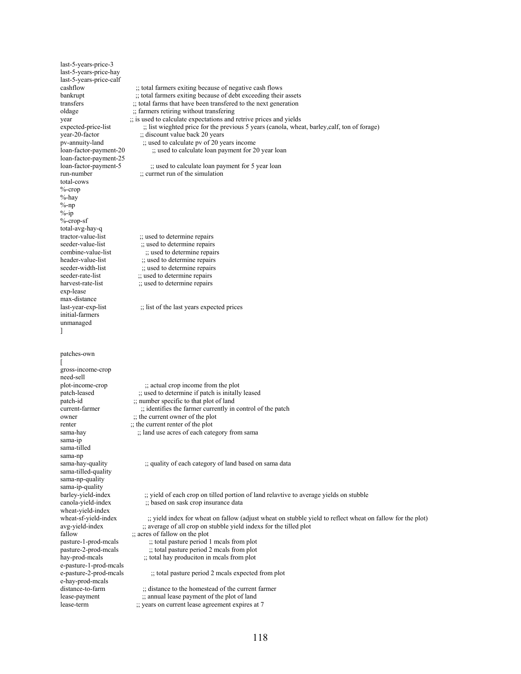last-5-years-price-3 last-5-years-price-hay last-5-years-price-calf cashflow ;; total farmers exiting because of negative cash flows loan-factor-payment-25 total-cows  $% -cron$ %-hay %-np  $%$ -ip %-crop-sf total-avg-hay-q tractor-value-list ;; used to determine repairs<br>seeder-value-list :: used to determine repairs seeder-width-list ;; used to determine repairs<br>seeder-rate-list :: used to determine repairs exp-lease max-distance initial-farmers unmanaged ]

patches-own  $\overline{[}$ gross-income-crop need-sell<br>plot-income-crop plot-income-crop ;; actual crop income from the plot patch-leased ;; used to determine if patch is initially owner  $\therefore$ ; the current owner of the plot renter  $\therefore$ ; the current renter of the plot sama-hay  $\therefore$ ; land use acres of each category from sama sama-ip sama-tilled sama-np sama-tilled-quality sama-np-quality sama-ip-quality wheat-yield-index fallow ;; acres of fallow on the plot<br>pasture-1-prod-meals :: total pasture period e-pasture-1-prod-mcals e-hay-prod-mcals

bankrupt ;; total farmers exiting because of debt exceeding their assets transfers ;; total farms that have been transfered to the next generation oldage ;; farmers retiring without transfering year ;; is used to calculate expectations and retrive prices and yields<br>expected-price-list ;; list wieghted price for the previous 5 years (canola, when expected-price-list ;; list wieghted price for the previous 5 years (canola, wheat, barley,calf, ton of forage) year-20-factor ;; discount value back 20 years  $\therefore$  discount value back 20 years

pv-annuity-land ;; used to calculate pv of 20 years income

loan-factor-payment-20 ;; used to calculate loan payment for 20 year loan

loan-factor-payment-5 ;; used to calculate loan payment for 5 year loan run-number ;; currnet run of the simulation

seeder-value-list ;; used to determine repairs<br>combine-value-list :: used to determine repair  $;$  used to determine repairs header-value-list ;; used to determine repairs

- ;; used to determine repairs
- harvest-rate-list ;; used to determine repairs

last-year-exp-list ;; list of the last years expected prices

- ;; used to determine if patch is initally leased
- patch-id ;; number specific to that plot of land
- current-farmer  $\therefore$ ; identifies the farmer currently in control of the patch
	-
	-

sama-hay-quality ;; quality of each category of land based on sama data

barley-yield-index ;; yield of each crop on tilled portion of land relavtive to average yields on stubble

canola-yield-index ;; based on sask crop insurance data

wheat-sf-yield-index ;; yield index for wheat on fallow (adjust wheat on stubble yield to reflect wheat on fallow for the plot) avg-yield-index ;; average of all crop on stubble yield indexs for the tilled plot

 $\vdots$ ; total pasture period 1 mcals from plot

pasture-2-prod-mcals ;; total pasture period 2 mcals from plot

hay-prod-mcals ;; total hay produciton in mcals from plot

;; total pasture period 2 mcals expected from plot

distance-to-farm  $\therefore$ ; distance to the homestead of the current farmer lease-payment  $\therefore$  annual lease payment of the plot of land

lease-payment ;; annual lease payment of the plot of land

lease-term ;; years on current lease agreement expires at 7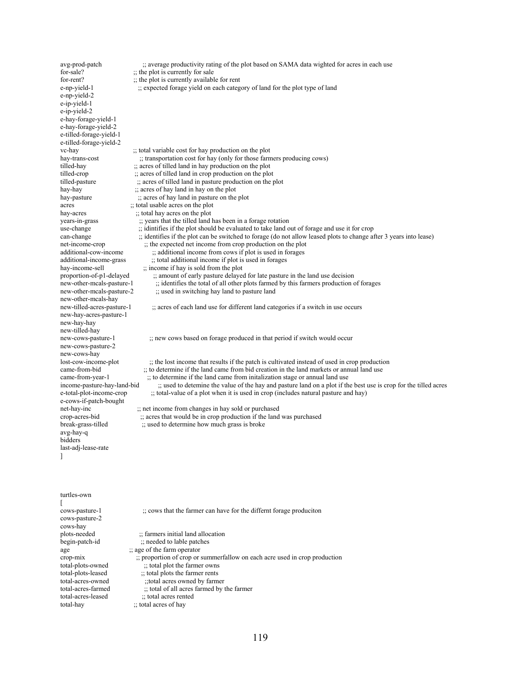avg-prod-patch ;; average productivity rating of the plot based on SAMA data wighted for acres in each use for-sale?  $f$ ; the plot is currently for sale for-rent? ;; the plot is currently available for rent e-np-yield-1 ;; expected forage yield on each category of land for the plot type of land e-np-yield-2 e-ip-yield-1 e-ip-yield-2 e-hay-forage-yield-1 e-hay-forage-yield-2 e-tilled-forage-yield-1 e-tilled-forage-yield-2 vc-hay  $\therefore$ ; total variable cost for hay production on the plot hay-trans-cost  $\therefore$ : transportation cost for hay (only for those farm  $\ddot{\text{h}}$ ; transportation cost for hay (only for those farmers producing cows) tilled-hay ;; acres of tilled land in hay production on the plot tilled-crop ;; acres of tilled land in crop production on the plot tilled-pasture ;; acres of tilled land in pasture production on the p tilled-pasture ;; acres of tilled land in pasture production on the plot hay-hay<br>
:: acres of hay land in hay on the plot ;; acres of hay land in hay on the plot hay-pasture ;; acres of hay land in pasture on the plot acres ;; total usable acres on the plot hay-acres ;; total hay acres on the plot<br>years-in-grass ;; years that the tilled land ;; years that the tilled land has been in a forage rotation use-change ;; idintifies if the plot should be evaluated to take land out of forage and use it for crop can-change ;; identifies if the plot can be switched to forage (do not allow leased plots to change after 3 years into lease) net-income-crop  $\therefore$ ; the expected net income from crop production on the plot additional-cow-income  $\therefore$  additional income from cows if plot is used in forages ;; additional income from cows if plot is used in forages additional-income-grass ;; total additional income if plot is used in forages hay-income-sell  $\therefore$ ; income if hay is sold from the plot proportion-of-p1-delayed  $\therefore$ ; amount of early pasture delayed ;; amount of early pasture delayed for late pasture in the land use decision new-other-mcals-pasture-1 ;; identifies the total of all other plots farmed by this farmers production of forages new-other-mcals-pasture-2 ;; used in switching hay land to pasture land new-other-mcals-hay new-tilled-acres-pasture-1 ;; acres of each land use for different land categories if a switch in use occurs new-hay-acres-pasture-1 new-hay-hay new-tilled-hay new-cows-pasture-1 ;; new cows based on forage produced in that period if switch would occur new-cows-pasture-2 new-cows-hay lost-cow-income-plot ;; the lost income that results if the patch is cultivated instead of used in crop production came-from-bid ;; to determine if the land came from bid creation in the land markets or annual land use ;; to determine if the land came from bid creation in the land markets or annual land use came-from-year-1 ;; to determine if the land came from initalization stage or annual land use income-pasture-hay-land-bid ;; used to detemine the value of the hay and pasture land on a plot if the best use is crop for the tilled acres e-total-plot-income-crop ;; total-value of a plot when it is used in crop (includ ;; total-value of a plot when it is used in crop (includes natural pasture and hay) e-cows-if-patch-bought net-hay-inc ;; net income from changes in hay sold or purchased<br>crop-acres-bid ;; acres that would be in crop production if the land ;; acres that would be in crop production if the land was purchased break-grass-tilled ;; used to determine how much grass is broke avg-hay-q bidders last-adj-lease-rate ] turtles-own [ cows-pasture-1 ;; cows that the farmer can have for the differnt forage produciton cows-pasture-2 cows-hay plots-needed ;; farmers initial land allocation<br>begin-patch-id :; needed to lable patches  $\ddots$  needed to lable patches age  $\therefore$  age of the farm operator crop-mix  $\therefore$ ; proportion of crop or summerfallow on each acre used in crop production total-plots-owned  $\therefore$ ; total plot the farmer owns ;; total plot the farmer owns total-plots-leased ;; total plots the farmer rents<br>total-acres-owned ;; total acres owned by farm total-acres-owned ;;total acres owned by farmer<br>total-acres-farmed ;; total of all acres farmed by t total-acres-farmed  $\therefore$ ; total of all acres farmed by the farmer total-acres-leased  $\therefore$  total acres rented  $::$  total acres rented total-hay ;; total acres of hay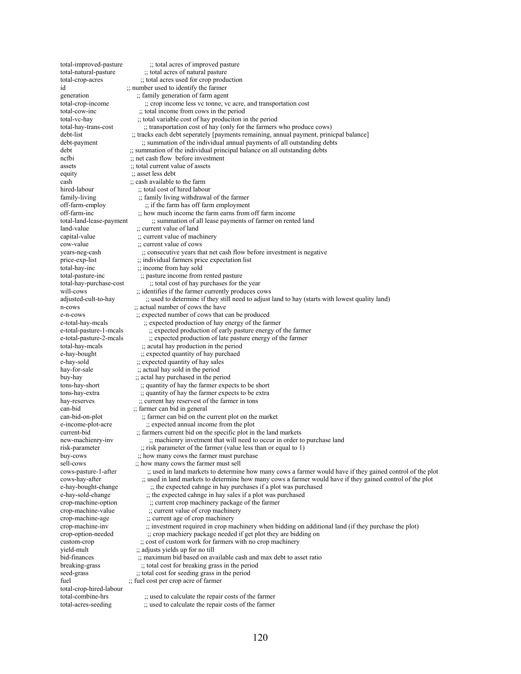equity<br>
;; asset less debt<br>
; cash available t land-value  $\therefore$  current value of land cow-value ;; current value of cows total-crop-hired-labour

total-improved-pasture ;; total acres of improved pasture total-natural-pasture :: total acres of natural pasture  $\vdots$  total acres of natural pasture total-crop-acres ;; total acres used for crop production id  $\frac{1}{2}$ ; number used to identify the farmer<br>generation  $\frac{1}{2}$ ; family generation of farm agent  $\therefore$  family generation of farm agent total-crop-income  $\therefore$ ; crop income less vc tonne, vc acre, and transportation cost total-cow-inc ;; total income from cows in the period total-vc-hay ;; total variable cost of hay produciton in the period<br>total-hay-trans-cost :: transportation cost of hay (only for the farmers) total-hay-trans-cost ;; transportation cost of hay (only for the farmers who produce cows) debt-list ;; tracks each debt seperately [payments remaining, annual payment, prini ;; tracks each debt seperately [payments remaining, annual payment, prinicpal balance] debt-payment ;; summation of the individual annual payments of all outstanding debts debt ;; summation of the individual principal balance on all outstanding debts nefhi<br>refer in the cash flow before investment  $\vdots$ ; net cash flow before investment assets ;; total current value of assets cash  $\therefore$ ; cash available to the farm hired-labour  $\therefore$  total cost of hired labour hired-labour ;; total cost of hired labour family-living ;; family living withdrawal of the farmer<br>off-farm-employ ;; if the farm has off farm employment  $\dddot{ }$ ; if the farm has off farm employment off-farm-inc ;; how much income the farm earns from off farm income total-land-lease-payment ;; summation of all lease payments of farmer on rente ;; summation of all lease payments of farmer on rented land capital-value ;; current value of machinery years-neg-cash  $\tilde{\ }$ ; consecutive years that net cash flow before investment is negative price-exp-list ;; individual farmers price expectation list total-hay-inc ;; income from hay sold<br>total-pasture-inc ;; pasture income from  $t$ ; pasture income from rented pasture total-hay-purchase-cost ;; total cost of hay purchases for the year will-cows <br>;; identifies if the farmer currently produces cows<br>adjusted-cult-to-hay <br>;; used to determine if they still need to adjust ;; used to determine if they still need to adjust land to hay (starts with lowest quality land) n-cows ;; actual number of cows the have e-n-cows ;; expected number of cows that can be produced e-total-hay-mcals ;; expected production of hay energy of the farmer<br>e-total-pasture-1-mcals :: expected production of early pasture energy of  $\therefore$ : expected production of early pasture energy of the farmer e-total-pasture-2-mcals ;; expected production of late pasture energy of the farmer total-hay-mcals ;; acutal hay production in the period  $t$ ; acutal hay production in the period e-hay-bought ;; expected quantity of hay purchaed e-hay-sold ;; expected quantity of hay sales ;; expected quantity of hay sales hay-for-sale ;; actual hay sold in the period buy-hay  $\therefore$ ; actal hay purchased in the period tons-hay-short ;; quantity of hay the farmer expects to be short tons-hay-extra ;; quantity of hay the farmer expects to be extra  $t$ ; quantity of hay the farmer expects to be extra hay-reserves ;; current hay reservest of the farmer in tons can-bid ;; farmer can bid in general<br>can-bid-on-plot :: farmer can bid on the c ;; farmer can bid on the current plot on the market e-income-plot-acre ; expected annual income from the plot current-bid ; farmers current bid on the specific plot in  $\therefore$  farmers current bid on the specific plot in the land markets new-machienry-inv ;; machienry invetment that will need to occur in order to purchase land<br>risk-parameter :: risk parameter of the farmer (value less than or equal to 1)  $\therefore$  risk parameter of the farmer (value less than or equal to 1) buy-cows ;; how many cows the farmer must purchase sell-cows :; how many cows the farmer must sell  $\therefore$  how many cows the farmer must sell cows-pasture-1-after ;; used in land markets to determine how many cows a farmer would have if they gained control of the plot  $\therefore$  used in land markets to determine how many cows a farmer would have if they gained control of the plot e-hay-bought-change ;; the expected cahnge in hay purchases if a plot was purchased e-hay-sold-change ;; the expected cahnge in hay sales if a plot was purchased crop-machine-option ;; current crop machinery package of the farmer<br>crop-machine-value :: current value of crop machinery  $\therefore$  current value of crop machinery crop-machine-age ;; current age of crop machinery<br>crop-machine-inv ;; investment required in crop ma  $\therefore$ ; investment required in crop machinery when bidding on additional land (if they purchase the plot) crop-option-needed ;; crop machiery package needed if get plot they are bidding on custom-crop :: cost of custom work for farmers with no crop machinery  $\therefore$  cost of custom work for farmers with no crop machinery yield-mult ;; adjusts yields up for no till bid-finances ;; maximum bid based on available cash and max debt to asset ratio breaking-grass ;; total cost for breaking grass in the period ;; total cost for breaking grass in the period seed-grass  $\therefore$ ; total cost for seeding grass in the period fuel  $\therefore$ ; fuel cost per crop acre of farmer  $\ddot{\text{}}$ ; used to calculate the repair costs of the farmer

total-acres-seeding  $\therefore$  used to calculate the repair costs of the farmer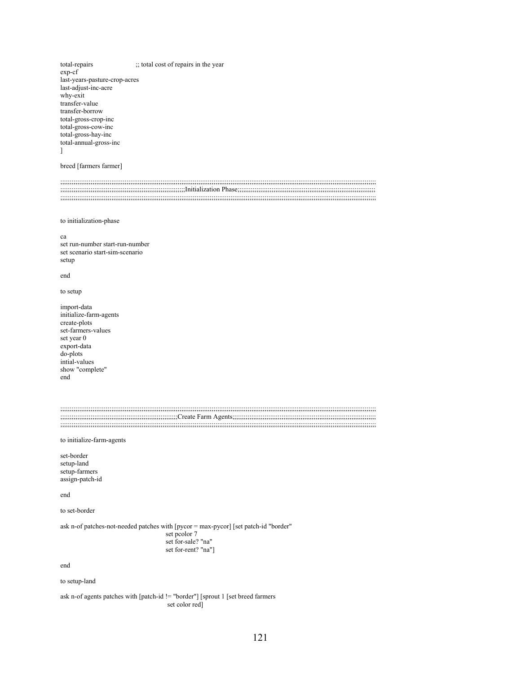total-repairs ;; total cost of repairs in the year exp-cf last-years-pasture-crop-acres last-adjust-inc-acre why-exit transfer-value transfer-borrow total-gross-crop-inc total-gross-cow-inc total-gross-hay-inc total-annual-gross-inc ]

#### breed [farmers farmer]

;;;;;;;;;;;;;;;;;;;;;;;;;;;;;;;;;;;;;;;;;;;;;;;;;;;;;;;;;;;;;;;;;;;;;;;;;;;;;;;;;;;;;;;;;;;;;;;;;;;;;;;;;;;;;;;;;;;;;;;;;;;;;;;;;;;;;;;;;;;;;;;;;;;;;;;;;;;;;;;;;;;;;;; ;;;;;;;;;;;;;;;;;;;;;;;;;;;;;;;;;;;;;;;;;;;;;;;;;;;;;;;;;;;;;;;;;;Initialization Phase;;;;;;;;;;;;;;;;;;;;;;;;;;;;;;;;;;;;;;;;;;;;;;;;;;;;;;;;;;;;;;;;;;;;;;;;; ;;;;;;;;;;;;;;;;;;;;;;;;;;;;;;;;;;;;;;;;;;;;;;;;;;;;;;;;;;;;;;;;;;;;;;;;;;;;;;;;;;;;;;;;;;;;;;;;;;;;;;;;;;;;;;;;;;;;;;;;;;;;;;;;;;;;;;;;;;;;;;;;;;;;;;;;;;;;;;;;;;;;;;;

to initialization-phase

ca set run-number start-run-number set scenario start-sim-scenario setup

end

to setup

import-data initialize-farm-agents create-plots set-farmers-values set year 0 export-data do-plots intial-values show "complete" end

;;;;;;;;;;;;;;;;;;;;;;;;;;;;;;;;;;;;;;;;;;;;;;;;;;;;;;;;;;;;;;;;;;;;;;;;;;;;;;;;;;;;;;;;;;;;;;;;;;;;;;;;;;;;;;;;;;;;;;;;;;;;;;;;;;;;;;;;;;;;;;;;;;;;;;;;;;;;;;;;;;;;;;;

to initialize-farm-agents

set-border setup-land setup-farmers assign-patch-id

end

to set-border

ask n-of patches-not-needed patches with [pycor = max-pycor] [set patch-id "border" set pcolor 7 set for-sale? "na"

set for-rent? "na"]

end

to setup-land

ask n-of agents patches with [patch-id != "border"] [sprout 1 [set breed farmers set color red]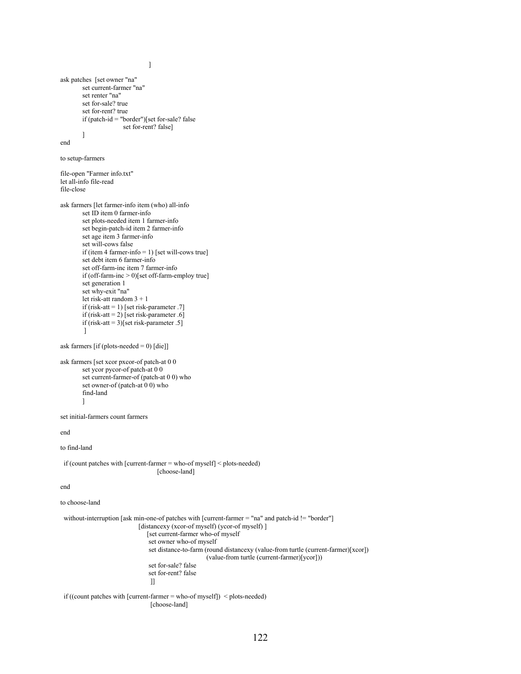```
 ] 
ask patches [set owner "na" 
         set current-farmer "na" 
         set renter "na" 
         set for-sale? true 
         set for-rent? true 
         if (patch-id = "border")[set for-sale? false 
                        set for-rent? false] 
\sim \sim \sim \simend 
to setup-farmers 
file-open "Farmer info.txt" 
let all-info file-read 
file-close 
ask farmers [let farmer-info item (who) all-info
         set ID item 0 farmer-info 
         set plots-needed item 1 farmer-info 
         set begin-patch-id item 2 farmer-info 
         set age item 3 farmer-info 
         set will-cows false 
         if (item 4 farmer-info = 1) [set will-cows true] 
         set debt item 6 farmer-info 
         set off-farm-inc item 7 farmer-info 
         if (off-farm-inc > 0)[set off-farm-employ true] 
         set generation 1 
         set why-exit "na" 
         let risk-att random 3 + 1 
         if (risk-att = 1) [set risk-parameter .7] 
        if (risk-att = 2) [set risk-parameter .6]
        if (risk-att = 3)[set risk-parameter .5]
\sim \sim 1
ask farmers [if (plots-needed = 0) [die]]
ask farmers [set xcor pxcor-of patch-at 0 0 
         set ycor pycor-of patch-at 0 0 
         set current-farmer-of (patch-at 0 0) who 
        set owner-of (patch-at 0 0) who
         find-land 
\sim \sim \sim \simset initial-farmers count farmers 
end 
to find-land 
  if (count patches with [current-farmer = who-of myself] < plots-needed) 
                                      [choose-land] 
end 
to choose-land 
  without-interruption [ask min-one-of patches with [current-farmer = "na" and patch-id != "border"] 
                             [distancexy (xcor-of myself) (ycor-of myself) ]
                                  [set current-farmer who-of myself 
                                  set owner who-of myself 
                                  set distance-to-farm (round distancexy (value-from turtle (current-farmer)[xcor]) 
                                                         (value-from turtle (current-farmer)[ycor])) 
                                  set for-sale? false 
                                  set for-rent? false 
 ]]
```
if ((count patches with [current-farmer = who-of myself])  $\leq$  plots-needed) [choose-land]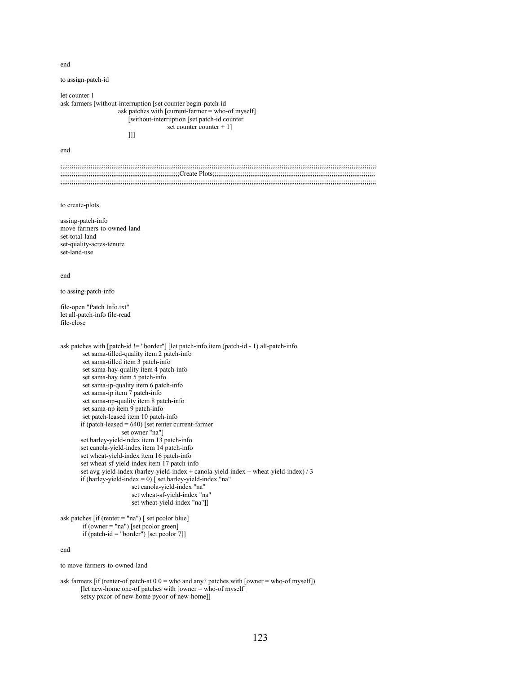end

to assign-patch-id

let counter 1 ask farmers [without-interruption [set counter begin-patch-id ask patches with [current-farmer = who-of myself] [without-interruption [set patch-id counter set counter counter + 1] ]]]

end

| $\label{m:main} \begin{minipage}[t]{.39\linewidth} \centering \begin{minipage}[t]{.39\linewidth} \centering \begin{minipage}[t]{.39\linewidth} \centering \end{minipage}[t]{\small 39\linewidth} \centering \begin{minipage}[t]{.39\linewidth} \centering \end{minipage}[t]{\small 39\linewidth} \centering \begin{minipage}[t]{.39\linewidth} \centering \end{minipage}[t]{\small 39\linewidth} \centering \begin{minipage}[t]{.39\linewidth} \centering \end{minipage}[t]{\small 39\linewidth} \centering \begin{minipage}[t]{.39\linewidth} \centering \end{minipage}[$ |
|----------------------------------------------------------------------------------------------------------------------------------------------------------------------------------------------------------------------------------------------------------------------------------------------------------------------------------------------------------------------------------------------------------------------------------------------------------------------------------------------------------------------------------------------------------------------------|
|                                                                                                                                                                                                                                                                                                                                                                                                                                                                                                                                                                            |
|                                                                                                                                                                                                                                                                                                                                                                                                                                                                                                                                                                            |
|                                                                                                                                                                                                                                                                                                                                                                                                                                                                                                                                                                            |
|                                                                                                                                                                                                                                                                                                                                                                                                                                                                                                                                                                            |
|                                                                                                                                                                                                                                                                                                                                                                                                                                                                                                                                                                            |

to create-plots

assing-patch-info move-farmers-to-owned-land set-total-land set-quality-acres-tenure set-land-use

end

to assing-patch-info

file-open "Patch Info.txt" let all-patch-info file-read file-close

ask patches with [patch-id != "border"] [let patch-info item (patch-id - 1) all-patch-info set sama-tilled-quality item 2 patch-info set sama-tilled item 3 patch-info set sama-hay-quality item 4 patch-info set sama-hay item 5 patch-info set sama-ip-quality item 6 patch-info set sama-ip item 7 patch-info set sama-np-quality item 8 patch-info set sama-np item 9 patch-info set patch-leased item 10 patch-info if (patch-leased = 640) [set renter current-farmer set owner "na"] set barley-yield-index item 13 patch-info set canola-yield-index item 14 patch-info set wheat-yield-index item 16 patch-info set wheat-sf-yield-index item 17 patch-info set avg-yield-index (barley-yield-index + canola-yield-index + wheat-yield-index) / 3 if (barley-yield-index  $= 0$ ) [ set barley-yield-index "na" set canola-yield-index "na" set wheat-sf-yield-index "na" set wheat-yield-index "na"]]

ask patches [if (renter = "na") [ set pcolor blue] if (owner = "na") [set pcolor green] if (patch-id = "border") [set pcolor 7]]

end

to move-farmers-to-owned-land

ask farmers [if (renter-of patch-at  $0 =$  who and any? patches with [owner = who-of myself]) [let new-home one-of patches with [owner = who-of myself] setxy pxcor-of new-home pycor-of new-home]]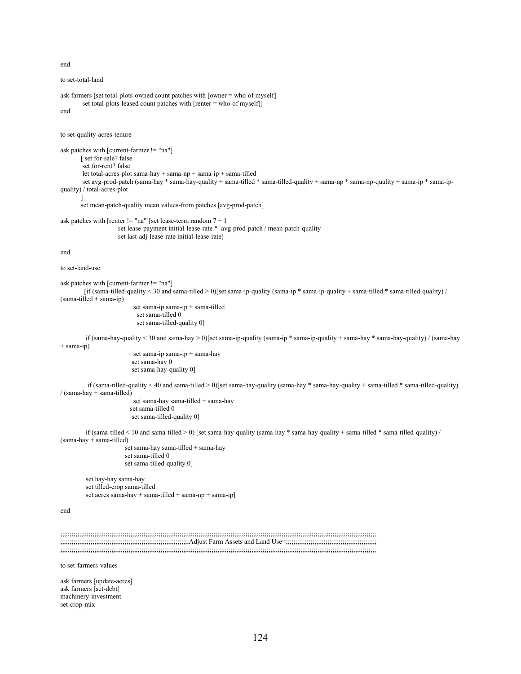end

to set-total-land

```
ask farmers [set total-plots-owned count patches with [owner = who-of myself] 
         set total-plots-leased count patches with [renter = who-of myself]] 
end
```

```
to set-quality-acres-tenure 
ask patches with [current-farmer != "na"] 
       [ set for-sale? false
         set for-rent? false 
         let total-acres-plot sama-hay + sama-np + sama-ip + sama-tilled 
         set avg-prod-patch (sama-hay * sama-hay-quality + sama-tilled * sama-tilled-quality + sama-np * sama-np-quality + sama-ip * sama-ip-
quality) / total-acres-plot 
\sim 1
        set mean-patch-quality mean values-from patches [avg-prod-patch] 
ask patches with [renter != "na"][set lease-term random 7 + 1set lease-payment initial-lease-rate * avg-prod-patch / mean-patch-quality
                       set last-adj-lease-rate initial-lease-rate] 
end 
to set-land-use 
ask patches with [current-farmer != "na"] 
          [if (sama-tilled-quality < 30 and sama-tilled > 0)[set sama-ip-quality (sama-ip * sama-ip-quality + sama-tilled * sama-tilled-quality) / 
(sama-tilled + sama-ip) set sama-ip sama-ip + sama-tilled 
                              set sama-tilled 0 
                              set sama-tilled-quality 0] 
          if (sama-hay-quality < 30 and sama-hay > 0)[set sama-ip-quality (sama-ip * sama-ip-quality + sama-hay * sama-hay-quality) / (sama-hay 
+ sama-ip) 
                           set sama-ip sama-ip + sama-hay
                            set sama-hay 0 
                            set sama-hay-quality 0] 
           if (sama-tilled-quality < 40 and sama-tilled > 0)[set sama-hay-quality (sama-hay * sama-hay-quality + sama-tilled * sama-tilled-quality) 
/ (sama-hay + sama-tilled) 
                             set sama-hay sama-tilled + sama-hay 
                           set sama-tilled 0 
                            set sama-tilled-quality 0] 
         if (sama-tilled < 10 and sama-tilled > 0) [set sama-hay-quality (sama-hay * sama-hay-quality + sama-tilled * sama-tilled-quality) /
(sama-hay + sama-tilled) 
                         set sama-hay sama-tilled + sama-hay 
                         set sama-tilled 0 
                         set sama-tilled-quality 0]
```

```
 set hay-hay sama-hay 
 set tilled-crop sama-tilled 
 set acres sama-hay + sama-tilled + sama-np + sama-ip]
```
end

;;;;;;;;;;;;;;;;;;;;;;;;;;;;;;;;;;;;;;;;;;;;;;;;;;;;;;;;;;;;;;;;;;;;;;;;;;;;;;;;;;;;;;;;;;;;;;;;;;;;;;;;;;;;;;;;;;;;;;;;;;;;;;;;;;;;;;;;;;;;;;;;;;;;;;;;;;;;;;;;;;;;;;;

;;;;;;;;;;;;;;;;;;;;;;;;;;;;;;;;;;;;;;;;;;;;;;;;;;;;;;;;;;;;;;;;;;;;Adjust Farm Assets and Land Use=;;;;;;;;;;;;;;;;;;;;;;;;;;;;;;;;;;;;;;;;;;;;;;;; ;;;;;;;;;;;;;;;;;;;;;;;;;;;;;;;;;;;;;;;;;;;;;;;;;;;;;;;;;;;;;;;;;;;;;;;;;;;;;;;;;;;;;;;;;;;;;;;;;;;;;;;;;;;;;;;;;;;;;;;;;;;;;;;;;;;;;;;;;;;;;;;;;;;;;;;;;;;;;;;;;;;;;;;

to set-farmers-values

ask farmers [update-acres] ask farmers [set-debt] machinery-investment set-crop-mix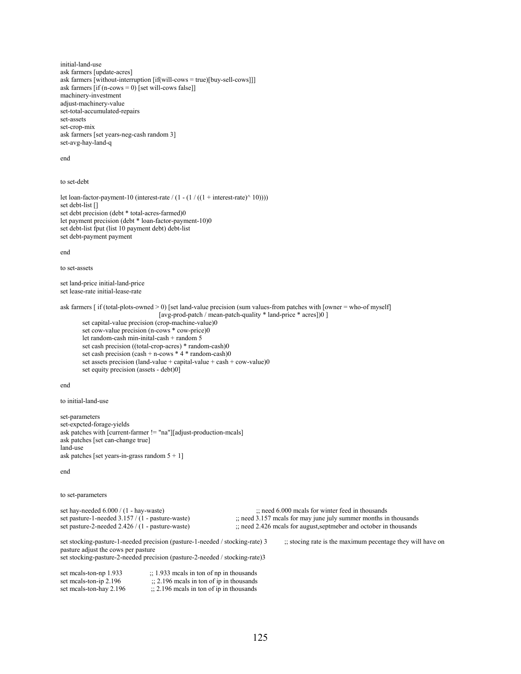initial-land-use ask farmers [update-acres] ask farmers [without-interruption [if(will-cows = true)[buy-sell-cows]]] ask farmers  $[if (n-convs = 0)]$  [set will-cows false]] machinery-investment adjust-machinery-value set-total-accumulated-repairs set-assets set-crop-mix ask farmers [set years-neg-cash random 3] set-avg-hay-land-q

#### end

to set-debt

let loan-factor-payment-10 (interest-rate /  $(1 - (1 / ((1 + interest-rate)^{10}))$ ) set debt-list [] set debt precision (debt \* total-acres-farmed)0 let payment precision (debt \* loan-factor-payment-10)0 set debt-list fput (list 10 payment debt) debt-list set debt-payment payment

end

```
to set-assets
```
set land-price initial-land-price set lease-rate initial-lease-rate

```
ask farmers [ if (total-plots-owned > 0) [set land-value precision (sum values-from patches with [owner = who-of myself] 
                                     [avg-prod-patch / mean-patch-quality * land-price * acres])0 ]
```

```
 set capital-value precision (crop-machine-value)0
```
set cow-value precision (n-cows \* cow-price)0

```
 let random-cash min-inital-cash + random 5
```
set cash precision ((total-crop-acres) \* random-cash)0

```
set cash precision (cash + n-cows * 4 * random-cash)0
```

```
set assets precision (land-value + capital-value + cash + cow-value)0
```
set equity precision (assets - debt)0]

#### end

```
to initial-land-use
```

```
set-parameters 
set-expcted-forage-yields 
ask patches with [current-farmer != "na"][adjust-production-mcals] 
ask patches [set can-change true] 
land-use 
ask patches [set years-in-grass random 5 + 1]
```
end

```
to set-parameters
```

| set hay-needed $6.000 / (1 - \text{hav-waste})$    | $\therefore$ need 6.000 meals for winter feed in thousands                   |
|----------------------------------------------------|------------------------------------------------------------------------------|
| set pasture-1-needed $3.157/ (1 -$ pasture-waste)  | $\therefore$ need 3.157 meals for may june july summer months in thousands   |
| set pasture-2-needed $2.426 / (1 -$ pasture-waste) | $\therefore$ need 2.426 meals for august, septmeber and october in thousands |
|                                                    |                                                                              |

set stocking-pasture-1-needed precision (pasture-1-needed / stocking-rate) 3 ;; stocing rate is the maximum pecentage they will have on pasture adjust the cows per pasture set stocking-pasture-2-needed precision (pasture-2-needed / stocking-rate)3

| set meals-ton-np 1.933  | $\therefore$ 1.933 meals in ton of np in thousands |
|-------------------------|----------------------------------------------------|
| set meals-ton-ip 2.196  | $\therefore$ 2.196 meals in ton of ip in thousands |
| set meals-ton-hay 2.196 | $\therefore$ 2.196 meals in ton of ip in thousands |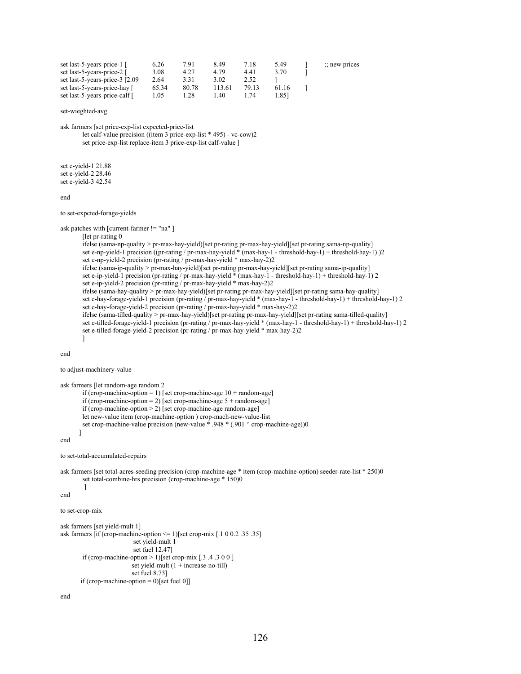| set last-5-years-price-1 [      | 6.26  | 7.91  | 8.49   | 7.18  | 5.49  | $\therefore$ new prices |
|---------------------------------|-------|-------|--------|-------|-------|-------------------------|
| set last-5-years-price-2 [      | 3.08  | 4.27  | 4.79   | 4.41  | 3.70  |                         |
| set last-5-years-price-3 [2.09] | 2.64  | 3.31  | 3.02   | 2.52  |       |                         |
| set last-5-years-price-hay [    | 65.34 | 80.78 | 113.61 | 79.13 | 61.16 |                         |
| set last-5-years-price-calf [   | 1.05  | 1.28  | -40    | i 74  | l.851 |                         |

set-wieghted-avg

ask farmers [set price-exp-list expected-price-list let calf-value precision ((item 3 price-exp-list \* 495) - vc-cow)2 set price-exp-list replace-item 3 price-exp-list calf-value ]

set e-yield-1 21.88 set e-yield-2 28.46 set e-yield-3 42.54

end

to set-expcted-forage-yields

ask patches with [current-farmer != "na" ]

[let pr-rating 0]

 ifelse (sama-np-quality > pr-max-hay-yield)[set pr-rating pr-max-hay-yield][set pr-rating sama-np-quality] set e-np-yield-1 precision ((pr-rating / pr-max-hay-yield \* (max-hay-1 - threshold-hay-1) + threshold-hay-1) )2 set e-np-yield-2 precision (pr-rating / pr-max-hay-yield \* max-hay-2)2 ifelse (sama-ip-quality > pr-max-hay-yield)[set pr-rating pr-max-hay-yield][set pr-rating sama-ip-quality] set e-ip-yield-1 precision (pr-rating / pr-max-hay-yield \* (max-hay-1 - threshold-hay-1) + threshold-hay-1) 2 set e-ip-yield-2 precision (pr-rating / pr-max-hay-yield \* max-hay-2)2 ifelse (sama-hay-quality > pr-max-hay-yield)[set pr-rating pr-max-hay-yield][set pr-rating sama-hay-quality] set e-hay-forage-yield-1 precision (pr-rating / pr-max-hay-yield \* (max-hay-1 - threshold-hay-1) + threshold-hay-1) 2 set e-hay-forage-yield-2 precision (pr-rating / pr-max-hay-yield \* max-hay-2)2 ifelse (sama-tilled-quality > pr-max-hay-yield)[set pr-rating pr-max-hay-yield][set pr-rating sama-tilled-quality] set e-tilled-forage-yield-1 precision (pr-rating / pr-max-hay-yield \* (max-hay-1 - threshold-hay-1) + threshold-hay-1) 2 set e-tilled-forage-yield-2 precision (pr-rating / pr-max-hay-yield \* max-hay-2)2  $\sim$   $\sim$  1

end

to adjust-machinery-value

```
ask farmers [let random-age random 2 
        if (crop-machine-option = 1) [set crop-machine-age 10 + \text{random-age}]
        if (crop-machine-option = 2) [set crop-machine-age 5 + \text{random-age}]
         if (crop-machine-option > 2) [set crop-machine-age random-age] 
         let new-value item (crop-machine-option ) crop-mach-new-value-list 
        set crop-machine-value precision (new-value * .948 * (.901 \land crop-machine-age))0
\Box
```
end

to set-total-accumulated-repairs

ask farmers [set total-acres-seeding precision (crop-machine-age \* item (crop-machine-option) seeder-rate-list \* 250)0 set total-combine-hrs precision (crop-machine-age \* 150)0 ]

end

to set-crop-mix

```
ask farmers [set yield-mult 1] 
ask farmers [if (crop-machine-option <= 1)[set crop-mix [.1 0 0.2 .35 .35] 
                             set yield-mult 1 
                             set fuel 12.47] 
         if (crop-machine-option > 1)[set crop-mix [.3 .4 .3 0 0 ] 
                            set yield-mult (1 + increase-no-till)
                             set fuel 8.73] 
         if (crop-machine-option = 0)[set fuel 0]]
```
end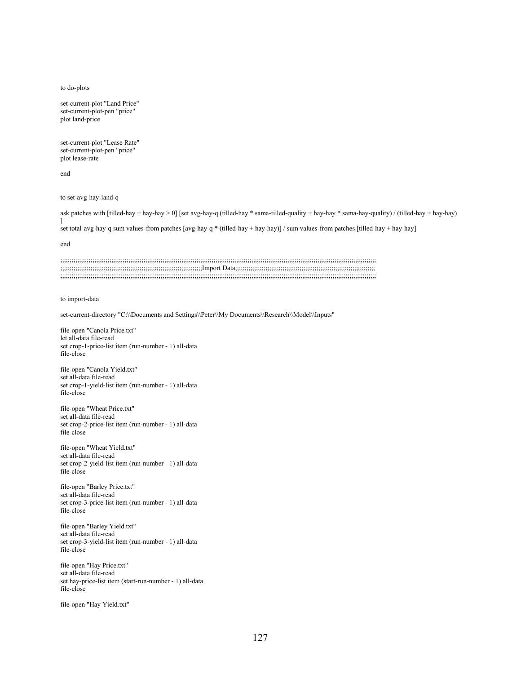to do-plots

set-current-plot "Land Price" set-current-plot-pen "price" plot land-price

set-current-plot "Lease Rate" set-current-plot-pen "price" plot lease-rate

end

to set-avg-hay-land-q

ask patches with [tilled-hay + hay-hay > 0] [set avg-hay-q (tilled-hay \* sama-tilled-quality + hay-hay \* sama-hay-quality) / (tilled-hay + hay-hay)

set total-avg-hay-q sum values-from patches [avg-hay-q \* (tilled-hay + hay-hay)] / sum values-from patches [tilled-hay + hay-hay]

end

]

;;;;;;;;;;;;;;;;;;;;;;;;;;;;;;;;;;;;;;;;;;;;;;;;;;;;;;;;;;;;;;;;;;;;;;;;;;;;;;;;;;;;;;;;;;;;;;;;;;;;;;;;;;;;;;;;;;;;;;;;;;;;;;;;;;;;;;;;;;;;;;;;;;;;;;;;;;;;;;;;;;;;;;; ;;;;;;;;;;;;;;;;;;;;;;;;;;;;;;;;;;;;;;;;;;;;;;;;;;;;;;;;;;;;;;;;;;;;;;;;;;;Import Data;;;;;;;;;;;;;;;;;;;;;;;;;;;;;;;;;;;;;;;;;;;;;;;;;;;;;;;;;;;;;;;;;;;;;;;;;; ;;;;;;;;;;;;;;;;;;;;;;;;;;;;;;;;;;;;;;;;;;;;;;;;;;;;;;;;;;;;;;;;;;;;;;;;;;;;;;;;;;;;;;;;;;;;;;;;;;;;;;;;;;;;;;;;;;;;;;;;;;;;;;;;;;;;;;;;;;;;;;;;;;;;;;;;;;;;;;;;;;;;;;;

to import-data

set-current-directory "C:\\Documents and Settings\\Peter\\My Documents\\Research\\Model\\Inputs"

file-open "Canola Price.txt" let all-data file-read set crop-1-price-list item (run-number - 1) all-data file-close

file-open "Canola Yield.txt" set all-data file-read set crop-1-yield-list item (run-number - 1) all-data file-close

file-open "Wheat Price.txt" set all-data file-read set crop-2-price-list item (run-number - 1) all-data file-close

file-open "Wheat Yield.txt" set all-data file-read set crop-2-yield-list item (run-number - 1) all-data file-close

file-open "Barley Price.txt" set all-data file-read set crop-3-price-list item (run-number - 1) all-data file-close

file-open "Barley Yield.txt" set all-data file-read set crop-3-yield-list item (run-number - 1) all-data file-close

file-open "Hay Price.txt" set all-data file-read set hay-price-list item (start-run-number - 1) all-data file-close

file-open "Hay Yield.txt"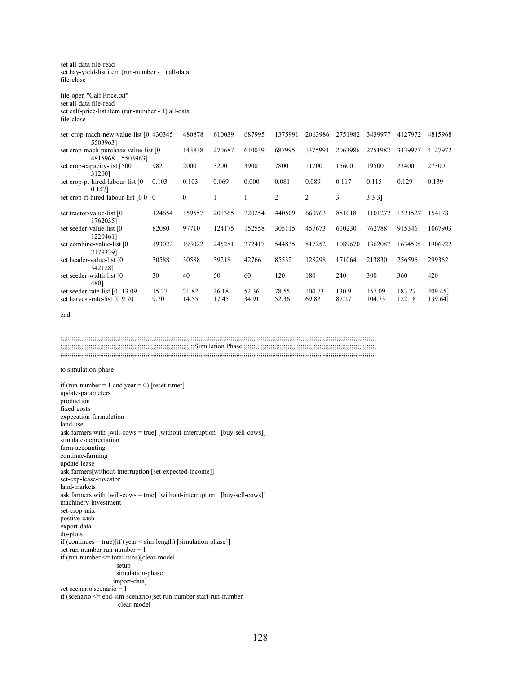set all-data file-read set hay-yield-list item (run-number - 1) all-data file-close

file-open "Calf Price.txt" set all-data file-read set calf-price-list item (run-number - 1) all-data file-close

| set crop-mach-new-value-list [0 430345]<br>55039631             |               | 480878         | 610039         | 687995         | 1375991        | 2063986         | 2751982         | 3439977          | 4127972          | 4815968            |
|-----------------------------------------------------------------|---------------|----------------|----------------|----------------|----------------|-----------------|-----------------|------------------|------------------|--------------------|
| set crop-mach-purchase-value-list [0]<br>55039631<br>4815968    |               | 143838         | 270687         | 610039         | 687995         | 1375991         | 2063986         | 2751982          | 3439977          | 4127972            |
| set crop-capacity-list [500]<br>31200]                          | 982           | 2000           | 3200           | 3900           | 7800           | 11700           | 15600           | 19500            | 23400            | 27300              |
| set crop-pt-hired-labour-list [0]<br>0.147]                     | 0.103         | 0.103          | 0.069          | 0.000          | 0.081          | 0.089           | 0.117           | 0.115            | 0.129            | 0.139              |
| set crop-ft-hired-labour-list [0 0 0                            |               | $\mathbf{0}$   |                |                | 2              | 2               | 3               | 3 3 3 1          |                  |                    |
| set tractor-value-list [0]<br>17620351                          | 124654        | 159557         | 201365         | 220254         | 440509         | 660763          | 881018          | 1101272          | 1321527          | 1541781            |
| set seeder-value-list [0]<br>12204611                           | 82080         | 97710          | 124175         | 152558         | 305115         | 457673          | 610230          | 762788           | 915346           | 1067903            |
| set combine-value-list [0]<br>21793391                          | 193022        | 193022         | 245281         | 272417         | 544835         | 817252          | 1089670         | 1362087          | 1634505          | 1906922            |
| set header-value-list [0]<br>3421281                            | 30588         | 30588          | 39218          | 42766          | 85532          | 128298          | 171064          | 213830           | 256596           | 299362             |
| set seeder-width-list [0]<br>4801                               | 30            | 40             | 50             | 60             | 120            | 180             | 240             | 300              | 360              | 420                |
| set seeder-rate-list [0 13.09<br>set harvest-rate-list [0 9.70] | 15.27<br>9.70 | 21.82<br>14.55 | 26.18<br>17.45 | 52.36<br>34.91 | 78.55<br>52.36 | 104.73<br>69.82 | 130.91<br>87.27 | 157.09<br>104.73 | 183.27<br>122.18 | 209.451<br>139.641 |

;;;;;;;;;;;;;;;;;;;;;;;;;;;;;;;;;;;;;;;;;;;;;;;;;;;;;;;;;;;;;;;;;;;;;;;;;;;;;;;;;;;;;;;;;;;;;;;;;;;;;;;;;;;;;;;;;;;;;;;;;;;;;;;;;;;;;;;;;;;;;;;;;;;;;;;;;;;;;;;;;;;;;;;

end

;;;;;;;;;;;;;;;;;;;;;;;;;;;;;;;;;;;;;;;;;;;;;;;;;;;;;;;;;;;;;;;;;;;;;;;;;;;;;;;;;;;;;;;;;;;;;;;;;;;;;;;;;;;;;;;;;;;;;;;;;;;;;;;;;;;;;;;;;;;;;;;;;;;;;;;;;;;;;;;;;;;;;;; ;;;;;;;;;;;;;;;;;;;;;;;;;;;;;;;;;;;;;;;;;;;;;;;;;;;;;;;;;;;;;;;;;;;;;;;Simulation Phase;;;;;;;;;;;;;;;;;;;;;;;;;;;;;;;;;;;;;;;;;;;;;;;;;;;;;;;;;;;;;;;;;;;;;;;

#### to simulation-phase

if (run-number = 1 and year = 0) [reset-timer] update-parameters production fixed-costs expecation-formulation land-use ask farmers with [will-cows = true] [without-interruption [buy-sell-cows]] simulate-depreciation farm-accounting continue-farming update-lease ask farmers[without-interruption [set-expected-income]] set-exp-lease-investor land-markets ask farmers with [will-cows = true] [without-interruption [buy-sell-cows]] machinery-investment set-crop-mix postive-cash export-data do-plots if (continues = true)[if (year  $\le$  sim-length) [simulation-phase]] set run-number run-number + 1 if (run-number <= total-runs)[clear-model setup simulation-phase import-data] set scenario scenario + 1 if (scenario <= end-sim-scenario)[set run-number start-run-number clear-model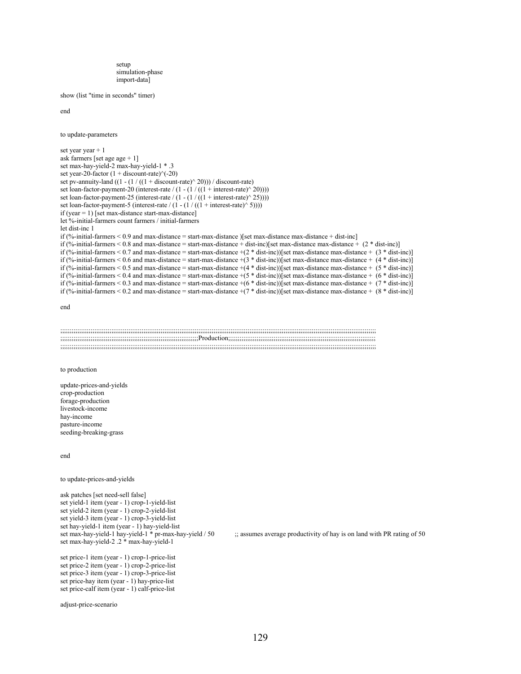setup simulation-phase import-data]

show (list "time in seconds" timer)

end

to update-parameters

```
set year year + 1
ask farmers [set age age + 1] 
set max-hay-yield-2 max-hay-yield-1 * .3 
set year-20-factor (1 + discount-rate)\sqrt{-20})
set pv-annuity-land ((1 - (1 / ((1 + discount-rate)^2 20))) / discount-rate)set loan-factor-payment-20 (interest-rate / (1 - (1 / ((1 + interest-rate)^{20}))))
set loan-factor-payment-25 (interest-rate / (1 - (1 / ((1 + interest-rate)^{25}))))
set loan-factor-payment-5 (interest-rate / (1 - (1 / ((1 + interest-rate)^{6})))))
if (year = 1) [set max-distance start-max-distance] 
let %-initial-farmers count farmers / initial-farmers 
let dist-inc 1 
if (\%-initial-farmers < 0.9 and max-distance = start-max-distance )[set max-distance max-distance + dist-inc]
if (%-initial-farmers < 0.8 and max-distance = start-max-distance + dist-inc)[set max-distance max-distance + (2 * dist-inc)]
if (%-initial-farmers \le 0.7 and max-distance = start-max-distance +(2 * dist-inc)] [set max-distance max-distance + (3 * dist-inc)]if (%-initial-farmers < 0.6 and max-distance = start-max-distance +(3 * dist-inc))[set max-distance max-distance + (4 * dist-inc)]
if (%-initial-farmers < 0.5 and max-distance = start-max-distance +(4 * dist-inc))[set max-distance max-distance + (5 * dist-inc)]
if (%-initial-farmers < 0.4 and max-distance = start-max-distance +(5 * dist-inc))[set max-distance max-distance + (6 * dist-inc)]
if (%-initial-farmers < 0.3 and max-distance = start-max-distance +(6 * dist-inc))[set max-distance max-distance + (7 * dist-inc)]
if (%-initial-farmers < 0.2 and max-distance = start-max-distance +(7 * dist-inc)] [set max-distance max-distance + (8 * dist-inc)]]
```
end

;;;;;;;;;;;;;;;;;;;;;;;;;;;;;;;;;;;;;;;;;;;;;;;;;;;;;;;;;;;;;;;;;;;;;;;;;;;;;;;;;;;;;;;;;;;;;;;;;;;;;;;;;;;;;;;;;;;;;;;;;;;;;;;;;;;;;;;;;;;;;;;;;;;;;;;;;;;;;;;;;;;;;;; ;;;;;;;;;;;;;;;;;;;;;;;;;;;;;;;;;;;;;;;;;;;;;;;;;;;;;;;;;;;;;;;;;;;;;;;;;Production;;;;;;;;;;;;;;;;;;;;;;;;;;;;;;;;;;;;;;;;;;;;;;;;;;;;;;;;;;;;;;;;;;;;;;;;;;;;;; ;;;;;;;;;;;;;;;;;;;;;;;;;;;;;;;;;;;;;;;;;;;;;;;;;;;;;;;;;;;;;;;;;;;;;;;;;;;;;;;;;;;;;;;;;;;;;;;;;;;;;;;;;;;;;;;;;;;;;;;;;;;;;;;;;;;;;;;;;;;;;;;;;;;;;;;;;;;;;;;;;;;;;;;

#### to production

update-prices-and-yields crop-production forage-production livestock-income hay-income pasture-income seeding-breaking-grass

end

```
to update-prices-and-yields
```
ask patches [set need-sell false] set yield-1 item (year - 1) crop-1-yield-list set yield-2 item (year - 1) crop-2-yield-list set yield-3 item (year - 1) crop-3-yield-list set hay-yield-1 item (year - 1) hay-yield-list<br>set max-hay-yield-1 hay-yield-1 \* pr-max-hay-yield / 50 set max-hay-yield-2 .2 \* max-hay-yield-1

set price-1 item (year - 1) crop-1-price-list set price-2 item (year - 1) crop-2-price-list set price-3 item (year - 1) crop-3-price-list set price-hay item (year - 1) hay-price-list set price-calf item (year - 1) calf-price-list

adjust-price-scenario

 $s$ ; assumes average productivity of hay is on land with PR rating of 50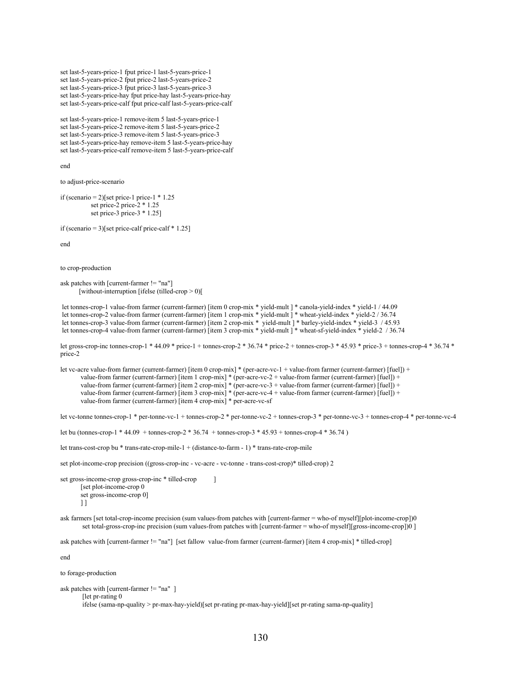set last-5-years-price-1 fput price-1 last-5-years-price-1 set last-5-years-price-2 fput price-2 last-5-years-price-2 set last-5-years-price-3 fput price-3 last-5-years-price-3 set last-5-years-price-hay fput price-hay last-5-years-price-hay set last-5-years-price-calf fput price-calf last-5-years-price-calf

set last-5-years-price-1 remove-item 5 last-5-years-price-1 set last-5-years-price-2 remove-item 5 last-5-years-price-2 set last-5-years-price-3 remove-item 5 last-5-years-price-3 set last-5-years-price-hay remove-item 5 last-5-years-price-hay set last-5-years-price-calf remove-item 5 last-5-years-price-calf

end

to adjust-price-scenario

```
if (scenario = 2)[set price-1 price-1 * 1.25
           set price-2 price-2 * 1.25
           set price-3 price-3 * 1.25]
```
if (scenario = 3)[set price-calf price-calf  $* 1.25$ ]

end

to crop-production

ask patches with [current-farmer != "na"] [without-interruption [ifelse (tilled-crop > 0)[

```
 let tonnes-crop-1 value-from farmer (current-farmer) [item 0 crop-mix * yield-mult ] * canola-yield-index * yield-1 / 44.09 
 let tonnes-crop-2 value-from farmer (current-farmer) [item 1 crop-mix * yield-mult ] * wheat-yield-index * yield-2 / 36.74 
 let tonnes-crop-3 value-from farmer (current-farmer) [item 2 crop-mix * yield-mult ] * barley-yield-index * yield-3 / 45.93 
let tonnes-crop-4 value-from farmer (current-farmer) [item 3 crop-mix * yield-mult ] * wheat-sf-yield-index * yield-2 / 36.74
```
let gross-crop-inc tonnes-crop-1 \* 44.09 \* price-1 + tonnes-crop-2 \* 36.74 \* price-2 + tonnes-crop-3 \* 45.93 \* price-3 + tonnes-crop-4 \* 36.74 \* price-2

let vc-acre value-from farmer (current-farmer) [item 0 crop-mix] \* (per-acre-vc-1 + value-from farmer (current-farmer) [fuel]) + value-from farmer (current-farmer) [item 1 crop-mix] \* (per-acre-vc-2 + value-from farmer (current-farmer) [fuel]) + value-from farmer (current-farmer) [item 2 crop-mix] \* (per-acre-vc-3 + value-from farmer (current-farmer) [fuel]) + value-from farmer (current-farmer) [item 3 crop-mix] \* (per-acre-vc-4 + value-from farmer (current-farmer) [fuel]) + value-from farmer (current-farmer) [item 4 crop-mix] \* per-acre-vc-sf

let vc-tonne tonnes-crop-1 \* per-tonne-vc-1 + tonnes-crop-2 \* per-tonne-vc-2 + tonnes-crop-3 \* per-tonne-vc-3 + tonnes-crop-4 \* per-tonne-vc-4

let bu (tonnes-crop-1 \* 44.09 + tonnes-crop-2 \* 36.74 + tonnes-crop-3 \* 45.93 + tonnes-crop-4 \* 36.74 )

let trans-cost-crop bu \* trans-rate-crop-mile-1 + (distance-to-farm - 1) \* trans-rate-crop-mile

set plot-income-crop precision ((gross-crop-inc - vc-acre - vc-tonne - trans-cost-crop)\* tilled-crop) 2

```
set gross-income-crop gross-crop-inc * tilled-crop [1]
        [set plot-income-crop 0 
        set gross-income-crop 0] 
        ] ]
```
ask farmers [set total-crop-income precision (sum values-from patches with [current-farmer = who-of myself][plot-income-crop])0 set total-gross-crop-inc precision (sum values-from patches with [current-farmer = who-of myself][gross-income-crop])0 ]

ask patches with [current-farmer != "na"] [set fallow value-from farmer (current-farmer) [item 4 crop-mix] \* tilled-crop]

end

to forage-production

```
ask patches with [current-farmer != "na" ] 
         [let pr-rating 0 
         ifelse (sama-np-quality > pr-max-hay-yield)[set pr-rating pr-max-hay-yield][set pr-rating sama-np-quality]
```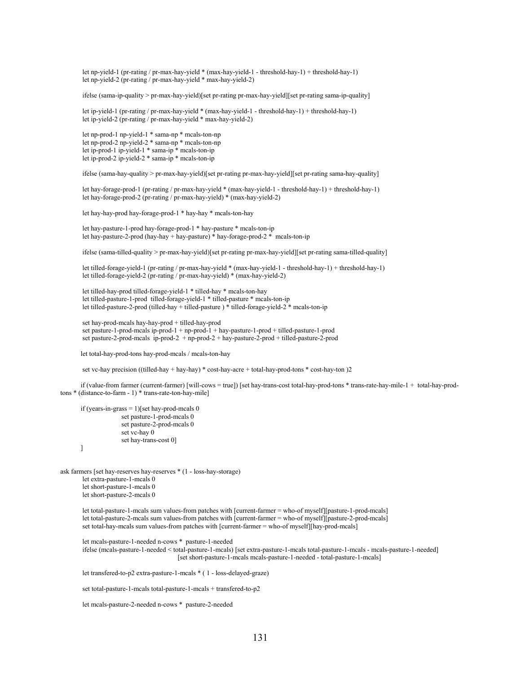let np-yield-1 (pr-rating / pr-max-hay-yield \* (max-hay-yield-1 - threshold-hay-1) + threshold-hay-1) let np-yield-2 (pr-rating / pr-max-hay-yield \* max-hay-yield-2)

ifelse (sama-ip-quality > pr-max-hay-yield)[set pr-rating pr-max-hay-yield][set pr-rating sama-ip-quality]

 let ip-yield-1 (pr-rating / pr-max-hay-yield \* (max-hay-yield-1 - threshold-hay-1) + threshold-hay-1) let ip-yield-2 (pr-rating / pr-max-hay-yield \* max-hay-yield-2)

 let np-prod-1 np-yield-1 \* sama-np \* mcals-ton-np let np-prod-2 np-yield-2 \* sama-np \* mcals-ton-np let ip-prod-1 ip-yield-1 \* sama-ip \* mcals-ton-ip let ip-prod-2 ip-yield-2 \* sama-ip \* mcals-ton-ip

ifelse (sama-hay-quality > pr-max-hay-yield)[set pr-rating pr-max-hay-yield][set pr-rating sama-hay-quality]

 let hay-forage-prod-1 (pr-rating / pr-max-hay-yield \* (max-hay-yield-1 - threshold-hay-1) + threshold-hay-1) let hay-forage-prod-2 (pr-rating / pr-max-hay-yield) \* (max-hay-yield-2)

let hay-hay-prod hay-forage-prod-1 \* hay-hay \* mcals-ton-hay

 let hay-pasture-1-prod hay-forage-prod-1 \* hay-pasture \* mcals-ton-ip let hay-pasture-2-prod (hay-hay + hay-pasture)  $*$  hay-forage-prod-2  $*$  mcals-ton-ip

ifelse (sama-tilled-quality > pr-max-hay-yield)[set pr-rating pr-max-hay-yield][set pr-rating sama-tilled-quality]

 let tilled-forage-yield-1 (pr-rating / pr-max-hay-yield \* (max-hay-yield-1 - threshold-hay-1) + threshold-hay-1) let tilled-forage-yield-2 (pr-rating / pr-max-hay-yield) \* (max-hay-yield-2)

 let tilled-hay-prod tilled-forage-yield-1 \* tilled-hay \* mcals-ton-hay let tilled-pasture-1-prod tilled-forage-yield-1 \* tilled-pasture \* mcals-ton-ip let tilled-pasture-2-prod (tilled-hay + tilled-pasture ) \* tilled-forage-yield-2 \* mcals-ton-ip

 set hay-prod-mcals hay-hay-prod + tilled-hay-prod set pasture-1-prod-mcals ip-prod-1 + np-prod-1 + hay-pasture-1-prod + tilled-pasture-1-prod set pasture-2-prod-mcals ip-prod-2 + np-prod-2 + hay-pasture-2-prod + tilled-pasture-2-prod

let total-hay-prod-tons hay-prod-mcals / mcals-ton-hay

set vc-hay precision ((tilled-hay + hay-hay) \* cost-hay-acre + total-hay-prod-tons \* cost-hay-ton )2

 if (value-from farmer (current-farmer) [will-cows = true]) [set hay-trans-cost total-hay-prod-tons \* trans-rate-hay-mile-1 + total-hay-prodtons \* (distance-to-farm - 1) \* trans-rate-ton-hay-mile]

```
if (years-in-grass = 1)[set hay-prod-mcals 0
                 set pasture-1-prod-mcals 0 
                 set pasture-2-prod-mcals 0 
                 set vc-hay 0 
                 set hay-trans-cost 0] 
 ]
```
ask farmers [set hay-reserves hay-reserves \* (1 - loss-hay-storage)

```
 let extra-pasture-1-mcals 0 
 let short-pasture-1-mcals 0 
 let short-pasture-2-mcals 0
```
 let total-pasture-1-mcals sum values-from patches with [current-farmer = who-of myself][pasture-1-prod-mcals] let total-pasture-2-mcals sum values-from patches with [current-farmer = who-of myself][pasture-2-prod-mcals] set total-hay-mcals sum values-from patches with [current-farmer = who-of myself][hay-prod-mcals]

 let mcals-pasture-1-needed n-cows \* pasture-1-needed ifelse (mcals-pasture-1-needed < total-pasture-1-mcals) [set extra-pasture-1-mcals total-pasture-1-mcals - mcals-pasture-1-needed] [set short-pasture-1-mcals mcals-pasture-1-needed - total-pasture-1-mcals]

let transfered-to-p2 extra-pasture-1-mcals \* ( 1 - loss-delayed-graze)

set total-pasture-1-mcals total-pasture-1-mcals + transfered-to-p2

let mcals-pasture-2-needed n-cows \* pasture-2-needed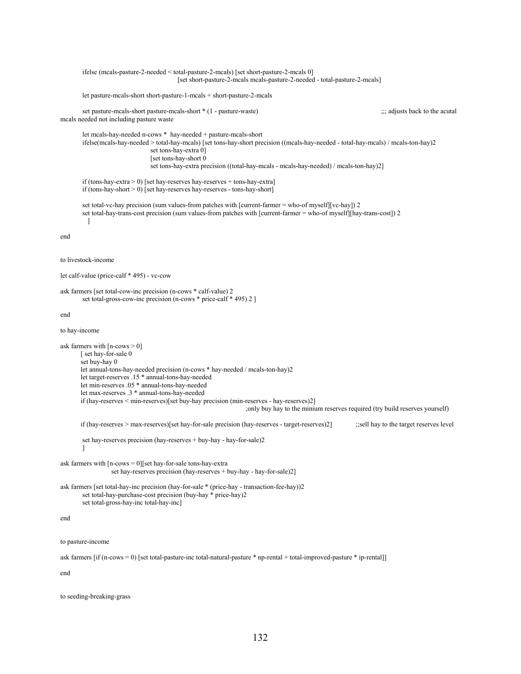```
 ifelse (mcals-pasture-2-needed < total-pasture-2-mcals) [set short-pasture-2-mcals 0] 
                                            [set short-pasture-2-mcals mcals-pasture-2-needed - total-pasture-2-mcals] 
         let pasture-mcals-short short-pasture-1-mcals + short-pasture-2-mcals 
        set pasture-mcals-short pasture-mcals-short * (1 - pasture-waste) ;;; adjusts back to the acutal
mcals needed not including pasture waste 
         let mcals-hay-needed n-cows * hay-needed + pasture-mcals-short 
         ifelse(mcals-hay-needed > total-hay-mcals) [set tons-hay-short precision ((mcals-hay-needed - total-hay-mcals) / mcals-ton-hay)2 
                                  set tons-hay-extra 0] 
                                 [set tons-hay-short 0]
                                  set tons-hay-extra precision ((total-hay-mcals - mcals-hay-needed) / mcals-ton-hay)2] 
         if (tons-hay-extra > 0) [set hay-reserves hay-reserves + tons-hay-extra] 
        if (tons-hay-short > 0) [set hay-reserves hay-reserves - tons-hay-short]
         set total-vc-hay precision (sum values-from patches with [current-farmer = who-of myself][vc-hay]) 2 
         set total-hay-trans-cost precision (sum values-from patches with [current-farmer = who-of myself][hay-trans-cost]) 2 
          ] 
end 
to livestock-income 
let calf-value (price-calf * 495) - vc-cow 
ask farmers [set total-cow-inc precision (n-cows * calf-value) 2 
        set total-gross-cow-inc precision (n-cows * price-calf * 495) 2 ]
end 
to hay-income 
ask farmers with [n-cows > 0][ set hay-for-sale 0
        set buy-hay 0 
        let annual-tons-hay-needed precision (n-cows * hay-needed / mcals-ton-hay)2 
        let target-reserves .15 * annual-tons-hay-needed 
        let min-reserves .05 * annual-tons-hay-needed 
        let max-reserves .3 * annual-tons-hay-needed 
        if (hay-reserves < min-reserves)[set buy-hay precision (min-reserves - hay-reserves)2] 
                                                                     ;only buy hay to the minium reserves required (try build reserves yourself) 
        if (hay-reserves > max-reserves)[set hay-for-sale precision (hay-reserves - target-reserves)2] ;;sell hay to the target reserves level 
         set hay-reserves precision (hay-reserves + buy-hay - hay-for-sale)2 
\sim 1
ask farmers with [n-cows = 0][set hay-for-sale tons-hay-extra 
                    set hay-reserves precision (hay-reserves + buy-hay - hay-for-sale)2] 
ask farmers [set total-hay-inc precision (hay-for-sale * (price-hay - transaction-fee-hay))2 
         set total-hay-purchase-cost precision (buy-hay * price-hay)2 
         set total-gross-hay-inc total-hay-inc] 
end 
to pasture-income 
ask farmers [if (n-cows = 0) [set total-pasture-inc total-natural-pasture * np-rental + total-improved-pasture * ip-rental]] 
end 
to seeding-breaking-grass
```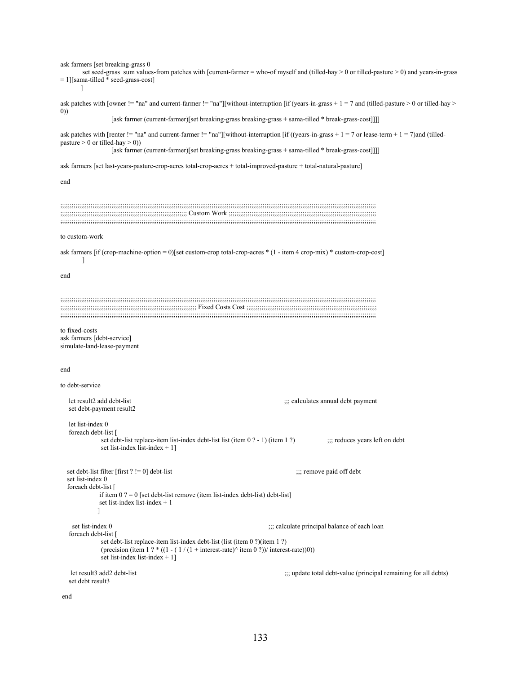ask farmers [set breaking-grass 0 set seed-grass sum values-from patches with [current-farmer = who-of myself and (tilled-hay  $> 0$  or tilled-pasture  $> 0$ ) and years-in-grass = 1][sama-tilled \* seed-grass-cost]  $\sim$   $\sim$   $\sim$   $\sim$ ask patches with [owner != "na" and current-farmer != "na"][without-interruption [if (years-in-grass + 1 = 7 and (tilled-pasture > 0 or tilled-hay > 0)) [ask farmer (current-farmer)[set breaking-grass breaking-grass + sama-tilled \* break-grass-cost]]]] ask patches with [renter != "na" and current-farmer != "na"][without-interruption [if ((years-in-grass + 1 = 7 or lease-term + 1 = 7)and (tilledpasture  $> 0$  or tilled-hay  $> 0$ )) [ask farmer (current-farmer)[set breaking-grass breaking-grass + sama-tilled \* break-grass-cost]]]] ask farmers [set last-years-pasture-crop-acres total-crop-acres + total-improved-pasture + total-natural-pasture] end ;;;;;;;;;;;;;;;;;;;;;;;;;;;;;;;;;;;;;;;;;;;;;;;;;;;;;;;;;;;;;;;;;;;;;;;;;;;;;;;;;;;;;;;;;;;;;;;;;;;;;;;;;;;;;;;;;;;;;;;;;;;;;;;;;;;;;;;;;;;;;;;;;;;;;;;;;;;;;;;;;;;;;;; ;;;;;;;;;;;;;;;;;;;;;;;;;;;;;;;;;;;;;;;;;;;;;;;;;;;;;;;;;;;;;;;;;;; Custom Work ;;;;;;;;;;;;;;;;;;;;;;;;;;;;;;;;;;;;;;;;;;;;;;;;;;;;;;;;;;;;;;;;;;;;;;;;;;;;;; ;;;;;;;;;;;;;;;;;;;;;;;;;;;;;;;;;;;;;;;;;;;;;;;;;;;;;;;;;;;;;;;;;;;;;;;;;;;;;;;;;;;;;;;;;;;;;;;;;;;;;;;;;;;;;;;;;;;;;;;;;;;;;;;;;;;;;;;;;;;;;;;;;;;;;;;;;;;;;;;;;;;;;;; to custom-work ask farmers [if (crop-machine-option = 0)[set custom-crop total-crop-acres \* (1 - item 4 crop-mix) \* custom-crop-cost] ] end ;;;;;;;;;;;;;;;;;;;;;;;;;;;;;;;;;;;;;;;;;;;;;;;;;;;;;;;;;;;;;;;;;;;;;;;;;;;;;;;;;;;;;;;;;;;;;;;;;;;;;;;;;;;;;;;;;;;;;;;;;;;;;;;;;;;;;;;;;;;;;;;;;;;;;;;;;;;;;;;;;;;;;;; ;;;;;;;;;;;;;;;;;;;;;;;;;;;;;;;;;;;;;;;;;;;;;;;;;;;;;;;;;;;;;;;;;;;;;;;; Fixed Costs Cost ;;;;;;;;;;;;;;;;;;;;;;;;;;;;;;;;;;;;;;;;;;;;;;;;;;;;;;;;;;;;;;;;;;;;; ;;;;;;;;;;;;;;;;;;;;;;;;;;;;;;;;;;;;;;;;;;;;;;;;;;;;;;;;;;;;;;;;;;;;;;;;;;;;;;;;;;;;;;;;;;;;;;;;;;;;;;;;;;;;;;;;;;;;;;;;;;;;;;;;;;;;;;;;;;;;;;;;;;;;;;;;;;;;;;;;;;;;;;; to fixed-costs ask farmers [debt-service] simulate-land-lease-payment end to debt-service let result2 add debt-list  $\ldots$  is calculates annual debt payment set debt-payment result2 let list-index 0 foreach debt-list [ set debt-list replace-item list-index debt-list list (item 0 ? - 1) (item 1 ?) ;;; reduces years left on debt set list-index list-index  $+1$ ] set debt-list filter [first ? != 0] debt-list  $\therefore$  is remove paid off debt set list-index 0 foreach debt-list [ if item  $0$  ? = 0 [set debt-list remove (item list-index debt-list) debt-list] set list-index list-index + 1 ] set list-index 0  $\ldots$  calculate principal balance of each loan foreach debt-list [ set debt-list replace-item list-index debt-list (list (item 0 ?)(item 1 ?) (precision (item 1 ? \* ((1 - (1 / (1 + interest-rate) $\land$  item 0 ?))/ interest-rate))0)) set list-index list-index  $+1$ ] let result3 add2 debt-list  $\ldots$  is update total debt-value (principal remaining for all debts) set debt result3

end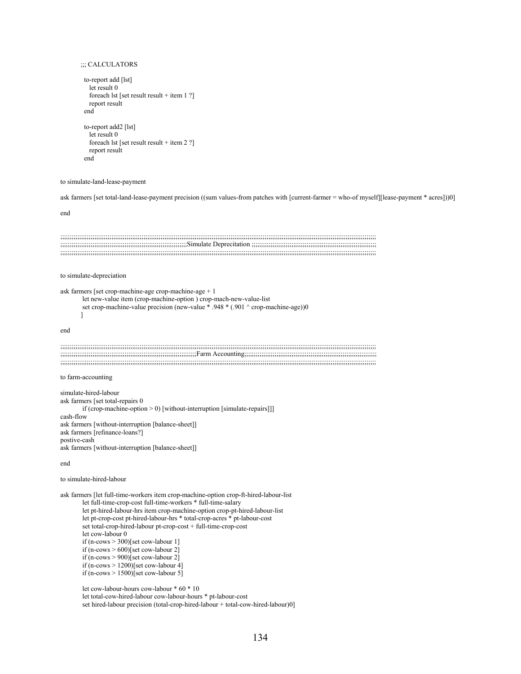```
 ;;; CALCULATORS 
  to-report add [lst] 
    let result 0 
   foreach lst [set result result + item 1 ?]
    report result 
  end 
  to-report add2 [lst] 
    let result 0 
   foreach lst [set result result + item 2 ?]
    report result 
  end
```
to simulate-land-lease-payment

ask farmers [set total-land-lease-payment precision ((sum values-from patches with [current-farmer = who-of myself][lease-payment \* acres]))0]

end

| $\label{m:main} \begin{minipage}[t]{.39\linewidth} \centering \begin{minipage}[t]{.39\linewidth} \centering \begin{minipage}[t]{.39\linewidth} \centering \end{minipage}[t]{\small 39\linewidth} \centering \begin{minipage}[t]{.39\linewidth} \centering \end{minipage}[t]{\small 39\linewidth} \centering \begin{minipage}[t]{.39\linewidth} \centering \end{minipage}[t]{\small 39\linewidth} \centering \begin{minipage}[t]{.39\linewidth} \centering \end{minipage}[t]{\small 39\linewidth} \centering \begin{minipage}[t]{.39\linewidth} \centering \end{minipage}[$ |
|----------------------------------------------------------------------------------------------------------------------------------------------------------------------------------------------------------------------------------------------------------------------------------------------------------------------------------------------------------------------------------------------------------------------------------------------------------------------------------------------------------------------------------------------------------------------------|
|                                                                                                                                                                                                                                                                                                                                                                                                                                                                                                                                                                            |
|                                                                                                                                                                                                                                                                                                                                                                                                                                                                                                                                                                            |
|                                                                                                                                                                                                                                                                                                                                                                                                                                                                                                                                                                            |
| $\label{m:main} \begin{minipage}[t]{.39\linewidth} \centering \begin{minipage}[t]{.39\linewidth} \centering \begin{minipage}[t]{.39\linewidth} \centering \end{minipage}[t]{\small 39\linewidth} \centering \begin{minipage}[t]{.39\linewidth} \centering \end{minipage}[t]{\small 39\linewidth} \centering \begin{minipage}[t]{.39\linewidth} \centering \end{minipage}[t]{\small 39\linewidth} \centering \begin{minipage}[t]{.39\linewidth} \centering \end{minipage}[t]{\small 39\linewidth} \centering \begin{minipage}[t]{.39\linewidth} \centering \end{minipage}[$ |

## to simulate-depreciation

```
ask farmers [set crop-machine-age crop-machine-age + 1 
         let new-value item (crop-machine-option ) crop-mach-new-value-list
```
set crop-machine-value precision (new-value \* .948 \* (.901 ^ crop-machine-age))0

]

end

```
;;;;;;;;;;;;;;;;;;;;;;;;;;;;;;;;;;;;;;;;;;;;;;;;;;;;;;;;;;;;;;;;;;;;;;;;;;;;;;;;;;;;;;;;;;;;;;;;;;;;;;;;;;;;;;;;;;;;;;;;;;;;;;;;;;;;;;;;;;;;;;;;;;;;;;;;;;;;;;;;;;;;;;; 
;;;;;;;;;;;;;;;;;;;;;;;;;;;;;;;;;;;;;;;;;;;;;;;;;;;;;;;;;;;;;;;;;;;;;;;;Farm Accounting;;;;;;;;;;;;;;;;;;;;;;;;;;;;;;;;;;;;;;;;;;;;;;;;;;;;;;;;;;;;;;;;;;;;;; 
;;;;;;;;;;;;;;;;;;;;;;;;;;;;;;;;;;;;;;;;;;;;;;;;;;;;;;;;;;;;;;;;;;;;;;;;;;;;;;;;;;;;;;;;;;;;;;;;;;;;;;;;;;;;;;;;;;;;;;;;;;;;;;;;;;;;;;;;;;;;;;;;;;;;;;;;;;;;;;;;;;;;;;;
```
#### to farm-accounting

```
simulate-hired-labour 
ask farmers [set total-repairs 0 
         if (crop-machine-option > 0) [without-interruption [simulate-repairs]]] 
cash-flow 
ask farmers [without-interruption [balance-sheet]] 
ask farmers [refinance-loans?] 
postive-cash 
ask farmers [without-interruption [balance-sheet]]
```
end

```
to simulate-hired-labour
```
ask farmers [let full-time-workers item crop-machine-option crop-ft-hired-labour-list let full-time-crop-cost full-time-workers \* full-time-salary let pt-hired-labour-hrs item crop-machine-option crop-pt-hired-labour-list let pt-crop-cost pt-hired-labour-hrs \* total-crop-acres \* pt-labour-cost set total-crop-hired-labour pt-crop-cost + full-time-crop-cost let cow-labour 0 if  $(n$ -cows  $> 300$  [set cow-labour 1] if  $(n$ -cows  $> 600$  [set cow-labour 2] if  $(n$ -cows > 900)[set cow-labour 2] if  $(n$ -cows  $> 1200$  [set cow-labour 4] if  $(n$ -cows > 1500)[set cow-labour 5] let cow-labour-hours cow-labour \* 60 \* 10

 let total-cow-hired-labour cow-labour-hours \* pt-labour-cost set hired-labour precision (total-crop-hired-labour + total-cow-hired-labour)0]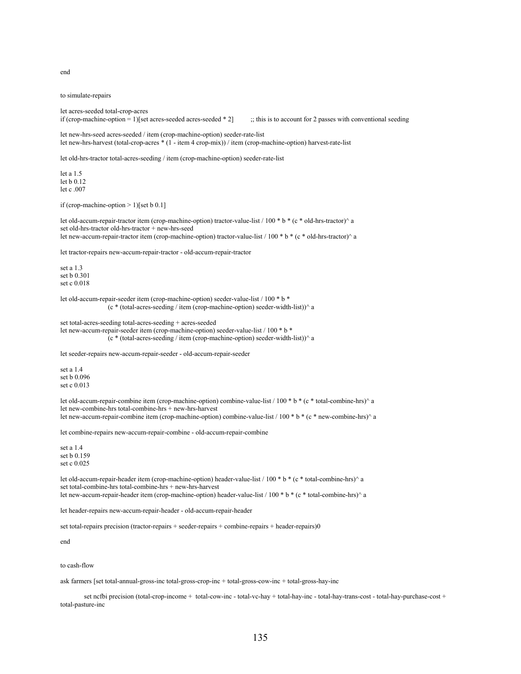end

to simulate-repairs

let acres-seeded total-crop-acres if (crop-machine-option = 1)[set acres-seeded acres-seeded  $*$  2] ;; this is to account for 2 passes with conventional seeding

let new-hrs-seed acres-seeded / item (crop-machine-option) seeder-rate-list let new-hrs-harvest (total-crop-acres \* (1 - item 4 crop-mix)) / item (crop-machine-option) harvest-rate-list

let old-hrs-tractor total-acres-seeding / item (crop-machine-option) seeder-rate-list

let a 1.5 let b 0.12 let c .007

if (crop-machine-option > 1)[set b 0.1]

let old-accum-repair-tractor item (crop-machine-option) tractor-value-list / 100 \* b \* (c \* old-hrs-tractor)^ a set old-hrs-tractor old-hrs-tractor + new-hrs-seed let new-accum-repair-tractor item (crop-machine-option) tractor-value-list / 100 \* b \* (c \* old-hrs-tractor)^ a

let tractor-repairs new-accum-repair-tractor - old-accum-repair-tractor

set a 1.3 set b 0.301 set c 0.018

let old-accum-repair-seeder item (crop-machine-option) seeder-value-list / 100 \* b \* (c \* (total-acres-seeding / item (crop-machine-option) seeder-width-list))^ a

set total-acres-seeding total-acres-seeding + acres-seeded let new-accum-repair-seeder item (crop-machine-option) seeder-value-list / 100  $*$  b  $*$  $(c * (total-acres-seeding / item (crop-machine-option) seeder-width-list))^ $^$  a$ 

let seeder-repairs new-accum-repair-seeder - old-accum-repair-seeder

set a 1.4 set b 0.096 set c 0.013

let old-accum-repair-combine item (crop-machine-option) combine-value-list / 100 \* b \* (c \* total-combine-hrs)^ a let new-combine-hrs total-combine-hrs + new-hrs-harvest let new-accum-repair-combine item (crop-machine-option) combine-value-list / 100 \* b \* (c \* new-combine-hrs)^ a

let combine-repairs new-accum-repair-combine - old-accum-repair-combine

set a 1.4 set b 0.159 set c 0.025

let old-accum-repair-header item (crop-machine-option) header-value-list / 100 \* b \* (c \* total-combine-hrs)<sup>^</sup> a set total-combine-hrs total-combine-hrs + new-hrs-harvest let new-accum-repair-header item (crop-machine-option) header-value-list / 100 \* b \* (c \* total-combine-hrs)^ a

let header-repairs new-accum-repair-header - old-accum-repair-header

set total-repairs precision (tractor-repairs + seeder-repairs + combine-repairs + header-repairs)0

end

to cash-flow

ask farmers [set total-annual-gross-inc total-gross-crop-inc + total-gross-cow-inc + total-gross-hay-inc

set ncfbi precision (total-crop-income + total-cow-inc - total-vc-hay + total-hay-inc - total-hay-trans-cost - total-hay-purchase-cost + total-pasture-inc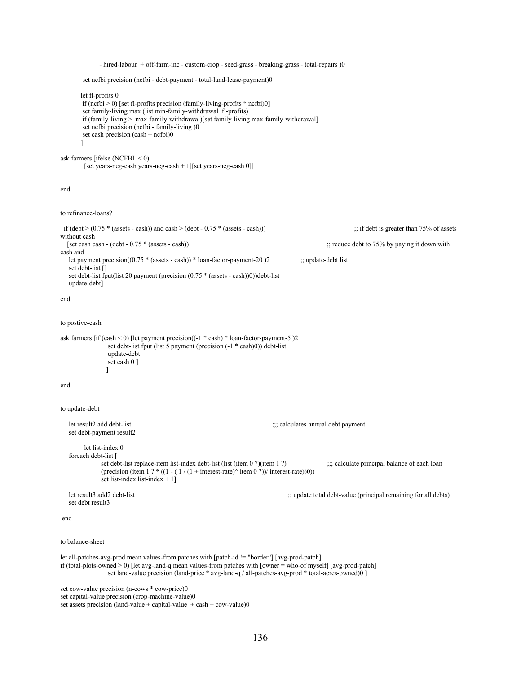- hired-labour + off-farm-inc - custom-crop - seed-grass - breaking-grass - total-repairs )0 set ncfbi precision (ncfbi - debt-payment - total-land-lease-payment)0 let fl-profits 0 if (ncfbi > 0) [set fl-profits precision (family-living-profits \* ncfbi)0] set family-living max (list min-family-withdrawal fl-profits) if (family-living > max-family-withdrawal)[set family-living max-family-withdrawal] set ncfbi precision (ncfbi - family-living )0 set cash precision  $(cash + ncfbi)0$  $\sim$  1 ask farmers [ifelse (NCFBI < 0) [set years-neg-cash years-neg-cash + 1][set years-neg-cash 0]] end to refinance-loans? if (debt >  $(0.75 * (assets - cash))$  and cash > (debt - 0.75  $*(assets - cash))$ ) ;; if debt is greater than 75% of assets without cash<br>  $[set cash cash - (debt - 0.75 * (assets - cash))]$  $\gamma$ ; reduce debt to 75% by paying it down with cash and let payment precision((0.75 \* (assets - cash)) \* loan-factor-payment-20 )2 ;; update-debt list set debt-list [] set debt-list fput(list 20 payment (precision (0.75 \* (assets - cash))0))debt-list update-debt] end to postive-cash ask farmers [if (cash < 0) [let payment precision((-1 \* cash) \* loan-factor-payment-5 )2 set debt-list fput (list 5 payment (precision (-1 \* cash)0)) debt-list update-debt set cash 0 ] ] end to update-debt let result2 add debt-list  $\ldots$  is calculates annual debt payment set debt-payment result2 let list-index 0 foreach debt-list [ set debt-list replace-item list-index debt-list (list (item 0 ?)(item 1 ?) ;;; calculate principal balance of each loan (precision (item 1 ? \* ((1 - (1 / (1 + interest-rate) $\land$  item 0 ?))/ interest-rate))0)) set list-index list-index  $+1$ ] let result3 add2 debt-list  $\ldots$  ;;; update total debt-value (principal remaining for all debts) set debt result3 end to balance-sheet let all-patches-avg-prod mean values-from patches with [patch-id != "border"] [avg-prod-patch] if (total-plots-owned > 0) [let avg-land-q mean values-from patches with [owner = who-of myself] [avg-prod-patch] set land-value precision (land-price \* avg-land-q / all-patches-avg-prod \* total-acres-owned)0 ] set cow-value precision (n-cows \* cow-price)0 set capital-value precision (crop-machine-value)0

set assets precision (land-value + capital-value + cash + cow-value) $0$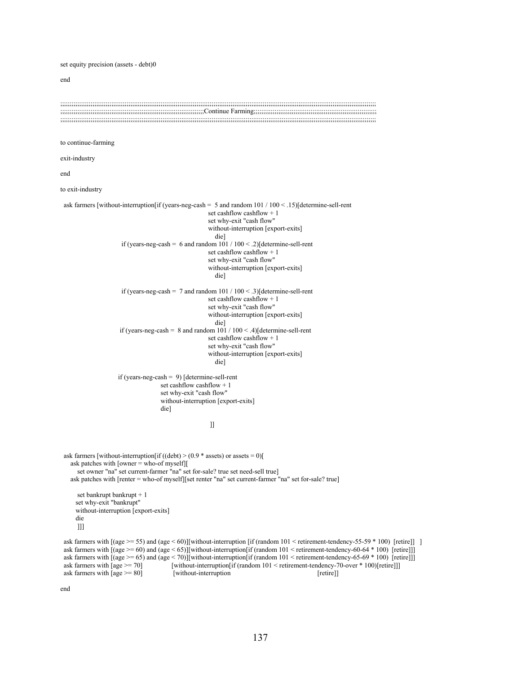set equity precision (assets - debt)0

end

;;;;;;;;;;;;;;;;;;;;;;;;;;;;;;;;;;;;;;;;;;;;;;;;;;;;;;;;;;;;;;;;;;;;;;;;;;;;;;;;;;;;;;;;;;;;;;;;;;;;;;;;;;;;;;;;;;;;;;;;;;;;;;;;;;;;;;;;;;;;;;;;;;;;;;;;;;;;;;;;;;;;;;; ;;;;;;;;;;;;;;;;;;;;;;;;;;;;;;;;;;;;;;;;;;;;;;;;;;;;;;;;;;;;;;;;;;;;;;;;;;;;Continue Farming;;;;;;;;;;;;;;;;;;;;;;;;;;;;;;;;;;;;;;;;;;;;;;;;;;;;;;;;;;;;;;;;; ;;;;;;;;;;;;;;;;;;;;;;;;;;;;;;;;;;;;;;;;;;;;;;;;;;;;;;;;;;;;;;;;;;;;;;;;;;;;;;;;;;;;;;;;;;;;;;;;;;;;;;;;;;;;;;;;;;;;;;;;;;;;;;;;;;;;;;;;;;;;;;;;;;;;;;;;;;;;;;;;;;;;;;; to continue-farming exit-industry end to exit-industry ask farmers [without-interruption[if (years-neg-cash = 5 and random 101 / 100 < .15)[determine-sell-rent set cashflow cashflow + 1 set why-exit "cash flow" without-interruption [export-exits] die] if (years-neg-cash = 6 and random  $101 / 100 \le .2$ )[determine-sell-rent set cashflow cashflow + 1 set why-exit "cash flow" without-interruption [export-exits] die] if (years-neg-cash =  $7$  and random  $101 / 100 < .3$ )[determine-sell-rent set cashflow cashflow + 1 set why-exit "cash flow" without-interruption [export-exits] die] if (years-neg-cash =  $8$  and random  $101 / 100 \le .4$ )[determine-sell-rent set cashflow cashflow + 1 set why-exit "cash flow" without-interruption [export-exits] die] if (years-neg-cash = 9) [determine-sell-rent set cashflow cashflow + 1 set why-exit "cash flow" without-interruption [export-exits] die]  $\blacksquare$ ask farmers [without-interruption[if ((debt)  $>$  (0.9  $*$  assets) or assets = 0)[ ask patches with [owner = who-of myself][ set owner "na" set current-farmer "na" set for-sale? true set need-sell true] ask patches with [renter = who-of myself][set renter "na" set current-farmer "na" set for-sale? true] set bankrupt bankrupt  $+1$  set why-exit "bankrupt" without-interruption [export-exits] die ]]] ask farmers with  $[(age \geq 55)$  and  $(age \leq 60)]$ [without-interruption [if (random 101 < retirement-tendency-55-59  $*$  100) [retire]] ] ask farmers with [(age >= 60) and (age < 65)][without-interruption[if (random 101 < retirement-tendency-60-64 \* 100) [retire]]] ask farmers with  $[(age \ge -65)$  and  $(age \le 70)]$ [without-interruption[if (random 101 < retirement-tendency-65-69 \* 100) [retire]]]<br>ask farmers with  $[age \ge -70]$  [without-interruption[if (random 101 < retirement-tendency-70-over \*  $[without-interruption[if (random 101 < returnet-tendency-70-over * 100)[retrie]]]$ ask farmers with  $[age = 80]$  [without-interruption [retire]] end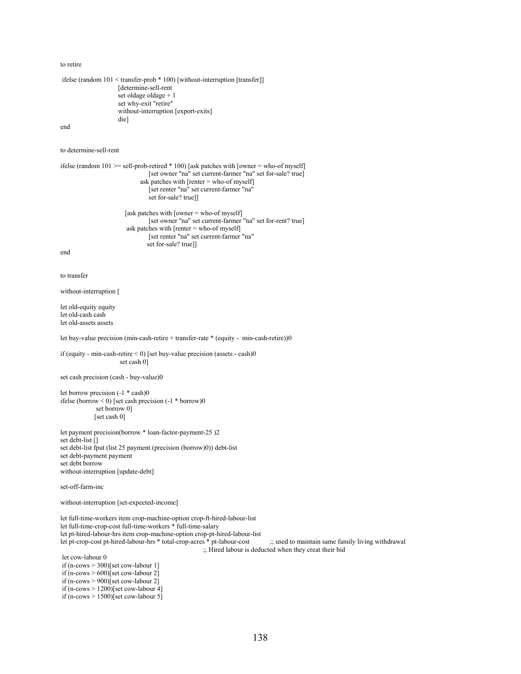to retire

```
 ifelse (random 101 < transfer-prob * 100) [without-interruption [transfer]] 
                       [determine-sell-rent 
                      set oldage oldage + 1
                       set why-exit "retire" 
                       without-interruption [export-exits] 
                       die]
```
end

## to determine-sell-rent

```
ifelse (random 101 \ge sell-prob-retired * 100) [ask patches with [owner = who-of myself]
                                  [set owner "na" set current-farmer "na" set for-sale? true] 
                               ask patches with [renter = who-of myself] 
                                  [set renter "na" set current-farmer "na" 
                                  set for-sale? true]] 
                         [ask patches with [owner = who-of myself]
                                  [set owner "na" set current-farmer "na" set for-rent? true] 
                          ask patches with [renter = who-of myself] 
                                  [set renter "na" set current-farmer "na"
```
set for-sale? true]]

end

to transfer

without-interruption [

let old-equity equity let old-cash cash let old-assets assets

let buy-value precision (min-cash-retire + transfer-rate \* (equity - min-cash-retire))0

```
if (equity - min-cash-retire < 0) [set buy-value precision (assets - cash)0 
                        set cash 0]
```
set cash precision (cash - buy-value)0

let borrow precision (-1 \* cash)0 ifelse (borrow < 0) [set cash precision (-1 \* borrow)0 set borrow 0] [set cash 0]

let payment precision(borrow \* loan-factor-payment-25 )2 set debt-list [] set debt-list fput (list 25 payment (precision (borrow)0)) debt-list set debt-payment payment set debt borrow without-interruption [update-debt]

set-off-farm-inc

without-interruption [set-expected-income]

let full-time-workers item crop-machine-option crop-ft-hired-labour-list let full-time-crop-cost full-time-workers \* full-time-salary let pt-hired-labour-hrs item crop-machine-option crop-pt-hired-labour-list let pt-crop-cost pt-hired-labour-hrs \* total-crop-acres \* pt-labour-cost ;; used to maintain same family living withdrawal ;; Hired labour is deducted when they creat their bid let cow-labour 0

 if (n-cows > 300)[set cow-labour 1] if (n-cows  $> 600$ )[set cow-labour 2] if  $(n$ -cows > 900)[set cow-labour 2] if  $(n$ -cows > 1200)[set cow-labour 4] if (n-cows  $> 1500$ )[set cow-labour 5]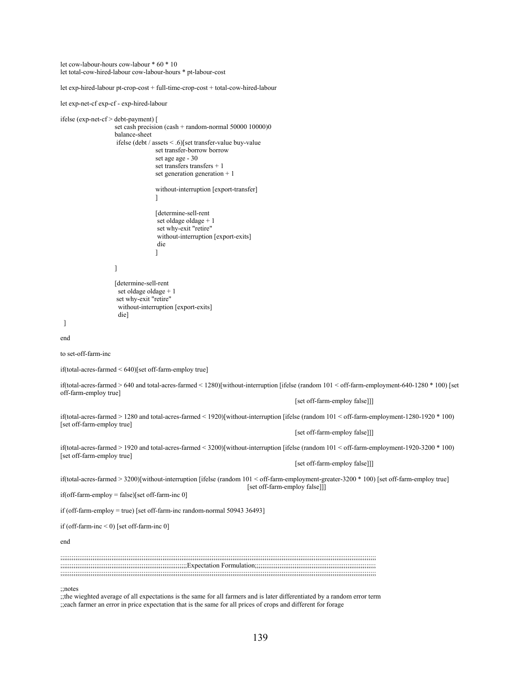let cow-labour-hours cow-labour \* 60 \* 10 let total-cow-hired-labour cow-labour-hours \* pt-labour-cost

let exp-hired-labour pt-crop-cost + full-time-crop-cost + total-cow-hired-labour

```
let exp-net-cf exp-cf - exp-hired-labour
```

```
ifelse (exp-net-cf > debt-payment) [ 
                       set cash precision (cash + random-normal 50000 10000)0
                        balance-sheet 
                        ifelse (debt / assets < .6)[set transfer-value buy-value 
                                         set transfer-borrow borrow 
                                         set age age - 30 
                                        set transfers transfers + 1
                                        set generation generation + 1
                                         without-interruption [export-transfer] 
\sim 100 \sim 100 \sim 100 \sim 100 \sim 100 \sim 100 \sim 100 \sim 100 \sim 100 \sim 100 \sim 100 \sim 100 \sim 100 \sim 100 \sim 100 \sim 100 \sim 100 \sim 100 \sim 100 \sim 100 \sim 100 \sim 100 \sim 100 \sim 100 \sim 
                                         [determine-sell-rent 
                                         set oldage oldage + 1
                                          set why-exit "retire" 
                                          without-interruption [export-exits] 
 die 
 ] 
 ] 
                        [determine-sell-rent 
                        set oldage oldage + 1
                         set why-exit "retire" 
                         without-interruption [export-exits] 
                         die] 
  ] 
end 
to set-off-farm-inc 
if(total-acres-farmed < 640)[set off-farm-employ true] 
if(total-acres-farmed > 640 and total-acres-farmed < 1280)[without-interruption [ifelse (random 101 < off-farm-employment-640-1280 * 100) [set 
off-farm-employ true]
```
 [set off-farm-employ false]]] if(total-acres-farmed > 1280 and total-acres-farmed < 1920)[without-interruption [ifelse (random 101 < off-farm-employment-1280-1920 \* 100) [set off-farm-employ true] [set off-farm-employ false]]] if(total-acres-farmed > 1920 and total-acres-farmed < 3200)[without-interruption [ifelse (random 101 < off-farm-employment-1920-3200 \* 100) [set off-farm-employ true] [set off-farm-employ false]]] if(total-acres-farmed > 3200)[without-interruption [ifelse (random 101 < off-farm-employment-greater-3200 \* 100) [set off-farm-employ true] [set off-farm-employ false]]] if(off-farm-employ = false)[set off-farm-inc 0] if (off-farm-employ = true) [set off-farm-inc random-normal 50943 36493] if (off-farm-inc < 0) [set off-farm-inc 0] ;;;;;;;;;;;;;;;;;;;;;;;;;;;;;;;;;;;;;;;;;;;;;;;;;;;;;;;;;;;;;;;;;;;;;;;;;;;;;;;;;;;;;;;;;;;;;;;;;;;;;;;;;;;;;;;;;;;;;;;;;;;;;;;;;;;;;;;;;;;;;;;;;;;;;;;;;;;;;;;;;;;;;;; ;;;;;;;;;;;;;;;;;;;;;;;;;;;;;;;;;;;;;;;;;;;;;;;;;;;;;;;;;;;;;;;;;;;Expectation Formulation;;;;;;;;;;;;;;;;;;;;;;;;;;;;;;;;;;;;;;;;;;;;;;;;;;;;;;;;;;;;;;;;

;;;;;;;;;;;;;;;;;;;;;;;;;;;;;;;;;;;;;;;;;;;;;;;;;;;;;;;;;;;;;;;;;;;;;;;;;;;;;;;;;;;;;;;;;;;;;;;;;;;;;;;;;;;;;;;;;;;;;;;;;;;;;;;;;;;;;;;;;;;;;;;;;;;;;;;;;;;;;;;;;;;;;;;

;;notes

end

;;the wieghted average of all expectations is the same for all farmers and is later differentiated by a random error term ;;each farmer an error in price expectation that is the same for all prices of crops and different for forage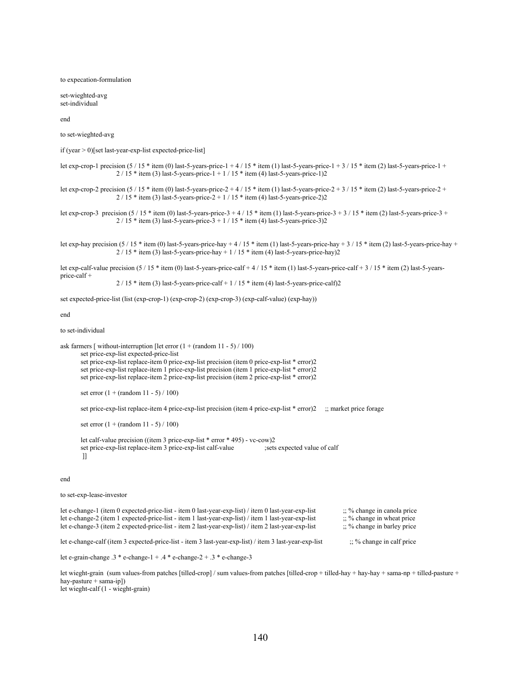to expecation-formulation

set-wieghted-avg set-individual

end

to set-wieghted-avg

if (year > 0)[set last-year-exp-list expected-price-list]

```
let exp-crop-1 precision (5/15 * item (0) last-5-years-price-1 + 4 / 15 * item (1) last-5-years-price-1 + 3 / 15 * item (2) last-5-years-price-1 +
                     2 / 15 * item (3) last-5-years-price-1 + 1 / 15 * item (4) last-5-years-price-1)2
```

```
let exp-crop-2 precision (5 / 15 * item (0) last-5-years-price-2 + 4 / 15 * item (1) last-5-years-price-2 + 3 / 15 * item (2) last-5-years-price-2 + 
                     2 / 15 * item (3) last-5-years-price-2 + 1 / 15 * item (4) last-5-years-price-2)2
```
let exp-crop-3 precision (5 / 15 \* item (0) last-5-years-price-3 + 4 / 15 \* item (1) last-5-years-price-3 + 3 / 15 \* item (2) last-5-years-price-3 +  $2 / 15 *$  item (3) last-5-years-price-3 + 1 / 15 \* item (4) last-5-years-price-3)2

let exp-hay precision (5 / 15 \* item (0) last-5-years-price-hay + 4 / 15 \* item (1) last-5-years-price-hay + 3 / 15 \* item (2) last-5-years-price-hay +  $2 / 15$  \* item (3) last-5-years-price-hay + 1 / 15 \* item (4) last-5-years-price-hay)2

let exp-calf-value precision (5 / 15 \* item (0) last-5-years-price-calf + 4 / 15 \* item (1) last-5-years-price-calf + 3 / 15 \* item (2) last-5-yearsprice-calf +

 $2 / 15$  \* item (3) last-5-years-price-calf + 1 / 15 \* item (4) last-5-years-price-calf)2

set expected-price-list (list (exp-crop-1) (exp-crop-2) (exp-crop-3) (exp-calf-value) (exp-hay))

### end

#### to set-individual

```
ask farmers \lceil without-interruption \lceil let error (1 + (\text{random } 11 - 5) / 100) set price-exp-list expected-price-list 
         set price-exp-list replace-item 0 price-exp-list precision (item 0 price-exp-list * error)2 
         set price-exp-list replace-item 1 price-exp-list precision (item 1 price-exp-list * error)2 
         set price-exp-list replace-item 2 price-exp-list precision (item 2 price-exp-list * error)2 
         set error (1 + (random 11 - 5) / 100)set price-exp-list replace-item 4 price-exp-list precision (item 4 price-exp-list * error)2 ;; market price forage
        set error (1 + (random 11 - 5) / 100)let calf-value precision ((item 3 price-exp-list * error * 495) - vc-cow)2<br>set price-exp-list replace-item 3 price-exp-list calf-value \frac{1}{100}; sets expected value of calf
        set price-exp-list replace-item 3 price-exp-list calf-value
          ]] 
end 
to set-exp-lease-investor
```

| $\therefore$ % change in canola price |
|---------------------------------------|
| $\therefore$ % change in wheat price  |
| $\therefore$ % change in barley price |
|                                       |
| $\therefore$ % change in calf price   |
|                                       |

let e-grain-change  $.3 * e$ -change-1 +  $.4 * e$ -change-2 +  $.3 * e$ -change-3

let wieght-grain (sum values-from patches [tilled-crop] / sum values-from patches [tilled-crop + tilled-hay + hay-hay + sama-np + tilled-pasture + hay-pasture + sama-ip])

let wieght-calf (1 - wieght-grain)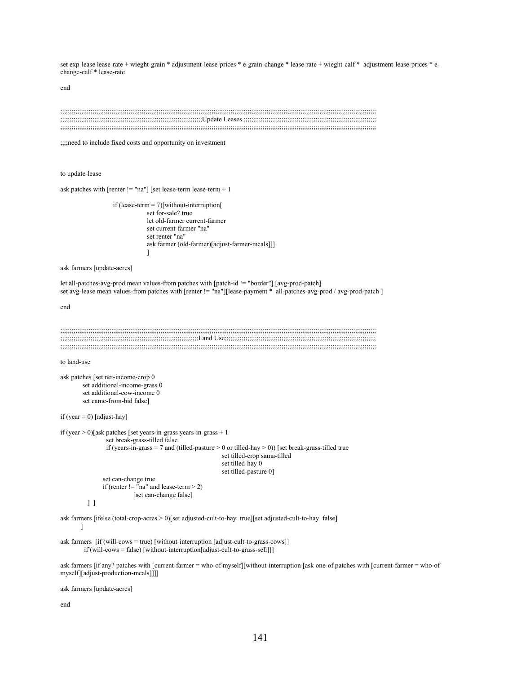set exp-lease lease-rate + wieght-grain \* adjustment-lease-prices \* e-grain-change \* lease-rate + wieght-calf \* adjustment-lease-prices \* echange-calf \* lease-rate

end

```
;;;;;;;;;;;;;;;;;;;;;;;;;;;;;;;;;;;;;;;;;;;;;;;;;;;;;;;;;;;;;;;;;;;;;;;;;;;;;;;;;;;;;;;;;;;;;;;;;;;;;;;;;;;;;;;;;;;;;;;;;;;;;;;;;;;;;;;;;;;;;;;;;;;;;;;;;;;;;;;;;;;;;;; 
;;;;;;;;;;;;;;;;;;;;;;;;;;;;;;;;;;;;;;;;;;;;;;;;;;;;;;;;;;;;;;;;;;;;;;;;;;;Update Leases ;;;;;;;;;;;;;;;;;;;;;;;;;;;;;;;;;;;;;;;;;;;;;;;;;;;;;;;;;;;;;;;;;;;;;; 
;;;;;;;;;;;;;;;;;;;;;;;;;;;;;;;;;;;;;;;;;;;;;;;;;;;;;;;;;;;;;;;;;;;;;;;;;;;;;;;;;;;;;;;;;;;;;;;;;;;;;;;;;;;;;;;;;;;;;;;;;;;;;;;;;;;;;;;;;;;;;;;;;;;;;;;;;;;;;;;;;;;;;;;
```
;;;;need to include fixed costs and opportunity on investment

to update-lease

ask patches with [renter  $== "na"$ ] [set lease-term lease-term + 1

 if (lease-term = 7)[without-interruption[ set for-sale? true let old-farmer current-farmer set current-farmer "na" set renter "na" ask farmer (old-farmer)[adjust-farmer-mcals]]] ]

ask farmers [update-acres]

let all-patches-avg-prod mean values-from patches with [patch-id != "border"] [avg-prod-patch] set avg-lease mean values-from patches with [renter != "na"][lease-payment \* all-patches-avg-prod / avg-prod-patch ]

end

```
;;;;;;;;;;;;;;;;;;;;;;;;;;;;;;;;;;;;;;;;;;;;;;;;;;;;;;;;;;;;;;;;;;;;;;;;;;;;;;;;;;;;;;;;;;;;;;;;;;;;;;;;;;;;;;;;;;;;;;;;;;;;;;;;;;;;;;;;;;;;;;;;;;;;;;;;;;;;;;;;;;;;;;; 
;;;;;;;;;;;;;;;;;;;;;;;;;;;;;;;;;;;;;;;;;;;;;;;;;;;;;;;;;;;;;;;;;;;;;;;;;Land Use;;;;;;;;;;;;;;;;;;;;;;;;;;;;;;;;;;;;;;;;;;;;;;;;;;;;;;;;;;;;;;;;;;;;;;;;;;;;;;;; 
;;;;;;;;;;;;;;;;;;;;;;;;;;;;;;;;;;;;;;;;;;;;;;;;;;;;;;;;;;;;;;;;;;;;;;;;;;;;;;;;;;;;;;;;;;;;;;;;;;;;;;;;;;;;;;;;;;;;;;;;;;;;;;;;;;;;;;;;;;;;;;;;;;;;;;;;;;;;;;;;;;;;;;;
```
to land-use

```
ask patches [set net-income-crop 0 
         set additional-income-grass 0 
         set additional-cow-income 0 
         set came-from-bid false] 
if (year = 0) [adjust-hay]
if (year > 0)[ask patches [set years-in-grass years-in-grass + 1 
                   set break-grass-tilled false 
                  if (years-in-grass = 7 and (tilled-pasture > 0 or tilled-hay > 0)) [set break-grass-tilled true
                                                                 set tilled-crop sama-tilled 
                                                                 set tilled-hay 0 
                                                                 set tilled-pasture 0] 
                  set can-change true 
                 if (renter != "na" and lease-term > 2)
                              [set can-change false] 
           ] ]
```
ask farmers [ifelse (total-crop-acres > 0)[set adjusted-cult-to-hay true][set adjusted-cult-to-hay false] ]

ask farmers  $[if (will-convs = true)$  [without-interruption [adjust-cult-to-grass-cows]] if (will-cows = false) [without-interruption[adjust-cult-to-grass-sell]]]

ask farmers [if any? patches with [current-farmer = who-of myself][without-interruption [ask one-of patches with [current-farmer = who-of myself][adjust-production-mcals]]]]

ask farmers [update-acres]

end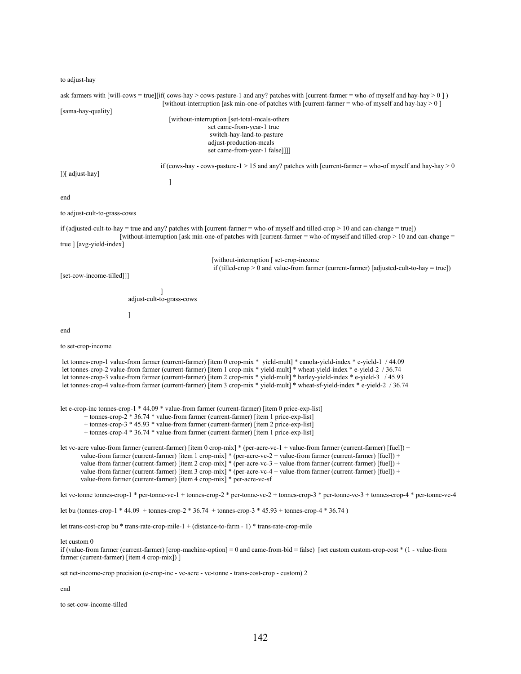to adjust-hay

ask farmers with [will-cows = true][if( cows-hay > cows-pasture-1 and any? patches with [current-farmer = who-of myself and hay-hay > 0 ]) [without-interruption [ask min-one-of patches with [current-farmer = who-of myself and hay-hay > 0 ] [sama-hay-quality] [without-interruption [set-total-mcals-others set came-from-year-1 true switch-hay-land-to-pasture adjust-production-mcals set came-from-year-1 false]]]] if (cows-hay - cows-pasture-1  $> 15$  and any? patches with [current-farmer = who-of myself and hay-hay  $> 0$ ])[ adjust-hay] [1] The contract of the contract of the contract of the contract of the contract of the contract of the contract of the contract of the contract of the contract of the contract of the contract of the contract of the contra end to adjust-cult-to-grass-cows if (adjusted-cult-to-hay = true and any? patches with [current-farmer = who-of myself and tilled-crop > 10 and can-change = true]) [without-interruption [ask min-one-of patches with [current-farmer = who-of myself and tilled-crop > 10 and can-change = true ] [avg-yield-index] [without-interruption [ set-crop-income if (tilled-crop  $> 0$  and value-from farmer (current-farmer) [adjusted-cult-to-hay = true]) [set-cow-income-tilled]]]  $\sim$  100  $\sim$  100  $\sim$  100  $\sim$  100  $\sim$  100  $\sim$  100  $\sim$  100  $\sim$  100  $\sim$  100  $\sim$  100  $\sim$  100  $\sim$  100  $\sim$  100  $\sim$  100  $\sim$  100  $\sim$  100  $\sim$  100  $\sim$  100  $\sim$  100  $\sim$  100  $\sim$  100  $\sim$  100  $\sim$  100  $\sim$  100  $\sim$  adjust-cult-to-grass-cows [1] **[1]** [1] **[1]** [1] **[1]** end to set-crop-income let tonnes-crop-1 value-from farmer (current-farmer) [item 0 crop-mix \* yield-mult] \* canola-yield-index \* e-yield-1 / 44.09 let tonnes-crop-2 value-from farmer (current-farmer) [item 1 crop-mix \* yield-mult] \* wheat-yield-index \* e-yield-2 / 36.74 let tonnes-crop-3 value-from farmer (current-farmer) [item 2 crop-mix \* yield-mult] \* barley-yield-index \* e-yield-3 / 45.93 let tonnes-crop-4 value-from farmer (current-farmer) [item 3 crop-mix \* yield-mult] \* wheat-sf-yield-index \* e-yield-2 / 36.74 let e-crop-inc tonnes-crop-1 \* 44.09 \* value-from farmer (current-farmer) [item 0 price-exp-list] + tonnes-crop-2 \* 36.74 \* value-from farmer (current-farmer) [item 1 price-exp-list] + tonnes-crop-3 \* 45.93 \* value-from farmer (current-farmer) [item 2 price-exp-list] + tonnes-crop-4 \* 36.74 \* value-from farmer (current-farmer) [item 1 price-exp-list] let vc-acre value-from farmer (current-farmer) [item 0 crop-mix] \* (per-acre-vc-1 + value-from farmer (current-farmer) [fuel]) + value-from farmer (current-farmer) [item 1 crop-mix] \* (per-acre-vc-2 + value-from farmer (current-farmer) [fuel]) + value-from farmer (current-farmer) [item 2 crop-mix] \* (per-acre-vc-3 + value-from farmer (current-farmer) [fuel]) + value-from farmer (current-farmer) [item 3 crop-mix] \* (per-acre-vc-4 + value-from farmer (current-farmer) [fuel]) + value-from farmer (current-farmer) [item 4 crop-mix] \* per-acre-vc-sf let vc-tonne tonnes-crop-1 \* per-tonne-vc-1 + tonnes-crop-2 \* per-tonne-vc-2 + tonnes-crop-3 \* per-tonne-vc-3 + tonnes-crop-4 \* per-tonne-vc-4 let bu (tonnes-crop-1 \* 44.09 + tonnes-crop-2 \* 36.74 + tonnes-crop-3 \* 45.93 + tonnes-crop-4 \* 36.74 ) let trans-cost-crop bu \* trans-rate-crop-mile-1 + (distance-to-farm - 1) \* trans-rate-crop-mile let custom 0 if (value-from farmer (current-farmer) [crop-machine-option] = 0 and came-from-bid = false) [set custom custom-crop-cost  $*(1 - value$ -from farmer (current-farmer) [item 4 crop-mix]) ] set net-income-crop precision (e-crop-inc - vc-acre - vc-tonne - trans-cost-crop - custom) 2

end

to set-cow-income-tilled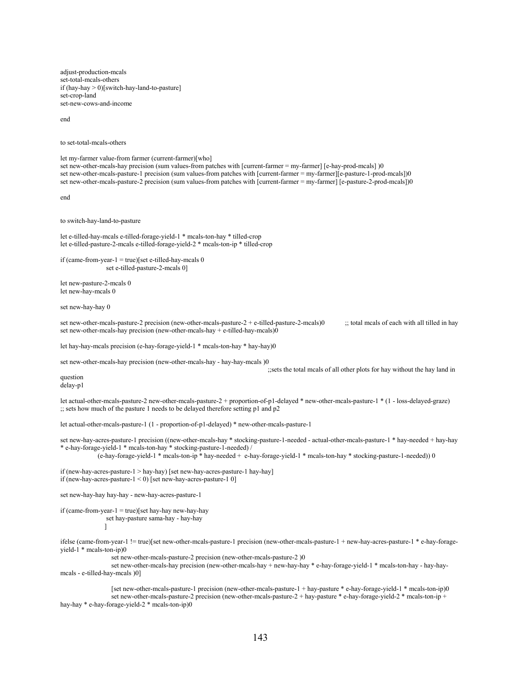adjust-production-mcals set-total-mcals-others if (hay-hay  $> 0$ )[switch-hay-land-to-pasture] set-crop-land set-new-cows-and-income

end

to set-total-mcals-others

let my-farmer value-from farmer (current-farmer)[who] set new-other-mcals-hay precision (sum values-from patches with [current-farmer = my-farmer] [e-hay-prod-mcals] )0 set new-other-mcals-pasture-1 precision (sum values-from patches with [current-farmer = my-farmer][e-pasture-1-prod-mcals])0 set new-other-mcals-pasture-2 precision (sum values-from patches with [current-farmer = my-farmer] [e-pasture-2-prod-mcals])0

end

to switch-hay-land-to-pasture

let e-tilled-hay-mcals e-tilled-forage-yield-1 \* mcals-ton-hay \* tilled-crop let e-tilled-pasture-2-mcals e-tilled-forage-yield-2 \* mcals-ton-ip \* tilled-crop

if (came-from-year-1 = true)[set e-tilled-hay-mcals 0 set e-tilled-pasture-2-mcals 0]

let new-pasture-2-mcals 0 let new-hay-mcals 0

set new-hay-hay 0

set new-other-mcals-pasture-2 precision (new-other-mcals-pasture-2 + e-tilled-pasture-2-mcals)0 ;; total mcals of each with all tilled in hay set new-other-mcals-hay precision (new-other-mcals-hay + e-tilled-hay-mcals) $\dot{0}$ 

let hay-hay-mcals precision (e-hay-forage-yield-1 \* mcals-ton-hay \* hay-hay)0

set new-other-mcals-hay precision (new-other-mcals-hay - hay-hay-mcals )0

;;sets the total mcals of all other plots for hay without the hay land in

question delay-p1

let actual-other-mcals-pasture-2 new-other-mcals-pasture-2 + proportion-of-p1-delayed \* new-other-mcals-pasture-1 \* (1 - loss-delayed-graze)  $\therefore$ ; sets how much of the pasture 1 needs to be delayed therefore setting p1 and p2

let actual-other-mcals-pasture-1 (1 - proportion-of-p1-delayed) \* new-other-mcals-pasture-1

set new-hay-acres-pasture-1 precision ((new-other-mcals-hay \* stocking-pasture-1-needed - actual-other-mcals-pasture-1 \* hay-needed + hay-hay \* e-hay-forage-yield-1 \* mcals-ton-hay \* stocking-pasture-1-needed) /

(e-hay-forage-yield-1 \* mcals-ton-ip \* hay-needed + e-hay-forage-yield-1 \* mcals-ton-hay \* stocking-pasture-1-needed)) 0

if (new-hay-acres-pasture-1 > hay-hay) [set new-hay-acres-pasture-1 hay-hay] if (new-hay-acres-pasture- $1 < 0$ ) [set new-hay-acres-pasture-1 0]

set new-hay-hay hay-hay - new-hay-acres-pasture-1

if (came-from-year-1 = true)[set hay-hay new-hay-hay set hay-pasture sama-hay - hay-hay

]

ifelse (came-from-year-1 != true)[set new-other-mcals-pasture-1 precision (new-other-mcals-pasture-1 + new-hay-acres-pasture-1 \* e-hay-forageyield-1 \* mcals-ton-ip)0

set new-other-mcals-pasture-2 precision (new-other-mcals-pasture-2 )0

 set new-other-mcals-hay precision (new-other-mcals-hay + new-hay-hay \* e-hay-forage-yield-1 \* mcals-ton-hay - hay-haymcals - e-tilled-hay-mcals )0]

 [set new-other-mcals-pasture-1 precision (new-other-mcals-pasture-1 + hay-pasture \* e-hay-forage-yield-1 \* mcals-ton-ip)0 set new-other-mcals-pasture-2 precision (new-other-mcals-pasture-2 + hay-pasture \* e-hay-forage-yield-2 \* mcals-ton-ip + hay-hay \* e-hay-forage-yield-2 \* mcals-ton-ip)0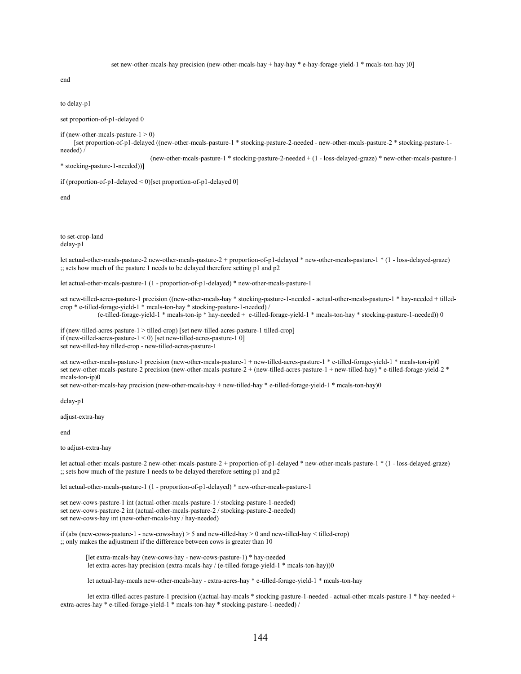set new-other-mcals-hay precision (new-other-mcals-hay + hay-hay \* e-hay-forage-yield-1 \* mcals-ton-hay )0]

end

to delay-p1

set proportion-of-p1-delayed 0

if (new-other-mcals-pasture- $1 > 0$ )

 [set proportion-of-p1-delayed ((new-other-mcals-pasture-1 \* stocking-pasture-2-needed - new-other-mcals-pasture-2 \* stocking-pasture-1 needed) /

 (new-other-mcals-pasture-1 \* stocking-pasture-2-needed + (1 - loss-delayed-graze) \* new-other-mcals-pasture-1 \* stocking-pasture-1-needed))]

if (proportion-of-p1-delayed < 0)[set proportion-of-p1-delayed 0]

end

to set-crop-land delay-p1

let actual-other-mcals-pasture-2 new-other-mcals-pasture-2 + proportion-of-p1-delayed \* new-other-mcals-pasture-1 \* (1 - loss-delayed-graze) ;; sets how much of the pasture 1 needs to be delayed therefore setting p1 and p2

let actual-other-mcals-pasture-1 (1 - proportion-of-p1-delayed) \* new-other-mcals-pasture-1

set new-tilled-acres-pasture-1 precision ((new-other-mcals-hay \* stocking-pasture-1-needed - actual-other-mcals-pasture-1 \* hay-needed + tilledcrop \* e-tilled-forage-yield-1 \* mcals-ton-hay \* stocking-pasture-1-needed) /

(e-tilled-forage-yield-1 \* mcals-ton-ip \* hay-needed + e-tilled-forage-yield-1 \* mcals-ton-hay \* stocking-pasture-1-needed)) 0

if (new-tilled-acres-pasture-1 > tilled-crop) [set new-tilled-acres-pasture-1 tilled-crop] if (new-tilled-acres-pasture-1 < 0) [set new-tilled-acres-pasture-1 0] set new-tilled-hay tilled-crop - new-tilled-acres-pasture-1

set new-other-mcals-pasture-1 precision (new-other-mcals-pasture-1 + new-tilled-acres-pasture-1 \* e-tilled-forage-yield-1 \* mcals-ton-ip)0 set new-other-mcals-pasture-2 precision (new-other-mcals-pasture-2 + (new-tilled-acres-pasture-1 + new-tilled-hay) \* e-tilled-forage-yield-2 \* mcals-ton-ip)0

set new-other-mcals-hay precision (new-other-mcals-hay + new-tilled-hay \* e-tilled-forage-yield-1 \* mcals-ton-hay)0

delay-p1

adjust-extra-hay

end

to adjust-extra-hay

let actual-other-mcals-pasture-2 new-other-mcals-pasture-2 + proportion-of-p1-delayed \* new-other-mcals-pasture-1 \* (1 - loss-delayed-graze) ;; sets how much of the pasture 1 needs to be delayed therefore setting p1 and p2

let actual-other-mcals-pasture-1 (1 - proportion-of-p1-delayed) \* new-other-mcals-pasture-1

set new-cows-pasture-1 int (actual-other-mcals-pasture-1 / stocking-pasture-1-needed) set new-cows-pasture-2 int (actual-other-mcals-pasture-2 / stocking-pasture-2-needed) set new-cows-hay int (new-other-mcals-hay / hay-needed)

if (abs (new-cows-pasture-1 - new-cows-hay) > 5 and new-tilled-hay > 0 and new-tilled-hay < tilled-crop) ;; only makes the adjustment if the difference between cows is greater than 10

 [let extra-mcals-hay (new-cows-hay - new-cows-pasture-1) \* hay-needed let extra-acres-hay precision (extra-mcals-hay / (e-tilled-forage-yield-1 \* mcals-ton-hay))0

let actual-hay-mcals new-other-mcals-hay - extra-acres-hay \* e-tilled-forage-yield-1 \* mcals-ton-hay

 let extra-tilled-acres-pasture-1 precision ((actual-hay-mcals \* stocking-pasture-1-needed - actual-other-mcals-pasture-1 \* hay-needed + extra-acres-hay \* e-tilled-forage-yield-1 \* mcals-ton-hay \* stocking-pasture-1-needed) /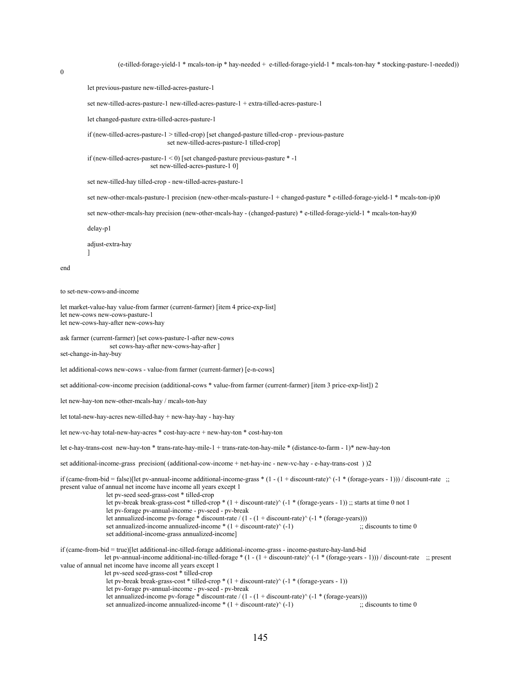(e-tilled-forage-yield-1 \* mcals-ton-ip \* hay-needed + e-tilled-forage-yield-1 \* mcals-ton-hay \* stocking-pasture-1-needed))

let previous-pasture new-tilled-acres-pasture-1

set new-tilled-acres-pasture-1 new-tilled-acres-pasture-1 + extra-tilled-acres-pasture-1

let changed-pasture extra-tilled-acres-pasture-1

 if (new-tilled-acres-pasture-1 > tilled-crop) [set changed-pasture tilled-crop - previous-pasture set new-tilled-acres-pasture-1 tilled-crop]

 if (new-tilled-acres-pasture-1 < 0) [set changed-pasture previous-pasture \* -1 set new-tilled-acres-pasture-1 0]

set new-tilled-hay tilled-crop - new-tilled-acres-pasture-1

set new-other-mcals-pasture-1 precision (new-other-mcals-pasture-1 + changed-pasture \* e-tilled-forage-yield-1 \* mcals-ton-ip)0

set new-other-mcals-hay precision (new-other-mcals-hay - (changed-pasture) \* e-tilled-forage-yield-1 \* mcals-ton-hay)0

delay-p1

 $\mathbf{1}$ 

adjust-extra-hay

end

to set-new-cows-and-income

let market-value-hay value-from farmer (current-farmer) [item 4 price-exp-list] let new-cows new-cows-pasture-1 let new-cows-hay-after new-cows-hay

ask farmer (current-farmer) [set cows-pasture-1-after new-cows set cows-hay-after new-cows-hay-after ] set-change-in-hay-buy

let additional-cows new-cows - value-from farmer (current-farmer) [e-n-cows]

set additional-cow-income precision (additional-cows \* value-from farmer (current-farmer) [item 3 price-exp-list]) 2

let new-hay-ton new-other-mcals-hay / mcals-ton-hay

let total-new-hay-acres new-tilled-hay + new-hay-hay - hay-hay

let new-vc-hay total-new-hay-acres \* cost-hay-acre + new-hay-ton \* cost-hay-ton

let e-hay-trans-cost new-hay-ton \* trans-rate-hay-mile-1 + trans-rate-ton-hay-mile \* (distance-to-farm - 1)\* new-hay-ton

set additional-income-grass precision( (additional-cow-income + net-hay-inc - new-vc-hay - e-hay-trans-cost ) )2

```
if (came-from-bid = false)[let pv-annual-income additional-income-grass *(1 - (1 +discount-rate)( -1 *(forage-years - 1))) / discount-rate ;;
present value of annual net income have income all years except 1 
                  let pv-seed seed-grass-cost * tilled-crop 
                 let pv-break break-grass-cost * tilled-crop * (1 + discount-rate)\land (-1 \cdot (6 \cdot 1 \cdot 1)) ;; starts at time 0 not 1
                  let pv-forage pv-annual-income - pv-seed - pv-break
```
let annualized-income pv-forage \* discount-rate /  $(1 - (1 +$  discount-rate $)$   $(-1 \cdot$  (forage-years)))<br>set annualized-income annualized-income \*  $(1 +$  discount-rate $)$   $(-1)$   $\therefore$  discounts to time 0

set annualized-income annualized-income  $*(1 +$  discount-rate) $\wedge$  (-1)

set additional-income-grass annualized-income]

if (came-from-bid = true)[let additional-inc-tilled-forage additional-income-grass - income-pasture-hay-land-bid let pv-annual-income additional-inc-tilled-forage \* (1 - (1 + discount-rate)^ (-1 \* (forage-years - 1))) / discount-rate ;; present value of annual net income have income all years except 1 let pv-seed seed-grass-cost \* tilled-crop

let pv-break break-grass-cost \* tilled-crop \* (1 + discount-rate)^ (-1 \* (forage-years - 1))

let pv-forage pv-annual-income - pv-seed - pv-break

let annualized-income pv-forage \* discount-rate /  $(1 - (1 + discount-rate)^( -1 * (forage-years)))$ 

set annualized-income annualized-income \*  $(1 +$  discount-rate) $\land$  (-1) ;; discounts to time 0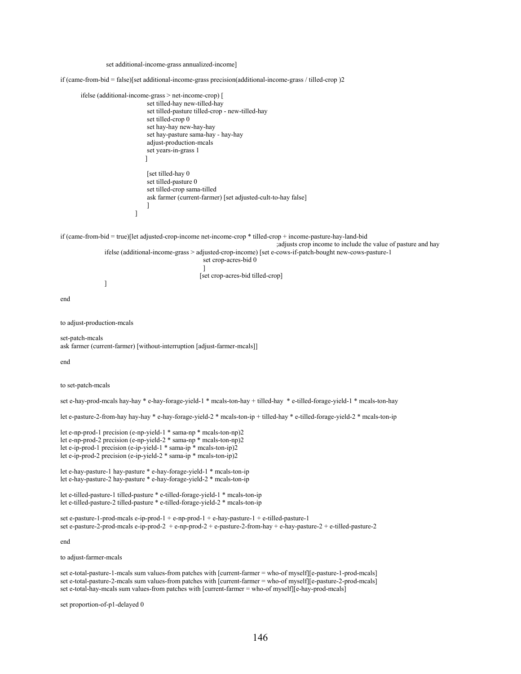set additional-income-grass annualized-income]

```
if (came-from-bid = false)[set additional-income-grass precision(additional-income-grass / tilled-crop )2
```

```
 ifelse (additional-income-grass > net-income-crop) [ 
                              set tilled-hay new-tilled-hay 
                              set tilled-pasture tilled-crop - new-tilled-hay 
                               set tilled-crop 0 
                               set hay-hay new-hay-hay 
                               set hay-pasture sama-hay - hay-hay 
                              adjust-production-mcals 
                               set years-in-grass 1 
 ] 
                              [set tilled-hay 0 
                               set tilled-pasture 0 
                              set tilled-crop sama-tilled 
                              ask farmer (current-farmer) [set adjusted-cult-to-hay false] 
 ] 
[1] [1] [1] [1] [1] [1] [1] [1]
```
if (came-from-bid = true)[let adjusted-crop-income net-income-crop \* tilled-crop + income-pasture-hay-land-bid ;adjusts crop income to include the value of pasture and hay

ifelse (additional-income-grass > adjusted-crop-income) [set e-cows-if-patch-bought new-cows-pasture-1

 set crop-acres-bid 0 [set crop-acres-bid tilled-crop]

. . . . . . . . . . . . 1

end

to adjust-production-mcals

set-patch-mcals ask farmer (current-farmer) [without-interruption [adjust-farmer-mcals]]

 $\mathbb{R}^n$  , the contract of  $\mathbb{R}^n$  , the contract of  $\mathbb{R}^n$ 

end

to set-patch-mcals

set e-hay-prod-mcals hay-hay \* e-hay-forage-yield-1 \* mcals-ton-hay + tilled-hay \* e-tilled-forage-yield-1 \* mcals-ton-hay

let e-pasture-2-from-hay hay-hay \* e-hay-forage-yield-2 \* mcals-ton-ip + tilled-hay \* e-tilled-forage-yield-2 \* mcals-ton-ip

```
let e-np-prod-1 precision (e-np-yield-1 * sama-np * mcals-ton-np)2 
let e-np-prod-2 precision (e-np-yield-2 * sama-np * mcals-ton-np)2 
let e-ip-prod-1 precision (e-ip-yield-1 * sama-ip * mcals-ton-ip)2
let e-ip-prod-2 precision (e-ip-yield-2 * sama-ip * mcals-ton-ip)2
```

```
let e-hay-pasture-1 hay-pasture * e-hay-forage-yield-1 * mcals-ton-ip 
let e-hay-pasture-2 hay-pasture * e-hay-forage-yield-2 * mcals-ton-ip
```

```
let e-tilled-pasture-1 tilled-pasture * e-tilled-forage-yield-1 * mcals-ton-ip 
let e-tilled-pasture-2 tilled-pasture * e-tilled-forage-yield-2 * mcals-ton-ip
```
set e-pasture-1-prod-mcals e-ip-prod-1 + e-np-prod-1 + e-hay-pasture-1 + e-tilled-pasture-1 set e-pasture-2-prod-mcals e-ip-prod-2 + e-np-prod-2 + e-pasture-2-from-hay + e-hay-pasture-2 + e-tilled-pasture-2

end

to adjust-farmer-mcals

set e-total-pasture-1-mcals sum values-from patches with [current-farmer = who-of myself][e-pasture-1-prod-mcals] set e-total-pasture-2-mcals sum values-from patches with [current-farmer = who-of myself][e-pasture-2-prod-mcals] set e-total-hay-mcals sum values-from patches with [current-farmer = who-of myself][e-hay-prod-mcals]

set proportion-of-p1-delayed 0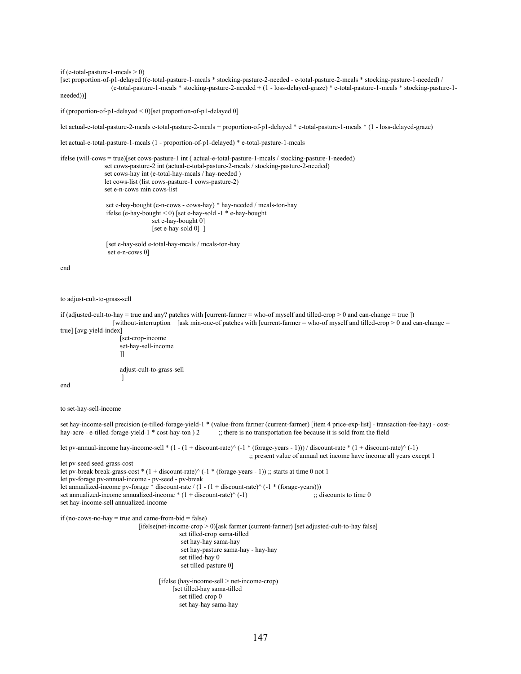if (e-total-pasture-1-mcals  $> 0$ ) [set proportion-of-p1-delayed ((e-total-pasture-1-mcals \* stocking-pasture-2-needed - e-total-pasture-2-mcals \* stocking-pasture-1-needed) / (e-total-pasture-1-mcals \* stocking-pasture-2-needed + (1 - loss-delayed-graze) \* e-total-pasture-1-mcals \* stocking-pasture-1 needed))]

if (proportion-of-p1-delayed < 0)[set proportion-of-p1-delayed 0]

let actual-e-total-pasture-2-mcals e-total-pasture-2-mcals + proportion-of-p1-delayed \* e-total-pasture-1-mcals \* (1 - loss-delayed-graze)

let actual-e-total-pasture-1-mcals (1 - proportion-of-p1-delayed) \* e-total-pasture-1-mcals

```
ifelse (will-cows = true)[set cows-pasture-1 int ( actual-e-total-pasture-1-mcals / stocking-pasture-1-needed) 
                 set cows-pasture-2 int (actual-e-total-pasture-2-mcals / stocking-pasture-2-needed) 
                 set cows-hay int (e-total-hay-mcals / hay-needed ) 
                 let cows-list (list cows-pasture-1 cows-pasture-2) 
                 set e-n-cows min cows-list 
                  set e-hay-bought (e-n-cows - cows-hay) * hay-needed / mcals-ton-hay 
                  ifelse (e-hay-bought < 0) [set e-hay-sold -1 * e-hay-bought 
                                   set e-hay-bought 0] 
                                  [set e-hay-sold 0] ]
                  [set e-hay-sold e-total-hay-mcals / mcals-ton-hay
```
set e-n-cows 0]

end

#### to adjust-cult-to-grass-sell

```
if (adjusted-cult-to-hay = true and any? patches with [current-farmer = who-of myself and tilled-crop > 0 and can-change = true ])
                        [without-interruption [ask min-one-of patches with [current-farmer = who-of myself and tilled-crop > 0 and can-change = 
true] [avg-yield-index] 
                          [set-crop-income 
                          set-hay-sell-income 
                          ]] 
                           adjust-cult-to-grass-sell 
[alian alian alian alian alian alian alian alian alian alian alian alian alian alian alian alian alian alian alian alian alian alian alian alian alian alian alian alian alian alian alian alian alian alian alian alian ali
end 
to set-hay-sell-income 
set hay-income-sell precision (e-tilled-forage-yield-1 * (value-from farmer (current-farmer) [item 4 price-exp-list] - transaction-fee-hay) - cost-
hay-acre - e-tilled-forage-yield-1 * cost-hay-ton ) 2 ;; there is no transportation fee because it is sold from the field
let pv-annual-income hay-income-sell * (1 - (1 + discount-rate)^{\wedge} (-1 * (for age-years - 1))) / discount-rate * (1 + discount-rate)^{\wedge} (-1) ;; present value of annual net income have income all years except 1 
let pv-seed seed-grass-cost 
let pv-break break-grass-cost * (1 + discount-rate)^ (-1 * (forage-years - 1)) ;; starts at time 0 not 1
let pv-forage pv-annual-income - pv-seed - pv-break 
let annualized-income pv-forage * discount-rate / (1 - (1 + discount-rate)\land (-1 * (forage-years)))
set annualized-income annualized-income * (1 + discount-rate)\land (-1) ;; discounts to time 0
set hay-income-sell annualized-income
```
 $if (no-cows-no-hay = true and came-from-bid = false)$  [ifelse(net-income-crop > 0)[ask farmer (current-farmer) [set adjusted-cult-to-hay false] set tilled-crop sama-tilled set hay-hay sama-hay set hay-pasture sama-hay - hay-hay set tilled-hay 0 set tilled-pasture 0] [ifelse (hay-income-sell > net-income-crop) [set tilled-hay sama-tilled

> set tilled-crop 0 set hay-hay sama-hay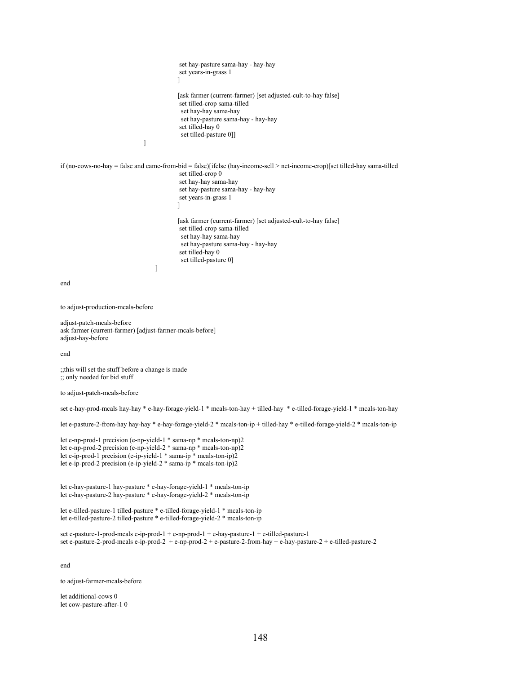```
 set hay-pasture sama-hay - hay-hay 
                                                                                      set years-in-grass 1 
\sim 100 \sim 100 \sim 100 \sim 100 \sim 100 \sim 100 \sim 100 \sim 100 \sim 100 \sim 100 \sim 100 \sim 100 \sim 100 \sim 100 \sim 100 \sim 100 \sim 100 \sim 100 \sim 100 \sim 100 \sim 100 \sim 100 \sim 100 \sim 100 \sim 
                                                                                    [ask farmer (current-farmer) [set adjusted-cult-to-hay false]
                                                                                      set tilled-crop sama-tilled 
                                                                                       set hay-hay sama-hay 
                                                                                       set hay-pasture sama-hay - hay-hay 
                                                                                      set tilled-hay 0 
                                                                                       set tilled-pasture 0]] 
[alian alian alian alian alian alian alian alian alian alian alian alian alian alian alian alian alian alian alian alian alian alian alian alian alian alian alian alian alian alian alian alian alian alian alian alian ali
if (no-cows-no-hay = false and came-from-bid = false)[ifelse (hay-income-sell > net-income-crop)[set tilled-hay sama-tilled 
                                                                                      set tilled-crop 0 
                                                                                      set hay-hay sama-hay 
                                                                                      set hay-pasture sama-hay - hay-hay 
                                                                                      set years-in-grass 1 
[1] The contract of the contract of the contract of the contract of the contract of the contract of the contract of the contract of the contract of the contract of the contract of the contract of the contract of the contra
                                                                                     [ask farmer (current-farmer) [set adjusted-cult-to-hay false] 
                                                                                      set tilled-crop sama-tilled 
                                                                                       set hay-hay sama-hay 
                                                                                        set hay-pasture sama-hay - hay-hay 
                                                                                      set tilled-hay 0 
                                                                                        set tilled-pasture 0] 
\sim 100 \sim 100 \sim 100 \sim 100 \sim 100 \sim 100 \sim 100 \sim 100 \sim 100 \sim 100 \sim 100 \sim 100 \sim 100 \sim 100 \sim 100 \sim 100 \sim 100 \sim 100 \sim 100 \sim 100 \sim 100 \sim 100 \sim 100 \sim 100 \sim 
end
```
to adjust-production-mcals-before

```
adjust-patch-mcals-before 
ask farmer (current-farmer) [adjust-farmer-mcals-before] 
adjust-hay-before
```
end

;;this will set the stuff before a change is made ;; only needed for bid stuff

to adjust-patch-mcals-before

set e-hay-prod-mcals hay-hay \* e-hay-forage-yield-1 \* mcals-ton-hay + tilled-hay \* e-tilled-forage-yield-1 \* mcals-ton-hay

let e-pasture-2-from-hay hay-hay \* e-hay-forage-yield-2 \* mcals-ton-ip + tilled-hay \* e-tilled-forage-yield-2 \* mcals-ton-ip

```
let e-np-prod-1 precision (e-np-yield-1 * sama-np * mcals-ton-np)2 
let e-np-prod-2 precision (e-np-yield-2 * sama-np * mcals-ton-np)2 
let e-ip-prod-1 precision (e-ip-yield-1 * sama-ip * mcals-ton-ip)2 
let e-ip-prod-2 precision (e-ip-yield-2 * sama-ip * mcals-ton-ip)2
```

```
let e-hay-pasture-1 hay-pasture * e-hay-forage-yield-1 * mcals-ton-ip 
let e-hay-pasture-2 hay-pasture * e-hay-forage-yield-2 * mcals-ton-ip
```

```
let e-tilled-pasture-1 tilled-pasture * e-tilled-forage-yield-1 * mcals-ton-ip 
let e-tilled-pasture-2 tilled-pasture * e-tilled-forage-yield-2 * mcals-ton-ip
```

```
set e-pasture-1-prod-mcals e-ip-prod-1 + e-np-prod-1 + e-hay-pasture-1 + e-tilled-pasture-1 
set e-pasture-2-prod-mcals e-ip-prod-2 + e-np-prod-2 + e-pasture-2-from-hay + e-hay-pasture-2 + e-tilled-pasture-2
```
end

to adjust-farmer-mcals-before

let additional-cows 0 let cow-pasture-after-1 0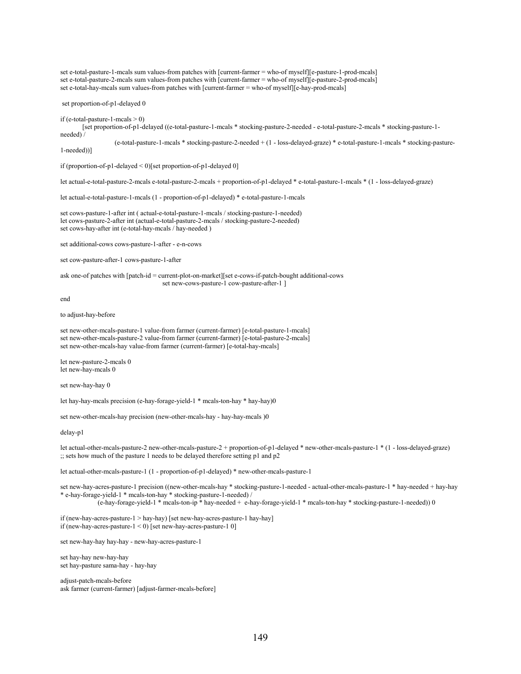set e-total-pasture-1-mcals sum values-from patches with [current-farmer = who-of myself][e-pasture-1-prod-mcals] set e-total-pasture-2-mcals sum values-from patches with [current-farmer = who-of myself][e-pasture-2-prod-mcals] set e-total-hay-mcals sum values-from patches with [current-farmer = who-of myself][e-hay-prod-mcals]

set proportion-of-p1-delayed 0

if (e-total-pasture-1-mcals  $> 0$ )

 [set proportion-of-p1-delayed ((e-total-pasture-1-mcals \* stocking-pasture-2-needed - e-total-pasture-2-mcals \* stocking-pasture-1 needed) /

 (e-total-pasture-1-mcals \* stocking-pasture-2-needed + (1 - loss-delayed-graze) \* e-total-pasture-1-mcals \* stocking-pasture-1-needed))]

if (proportion-of-p1-delayed < 0)[set proportion-of-p1-delayed 0]

let actual-e-total-pasture-2-mcals e-total-pasture-2-mcals + proportion-of-p1-delayed \* e-total-pasture-1-mcals \* (1 - loss-delayed-graze)

let actual-e-total-pasture-1-mcals (1 - proportion-of-p1-delayed) \* e-total-pasture-1-mcals

set cows-pasture-1-after int ( actual-e-total-pasture-1-mcals / stocking-pasture-1-needed) let cows-pasture-2-after int (actual-e-total-pasture-2-mcals / stocking-pasture-2-needed) set cows-hay-after int (e-total-hay-mcals / hay-needed )

set additional-cows cows-pasture-1-after - e-n-cows

set cow-pasture-after-1 cows-pasture-1-after

ask one-of patches with [patch-id = current-plot-on-market][set e-cows-if-patch-bought additional-cows set new-cows-pasture-1 cow-pasture-after-1 ]

end

to adjust-hay-before

set new-other-mcals-pasture-1 value-from farmer (current-farmer) [e-total-pasture-1-mcals] set new-other-mcals-pasture-2 value-from farmer (current-farmer) [e-total-pasture-2-mcals] set new-other-mcals-hay value-from farmer (current-farmer) [e-total-hay-mcals]

let new-pasture-2-mcals 0 let new-hay-mcals 0

set new-hay-hay 0

let hay-hay-mcals precision (e-hay-forage-yield-1 \* mcals-ton-hay \* hay-hay)0

set new-other-mcals-hay precision (new-other-mcals-hay - hay-hay-mcals )0

delay-p1

let actual-other-mcals-pasture-2 new-other-mcals-pasture-2 + proportion-of-p1-delayed \* new-other-mcals-pasture-1 \* (1 - loss-delayed-graze) ;; sets how much of the pasture 1 needs to be delayed therefore setting p1 and p2

let actual-other-mcals-pasture-1 (1 - proportion-of-p1-delayed) \* new-other-mcals-pasture-1

set new-hay-acres-pasture-1 precision ((new-other-mcals-hay \* stocking-pasture-1-needed - actual-other-mcals-pasture-1 \* hay-needed + hay-hay \* e-hay-forage-yield-1 \* mcals-ton-hay \* stocking-pasture-1-needed) / (e-hay-forage-yield-1 \* mcals-ton-ip \* hay-needed + e-hay-forage-yield-1 \* mcals-ton-hay \* stocking-pasture-1-needed)) 0

if (new-hay-acres-pasture-1 > hay-hay) [set new-hay-acres-pasture-1 hay-hay]

if (new-hay-acres-pasture-1 < 0) [set new-hay-acres-pasture-1 0]

set new-hay-hay hay-hay - new-hay-acres-pasture-1

set hay-hay new-hay-hay set hay-pasture sama-hay - hay-hay

adjust-patch-mcals-before ask farmer (current-farmer) [adjust-farmer-mcals-before]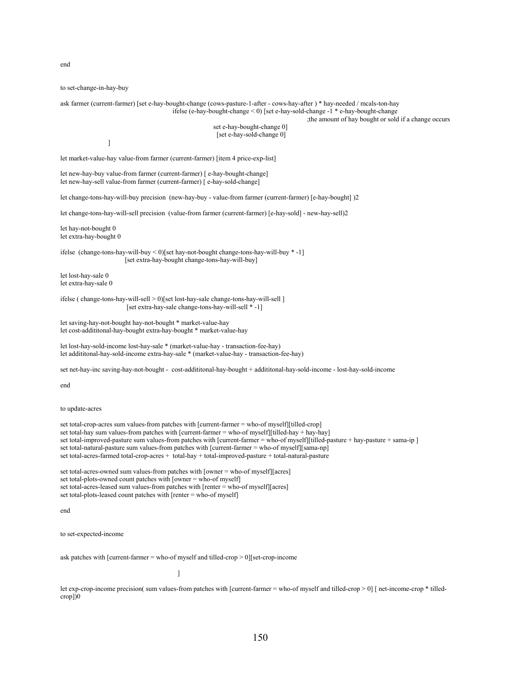end

to set-change-in-hay-buy

ask farmer (current-farmer) [set e-hay-bought-change (cows-pasture-1-after - cows-hay-after ) \* hay-needed / mcals-ton-hay ifelse (e-hay-bought-change < 0) [set e-hay-sold-change -1 \* e-hay-bought-change

;the amount of hay bought or sold if a change occurs

 set e-hay-bought-change 0] [set e-hay-sold-change 0]

]

let market-value-hay value-from farmer (current-farmer) [item 4 price-exp-list]

let new-hay-buy value-from farmer (current-farmer) [ e-hay-bought-change] let new-hay-sell value-from farmer (current-farmer) [ e-hay-sold-change]

let change-tons-hay-will-buy precision (new-hay-buy - value-from farmer (current-farmer) [e-hay-bought] )2

let change-tons-hay-will-sell precision (value-from farmer (current-farmer) [e-hay-sold] - new-hay-sell)2

let hay-not-bought 0 let extra-hay-bought 0

ifelse (change-tons-hay-will-buy < 0)[set hay-not-bought change-tons-hay-will-buy \* -1] [set extra-hay-bought change-tons-hay-will-buy]

let lost-hay-sale 0 let extra-hay-sale 0

ifelse ( change-tons-hay-will-sell > 0)[set lost-hay-sale change-tons-hay-will-sell ] [set extra-hay-sale change-tons-hay-will-sell \* -1]

let saving-hay-not-bought hay-not-bought \* market-value-hay let cost-addititonal-hay-bought extra-hay-bought \* market-value-hay

```
let lost-hay-sold-income lost-hay-sale * (market-value-hay - transaction-fee-hay) 
let addititonal-hay-sold-income extra-hay-sale * (market-value-hay - transaction-fee-hay)
```
set net-hay-inc saving-hay-not-bought - cost-addititonal-hay-bought + addititonal-hay-sold-income - lost-hay-sold-income

end

to update-acres

set total-crop-acres sum values-from patches with [current-farmer = who-of myself][tilled-crop] set total-hay sum values-from patches with [current-farmer = who-of myself][tilled-hay + hay-hay] set total-improved-pasture sum values-from patches with [current-farmer = who-of myself][tilled-pasture + hay-pasture + sama-ip ] set total-natural-pasture sum values-from patches with [current-farmer = who-of myself][sama-np] set total-acres-farmed total-crop-acres + total-hay + total-improved-pasture + total-natural-pasture

set total-acres-owned sum values-from patches with [owner = who-of myself][acres] set total-plots-owned count patches with [owner = who-of myself] set total-acres-leased sum values-from patches with [renter = who-of myself][acres] set total-plots-leased count patches with [renter = who-of myself]

end

to set-expected-income

ask patches with [current-farmer = who-of myself and tilled-crop > 0][set-crop-income

[1] The contract of the contract of the contract of the contract of the contract of the contract of the contract of the contract of the contract of the contract of the contract of the contract of the contract of the contra

let exp-crop-income precision( sum values-from patches with [current-farmer = who-of myself and tilled-crop > 0] [ net-income-crop \* tilledcrop])0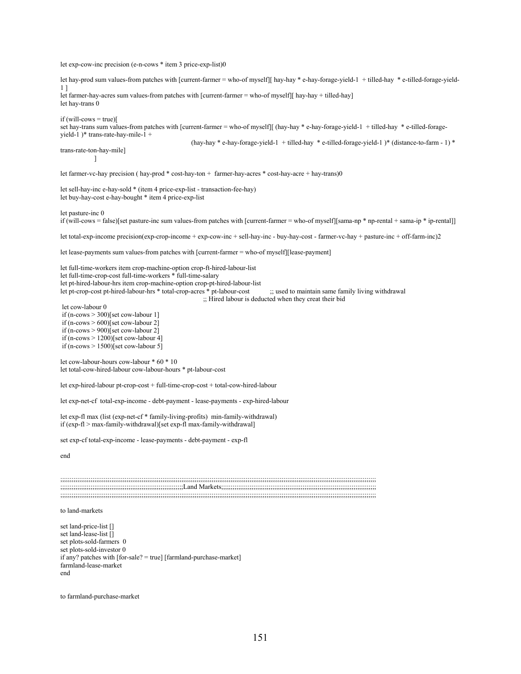let exp-cow-inc precision (e-n-cows \* item 3 price-exp-list)0

let hay-prod sum values-from patches with [current-farmer = who-of myself][ hay-hay \* e-hay-forage-yield-1 + tilled-hay \* e-tilled-forage-yield-1 ] let farmer-hay-acres sum values-from patches with [current-farmer = who-of myself][ hay-hay + tilled-hay] let hay-trans 0  $if (will-cows = true)$ [ set hay-trans sum values-from patches with [current-farmer = who-of myself][ (hay-hay \* e-hay-forage-yield-1 + tilled-hay \* e-tilled-forageyield-1 )\* trans-rate-hay-mile-1 + (hay-hay \* e-hay-forage-yield-1 + tilled-hay \* e-tilled-forage-yield-1 )\* (distance-to-farm - 1) \* trans-rate-ton-hay-mile] ] let farmer-vc-hay precision ( hay-prod \* cost-hay-ton + farmer-hay-acres \* cost-hay-acre + hay-trans)0 let sell-hay-inc e-hay-sold \* (item 4 price-exp-list - transaction-fee-hay) let buy-hay-cost e-hay-bought \* item 4 price-exp-list let pasture-inc 0 if (will-cows = false)[set pasture-inc sum values-from patches with [current-farmer = who-of myself][sama-np \* np-rental + sama-ip \* ip-rental]] let total-exp-income precision(exp-crop-income + exp-cow-inc + sell-hay-inc - buy-hay-cost - farmer-vc-hay + pasture-inc + off-farm-inc)2 let lease-payments sum values-from patches with [current-farmer = who-of myself][lease-payment] let full-time-workers item crop-machine-option crop-ft-hired-labour-list let full-time-crop-cost full-time-workers \* full-time-salary let pt-hired-labour-hrs item crop-machine-option crop-pt-hired-labour-list let pt-crop-cost pt-hired-labour-hrs \* total-crop-acres \* pt-labour-cost ;; used to maintain same family living withdrawal ;; Hired labour is deducted when they creat their bid let cow-labour 0 if  $(n$ -cows  $>$  300)[set cow-labour 1] if  $(n$ -cows > 600)[set cow-labour 2] if  $(n$ -cows  $> 900$  [set cow-labour 2] if (n-cows > 1200)[set cow-labour 4] if  $(n$ -cows  $> 1500$  [set cow-labour 5]

let cow-labour-hours cow-labour \* 60 \* 10 let total-cow-hired-labour cow-labour-hours \* pt-labour-cost

let exp-hired-labour pt-crop-cost + full-time-crop-cost + total-cow-hired-labour

let exp-net-cf total-exp-income - debt-payment - lease-payments - exp-hired-labour

let exp-fl max (list (exp-net-cf \* family-living-profits) min-family-withdrawal) if (exp-fl > max-family-withdrawal)[set exp-fl max-family-withdrawal]

set exp-cf total-exp-income - lease-payments - debt-payment - exp-fl

end

;;;;;;;;;;;;;;;;;;;;;;;;;;;;;;;;;;;;;;;;;;;;;;;;;;;;;;;;;;;;;;;;;;;;;;;;;;;;;;;;;;;;;;;;;;;;;;;;;;;;;;;;;;;;;;;;;;;;;;;;;;;;;;;;;;;;;;;;;;;;;;;;;;;;;;;;;;;;;;;;;;;;;;; ;;;;;;;;;;;;;;;;;;;;;;;;;;;;;;;;;;;;;;;;;;;;;;;;;;;;;;;;;;;;;;;;;Land Markets;;;;;;;;;;;;;;;;;;;;;;;;;;;;;;;;;;;;;;;;;;;;;;;;;;;;;;;;;;;;;;;;;;;;;;;;;;;;;;;;;;

;;;;;;;;;;;;;;;;;;;;;;;;;;;;;;;;;;;;;;;;;;;;;;;;;;;;;;;;;;;;;;;;;;;;;;;;;;;;;;;;;;;;;;;;;;;;;;;;;;;;;;;;;;;;;;;;;;;;;;;;;;;;;;;;;;;;;;;;;;;;;;;;;;;;;;;;;;;;;;;;;;;;;;;

to land-markets

set land-price-list [] set land-lease-list [] set plots-sold-farmers 0 set plots-sold-investor 0 if any? patches with [for-sale? = true] [farmland-purchase-market] farmland-lease-market end

to farmland-purchase-market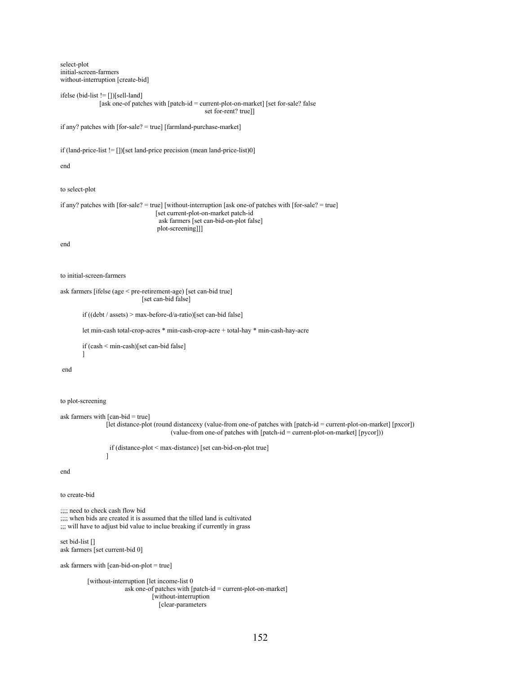```
select-plot 
initial-screen-farmers 
without-interruption [create-bid]
```
ifelse (bid-list != [])[sell-land]

 [ask one-of patches with [patch-id = current-plot-on-market] [set for-sale? false set for-rent? true]]

if any? patches with [for-sale? = true] [farmland-purchase-market]

if (land-price-list != [])[set land-price precision (mean land-price-list)0]

end

to select-plot

```
if any? patches with [for-sale? = true] [without-interruption [ask one-of patches with [for-sale? = true] 
                                      [set current-plot-on-market patch-id 
                                       ask farmers [set can-bid-on-plot false] 
                                      plot-screening]]]
```
end

```
to initial-screen-farmers
```

```
ask farmers [ifelse (age < pre-retirement-age) [set can-bid true] 
                                [set can-bid false]
```
if ((debt / assets) > max-before-d/a-ratio)[set can-bid false]

let min-cash total-crop-acres \* min-cash-crop-acre + total-hay \* min-cash-hay-acre

 if (cash < min-cash)[set can-bid false]  $\sim$   $\sim$   $\sim$   $\sim$ 

end

## to plot-screening

```
ask farmers with [can-bid = true] 
                  [let distance-plot (round distancexy (value-from one-of patches with [patch-id = current-plot-on-market] [pxcor]) 
                                          (value-from one-of patches with [patch-id = current-plot-on-market] [pycor]))
```
 if (distance-plot < max-distance) [set can-bid-on-plot true] ]

#### end

to create-bid

```
;;;; need to check cash flow bid 
;;;; when bids are created it is assumed that the tilled land is cultivated 
;;; will have to adjust bid value to inclue breaking if currently in grass
```
set bid-list [] ask farmers [set current-bid 0]

ask farmers with  $[can-bid-on-plot = true]$ 

 [without-interruption [let income-list 0 ask one-of patches with [patch-id = current-plot-on-market] [without-interruption [clear-parameters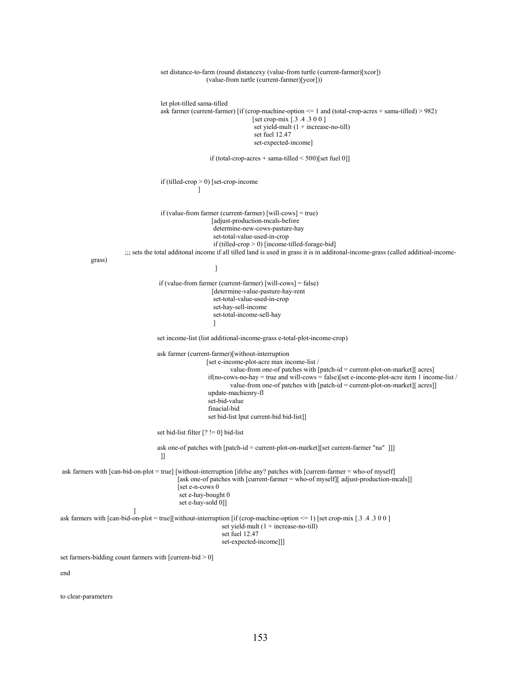```
 set distance-to-farm (round distancexy (value-from turtle (current-farmer)[xcor]) 
                                                             (value-from turtle (current-farmer)[ycor])) 
                                          let plot-tilled sama-tilled 
                                          ask farmer (current-farmer) [if (crop-machine-option <= 1 and (total-crop-acres + sama-tilled) > 982) 
                                                                                [set crop-mix [.3 .4 .3 0 0 ] 
                                                                                set yield-mult (1 + \text{increase-no-till}) set fuel 12.47 
                                                                                 set-expected-income] 
                                                              if (total-crop-acres + sama-tilled \leq 500)[set fuel 0]]
                                          if (tilled-crop > 0) [set-crop-income 
\sim 100 \sim 100 \sim 100 \sim 100 \sim 100 \sim 100 \sim 100 \sim 100 \sim 100 \sim 100 \sim 100 \sim 100 \sim 100 \sim 100 \sim 100 \sim 100 \sim 100 \sim 100 \sim 100 \sim 100 \sim 100 \sim 100 \sim 100 \sim 100 \sim 
                                          if (value-from farmer (current-farmer) [will-cows] = true) 
                                                               [adjust-production-mcals-before 
                                                                determine-new-cows-pasture-hay 
                                                                set-total-value-used-in-crop 
                                                                if (tilled-crop > 0) [income-tilled-forage-bid] 
                           ;;; sets the total additonal income if all tilled land is used in grass it is in additonal-income-grass (called additioal-income-
            grass) 
\mathcal{L} = \{ \mathcal{L} \mid \mathcal{L} \in \mathcal{L} \} . The contract of \mathcal{L} = \{ \mathcal{L} \} if (value-from farmer (current-farmer) [will-cows] = false) 
                                                               [determine-value-pasture-hay-rent 
                                                               set-total-value-used-in-crop
                                                                set-hay-sell-income 
                                                                set-total-income-sell-hay 
\mathbb{R}^n , the contract of \mathbb{R}^n , the contract of \mathbb{R}^n set income-list (list additional-income-grass e-total-plot-income-crop) 
                                         ask farmer (current-farmer)[without-interruption 
                                                             [set e-income-plot-acre max income-list / 
                                                                       value-from one-of patches with [patch-id = current-plot-on-market][ acres] 
                                                              if(no-cows-no-hay = true and will-cows = false)[set e-income-plot-acre item 1 income-list / 
                                                                      value-from one-of patches with [patch-id = current-plot-on-market][\text{ acres}]] update-machienry-fl 
                                                              set-bid-value 
                                                              finacial-bid 
                                                              set bid-list lput current-bid bid-list]]
                                        set bid-list filter [? := 0] bid-list
                                         ask one-of patches with [patch-id = current-plot-on-market][set current-farmer "na" ]]] 
\blacksquare ask farmers with [can-bid-on-plot = true] [without-interruption [ifelse any? patches with [current-farmer = who-of myself] 
                                                [ask one-of patches with [current-farmer = who-of myself][ adjust-production-mcals]]
                                                 [set e-n-cows 0 
                                                  set e-hay-bought 0 
                                                  set e-hay-sold 0]] 
 ] 
ask farmers with [can-bid-on-plot = true][without-interruption [if (crop-machine-option <= 1) [set crop-mix [.3 .4 .3 0 0 ] 
                                                                  set yield-mult (1 + increase-no-till) set fuel 12.47 
                                                                   set-expected-income]]] 
set farmers-bidding count farmers with [current-bid > 0]
```
to clear-parameters

end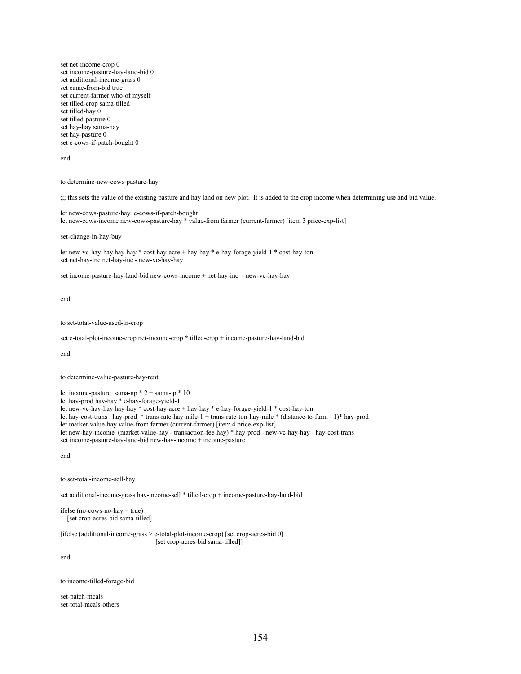set net-income-crop 0 set income-pasture-hay-land-bid 0 set additional-income-grass 0 set came-from-bid true set current-farmer who-of myself set tilled-crop sama-tilled set tilled-hay 0 set tilled-pasture 0 set hay-hay sama-hay set hay-pasture 0 set e-cows-if-patch-bought 0

#### end

## to determine-new-cows-pasture-hay

;;; this sets the value of the existing pasture and hay land on new plot. It is added to the crop income when determining use and bid value.

let new-cows-pasture-hay e-cows-if-patch-bought let new-cows-income new-cows-pasture-hay \* value-from farmer (current-farmer) [item 3 price-exp-list]

set-change-in-hay-buy

let new-vc-hay-hay hay-hay \* cost-hay-acre + hay-hay \* e-hay-forage-yield-1 \* cost-hay-ton set net-hay-inc net-hay-inc - new-vc-hay-hay

set income-pasture-hay-land-bid new-cows-income + net-hay-inc - new-vc-hay-hay

end

to set-total-value-used-in-crop

set e-total-plot-income-crop net-income-crop \* tilled-crop + income-pasture-hay-land-bid

end

to determine-value-pasture-hay-rent

let income-pasture sama-np \* 2 + sama-ip \* 10 let hay-prod hay-hay \* e-hay-forage-yield-1 let new-vc-hay-hay hay-hay \* cost-hay-acre + hay-hay \* e-hay-forage-yield-1 \* cost-hay-ton let hay-cost-trans hay-prod \* trans-rate-hay-mile-1 + trans-rate-ton-hay-mile \* (distance-to-farm - 1)\* hay-prod let market-value-hay value-from farmer (current-farmer) [item 4 price-exp-list] let new-hay-income (market-value-hay - transaction-fee-hay) \* hay-prod - new-vc-hay-hay - hay-cost-trans set income-pasture-hay-land-bid new-hay-income + income-pasture

end

to set-total-income-sell-hay

set additional-income-grass hay-income-sell \* tilled-crop + income-pasture-hay-land-bid

```
ifelse (no-cows-no-hay = true) 
   [set crop-acres-bid sama-tilled]
```
[ifelse (additional-income-grass > e-total-plot-income-crop) [set crop-acres-bid 0] [set crop-acres-bid sama-tilled]]

end

to income-tilled-forage-bid

set-patch-mcals set-total-mcals-others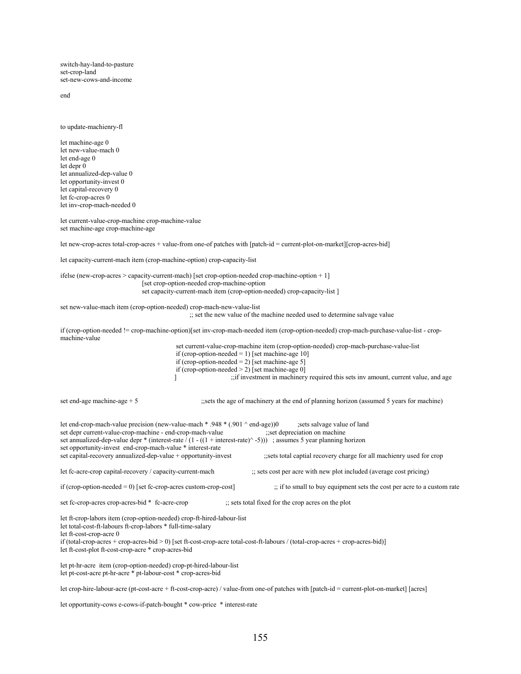switch-hay-land-to-pasture set-crop-land set-new-cows-and-income

end

to update-machienry-fl

let machine-age 0 let new-value-mach 0 let end-age 0 let depr 0 let annualized-dep-value 0 let opportunity-invest 0 let capital-recovery 0 let fc-crop-acres 0 let inv-crop-mach-needed 0

let current-value-crop-machine crop-machine-value set machine-age crop-machine-age

let new-crop-acres total-crop-acres + value-from one-of patches with [patch-id = current-plot-on-market][crop-acres-bid]

let capacity-current-mach item (crop-machine-option) crop-capacity-list

ifelse (new-crop-acres > capacity-current-mach) [set crop-option-needed crop-machine-option + 1] [set crop-option-needed crop-machine-option set capacity-current-mach item (crop-option-needed) crop-capacity-list ]

set new-value-mach item (crop-option-needed) crop-mach-new-value-list

;; set the new value of the machine needed used to determine salvage value

if (crop-option-needed != crop-machine-option)[set inv-crop-mach-needed item (crop-option-needed) crop-mach-purchase-value-list - cropmachine-value

> set current-value-crop-machine item (crop-option-needed) crop-mach-purchase-value-list if (crop-option-needed = 1) [set machine-age 10] if (crop-option-needed = 2) [set machine-age 5] if (crop-option-needed > 2) [set machine-age 0] ] ;;if investment in machinery required this sets inv amount, current value, and age

set end-age machine-age + 5 ;;sets the age of machinery at the end of planning horizon (assumed 5 years for machine)

let end-crop-mach-value precision (new-value-mach \* .948 \* (.901 ^ end-age))0 ;sets salvage value of land set depr current-value-crop-machine - end-crop-mach-value ;;set depreciation on machine set annualized-dep-value depr \* (interest-rate  $/(1 - ((1 + \text{interest-rate})^2 - 5))$ ) ; assumes 5 year planning horizon set opportunity-invest end-crop-mach-value \* interest-rate set capital-recovery annualized-dep-value + opportunity-invest ;;sets total captial recovery charge for all machienry used for crop let fc-acre-crop capital-recovery / capacity-current-mach ;; sets cost per acre with new plot included (average cost pricing) if (crop-option-needed = 0) [set fc-crop-acres custom-crop-cost] ;; if to small to buy equipment sets the cost per acre to a custom rate set fc-crop-acres crop-acres-bid \* fc-acre-crop ;; sets total fixed for the crop acres on the plot let ft-crop-labors item (crop-option-needed) crop-ft-hired-labour-list let total-cost-ft-labours ft-crop-labors \* full-time-salary let ft-cost-crop-acre 0 if (total-crop-acres + crop-acres-bid  $> 0$ ) [set ft-cost-crop-acre total-cost-ft-labours / (total-crop-acres + crop-acres-bid)] let ft-cost-plot ft-cost-crop-acre \* crop-acres-bid let pt-hr-acre item (crop-option-needed) crop-pt-hired-labour-list let pt-cost-acre pt-hr-acre \* pt-labour-cost \* crop-acres-bid

let crop-hire-labour-acre (pt-cost-acre + ft-cost-crop-acre) / value-from one-of patches with [patch-id = current-plot-on-market] [acres]

let opportunity-cows e-cows-if-patch-bought \* cow-price \* interest-rate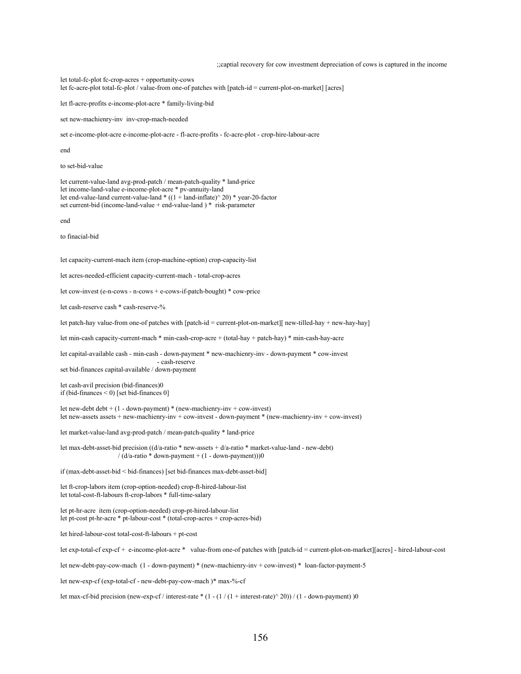;;captial recovery for cow investment depreciation of cows is captured in the income

let total-fc-plot fc-crop-acres + opportunity-cows

let fc-acre-plot total-fc-plot / value-from one-of patches with [patch-id = current-plot-on-market] [acres]

let fl-acre-profits e-income-plot-acre \* family-living-bid

set new-machienry-inv inv-crop-mach-needed

set e-income-plot-acre e-income-plot-acre - fl-acre-profits - fc-acre-plot - crop-hire-labour-acre

end

to set-bid-value

let current-value-land avg-prod-patch / mean-patch-quality \* land-price let income-land-value e-income-plot-acre \* pv-annuity-land let end-value-land current-value-land \* ((1 + land-inflate)^ 20) \* year-20-factor set current-bid (income-land-value + end-value-land ) \* risk-parameter

end

to finacial-bid

let capacity-current-mach item (crop-machine-option) crop-capacity-list

let acres-needed-efficient capacity-current-mach - total-crop-acres

let cow-invest (e-n-cows - n-cows + e-cows-if-patch-bought) \* cow-price

let cash-reserve cash \* cash-reserve-%

let patch-hay value-from one-of patches with [patch-id = current-plot-on-market][ new-tilled-hay + new-hay-hay]

let min-cash capacity-current-mach \* min-cash-crop-acre + (total-hay + patch-hay) \* min-cash-hay-acre

let capital-available cash - min-cash - down-payment \* new-machienry-inv - down-payment \* cow-invest - cash-reserve set bid-finances capital-available / down-payment

let cash-avil precision (bid-finances)0 if (bid-finances < 0) [set bid-finances 0]

let new-debt debt  $+ (1 - down payment) * (new-machienv-inv + cow-invest)$ let new-assets assets + new-machienry-inv + cow-invest - down-payment \* (new-machienry-inv + cow-invest)

let market-value-land avg-prod-patch / mean-patch-quality \* land-price

let max-debt-asset-bid precision ((d/a-ratio \* new-assets + d/a-ratio \* market-value-land - new-debt) /  $(d/a-ratio * down-payment + (1 - down-payment)))0$ 

if (max-debt-asset-bid < bid-finances) [set bid-finances max-debt-asset-bid]

let ft-crop-labors item (crop-option-needed) crop-ft-hired-labour-list let total-cost-ft-labours ft-crop-labors \* full-time-salary

let pt-hr-acre item (crop-option-needed) crop-pt-hired-labour-list let pt-cost pt-hr-acre \* pt-labour-cost \* (total-crop-acres + crop-acres-bid)

let hired-labour-cost total-cost-ft-labours + pt-cost

let exp-total-cf exp-cf + e-income-plot-acre \* value-from one-of patches with [patch-id = current-plot-on-market][acres] - hired-labour-cost

let new-debt-pay-cow-mach (1 - down-payment) \* (new-machienry-inv + cow-invest) \* loan-factor-payment-5

let new-exp-cf (exp-total-cf - new-debt-pay-cow-mach )\* max-%-cf

let max-cf-bid precision (new-exp-cf / interest-rate  $*(1 - (1 / (1 + interest-rate)^2 20)) / (1 - down-payment) )0$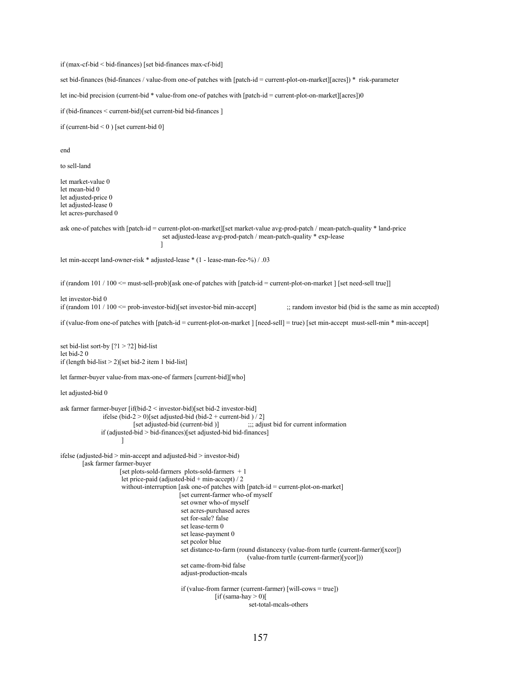if (max-cf-bid < bid-finances) [set bid-finances max-cf-bid]

set bid-finances (bid-finances / value-from one-of patches with [patch-id = current-plot-on-market][acres]) \* risk-parameter

let inc-bid precision (current-bid \* value-from one-of patches with [patch-id = current-plot-on-market][acres])0

if (bid-finances < current-bid)[set current-bid bid-finances ]

if (current-bid < 0 ) [set current-bid 0]

end

to sell-land

let market-value 0 let mean-bid 0 let adjusted-price 0 let adjusted-lease 0 let acres-purchased 0

ask one-of patches with [patch-id = current-plot-on-market][set market-value avg-prod-patch / mean-patch-quality \* land-price set adjusted-lease avg-prod-patch / mean-patch-quality \* exp-lease and the contract of the contract of the contract of the contract of the contract of the contract of the contract of the contract of the contract of the contract of the contract of the contract of the contract of the contra

let min-accept land-owner-risk \* adjusted-lease \* (1 - lease-man-fee-%) / .03

if (random 101 / 100 <= must-sell-prob)[ask one-of patches with [patch-id = current-plot-on-market ] [set need-sell true]]

let investor-bid 0 if (random 101 / 100 <= prob-investor-bid)[set investor-bid min-accept] ;; random investor bid (bid is the same as min accepted)

if (value-from one-of patches with [patch-id = current-plot-on-market ] [need-sell] = true) [set min-accept must-sell-min \* min-accept]

set bid-list sort-by [?1 > ?2] bid-list let bid-2 0 if (length bid-list  $> 2$ )[set bid-2 item 1 bid-list]

let farmer-buyer value-from max-one-of farmers [current-bid][who]

let adjusted-bid 0

```
ask farmer farmer-buyer [if(bid-2 < investor-bid)[set bid-2 investor-bid] 
                ifelse (bid-2 > 0)[set adjusted-bid (bid-2 + current-bid ) / 2]<br>[set adjusted-bid (current-bid )] \therefore;;; adjust bid for current information
                 if (adjusted-bid > bid-finances)[set adjusted-bid bid-finances] 
 ] 
ifelse (adjusted-bid > min-accept and adjusted-bid > investor-bid) 
         [ask farmer farmer-buyer 
                         [set plots-sold-farmers plots-sold-farmers + 1 
                         let price-paid (adjusted-bid + min-accept) / 2 
                         without-interruption [ask one-of patches with [patch-id = current-plot-on-market]
```
 [set current-farmer who-of myself set owner who-of myself set acres-purchased acres set for-sale? false set lease-term 0 set lease-payment 0 set pcolor blue set distance-to-farm (round distancexy (value-from turtle (current-farmer)[xcor]) (value-from turtle (current-farmer)[ycor])) set came-from-bid false adjust-production-mcals if (value-from farmer (current-farmer) [will-cows = true])  $[$ if (sama-hay > 0) $[$ 

set-total-mcals-others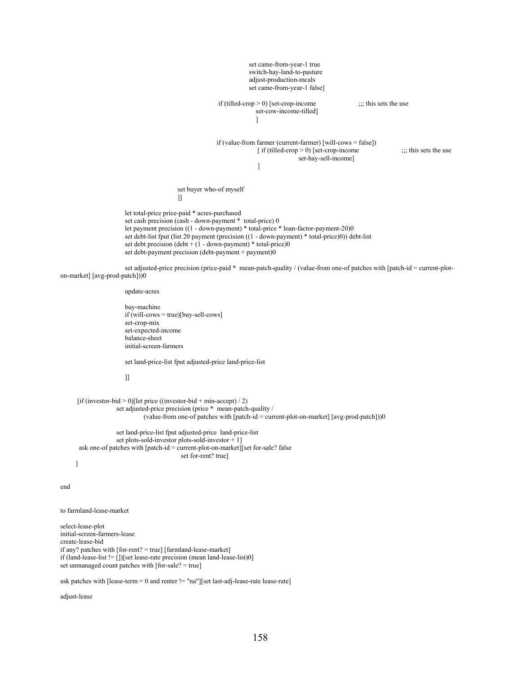```
 set came-from-year-1 true 
                                                                    switch-hay-land-to-pasture 
                                                                    adjust-production-mcals 
                                                                    set came-from-year-1 false] 
                                                        if (tilled-crop > 0) [set-crop-income ;;; this sets the use
                                                                      set-cow-income-tilled] 
\mathbb{R}^n , the contract of the contract of the contract of the contract of \mathbb{R}^n if (value-from farmer (current-farmer) [will-cows = false]) 
                                                                     [ if (tilled-crop > 0) [set-crop-income ;;; this sets the use
                                                                                     set-hay-sell-income] 
\begin{bmatrix} 1 & 0 & 0 \ 0 & 0 & 0 \end{bmatrix} set buyer who-of myself 
\Box let total-price price-paid * acres-purchased 
                        set cash precision (cash - down-payment * total-price) 0 
                        let payment precision ((1 - down-payment) * total-price * loan-factor-payment-20)0 
                        set debt-list fput (list 20 payment (precision ((1 - down-payment) * total-price)0)) debt-list 
                       set debt precision (debt + (1 - down-payment) * total-price)0set debt-payment precision (debt-payment + payment)0
                        set adjusted-price precision (price-paid * mean-patch-quality / (value-from one-of patches with [patch-id = current-plot-
on-market] [avg-prod-patch]))0 
                        update-acres 
                        buy-machine 
                        if (will-cows = true)[buy-sell-cows] 
                        set-crop-mix 
                        set-expected-income
```
 balance-sheet initial-screen-farmers

set land-price-list fput adjusted-price land-price-list

### ]]

 [if (investor-bid > 0)[let price ((investor-bid + min-accept) / 2) set adjusted-price precision (price \* mean-patch-quality / (value-from one-of patches with  $[patch-id = current-plot-on-market]$   $[avg-product])$ )0

 set land-price-list fput adjusted-price land-price-list set plots-sold-investor plots-sold-investor + 1] ask one-of patches with  $[patch-id = current-plot-on-market][set for-safe? false$ set for-rent? true]

]

end

to farmland-lease-market

select-lease-plot initial-screen-farmers-lease create-lease-bid if any? patches with [for-rent? = true] [farmland-lease-market] if (land-lease-list != [])[set lease-rate precision (mean land-lease-list)0] set unmanaged count patches with [for-sale? = true]

ask patches with [lease-term = 0 and renter != "na"][set last-adj-lease-rate lease-rate]

adjust-lease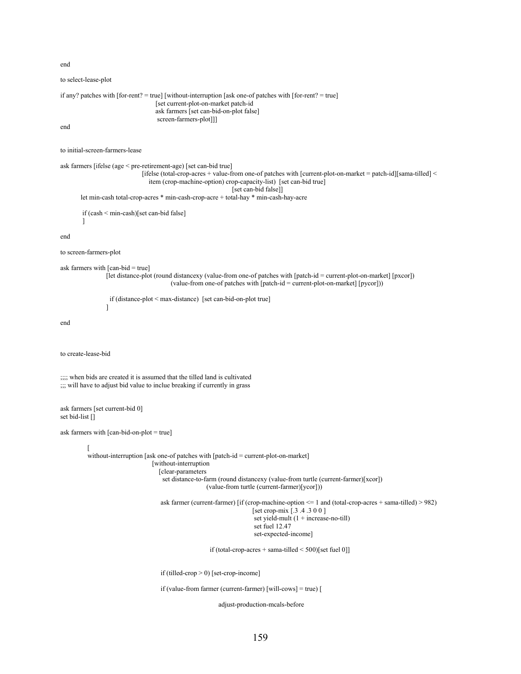end

to select-lease-plot

```
if any? patches with [for-rent? = true] [without-interruption [ask one-of patches with [for-rent? = true] 
                                     [set current-plot-on-market patch-id 
                                     ask farmers [set can-bid-on-plot false] 
                                      screen-farmers-plot]]]
```
end

```
to initial-screen-farmers-lease
```

```
ask farmers [ifelse (age < pre-retirement-age) [set can-bid true] 
                               [ifelse (total-crop-acres + value-from one-of patches with [current-plot-on-market = patch-id][sama-tilled] <
                                  item (crop-machine-option) crop-capacity-list) [set can-bid true] 
                                                                  [set can-bid false]]
```
let min-cash total-crop-acres \* min-cash-crop-acre + total-hay \* min-cash-hay-acre

if (cash < min-cash)[set can-bid false]

end

```
to screen-farmers-plot
```
]

```
ask farmers with [can-bid = true] 
                  [let distance-plot (round distancexy (value-from one-of patches with [patch-id = current-plot-on-market] [pxcor]) 
                                          (value-from one-of patches with [patch-id = current-plot-on-market] [pycor]))
```
if (distance-plot < max-distance) [set can-bid-on-plot true]

end

to create-lease-bid

]

;;;; when bids are created it is assumed that the tilled land is cultivated ;;; will have to adjust bid value to inclue breaking if currently in grass

ask farmers [set current-bid 0] set bid-list []

ask farmers with [can-bid-on-plot = true]

 $\blacksquare$ 

```
without-interruption [ask one-of patches with [patch-id = current-plot-on-market]
                        [without-interruption
```
[clear-parameters

 set distance-to-farm (round distancexy (value-from turtle (current-farmer)[xcor]) (value-from turtle (current-farmer)[ycor]))

 ask farmer (current-farmer) [if (crop-machine-option <= 1 and (total-crop-acres + sama-tilled) > 982) [set crop-mix [.3 .4 .3 0 0 ] set yield-mult (1 + increase-no-till) set fuel 12.47 set-expected-income]

if (total-crop-acres + sama-tilled < 500)[set fuel 0]]

if (tilled-crop > 0) [set-crop-income]

if (value-from farmer (current-farmer) [will-cows] = true) [

adjust-production-mcals-before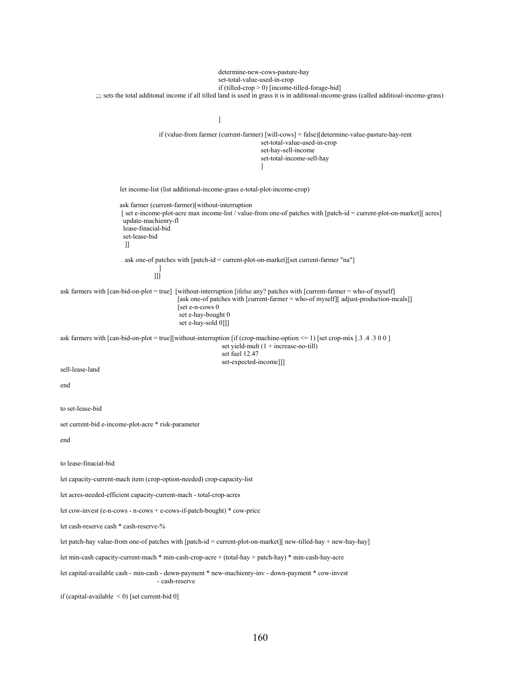```
 determine-new-cows-pasture-hay 
                                                           set-total-value-used-in-crop 
                                                          if (tilled-crop > 0) [income-tilled-forage-bid]
              ;;; sets the total additonal income if all tilled land is used in grass it is in additonal-income-grass (called additioal-income-grass) 
\mathbb{R}^n , the contract of \mathbb{R}^n , the contract of \mathbb{R}^n if (value-from farmer (current-farmer) [will-cows] = false)[determine-value-pasture-hay-rent 
                                                                           set-total-value-used-in-crop 
                                                                           set-hay-sell-income 
                                                                           set-total-income-sell-hay 
) and the contract of the contract of \mathbb{R}^n . The contract of the contract of \mathbb{R}^n let income-list (list additional-income-grass e-total-plot-income-crop) 
                       ask farmer (current-farmer)[without-interruption 
                      [ set e-income-plot-acre max income-list / value-from one-of patches with [patch-id = current-plot-on-market][ acres]
                        update-machienry-fl 
                        lease-finacial-bid 
                        set-lease-bid 
 ]] 
                         ask one-of patches with [patch-id = current-plot-on-market][set current-farmer "na"] 
 ] 
\blacksquare]]]
ask farmers with [can-bid-on-plot = true] [without-interruption [ifelse any? patches with [current-farmer = who-of myself] 
                                            [ask one-of patches with [current-farmer = who-of myself][ adjust-production-mcals]] 
                                            [set e-n-cows 0 
                                             set e-hay-bought 0 
                                             set e-hay-sold 0]]] 
ask farmers with [can-bid-on-plot = true][without-interruption [if (crop-machine-option <= 1) [set crop-mix [.3 .4 .3 0 0 ] 
                                                            set yield-mult (1 + increase-no-till) 
                                                            set fuel 12.47 
                                                            set-expected-income]]] 
sell-lease-land 
end 
to set-lease-bid 
set current-bid e-income-plot-acre * risk-parameter 
end 
to lease-finacial-bid 
let capacity-current-mach item (crop-option-needed) crop-capacity-list 
let acres-needed-efficient capacity-current-mach - total-crop-acres 
let cow-invest (e-n-cows - n-cows + e-cows-if-patch-bought) * cow-price 
let cash-reserve cash * cash-reserve-% 
let patch-hay value-from one-of patches with [patch-id = current-plot-on-market][ new-tilled-hay + new-hay-hay] 
let min-cash capacity-current-mach * min-cash-crop-acre + (total-hay + patch-hay) * min-cash-hay-acre 
let capital-available cash - min-cash - down-payment * new-machienry-inv - down-payment * cow-invest 
                                     - cash-reserve 
if (capital-available \leq 0) [set current-bid 0]
```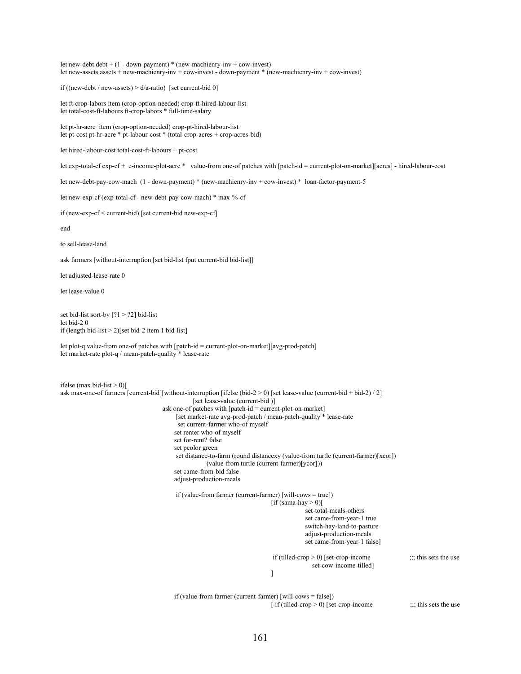let new-debt debt + (1 - down-payment) \* (new-machienry-inv + cow-invest) let new-assets assets + new-machienry-inv + cow-invest - down-payment \* (new-machienry-inv + cow-invest)

if ((new-debt / new-assets)  $> d/a$ -ratio) [set current-bid 0]

let ft-crop-labors item (crop-option-needed) crop-ft-hired-labour-list let total-cost-ft-labours ft-crop-labors \* full-time-salary

let pt-hr-acre item (crop-option-needed) crop-pt-hired-labour-list let pt-cost pt-hr-acre \* pt-labour-cost \* (total-crop-acres + crop-acres-bid)

let hired-labour-cost total-cost-ft-labours + pt-cost

let exp-total-cf exp-cf + e-income-plot-acre \* value-from one-of patches with [patch-id = current-plot-on-market][acres] - hired-labour-cost

let new-debt-pay-cow-mach (1 - down-payment) \* (new-machienry-inv + cow-invest) \* loan-factor-payment-5

let new-exp-cf (exp-total-cf - new-debt-pay-cow-mach) \* max-%-cf

if (new-exp-cf < current-bid) [set current-bid new-exp-cf]

end

to sell-lease-land

ask farmers [without-interruption [set bid-list fput current-bid bid-list]]

let adjusted-lease-rate 0

let lease-value 0

set bid-list sort-by [?1 > ?2] bid-list let bid-2 0 if (length bid-list  $> 2$ )[set bid-2 item 1 bid-list]

let plot-q value-from one-of patches with [patch-id = current-plot-on-market][avg-prod-patch] let market-rate plot-q / mean-patch-quality \* lease-rate

```
ifelse (max bid-list > 0)[
ask max-one-of farmers [current-bid][without-interruption [ifelse (bid-2 > 0) [set lease-value (current-bid + bid-2) / 2]
                                                   [set lease-value (current-bid )] 
                                       ask one-of patches with [patch-id = current-plot-on-market] 
                                            [set market-rate avg-prod-patch / mean-patch-quality * lease-rate 
                                             set current-farmer who-of myself 
                                            set renter who-of myself 
                                            set for-rent? false 
                                            set pcolor green 
                                            set distance-to-farm (round distancexy (value-from turtle (current-farmer)[xcor]) 
                                                        (value-from turtle (current-farmer)[ycor])) 
                                            set came-from-bid false 
                                            adjust-production-mcals 
                                            if (value-from farmer (current-farmer) [will-cows = true]) 
                                                                                [if (sama-hay > 0)[
                                                                                             set-total-mcals-others 
                                                                                              set came-from-year-1 true 
                                                                                             switch-hay-land-to-pasture 
                                                                                             adjust-production-mcals 
                                                                                             set came-from-year-1 false] 
                                                                                if (tilled-crop > 0) [set-crop-income ;;; this sets the use
                                                                                                set-cow-income-tilled] 
\mathbb{R}^n , the contract of the contract of the contract of the contract of \mathbb{R}^n if (value-from farmer (current-farmer) [will-cows = false]) 
                                                                               [ if (tilled-crop > 0) [set-crop-income ;;; this sets the use
```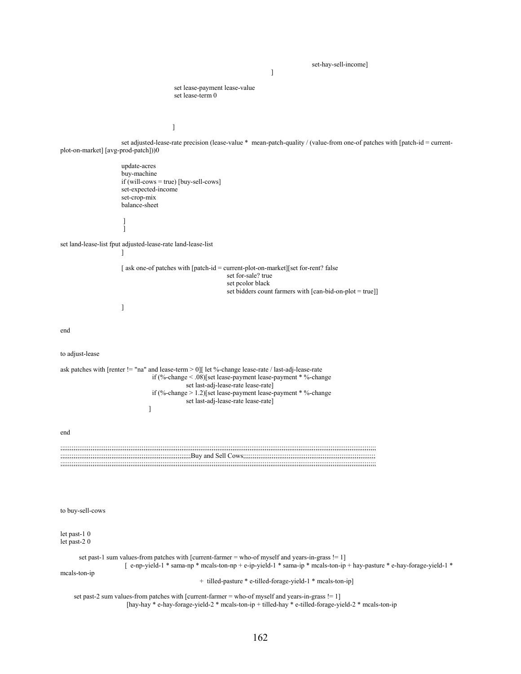```
 set-hay-sell-income] 
\mathbb{R}^n , the contract of the contract of the contract of the contract of \mathbb{R}^n set lease-payment lease-value 
                                            set lease-term 0 
 ] 
                        set adjusted-lease-rate precision (lease-value * mean-patch-quality / (value-from one-of patches with [patch-id = current-
plot-on-market] [avg-prod-patch]))0 
                        update-acres 
                        buy-machine 
                        if (will-cows = true) [buy-sell-cows] 
                        set-expected-income 
                        set-crop-mix 
                        balance-sheet 
 ] 
 ] 
set land-lease-list fput adjusted-lease-rate land-lease-list 
 ] 
                      [ask one-of patches with [patch-id = current-plot-on-market][set for-rent? false
                                                                set for-sale? true 
                                                                set pcolor black 
                                                                set bidders count farmers with [can-bid-on-plot = true]] 
 ] 
end 
to adjust-lease 
ask patches with [renter != "na" and lease-term > 0][ let %-change lease-rate / last-adj-lease-rate
                                   if (%-change < .08)[set lease-payment lease-payment * %-change 
                                                set last-adj-lease-rate lease-rate] 
                                    if (%-change > 1.2)[set lease-payment lease-payment * %-change 
                                                set last-adj-lease-rate lease-rate] 
 ] 
end 
;;;;;;;;;;;;;;;;;;;;;;;;;;;;;;;;;;;;;;;;;;;;;;;;;;;;;;;;;;;;;;;;;;;;;;;;;;;;;;;;;;;;;;;;;;;;;;;;;;;;;;;;;;;;;;;;;;;;;;;;;;;;;;;;;;;;;;;;;;;;;;;;;;;;;;;;;;;;;;;;;;;;;;; 
;;;;;;;;;;;;;;;;;;;;;;;;;;;;;;;;;;;;;;;;;;;;;;;;;;;;;;;;;;;;;;;;;;;;;Buy and Sell Cows;;;;;;;;;;;;;;;;;;;;;;;;;;;;;;;;;;;;;;;;;;;;;;;;;;;;;;;;;;;;;;;;;;;;;; 
;;;;;;;;;;;;;;;;;;;;;;;;;;;;;;;;;;;;;;;;;;;;;;;;;;;;;;;;;;;;;;;;;;;;;;;;;;;;;;;;;;;;;;;;;;;;;;;;;;;;;;;;;;;;;;;;;;;;;;;;;;;;;;;;;;;;;;;;;;;;;;;;;;;;;;;;;;;;;;;;;;;;;;; 
to buy-sell-cows 
let past-1 0 
let past-2 0 
       set past-1 sum values-from patches with [current-farmer = who-of myself and years-in-grass != 1]
                         [ e-np-yield-1 * sama-np * mcals-ton-np + e-ip-yield-1 * sama-ip * mcals-ton-ip + hay-pasture * e-hay-forage-yield-1 * 
mcals-ton-ip 
                                                     + tilled-pasture * e-tilled-forage-yield-1 * mcals-ton-ip] 
      set past-2 sum values-from patches with [current-farmer = who-of myself and years-in-grass != 1] 
                          [hay-hay * e-hay-forage-yield-2 * mcals-ton-ip + tilled-hay * e-tilled-forage-yield-2 * mcals-ton-ip
```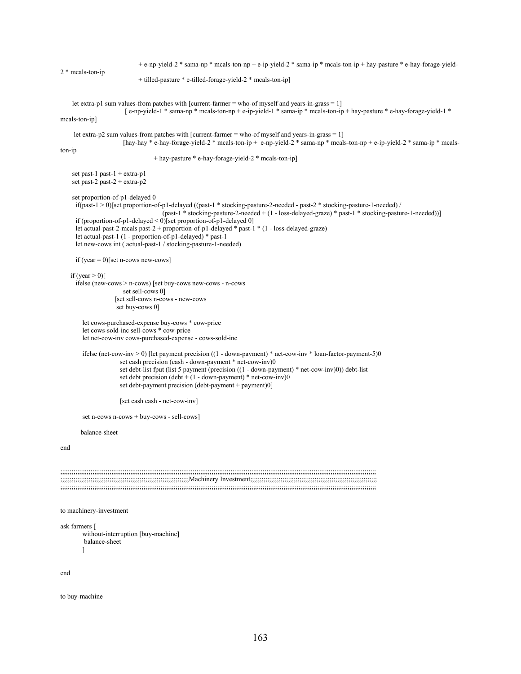```
 + e-np-yield-2 * sama-np * mcals-ton-np + e-ip-yield-2 * sama-ip * mcals-ton-ip + hay-pasture * e-hay-forage-yield-
2 * mcals-ton-ip 
                               + tilled-pasture * e-tilled-forage-yield-2 * mcals-ton-ip] 
     let extra-p1 sum values-from patches with [current-farmer = who-of myself and years-in-grass = 1] 
                          [ e-np-yield-1 * sama-np * mcals-ton-np + e-ip-yield-1 * sama-ip * mcals-ton-ip + hay-pasture * e-hay-forage-yield-1 * 
mcals-ton-ip] 
      let extra-p2 sum values-from patches with [current-farmer = who-of myself and years-in-grass = 1] 
                         [hay-hay * e-hay-forage-yield-2 * mcals-ton-ip + e-np-yield-2 * sama-np * mcals-ton-np + e-ip-yield-2 * sama-ip * mcals-
ton-ip 
                                     + hay-pasture * e-hay-forage-yield-2 * mcals-ton-ip] 
    set past-1 past-1 + extra-p1
      set past-2 past-2 + extra-p2 
      set proportion-of-p1-delayed 0 
       if(past-1 > 0)[set proportion-of-p1-delayed ((past-1 * stocking-pasture-2-needed - past-2 * stocking-pasture-1-needed) / 
                                         (past-1 * stocking-pasture-2-needed + (1 - loss-delayed-graze) * past-1 * stocking-pasture-1-needed))] 
       if (proportion-of-p1-delayed < 0)[set proportion-of-p1-delayed 0] 
       let actual-past-2-mcals past-2 + proportion-of-p1-delayed * past-1 * (1 - loss-delayed-graze) 
       let actual-past-1 (1 - proportion-of-p1-delayed) * past-1 
       let new-cows int ( actual-past-1 / stocking-pasture-1-needed) 
      if (year = 0)[set n-cows new-cows]
    if (year > 0)[
       ifelse (new-cows > n-cows) [set buy-cows new-cows - n-cows 
                         set sell-cows 0] 
                      [set sell-cows n-cows - new-cows 
                       set buy-cows 0] 
         let cows-purchased-expense buy-cows * cow-price 
         let cows-sold-inc sell-cows * cow-price 
         let net-cow-inv cows-purchased-expense - cows-sold-inc 
         ifelse (net-cow-inv > 0) [let payment precision ((1 - down-payment) * net-cow-inv * loan-factor-payment-5)0 
                        set cash precision (cash - down-payment * net-cow-inv)0 
                        set debt-list fput (list 5 payment (precision ((1 - down-payment) * net-cow-inv)0)) debt-list 
                       set debt precision (debt +(1 - down-payment) * net-cow-inv)0set debt-payment precision (debt-payment + payment)0]
                        [set cash cash - net-cow-inv] 
        set n-cows n-cows + buy-cows - sell-cows]
         balance-sheet 
end 
;;;;;;;;;;;;;;;;;;;;;;;;;;;;;;;;;;;;;;;;;;;;;;;;;;;;;;;;;;;;;;;;;;;;;;;;;;;;;;;;;;;;;;;;;;;;;;;;;;;;;;;;;;;;;;;;;;;;;;;;;;;;;;;;;;;;;;;;;;;;;;;;;;;;;;;;;;;;;;;;;;;;;;; 
;;;;;;;;;;;;;;;;;;;;;;;;;;;;;;;;;;;;;;;;;;;;;;;;;;;;;;;;;;;;;;;;;;;;Machinery Investment;;;;;;;;;;;;;;;;;;;;;;;;;;;;;;;;;;;;;;;;;;;;;;;;;;;;;;;;;;;;;;;;;;; 
;;;;;;;;;;;;;;;;;;;;;;;;;;;;;;;;;;;;;;;;;;;;;;;;;;;;;;;;;;;;;;;;;;;;;;;;;;;;;;;;;;;;;;;;;;;;;;;;;;;;;;;;;;;;;;;;;;;;;;;;;;;;;;;;;;;;;;;;;;;;;;;;;;;;;;;;;;;;;;;;;;;;;;; 
to machinery-investment 
ask farmers [ 
         without-interruption [buy-machine] 
          balance-sheet 
         ] 
end 
to buy-machine
```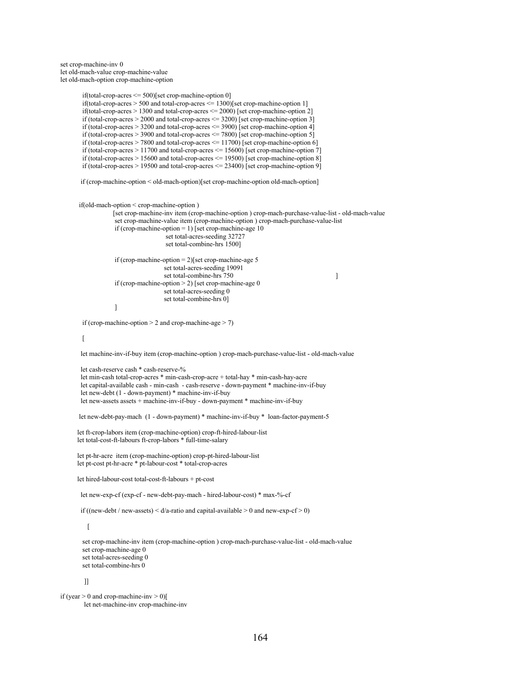set crop-machine-inv 0 let old-mach-value crop-machine-value let old-mach-option crop-machine-option

```
 if(total-crop-acres <= 500)[set crop-machine-option 0] 
       if(total-crop-acres > 500 and total-crop-acres \leq 1300)[set crop-machine-option 1]
       if(total-crop-acres > 1300 and total-crop-acres \leq 2000) [set crop-machine-option 2]
       if (total-crop-acres > 2000 and total-crop-acres \leq 3200) [set crop-machine-option 3]
       if (total-crop-acres > 3200 and total-crop-acres \leq 3900) [set crop-machine-option 4]
       if (total-crop-acres > 3900 and total-crop-acres \leq 7800) [set crop-machine-option 5]
       if (total-crop-acres > 7800 and total-crop-acres \leq 11700) [set crop-machine-option 6]
        if (total-crop-acres > 11700 and total-crop-acres <= 15600) [set crop-machine-option 7] 
        if (total-crop-acres > 15600 and total-crop-acres <= 19500) [set crop-machine-option 8] 
        if (total-crop-acres > 19500 and total-crop-acres <= 23400) [set crop-machine-option 9] 
       if (crop-machine-option < old-mach-option)[set crop-machine-option old-mach-option] 
       if(old-mach-option < crop-machine-option ) 
                   [set crop-machine-inv item (crop-machine-option ) crop-mach-purchase-value-list - old-mach-value
                    set crop-machine-value item (crop-machine-option ) crop-mach-purchase-value-list 
                    if (crop-machine-option = 1) [set crop-machine-age 10 
                                       set total-acres-seeding 32727 
                                       set total-combine-hrs 1500] 
                    if (crop-machine-option = 2)[set crop-machine-age 5 
                                      set total-acres-seeding 19091 
                                     set total-combine-hrs 750 ]
                   if (crop-machine-option > 2) [set crop-machine-age 0
                                      set total-acres-seeding 0 
                                      set total-combine-hrs 0] 
 ] 
       if (crop-machine-option > 2 and crop-machine-age > 7)
       \lceil let machine-inv-if-buy item (crop-machine-option ) crop-mach-purchase-value-list - old-mach-value 
       let cash-reserve cash * cash-reserve-% 
        let min-cash total-crop-acres * min-cash-crop-acre + total-hay * min-cash-hay-acre 
       let capital-available cash - min-cash - cash-reserve - down-payment * machine-inv-if-buy 
        let new-debt (1 - down-payment) * machine-inv-if-buy 
       let new-assets assets + machine-inv-if-buy - down-payment * machine-inv-if-buy 
       let new-debt-pay-mach (1 - down-payment) * machine-inv-if-buy * loan-factor-payment-5 
      let ft-crop-labors item (crop-machine-option) crop-ft-hired-labour-list 
      let total-cost-ft-labours ft-crop-labors * full-time-salary 
      let pt-hr-acre item (crop-machine-option) crop-pt-hired-labour-list 
      let pt-cost pt-hr-acre * pt-labour-cost * total-crop-acres 
      let hired-labour-cost total-cost-ft-labours + pt-cost 
       let new-exp-cf (exp-cf - new-debt-pay-mach - hired-labour-cost) * max-%-cf 
       if ((new-debt / new-assets) \leq d/a-ratio and capital-available \geq 0 and new-exp-cf \geq 0)
         \lceil
```
 set crop-machine-inv item (crop-machine-option ) crop-mach-purchase-value-list - old-mach-value set crop-machine-age 0 set total-acres-seeding 0 set total-combine-hrs 0

]]

```
if (year > 0 and crop-machine-inv > 0)[
        let net-machine-inv crop-machine-inv
```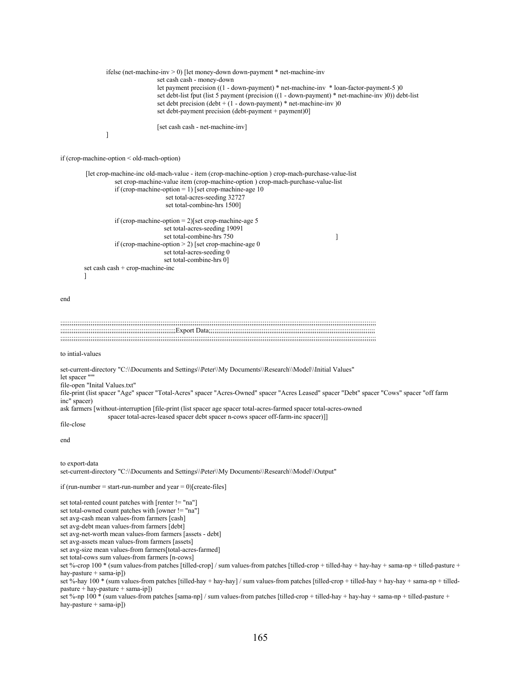```
ifelse (net-machine-inv > 0) [let money-down down-payment * net-machine-inv
                   set cash cash - money-down 
                   let payment precision ((1 - down-payment) * net-machine-inv * loan-factor-payment-5 )0 
                   set debt-list fput (list 5 payment (precision ((1 - down-payment) * net-machine-inv )0)) debt-list 
                  set debt precision (debt + (1 - down-payment) * net-machine-inv )0set debt-payment precision (debt-payment + payment)0]
                  [set cash cash - net-machine-inv]
```

```
 ]
```
if (crop-machine-option < old-mach-option)

```
 [let crop-machine-inc old-mach-value - item (crop-machine-option ) crop-mach-purchase-value-list 
           set crop-machine-value item (crop-machine-option ) crop-mach-purchase-value-list 
          if (crop-machine-option = 1) [set crop-machine-age 10
                             set total-acres-seeding 32727 
                             set total-combine-hrs 1500] 
           if (crop-machine-option = 2)[set crop-machine-age 5 
                             set total-acres-seeding 19091 
                            set total-combine-hrs 750 ]
           if (crop-machine-option > 2) [set crop-machine-age 0 
                             set total-acres-seeding 0 
                             set total-combine-hrs 0] 
 set cash cash + crop-machine-inc 
 ]
```
end

```
;;;;;;;;;;;;;;;;;;;;;;;;;;;;;;;;;;;;;;;;;;;;;;;;;;;;;;;;;;;;;;;;;;;;;;;;;;;;;;;;;;;;;;;;;;;;;;;;;;;;;;;;;;;;;;;;;;;;;;;;;;;;;;;;;;;;;;;;;;;;;;;;;;;;;;;;;;;;;;;;;;;;;;; 
;;;;;;;;;;;;;;;;;;;;;;;;;;;;;;;;;;;;;;;;;;;;;;;;;;;;;;;;;;;;;Export Data;;;;;;;;;;;;;;;;;;;;;;;;;;;;;;;;;;;;;;;;;;;;;;;;;;;;;;;;;;;;;;;;;;;;;;;;;;;;;;;;;;;;;;;; 
;;;;;;;;;;;;;;;;;;;;;;;;;;;;;;;;;;;;;;;;;;;;;;;;;;;;;;;;;;;;;;;;;;;;;;;;;;;;;;;;;;;;;;;;;;;;;;;;;;;;;;;;;;;;;;;;;;;;;;;;;;;;;;;;;;;;;;;;;;;;;;;;;;;;;;;;;;;;;;;;;;;;;;;
```
to intial-values

set-current-directory "C:\\Documents and Settings\\Peter\\My Documents\\Research\\Model\\Initial Values"

let spacer

file-open "Inital Values.txt"

file-print (list spacer "Age" spacer "Total-Acres" spacer "Acres-Owned" spacer "Acres Leased" spacer "Debt" spacer "Cows" spacer "off farm inc" spacer)

ask farmers [without-interruption [file-print (list spacer age spacer total-acres-farmed spacer total-acres-owned

spacer total-acres-leased spacer debt spacer n-cows spacer off-farm-inc spacer)]]

file-close

end

to export-data set-current-directory "C:\\Documents and Settings\\Peter\\My Documents\\Research\\Model\\Output"

if (run-number = start-run-number and year =  $0$ )[create-files]

set total-rented count patches with [renter != "na"]

set total-owned count patches with  $\overline{[}}$  owner != "na"]

set avg-cash mean values-from farmers [cash] set avg-debt mean values-from farmers [debt]

set avg-net-worth mean values-from farmers [assets - debt] set avg-assets mean values-from farmers [assets]

set avg-size mean values-from farmers[total-acres-farmed] set total-cows sum values-from farmers [n-cows]

set %-crop 100 \* (sum values-from patches [tilled-crop] / sum values-from patches [tilled-crop + tilled-hay + hay-hay + sama-np + tilled-pasture + hay-pasture + sama-ip])

set %-hay 100 \* (sum values-from patches [tilled-hay + hay-hay] / sum values-from patches [tilled-crop + tilled-hay + hay-hay + sama-np + tilled $pasture + hay-pasture + sama-ip$ ])

set %-np 100 \* (sum values-from patches [sama-np] / sum values-from patches [tilled-crop + tilled-hay + hay-hay + sama-np + tilled-pasture + hay-pasture + sama-ip])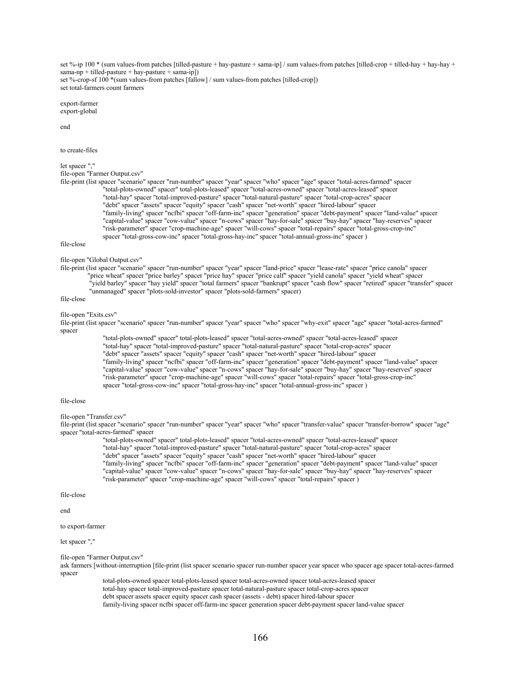set %-ip 100 \* (sum values-from patches [tilled-pasture + hay-pasture + sama-ip] / sum values-from patches [tilled-crop + tilled-hay + hay-hay +  $sama-np + tilled-pasture + hay-pasture + sama-ip$ ]) set %-crop-sf 100 \*(sum values-from patches [fallow] / sum values-from patches [tilled-crop]) set total-farmers count farmers

export-farmer export-global

end

to create-files

#### let spacer ","

file-open "Farmer Output.csv"

file-print (list spacer "scenario" spacer "run-number" spacer "year" spacer "who" spacer "age" spacer "total-acres-farmed" spacer "total-plots-owned" spacer" total-plots-leased" spacer "total-acres-owned" spacer "total-acres-leased" spacer "total-hay" spacer "total-improved-pasture" spacer "total-natural-pasture" spacer "total-crop-acres" spacer "debt" spacer "assets" spacer "equity" spacer "cash" spacer "net-worth" spacer "hired-labour" spacer

 "family-living" spacer "ncfbi" spacer "off-farm-inc" spacer "generation" spacer "debt-payment" spacer "land-value" spacer "capital-value" spacer "cow-value" spacer "n-cows" spacer "hay-for-sale" spacer "buy-hay" spacer "hay-reserves" spacer "risk-parameter" spacer "crop-machine-age" spacer "will-cows" spacer "total-repairs" spacer "total-gross-crop-inc" spacer "total-gross-cow-inc" spacer "total-gross-hay-inc" spacer "total-annual-gross-inc" spacer )

file-close

file-open "Global Output.csv"

file-print (list spacer "scenario" spacer "run-number" spacer "year" spacer "land-price" spacer "lease-rate" spacer "price canola" spacer "price wheat" spacer "price barley" spacer "price hay" spacer "price calf" spacer "yield canola" spacer "yield wheat" spacer "yield barley" spacer "hay yield" spacer "total farmers" spacer "bankrupt" spacer "cash flow" spacer "retired" spacer "transfer" spacer

"unmanaged" spacer "plots-sold-investor" spacer "plots-sold-farmers" spacer)

# file-close

#### file-open "Exits.csv"

file-print (list spacer "scenario" spacer "run-number" spacer "year" spacer "who" spacer "why-exit" spacer "age" spacer "total-acres-farmed" spacer

> "total-plots-owned" spacer" total-plots-leased" spacer "total-acres-owned" spacer "total-acres-leased" spacer "total-hay" spacer "total-improved-pasture" spacer "total-natural-pasture" spacer "total-crop-acres" spacer "debt" spacer "assets" spacer "equity" spacer "cash" spacer "net-worth" spacer "hired-labour" spacer "family-living" spacer "ncfbi" spacer "off-farm-inc" spacer "generation" spacer "debt-payment" spacer "land-value" spacer "capital-value" spacer "cow-value" spacer "n-cows" spacer "hay-for-sale" spacer "buy-hay" spacer "hay-reserves" spacer "risk-parameter" spacer "crop-machine-age" spacer "will-cows" spacer "total-repairs" spacer "total-gross-crop-inc" spacer "total-gross-cow-inc" spacer "total-gross-hay-inc" spacer "total-annual-gross-inc" spacer )

## file-close

### file-open "Transfer.csv"

file-print (list spacer "scenario" spacer "run-number" spacer "vear" spacer "who" spacer "transfer-value" spacer "transfer-borrow" spacer "age" spacer "total-acres-farmed" spacer

 "total-plots-owned" spacer" total-plots-leased" spacer "total-acres-owned" spacer "total-acres-leased" spacer "total-hay" spacer "total-improved-pasture" spacer "total-natural-pasture" spacer "total-crop-acres" spacer

"debt" spacer "assets" spacer "equity" spacer "cash" spacer "net-worth" spacer "hired-labour" spacer

 "family-living" spacer "ncfbi" spacer "off-farm-inc" spacer "generation" spacer "debt-payment" spacer "land-value" spacer "capital-value" spacer "cow-value" spacer "n-cows" spacer "hay-for-sale" spacer "buy-hay" spacer "hay-reserves" spacer "risk-parameter" spacer "crop-machine-age" spacer "will-cows" spacer "total-repairs" spacer )

file-close

end

to export-farmer

# let spacer ","

file-open "Farmer Output.csv"

ask farmers [without-interruption [file-print (list spacer scenario spacer run-number spacer year spacer who spacer age spacer total-acres-farmed spacer

> total-plots-owned spacer total-plots-leased spacer total-acres-owned spacer total-acres-leased spacer total-hay spacer total-improved-pasture spacer total-natural-pasture spacer total-crop-acres spacer debt spacer assets spacer equity spacer cash spacer (assets - debt) spacer hired-labour spacer family-living spacer ncfbi spacer off-farm-inc spacer generation spacer debt-payment spacer land-value spacer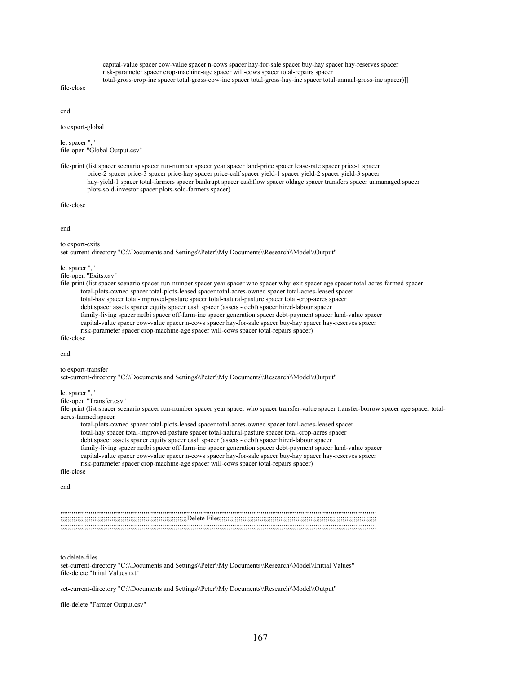capital-value spacer cow-value spacer n-cows spacer hay-for-sale spacer buy-hay spacer hay-reserves spacer risk-parameter spacer crop-machine-age spacer will-cows spacer total-repairs spacer total-gross-crop-inc spacer total-gross-cow-inc spacer total-gross-hay-inc spacer total-annual-gross-inc spacer)]]

file-close

end

to export-global

let spacer "," file-open "Global Output.csv"

file-print (list spacer scenario spacer run-number spacer year spacer land-price spacer lease-rate spacer price-1 spacer price-2 spacer price-3 spacer price-hay spacer price-calf spacer yield-1 spacer yield-2 spacer yield-3 spacer hay-yield-1 spacer total-farmers spacer bankrupt spacer cashflow spacer oldage spacer transfers spacer unmanaged spacer plots-sold-investor spacer plots-sold-farmers spacer)

file-close

#### end

to export-exits

set-current-directory "C:\\Documents and Settings\\Peter\\My Documents\\Research\\Model\\Output"

let spacer ","

file-open "Exits.csv"

file-print (list spacer scenario spacer run-number spacer year spacer who spacer why-exit spacer age spacer total-acres-farmed spacer total-plots-owned spacer total-plots-leased spacer total-acres-owned spacer total-acres-leased spacer total-hay spacer total-improved-pasture spacer total-natural-pasture spacer total-crop-acres spacer debt spacer assets spacer equity spacer cash spacer (assets - debt) spacer hired-labour spacer family-living spacer ncfbi spacer off-farm-inc spacer generation spacer debt-payment spacer land-value spacer capital-value spacer cow-value spacer n-cows spacer hay-for-sale spacer buy-hay spacer hay-reserves spacer risk-parameter spacer crop-machine-age spacer will-cows spacer total-repairs spacer)

file-close

end

to export-transfer

set-current-directory "C:\\Documents and Settings\\Peter\\My Documents\\Research\\Model\\Output"

# let spacer ","

file-open "Transfer.csv"

file-print (list spacer scenario spacer run-number spacer year spacer who spacer transfer-value spacer transfer-borrow spacer age spacer totalacres-farmed spacer

 total-plots-owned spacer total-plots-leased spacer total-acres-owned spacer total-acres-leased spacer total-hay spacer total-improved-pasture spacer total-natural-pasture spacer total-crop-acres spacer debt spacer assets spacer equity spacer cash spacer (assets - debt) spacer hired-labour spacer family-living spacer ncfbi spacer off-farm-inc spacer generation spacer debt-payment spacer land-value spacer capital-value spacer cow-value spacer n-cows spacer hay-for-sale spacer buy-hay spacer hay-reserves spacer risk-parameter spacer crop-machine-age spacer will-cows spacer total-repairs spacer)

file-close

end

;;;;;;;;;;;;;;;;;;;;;;;;;;;;;;;;;;;;;;;;;;;;;;;;;;;;;;;;;;;;;;;;;;;;;;;;;;;;;;;;;;;;;;;;;;;;;;;;;;;;;;;;;;;;;;;;;;;;;;;;;;;;;;;;;;;;;;;;;;;;;;;;;;;;;;;;;;;;;;;;;;;;;;; ;;;;;;;;;;;;;;;;;;;;;;;;;;;;;;;;;;;;;;;;;;;;;;;;;;;;;;;;;;;;;;;;;;;Delete Files;;;;;;;;;;;;;;;;;;;;;;;;;;;;;;;;;;;;;;;;;;;;;;;;;;;;;;;;;;;;;;;;;;;;;;;;;;;;;;;;;;; ;;;;;;;;;;;;;;;;;;;;;;;;;;;;;;;;;;;;;;;;;;;;;;;;;;;;;;;;;;;;;;;;;;;;;;;;;;;;;;;;;;;;;;;;;;;;;;;;;;;;;;;;;;;;;;;;;;;;;;;;;;;;;;;;;;;;;;;;;;;;;;;;;;;;;;;;;;;;;;;;;;;;;;;

to delete-files

set-current-directory "C:\\Documents and Settings\\Peter\\My Documents\\Research\\Model\\Initial Values" file-delete "Inital Values.txt"

set-current-directory "C:\\Documents and Settings\\Peter\\My Documents\\Research\\Model\\Output"

file-delete "Farmer Output.csv"